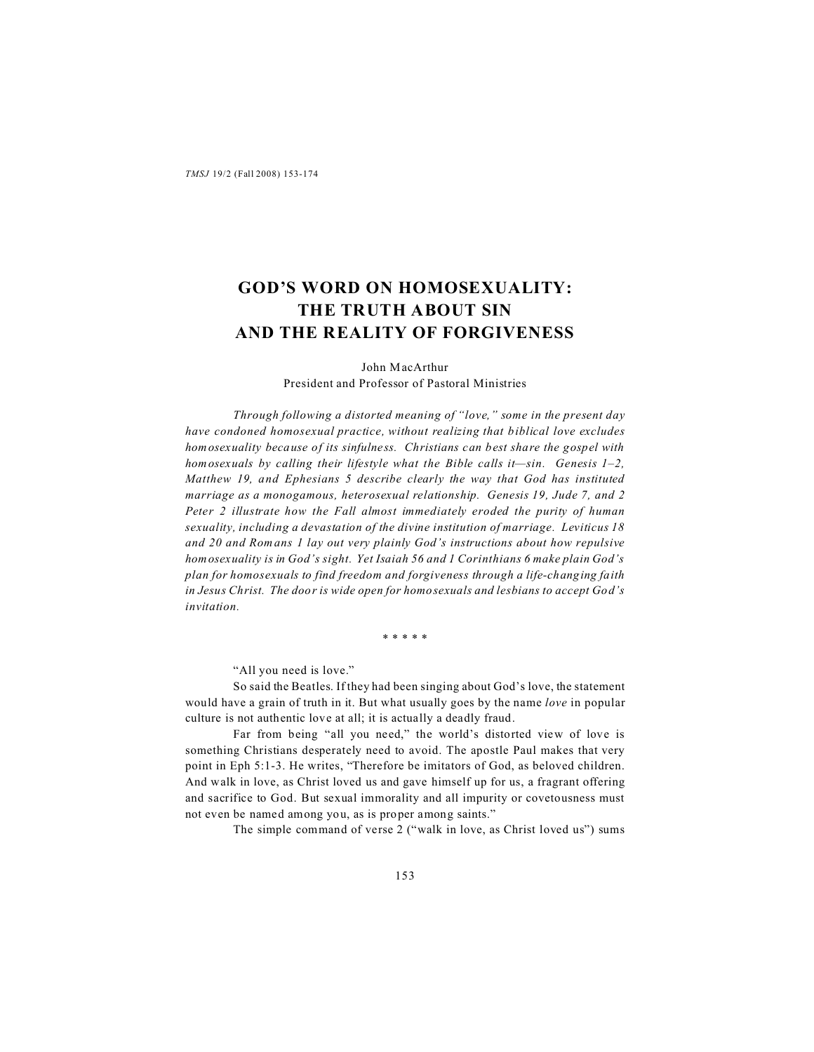# **GOD'S WORD ON HOMOSEXUALITY: THE TRUTH ABOUT SIN AND THE REALITY OF FORGIVENESS**

John MacArthur President and Professor of Pastoral Ministries

*Through following a distorted meaning of "love," some in the present day have condoned homosexual practice, without realizing that biblical love excludes homosexuality because of its sinfulness. Christians can best share the gospel with homosexuals by calling their lifestyle what the Bible calls it—sin. Genesis 1–2, Matthew 19, and Ephesians 5 describe clearly the way that God has instituted marriage as a monogamous, heterosexual relationship. Genesis 19, Jude 7, and 2 Peter 2 illustrate how the Fall almost immediately eroded the purity of human sexuality, including a devastation of the divine institution of marriage. Leviticus 18 and 20 and Romans 1 lay out very plainly God's instructions about how repulsive homosexuality is in God's sight. Yet Isaiah 56 and 1 Corinthians 6 make plain God's plan for homosexuals to find freedom and forgiveness through a life-changing faith in Jesus Christ. The door is wide open for homosexuals and lesbians to accept God's invitation.*

\* \* \* \* \*

"All you need is love."

So said the Beatles. If they had been singing about God's love, the statement would have a grain of truth in it. But what usually goes by the name *love* in popular culture is not authentic love at all; it is actually a deadly fraud.

Far from being "all you need," the world's distorted view of love is something Christians desperately need to avoid. The apostle Paul makes that very point in Eph 5:1-3. He writes, "Therefore be imitators of God, as beloved children. And walk in love, as Christ loved us and gave himself up for us, a fragrant offering and sacrifice to God. But sexual immorality and all impurity or covetousness must not even be named among you, as is proper among saints."

The simple command of verse 2 ("walk in love, as Christ loved us") sums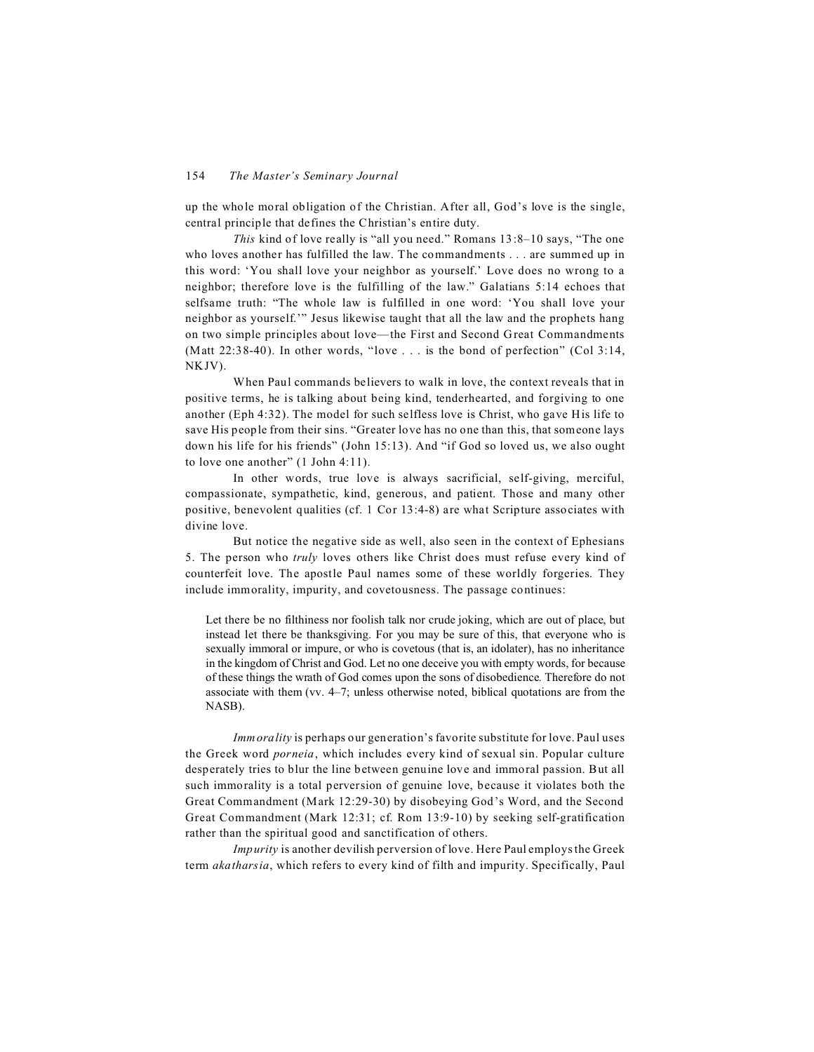up the whole moral obligation of the Christian. After all, God's love is the single, central principle that defines the Christian's entire duty.

*This* kind of love really is "all you need." Romans 13:8–10 says, "The one who loves another has fulfilled the law. The commandments . . . are summed up in this word: 'You shall love your neighbor as yourself.' Love does no wrong to a neighbor; therefore love is the fulfilling of the law." Galatians 5:14 echoes that selfsame truth: "The whole law is fulfilled in one word: 'You shall love your neighbor as yourself.'" Jesus likewise taught that all the law and the prophets hang on two simple principles about love—the First and Second Great Commandments (Matt  $22:38-40$ ). In other words, "love . . . is the bond of perfection" (Col 3:14, NKJV).

When Paul commands believers to walk in love, the context reveals that in positive terms, he is talking about being kind, tenderhearted, and forgiving to one another (Eph 4:32). The model for such selfless love is Christ, who gave His life to save His people from their sins. "Greater love has no one than this, that someone lays down his life for his friends" (John 15:13). And "if God so loved us, we also ought to love one another" (1 John 4:11).

In other words, true love is always sacrificial, self-giving, merciful, compassionate, sympathetic, kind, generous, and patient. Those and many other positive, benevolent qualities (cf. 1 Cor 13:4-8) are what Scripture associates with divine love.

But notice the negative side as well, also seen in the context of Ephesians 5. The person who *truly* loves others like Christ does must refuse every kind of counterfeit love. The apostle Paul names some of these worldly forgeries. They include immorality, impurity, and covetousness. The passage continues:

Let there be no filthiness nor foolish talk nor crude joking, which are out of place, but instead let there be thanksgiving. For you may be sure of this, that everyone who is sexually immoral or impure, or who is covetous (that is, an idolater), has no inheritance in the kingdom of Christ and God. Let no one deceive you with empty words, for because of these things the wrath of God comes upon the sons of disobedience. Therefore do not associate with them (vv. 4–7; unless otherwise noted, biblical quotations are from the NASB).

*Immorality* is perhaps our generation's favorite substitute for love. Paul uses the Greek word *porneia*, which includes every kind of sexual sin. Popular culture desperately tries to blur the line between genuine love and immoral passion. But all such immorality is a total perversion of genuine love, because it violates both the Great Commandment (Mark 12:29-30) by disobeying God's Word, and the Second Great Commandment (Mark 12:31; cf. Rom 13:9-10) by seeking self-gratification rather than the spiritual good and sanctification of others.

*Impurity* is another devilish perversion of love. Here Paul employs the Greek term *akatharsia*, which refers to every kind of filth and impurity. Specifically, Paul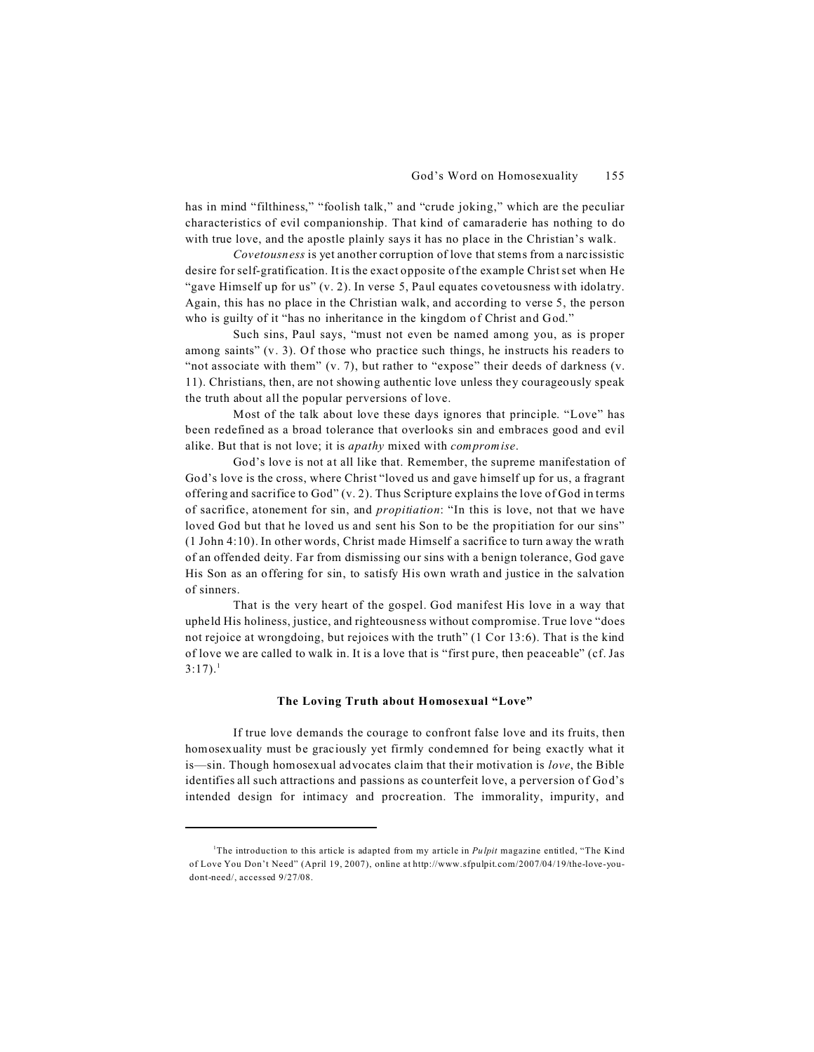has in mind "filthiness," "foolish talk," and "crude joking," which are the peculiar characteristics of evil companionship. That kind of camaraderie has nothing to do with true love, and the apostle plainly says it has no place in the Christian's walk.

*Covetousness* is yet another corruption of love that stems from a narcissistic desire for self-gratification. It is the exact opposite of the example Christ set when He "gave Himself up for us" (v. 2). In verse 5, Paul equates covetousness with idolatry. Again, this has no place in the Christian walk, and according to verse 5, the person who is guilty of it "has no inheritance in the kingdom of Christ and God."

Such sins, Paul says, "must not even be named among you, as is proper among saints" (v. 3). Of those who practice such things, he instructs his readers to "not associate with them" (v. 7), but rather to "expose" their deeds of darkness (v. 11). Christians, then, are not showing authentic love unless they courageously speak the truth about all the popular perversions of love.

Most of the talk about love these days ignores that principle. "Love" has been redefined as a broad tolerance that overlooks sin and embraces good and evil alike. But that is not love; it is *apathy* mixed with *compromise*.

God's love is not at all like that. Remember, the supreme manifestation of God's love is the cross, where Christ "loved us and gave himself up for us, a fragrant offering and sacrifice to God"  $(v, 2)$ . Thus Scripture explains the love of God in terms of sacrifice, atonement for sin, and *propitiation*: "In this is love, not that we have loved God but that he loved us and sent his Son to be the propitiation for our sins" (1 John 4:10). In other words, Christ made Himself a sacrifice to turn away the wrath of an offended deity. Far from dismissing our sins with a benign tolerance, God gave His Son as an offering for sin, to satisfy His own wrath and justice in the salvation of sinners.

That is the very heart of the gospel. God manifest His love in a way that upheld His holiness, justice, and righteousness without compromise. True love "does not rejoice at wrongdoing, but rejoices with the truth" (1 Cor 13:6). That is the kind of love we are called to walk in. It is a love that is "first pure, then peaceable" (cf. Jas  $3:17$ ).<sup>1</sup>

#### **The Loving Truth about Homosexual "Love"**

If true love demands the courage to confront false love and its fruits, then homosexuality must be graciously yet firmly condemned for being exactly what it is—sin. Though homosexual advocates claim that their motivation is *love*, the Bible identifies all such attractions and passions as counterfeit love, a perversion of God's intended design for intimacy and procreation. The immorality, impurity, and

<sup>1</sup>The introduction to this article is adapted from my article in *Pulpit* magazine entitled, "The Kind of Love You Don't Need" (April 19, 2007), online at http://www.sfpulpit.com/2007/04/19/the-love-youdont-need/, accessed 9/27/08.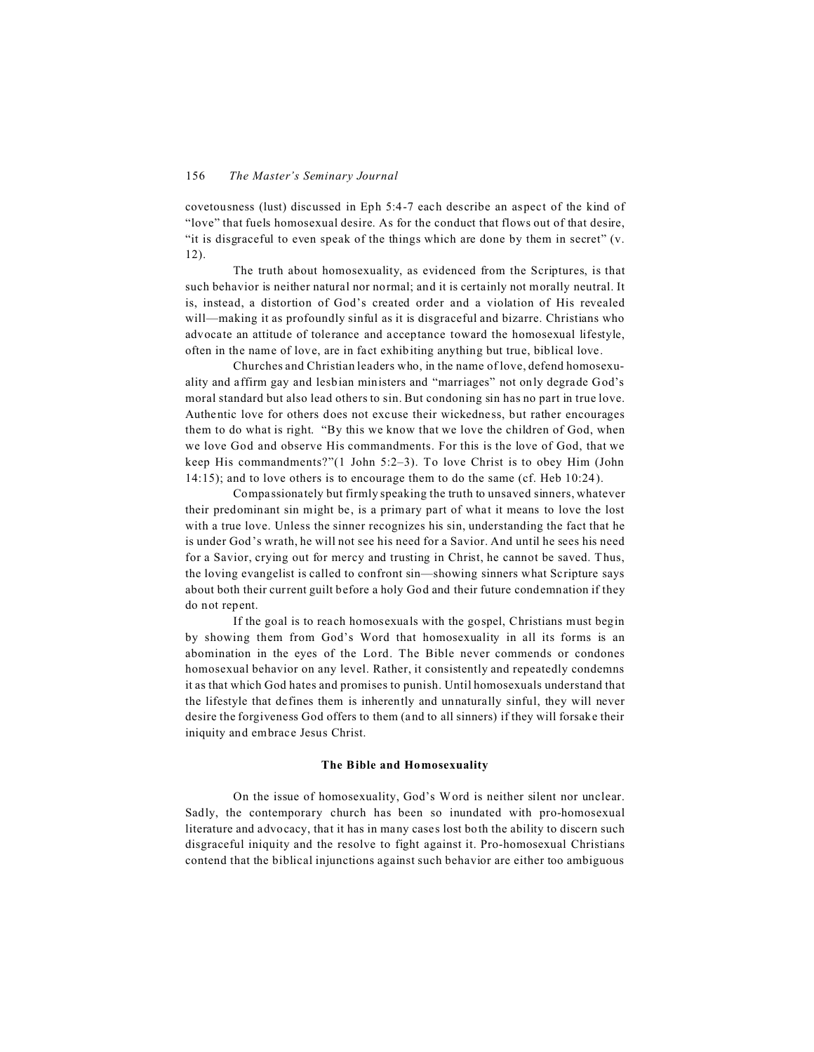covetousness (lust) discussed in Eph 5:4-7 each describe an aspect of the kind of "love" that fuels homosexual desire. As for the conduct that flows out of that desire, "it is disgraceful to even speak of the things which are done by them in secret" (v. 12).

The truth about homosexuality, as evidenced from the Scriptures, is that such behavior is neither natural nor normal; and it is certainly not morally neutral. It is, instead, a distortion of God's created order and a violation of His revealed will—making it as profoundly sinful as it is disgraceful and bizarre. Christians who advocate an attitude of tolerance and acceptance toward the homosexual lifestyle, often in the name of love, are in fact exhibiting anything but true, biblical love.

Churches and Christian leaders who, in the name of love, defend homosexuality and affirm gay and lesbian ministers and "marriages" not only degrade God's moral standard but also lead others to sin. But condoning sin has no part in true love. Authentic love for others does not excuse their wickedness, but rather encourages them to do what is right. "By this we know that we love the children of God, when we love God and observe His commandments. For this is the love of God, that we keep His commandments?"(1 John 5:2–3). To love Christ is to obey Him (John 14:15); and to love others is to encourage them to do the same (cf. Heb 10:24).

Compassionately but firmly speaking the truth to unsaved sinners, whatever their predominant sin might be, is a primary part of what it means to love the lost with a true love. Unless the sinner recognizes his sin, understanding the fact that he is under God's wrath, he will not see his need for a Savior. And until he sees his need for a Savior, crying out for mercy and trusting in Christ, he cannot be saved. Thus, the loving evangelist is called to confront sin—showing sinners what Scripture says about both their current guilt before a holy God and their future condemnation if they do not repent.

If the goal is to reach homosexuals with the gospel, Christians must begin by showing them from God's Word that homosexuality in all its forms is an abomination in the eyes of the Lord. The Bible never commends or condones homosexual behavior on any level. Rather, it consistently and repeatedly condemns it as that which God hates and promises to punish. Until homosexuals understand that the lifestyle that defines them is inherently and unnaturally sinful, they will never desire the forgiveness God offers to them (and to all sinners) if they will forsake their iniquity and embrace Jesus Christ.

#### **The Bible and Homosexuality**

On the issue of homosexuality, God's W ord is neither silent nor unclear. Sadly, the contemporary church has been so inundated with pro-homosexual literature and advocacy, that it has in many cases lost both the ability to discern such disgraceful iniquity and the resolve to fight against it. Pro-homosexual Christians contend that the biblical injunctions against such behavior are either too ambiguous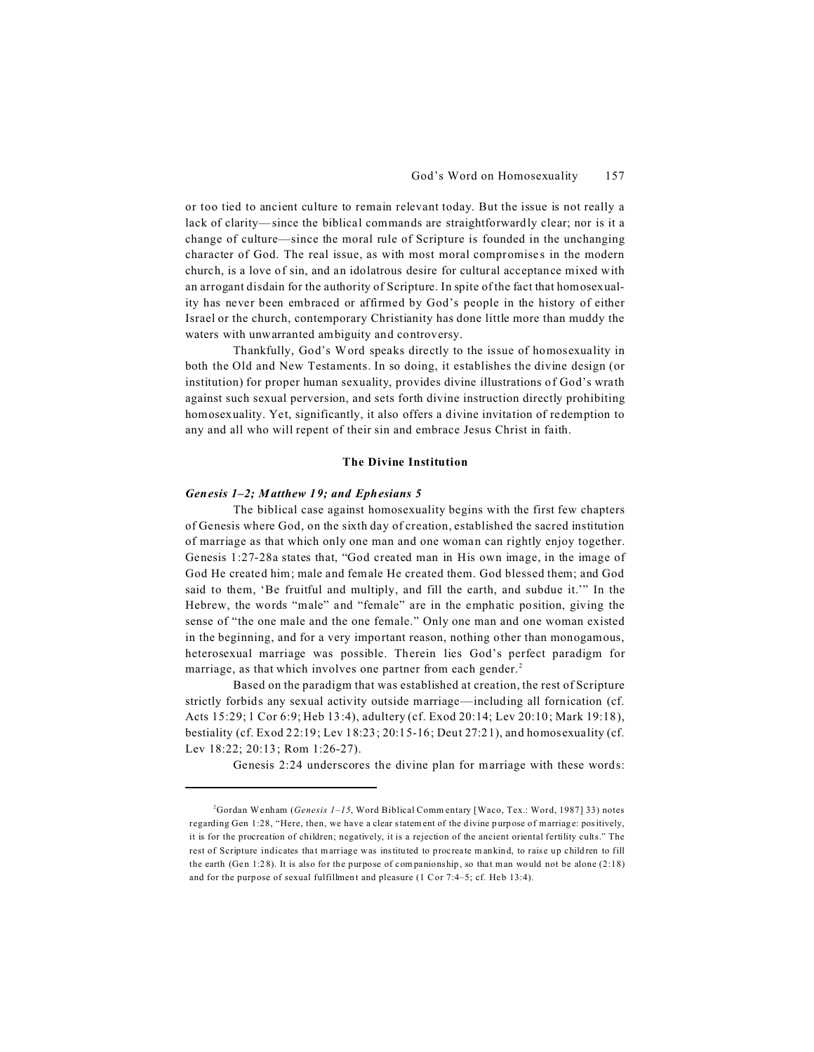or too tied to ancient culture to remain relevant today. But the issue is not really a lack of clarity—since the biblical commands are straightforwardly clear; nor is it a change of culture—since the moral rule of Scripture is founded in the unchanging character of God. The real issue, as with most moral compromises in the modern church, is a love of sin, and an idolatrous desire for cultural acceptance mixed with an arrogant disdain for the authority of Scripture. In spite of the fact that homosexuality has never been embraced or affirmed by God's people in the history of either Israel or the church, contemporary Christianity has done little more than muddy the waters with unwarranted ambiguity and controversy.

Thankfully, God's Word speaks directly to the issue of homosexuality in both the Old and New Testaments. In so doing, it establishes the divine design (or institution) for proper human sexuality, provides divine illustrations of God's wrath against such sexual perversion, and sets forth divine instruction directly prohibiting homosexuality. Yet, significantly, it also offers a divine invitation of redemption to any and all who will repent of their sin and embrace Jesus Christ in faith.

#### **The Divine Institution**

#### *Genesis 1–2; Matthew 19; and Ephesians 5*

The biblical case against homosexuality begins with the first few chapters of Genesis where God, on the sixth day of creation, established the sacred institution of marriage as that which only one man and one woman can rightly enjoy together. Genesis 1:27-28a states that, "God created man in His own image, in the image of God He created him; male and female He created them. God blessed them; and God said to them, 'Be fruitful and multiply, and fill the earth, and subdue it.'" In the Hebrew, the words "male" and "female" are in the emphatic position, giving the sense of "the one male and the one female." Only one man and one woman existed in the beginning, and for a very important reason, nothing other than monogamous, heterosexual marriage was possible. Therein lies God's perfect paradigm for marriage, as that which involves one partner from each gender.<sup>2</sup>

Based on the paradigm that was established at creation, the rest of Scripture strictly forbids any sexual activity outside marriage—including all fornication (cf. Acts 15:29; 1 Cor 6:9; Heb 13:4), adultery (cf. Exod 20:14; Lev 20:10; Mark 19:18), bestiality (cf. Exod 22:19; Lev 18:23; 20:15-16; Deut 27:21), and homosexuality (cf. Lev 18:22; 20:13; Rom 1:26-27).

Genesis 2:24 underscores the divine plan for marriage with these words:

<sup>2</sup>Gordan Wenham (*Genesis 1–15*, Word Biblical Comm entary [Waco, Tex.: Word, 1987] 33) notes regarding Gen 1:28, "Here, then, we have a clear statement of the divine purpose of marriage: positively, it is for the procreation of children; negatively, it is a rejection of the ancient oriental fertility cults." The rest of Scripture indicates that marriage was instituted to procreate m ankind, to raise up children to fill the earth (Gen 1:28). It is also for the purpose of com panionship, so that man would not be alone (2:18) and for the purp ose of sexual fulfillment and pleasure (1 C or 7:4–5; cf. Heb 13:4).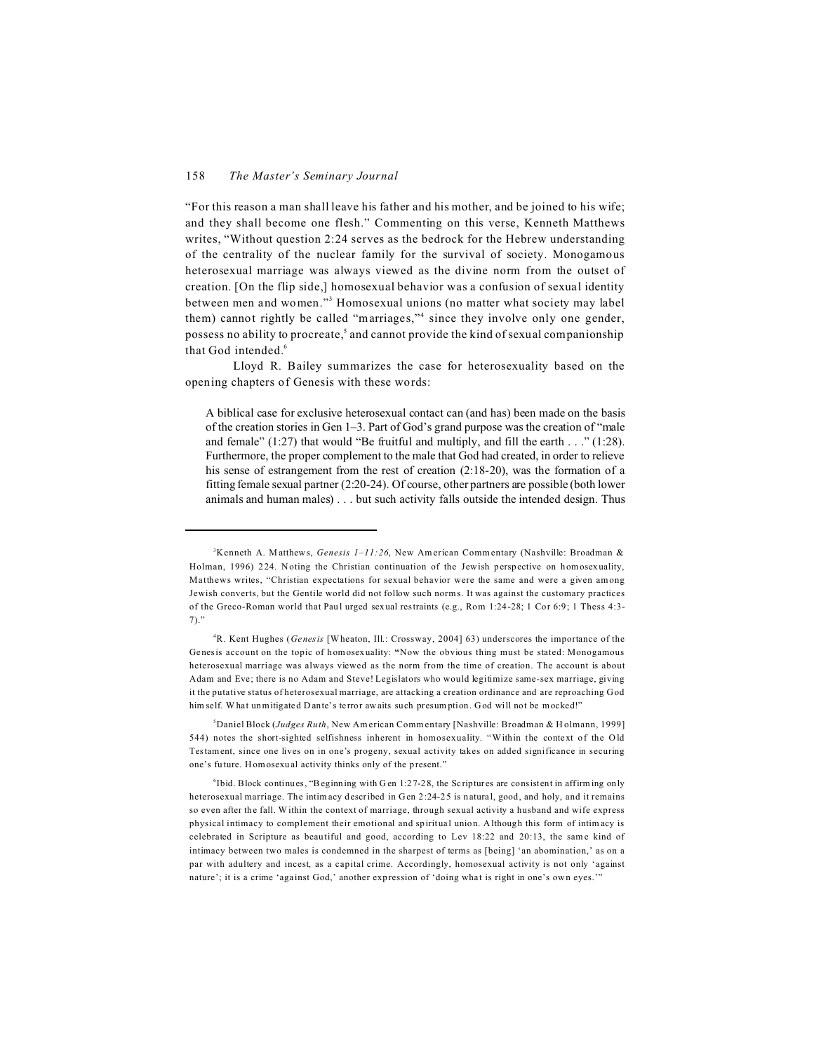"For this reason a man shall leave his father and his mother, and be joined to his wife; and they shall become one flesh." Commenting on this verse, Kenneth Matthews writes, "Without question 2:24 serves as the bedrock for the Hebrew understanding of the centrality of the nuclear family for the survival of society. Monogamous heterosexual marriage was always viewed as the divine norm from the outset of creation. [On the flip side,] homosexual behavior was a confusion of sexual identity between men and women."<sup>3</sup> Homosexual unions (no matter what society may label them) cannot rightly be called "marriages,"<sup>4</sup> since they involve only one gender, possess no ability to procreate,<sup>5</sup> and cannot provide the kind of sexual companionship that God intended.<sup>6</sup>

Lloyd R. Bailey summarizes the case for heterosexuality based on the opening chapters of Genesis with these words:

A biblical case for exclusive heterosexual contact can (and has) been made on the basis of the creation stories in Gen 1–3. Part of God's grand purpose was the creation of "male and female"  $(1:27)$  that would "Be fruitful and multiply, and fill the earth  $\dots$  " $(1:28)$ . Furthermore, the proper complement to the male that God had created, in order to relieve his sense of estrangement from the rest of creation (2:18-20), was the formation of a fitting female sexual partner (2:20-24). Of course, other partners are possible (both lower animals and human males) . . . but such activity falls outside the intended design. Thus

<sup>5</sup>Daniel Block (*Judges Ruth*, New Am erican Comm entary [Nashville: Broadman & H olmann, 1999] 544) notes the short-sighted selfishness inherent in homosexuality. "Within the context of the O ld Testament, since one lives on in one's progeny, sexual activity takes on added significance in securing one's future. Homosexual activity thinks only of the present."

<sup>&</sup>lt;sup>3</sup>Kenneth A. Matthews, *Genesis 1–11:26*, New American Commentary (Nashville: Broadman & Holman, 1996) 224. Noting the Christian continuation of the Jewish perspective on homosexuality, Matthews writes, "Christian expectations for sexual behavior were the same and were a given among Jewish converts, but the Gentile world did not follow such norm s. It was against the customary practices of the Greco-Roman world that Paul urged sexual restraints (e.g., Rom 1:24-28; 1 Cor 6:9; 1 Thess 4:3- 7)."

<sup>4</sup>R. Kent Hughes (*Genesis* [W heaton, Ill.: Crossway, 2004] 63) underscores the importance of the Genesis account on the topic of homosexuality: **"**Now the obvious thing must be stated: Monogamous heterosexual marriage was always viewed as the norm from the time of creation. The account is about Adam and Eve; there is no Adam and Steve! Legislators who would legitimize same-sex marriage, giving it the putative status of heterosexual marriage, are attacking a creation ordinance and are reproaching God him self. What unmitigated Dante's terror awaits such presumption. God will not be mocked!"

<sup>&</sup>lt;sup>6</sup>Ibid. Block continues, "Beginning with Gen 1:27-28, the Scriptures are consistent in affirming only heterosexual marriage. The intim acy described in Gen 2:24-25 is natural, good, and holy, and it remains so even after the fall. Within the context of marriage, through sexual activity a husband and wife express physical intimacy to complement their emotional and spiritual union. Although this form of intim acy is celebrated in Scripture as beautiful and good, according to Lev 18:22 and 20:13, the same kind of intimacy between two males is condemned in the sharpest of terms as [being] 'an abomination,' as on a par with adultery and incest, as a capital crime. Accordingly, homosexual activity is not only 'against nature'; it is a crime 'against God,' another expression of 'doing what is right in one's own eyes.""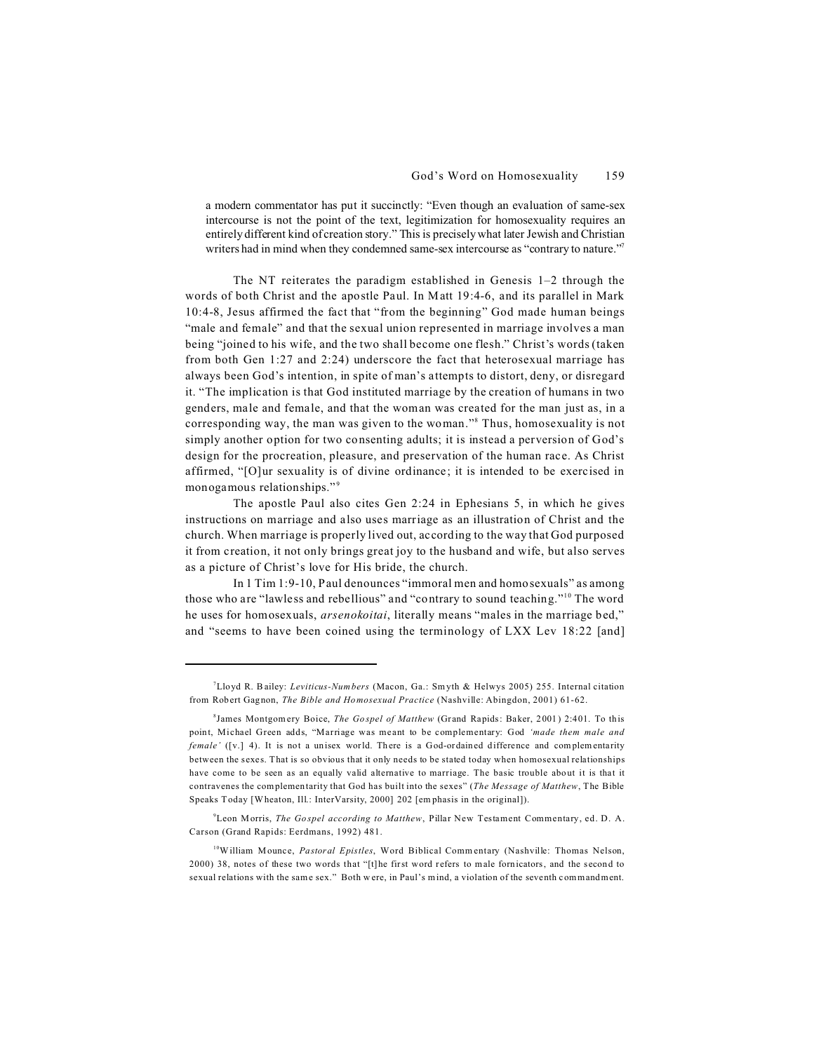a modern commentator has put it succinctly: "Even though an evaluation of same-sex intercourse is not the point of the text, legitimization for homosexuality requires an entirely different kind of creation story." This is precisely what later Jewish and Christian writers had in mind when they condemned same-sex intercourse as "contrary to nature."<sup>7</sup>

The NT reiterates the paradigm established in Genesis  $1-2$  through the words of both Christ and the apostle Paul. In Matt 19:4-6, and its parallel in Mark 10:4-8, Jesus affirmed the fact that "from the beginning" God made human beings "male and female" and that the sexual union represented in marriage involves a man being "joined to his wife, and the two shall become one flesh." Christ's words (taken from both Gen 1:27 and 2:24) underscore the fact that heterosexual marriage has always been God's intention, in spite of man's attempts to distort, deny, or disregard it. "The implication is that God instituted marriage by the creation of humans in two genders, male and female, and that the woman was created for the man just as, in a corresponding way, the man was given to the woman."<sup>8</sup> Thus, homosexuality is not simply another option for two consenting adults; it is instead a perversion of God's design for the procreation, pleasure, and preservation of the human race. As Christ affirmed, "[O]ur sexuality is of divine ordinance; it is intended to be exercised in monogamous relationships."<sup>9</sup>

The apostle Paul also cites Gen 2:24 in Ephesians 5, in which he gives instructions on marriage and also uses marriage as an illustration of Christ and the church. When marriage is properly lived out, according to the way that God purposed it from creation, it not only brings great joy to the husband and wife, but also serves as a picture of Christ's love for His bride, the church.

In 1 Tim 1:9-10, Paul denounces "immoral men and homosexuals" as among those who are "lawless and rebellious" and "contrary to sound teaching."<sup>10</sup> The word he uses for homosexuals, *arsenokoitai*, literally means "males in the marriage bed," and "seems to have been coined using the terminology of LXX Lev 18:22 [and]

<sup>9</sup>Leon Morris, *The Gospel according to Matthew*, Pillar New Testament Commentary, ed. D. A. Carson (Grand Rapids: Eerdmans, 1992) 481.

<sup>10</sup>William Mounce, *Pastoral Epistles*, Word Biblical Commentary (Nashville: Thomas Nelson, 2000) 38, notes of these two words that "[t]he first word refers to male fornicators, and the second to sexual relations with the same sex." Both were, in Paul's mind, a violation of the seventh commandment.

<sup>7</sup>Lloyd R. Bailey: *Leviticus-Num bers* (Macon, Ga.: Sm yth & Helwys 2005) 255. Internal citation from Robert Gagnon, *The Bible and Homosexual Practice* (Nashville: Abingdon, 2001) 61-62.

<sup>8</sup> James Montgomery Boice, *The Gospel of Matthew* (Grand Rapids: Baker, 2001) 2:401. To this point, Michael Green adds, "Marriage was meant to be complementary: God *'made them male and female'* ([v.] 4). It is not a unisex world. There is a God-ordained difference and complementarity between the sexes. That is so obvious that it only needs to be stated today when homosexual relationships have come to be seen as an equally valid alternative to marriage. The basic trouble about it is that it contravenes the complementarity that God has built into the sexes" (*The Message of Matthew*, The Bible Speaks T oday [W heaton, Ill.: InterVarsity, 2000] 202 [em phasis in the original]).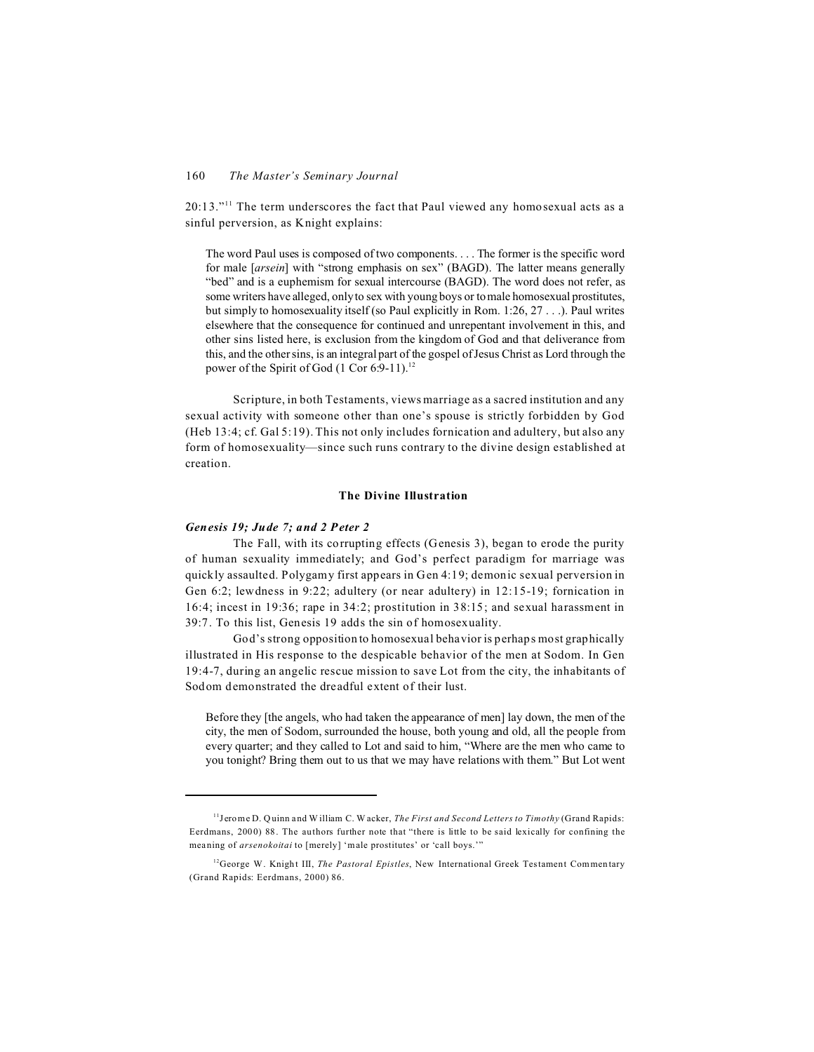20:13."<sup>11</sup> The term underscores the fact that Paul viewed any homosexual acts as a sinful perversion, as Knight explains:

The word Paul uses is composed of two components. . . . The former is the specific word for male [*arsein*] with "strong emphasis on sex" (BAGD). The latter means generally "bed" and is a euphemism for sexual intercourse (BAGD). The word does not refer, as some writers have alleged, only to sex with young boys or to male homosexual prostitutes, but simply to homosexuality itself (so Paul explicitly in Rom. 1:26, 27 . . .). Paul writes elsewhere that the consequence for continued and unrepentant involvement in this, and other sins listed here, is exclusion from the kingdom of God and that deliverance from this, and the other sins, is an integral part of the gospel of Jesus Christ as Lord through the power of the Spirit of God (1 Cor 6:9-11).<sup>12</sup>

Scripture, in both Testaments, views marriage as a sacred institution and any sexual activity with someone other than one's spouse is strictly forbidden by God (Heb 13:4; cf. Gal 5:19). This not only includes fornication and adultery, but also any form of homosexuality—since such runs contrary to the divine design established at creation.

# **The Divine Illustration**

# *Genesis 19; Jude 7; and 2 Peter 2*

The Fall, with its corrupting effects (Genesis 3), began to erode the purity of human sexuality immediately; and God's perfect paradigm for marriage was quickly assaulted. Polygamy first appears in Gen 4:19; demonic sexual perversion in Gen 6:2; lewdness in 9:22; adultery (or near adultery) in 12:15-19; fornication in 16:4; incest in 19:36; rape in 34:2; prostitution in 38:15; and sexual harassment in 39:7. To this list, Genesis 19 adds the sin of homosexuality.

God's strong opposition to homosexual behavior is perhaps most graphically illustrated in His response to the despicable behavior of the men at Sodom. In Gen 19:4-7, during an angelic rescue mission to save Lot from the city, the inhabitants of Sodom demonstrated the dreadful extent of their lust.

Before they [the angels, who had taken the appearance of men] lay down, the men of the city, the men of Sodom, surrounded the house, both young and old, all the people from every quarter; and they called to Lot and said to him, "Where are the men who came to you tonight? Bring them out to us that we may have relations with them." But Lot went

<sup>11</sup>Jerome D. Q uinn and W illiam C. W acker, *The First and Second Letters to Timothy* (Grand Rapids: Eerdmans, 2000) 88. The authors further note that "there is little to be said lexically for confining the meaning of *arsenokoitai* to [merely] 'm ale prostitutes' or 'call boys.'"

<sup>&</sup>lt;sup>12</sup>George W. Knight III, *The Pastoral Epistles*, New International Greek Testament Commentary (Grand Rapids: Eerdmans, 2000) 86.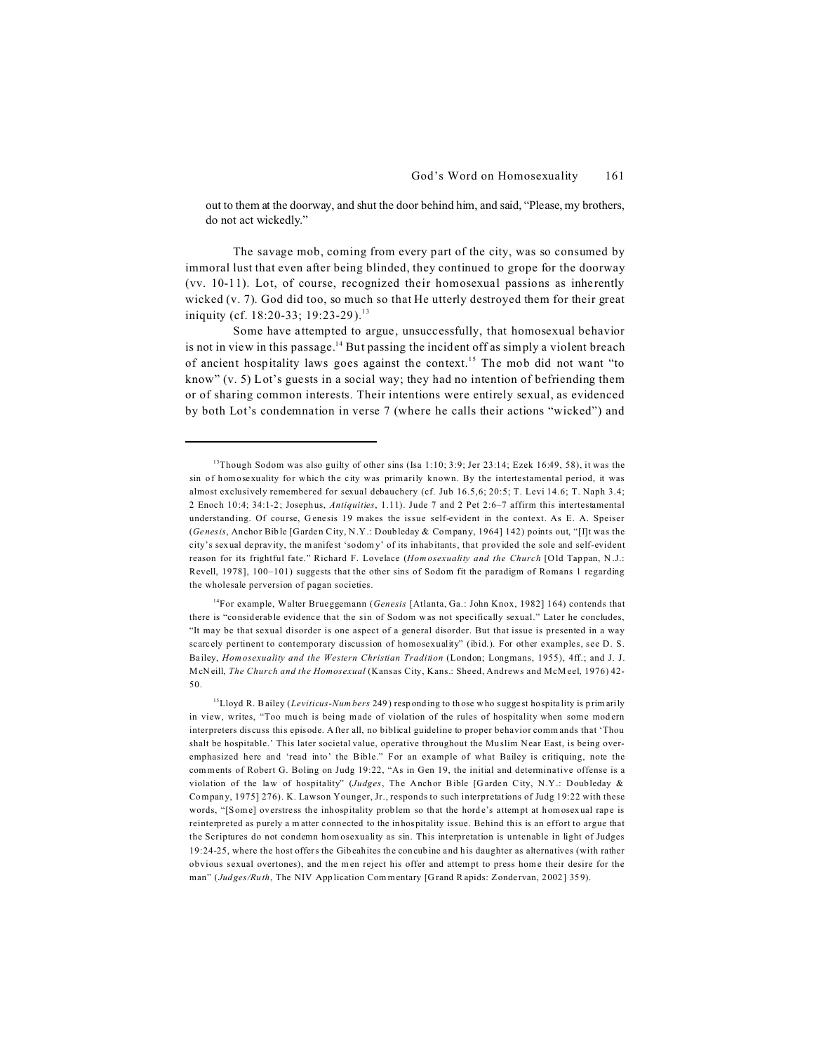out to them at the doorway, and shut the door behind him, and said, "Please, my brothers, do not act wickedly."

The savage mob, coming from every part of the city, was so consumed by immoral lust that even after being blinded, they continued to grope for the doorway (vv. 10-11). Lot, of course, recognized their homosexual passions as inherently wicked (v. 7). God did too, so much so that He utterly destroyed them for their great iniquity (cf. 18:20-33; 19:23-29).<sup>13</sup>

Some have attempted to argue, unsuccessfully, that homosexual behavior is not in view in this passage. $14$  But passing the incident off as simply a violent breach of ancient hospitality laws goes against the context.<sup>15</sup> The mob did not want "to know" (v. 5) Lot's guests in a social way; they had no intention of befriending them or of sharing common interests. Their intentions were entirely sexual, as evidenced by both Lot's condemnation in verse 7 (where he calls their actions "wicked") and

<sup>14</sup>For example, Walter Brueggemann (*Genesis* [Atlanta, Ga.: John Knox, 1982] 164) contends that there is "considerable evidence that the sin of Sodom was not specifically sexual." Later he concludes, "It may be that sexual disorder is one aspect of a general disorder. But that issue is presented in a way scarcely pertinent to contemporary discussion of homosexuality" (ibid.). For other examples, see D. S. Bailey, *Hom osexuality and the Western Christian Tradition* (London; Longmans, 1955), 4ff.; and J. J. McN eill, *The Church and the Homosexual* (Kansas City, Kans.: Sheed, Andrews and McM eel, 1976) 42- 50.

<sup>15</sup>Lloyd R. Bailey (*Leviticus-Num bers* 249) responding to those who suggest hospitality is prim arily in view, writes, "Too much is being made of violation of the rules of hospitality when some modern interpreters discuss this episode. A fter all, no biblical guideline to proper behavior comm ands that 'Thou shalt be hospitable.' This later societal value, operative throughout the Mu slim Near East, is being overemphasized here and 'read into' the Bible." For an example of what Bailey is critiquing, note the comments of Robert G. Boling on Judg 19:22, "As in Gen 19, the initial and determinative offense is a violation of the law of hospitality" (*Judges*, The Anchor Bible [Garden City, N.Y.: Doubleday & Company, 1975] 276). K. Lawson Younger, Jr., responds to such interpretations of Judg 19:22 with these words, "[Some] overstress the inhospitality problem so that the horde's attempt at homosexual rape is reinterpreted as purely a m atter connected to the inhospitality issue. Behind this is an effort to argue that the Scriptures do not condemn hom osexuality as sin. This interpretation is untenable in light of Judges 19:24-25, where the host offers the Gibeahites the concubine and his daughter as alternatives (with rather obvious sexual overtones), and the men reject his offer and attempt to press home their desire for the man" (*Judges/Ruth*, The NIV Application Com mentary [Grand Rapids: Zondervan, 2002] 359).

<sup>&</sup>lt;sup>13</sup>Though Sodom was also guilty of other sins (Isa 1:10; 3:9; Jer 23:14; Ezek 16:49, 58), it was the sin of homosexuality for which the city was primarily known. By the intertestamental period, it was almost exclusively remembered for sexual debauchery (cf. Jub 16.5,6; 20:5; T. Levi 14.6; T. Naph 3.4; 2 Enoch 10:4; 34:1-2; Josephus, *Antiquities*, 1.11). Jude 7 and 2 Pet 2:6–7 affirm this intertestamental understanding. Of course, Genesis 19 makes the issue self-evident in the context. As E. A. Speiser (*Genesis*, Anchor Bible [Garden City, N.Y.: Doubleday & Company, 1964] 142) points out, "[I]t was the city's sexual depravity, the m anifest 'sodom y' of its inhabitants, that provided the sole and self-evident reason for its frightful fate." Richard F. Lovelace (*Hom osexuality and the Church* [Old Tappan, N .J.: Revell, 1978], 100–101) suggests that the other sins of Sodom fit the paradigm of Romans 1 regarding the wholesale perversion of pagan societies.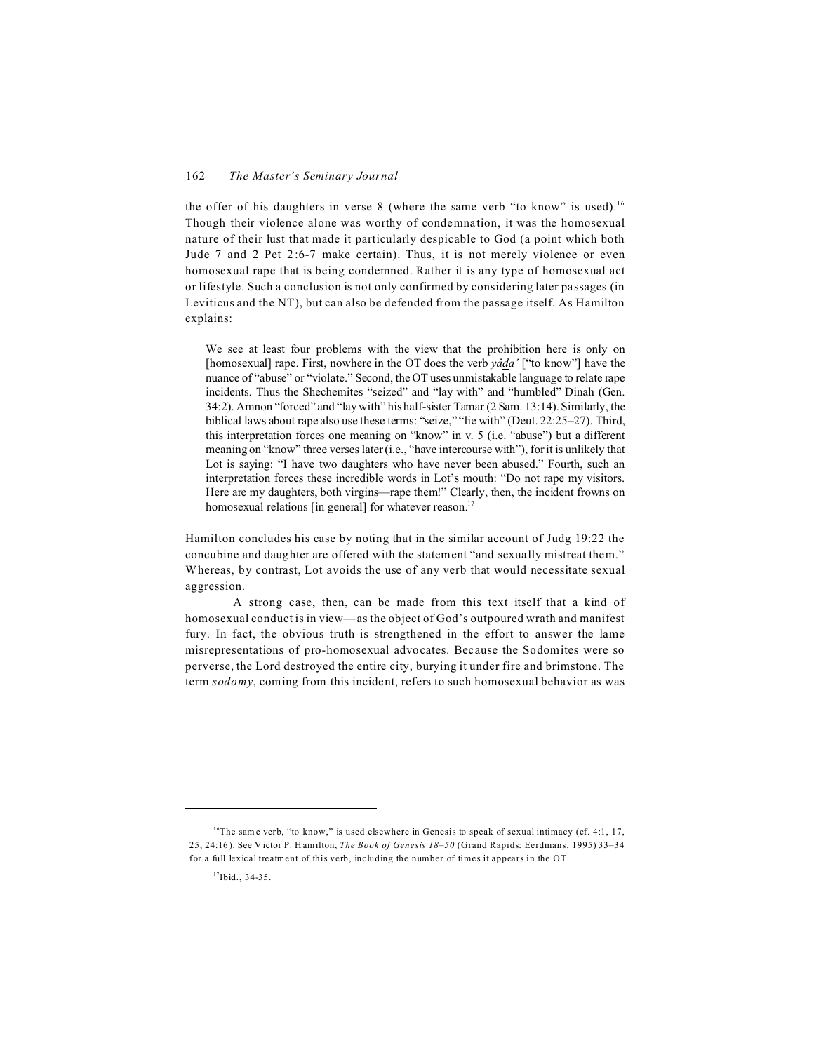the offer of his daughters in verse 8 (where the same verb "to know" is used).<sup>16</sup> Though their violence alone was worthy of condemnation, it was the homosexual nature of their lust that made it particularly despicable to God (a point which both Jude 7 and 2 Pet 2:6-7 make certain). Thus, it is not merely violence or even homosexual rape that is being condemned. Rather it is any type of homosexual act or lifestyle. Such a conclusion is not only confirmed by considering later passages (in Leviticus and the NT), but can also be defended from the passage itself. As Hamilton explains:

We see at least four problems with the view that the prohibition here is only on [homosexual] rape. First, nowhere in the OT does the verb *yâda'* ["to know"] have the nuance of "abuse" or "violate." Second, the OT uses unmistakable language to relate rape incidents. Thus the Shechemites "seized" and "lay with" and "humbled" Dinah (Gen. 34:2). Amnon "forced" and "lay with" his half-sister Tamar (2 Sam. 13:14). Similarly, the biblical laws about rape also use these terms: "seize," "lie with" (Deut. 22:25–27). Third, this interpretation forces one meaning on "know" in v. 5 (i.e. "abuse") but a different meaning on "know" three verses later (i.e., "have intercourse with"), for it is unlikely that Lot is saying: "I have two daughters who have never been abused." Fourth, such an interpretation forces these incredible words in Lot's mouth: "Do not rape my visitors. Here are my daughters, both virgins—rape them!" Clearly, then, the incident frowns on homosexual relations [in general] for whatever reason.<sup>17</sup>

Hamilton concludes his case by noting that in the similar account of Judg 19:22 the concubine and daughter are offered with the statement "and sexually mistreat them." Whereas, by contrast, Lot avoids the use of any verb that would necessitate sexual aggression.

A strong case, then, can be made from this text itself that a kind of homosexual conduct is in view—as the object of God's outpoured wrath and manifest fury. In fact, the obvious truth is strengthened in the effort to answer the lame misrepresentations of pro-homosexual advocates. Because the Sodomites were so perverse, the Lord destroyed the entire city, burying it under fire and brimstone. The term *sodomy*, coming from this incident, refers to such homosexual behavior as was

<sup>&</sup>lt;sup>16</sup>The same verb, "to know," is used elsewhere in Genesis to speak of sexual intimacy (cf. 4:1, 17, 25; 24:16). See Victor P. Hamilton, *The Book of Genesis 18–50* (Grand Rapids: Eerdmans, 1995) 33–34 for a full lexical treatment of this verb, including the number of times it appears in the OT.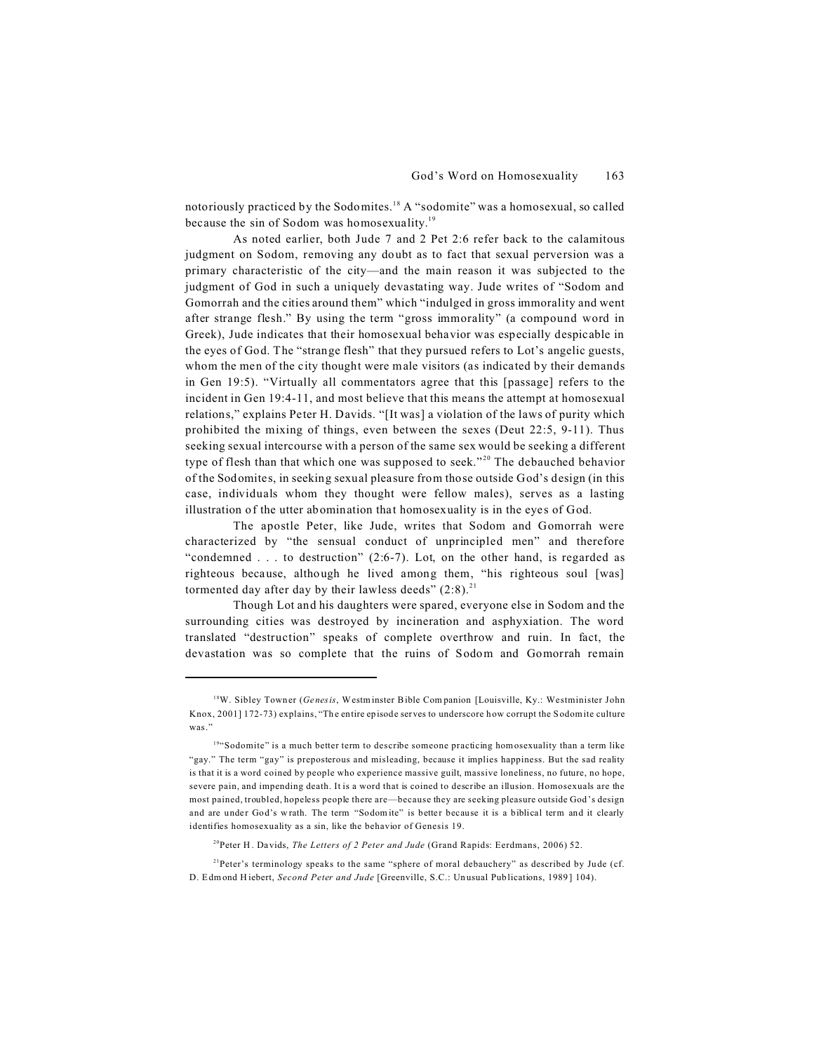notoriously practiced by the Sodomites.<sup>18</sup> A "sodomite" was a homosexual, so called because the sin of Sodom was homosexuality.<sup>19</sup>

As noted earlier, both Jude 7 and 2 Pet 2:6 refer back to the calamitous judgment on Sodom, removing any doubt as to fact that sexual perversion was a primary characteristic of the city—and the main reason it was subjected to the judgment of God in such a uniquely devastating way. Jude writes of "Sodom and Gomorrah and the cities around them" which "indulged in gross immorality and went after strange flesh." By using the term "gross immorality" (a compound word in Greek), Jude indicates that their homosexual behavior was especially despicable in the eyes of God. The "strange flesh" that they pursued refers to Lot's angelic guests, whom the men of the city thought were male visitors (as indicated by their demands in Gen 19:5). "Virtually all commentators agree that this [passage] refers to the incident in Gen 19:4-11, and most believe that this means the attempt at homosexual relations," explains Peter H. Davids. "[It was] a violation of the laws of purity which prohibited the mixing of things, even between the sexes (Deut 22:5, 9-11). Thus seeking sexual intercourse with a person of the same sex would be seeking a different type of flesh than that which one was supposed to seek."<sup>20</sup> The debauched behavior of the Sodomites, in seeking sexual pleasure from those outside God's design (in this case, individuals whom they thought were fellow males), serves as a lasting illustration of the utter abomination that homosexuality is in the eyes of God.

The apostle Peter, like Jude, writes that Sodom and Gomorrah were characterized by "the sensual conduct of unprincipled men" and therefore "condemned . . . to destruction" (2:6-7). Lot, on the other hand, is regarded as righteous because, although he lived among them, "his righteous soul [was] tormented day after day by their lawless deeds"  $(2:8).^{21}$ 

Though Lot and his daughters were spared, everyone else in Sodom and the surrounding cities was destroyed by incineration and asphyxiation. The word translated "destruction" speaks of complete overthrow and ruin. In fact, the devastation was so complete that the ruins of Sodom and Gomorrah remain

<sup>20</sup>Peter H. Davids, *The Letters of 2 Peter and Jude* (Grand Rapids: Eerdmans, 2006) 52.

<sup>21</sup>Peter's terminology speaks to the same "sphere of moral debauchery" as described by Jude (cf. D. Edmond Hiebert, *Second Peter and Jude* [Greenville, S.C.: Un usual Pub lications, 1989 ] 104).

<sup>&</sup>lt;sup>18</sup>W. Sibley Towner (*Genesis*, Westminster Bible Companion [Louisville, Ky.: Westminister John Knox, 2001] 172-73) explains, "The entire episode serves to underscore how corrupt the Sodomite culture was."

<sup>&</sup>lt;sup>194</sup> Sodomite" is a much better term to describe someone practicing homosexuality than a term like "gay." The term "gay" is preposterous and misleading, because it implies happiness. But the sad reality is that it is a word coined by people who experience massive guilt, massive loneliness, no future, no hope, severe pain, and impending death. It is a word that is coined to describe an illusion. Homosexuals are the most pained, troubled, hopeless people there are—because they are seeking pleasure outside God's design and are under God's wrath. The term "Sodom ite" is better because it is a biblical term and it clearly identifies homosexuality as a sin, like the behavior of Genesis 19.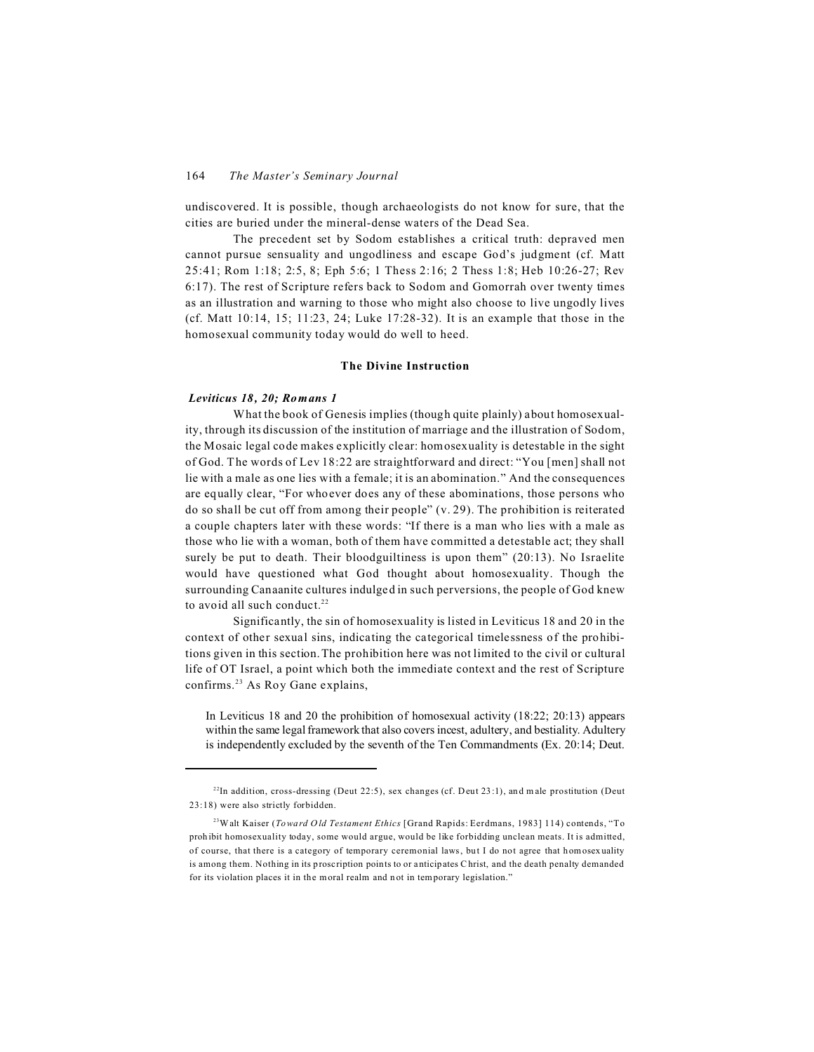undiscovered. It is possible, though archaeologists do not know for sure, that the cities are buried under the mineral-dense waters of the Dead Sea.

The precedent set by Sodom establishes a critical truth: depraved men cannot pursue sensuality and ungodliness and escape God's judgment (cf. Matt 25:41; Rom 1:18; 2:5, 8; Eph 5:6; 1 Thess 2:16; 2 Thess 1:8; Heb 10:26-27; Rev 6:17). The rest of Scripture refers back to Sodom and Gomorrah over twenty times as an illustration and warning to those who might also choose to live ungodly lives (cf. Matt 10:14, 15; 11:23, 24; Luke 17:28-32). It is an example that those in the homosexual community today would do well to heed.

#### **The Divine Instruction**

# *Leviticus 18, 20; Romans 1*

What the book of Genesis implies (though quite plainly) about homosexuality, through its discussion of the institution of marriage and the illustration of Sodom, the Mosaic legal code makes explicitly clear: homosexuality is detestable in the sight of God. The words of Lev 18:22 are straightforward and direct: "You [men] shall not lie with a male as one lies with a female; it is an abomination." And the consequences are equally clear, "For whoever does any of these abominations, those persons who do so shall be cut off from among their people" (v. 29). The prohibition is reiterated a couple chapters later with these words: "If there is a man who lies with a male as those who lie with a woman, both of them have committed a detestable act; they shall surely be put to death. Their bloodguiltiness is upon them" (20:13). No Israelite would have questioned what God thought about homosexuality. Though the surrounding Canaanite cultures indulged in such perversions, the people of God knew to avoid all such conduct. $22$ 

Significantly, the sin of homosexuality is listed in Leviticus 18 and 20 in the context of other sexual sins, indicating the categorical timelessness of the prohibitions given in this section.The prohibition here was not limited to the civil or cultural life of OT Israel, a point which both the immediate context and the rest of Scripture confirms.<sup>23</sup> As Roy Gane explains,

In Leviticus 18 and 20 the prohibition of homosexual activity (18:22; 20:13) appears within the same legal framework that also covers incest, adultery, and bestiality. Adultery is independently excluded by the seventh of the Ten Commandments (Ex. 20:14; Deut.

 $22$ In addition, cross-dressing (Deut 22:5), sex changes (cf. Deut 23:1), and male prostitution (Deut 23:18) were also strictly forbidden.

<sup>23</sup>Walt Kaiser (*Toward O ld Testament Ethics* [Grand Rapids: Eerdmans, 1983] 114) contends, "To prohibit homosexuality today, some would argue, would be like forbidding unclean meats. It is admitted, of course, that there is a category of temporary ceremonial laws, but I do not agree that homosexuality is among them. Nothing in its proscription points to or anticipates Christ, and the death penalty demanded for its violation places it in the moral realm and not in temporary legislation."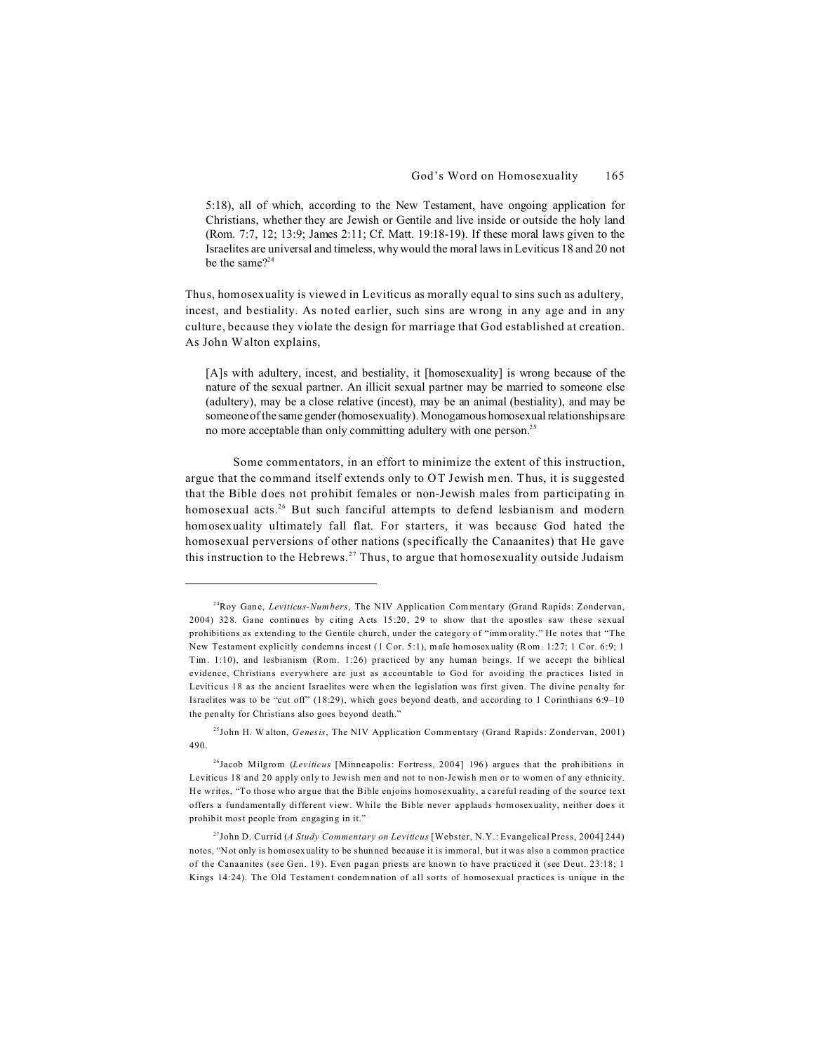5:18), all of which, according to the New Testament, have ongoing application for Christians, whether they are Jewish or Gentile and live inside or outside the holy land (Rom. 7:7, 12; 13:9; James 2:11; Cf. Matt. 19:18-19). If these moral laws given to the Israelites are universal and timeless, why would the moral laws in Leviticus 18 and 20 not be the same $2^{24}$ 

Thus, homosexuality is viewed in Leviticus as morally equal to sins such as adultery, incest, and bestiality. As noted earlier, such sins are wrong in any age and in any culture, because they violate the design for marriage that God established at creation. As John Walton explains,

[A]s with adultery, incest, and bestiality, it [homosexuality] is wrong because of the nature of the sexual partner. An illicit sexual partner may be married to someone else (adultery), may be a close relative (incest), may be an animal (bestiality), and may be someone of the same gender (homosexuality). Monogamous homosexual relationships are no more acceptable than only committing adultery with one person.<sup>25</sup>

Some commentators, in an effort to minimize the extent of this instruction, argue that the command itself extends only to OT Jewish men. Thus, it is suggested that the Bible does not prohibit females or non-Jewish males from participating in homosexual acts.<sup>26</sup> But such fanciful attempts to defend lesbianism and modern homosexuality ultimately fall flat. For starters, it was because God hated the homosexual perversions of other nations (specifically the Canaanites) that He gave this instruction to the Hebrews.<sup>27</sup> Thus, to argue that homosexuality outside Judaism

<sup>24</sup>Roy Gane, *Leviticus-Num bers*, The NIV Application Com mentary (Grand Rapids: Zondervan, 2004) 328. Gane continues by citing Acts 15:20, 29 to show that the apostles saw these sexual prohibitions as extending to the Gentile church, under the category of "imm orality." He notes that "The New Testament explicitly condemns incest (1 Cor. 5:1), m ale homosexuality (Rom. 1:27; 1 Cor. 6:9; 1 Tim. 1:10), and lesbianism (Rom. 1:26) practiced by any human beings. If we accept the biblical evidence, Christians everywhere are just as accountable to God for avoiding the practices listed in Leviticus 18 as the ancient Israelites were when the legislation was first given. The divine penalty for Israelites was to be "cut off" (18:29), which goes beyond death, and according to 1 Corinthians 6:9–10 the penalty for Christians also goes beyond death."

<sup>25</sup>John H. W alton, *G enesis*, The NIV Application Comm entary (Grand Rapids: Zondervan, 2001) 490.

<sup>26</sup>Jacob Milgrom (*Leviticus* [Minneapolis: Fortress, 2004] 196) argues that the prohibitions in Leviticus 18 and 20 apply only to Jewish men and not to non-Jewish men or to women of any ethnicity. He writes, "To those who argue that the Bible enjoins homosexuality, a careful reading of the source text offers a fundamentally different view. While the Bible never applauds homosexuality, neither does it prohibit most people from engaging in it."

<sup>27</sup>John D. Currid (*A Study Commentary on Leviticus* [Webster, N.Y.: Evangelical Press, 2004] 244) notes, "Not only is homosexuality to be shunned because it is immoral, but it was also a common practice of the Canaanites (see Gen. 19). Even pagan priests are known to have practiced it (see Deut. 23:18; 1 Kings 14:24). The Old Testament condemnation of all sorts of homosexual practices is unique in the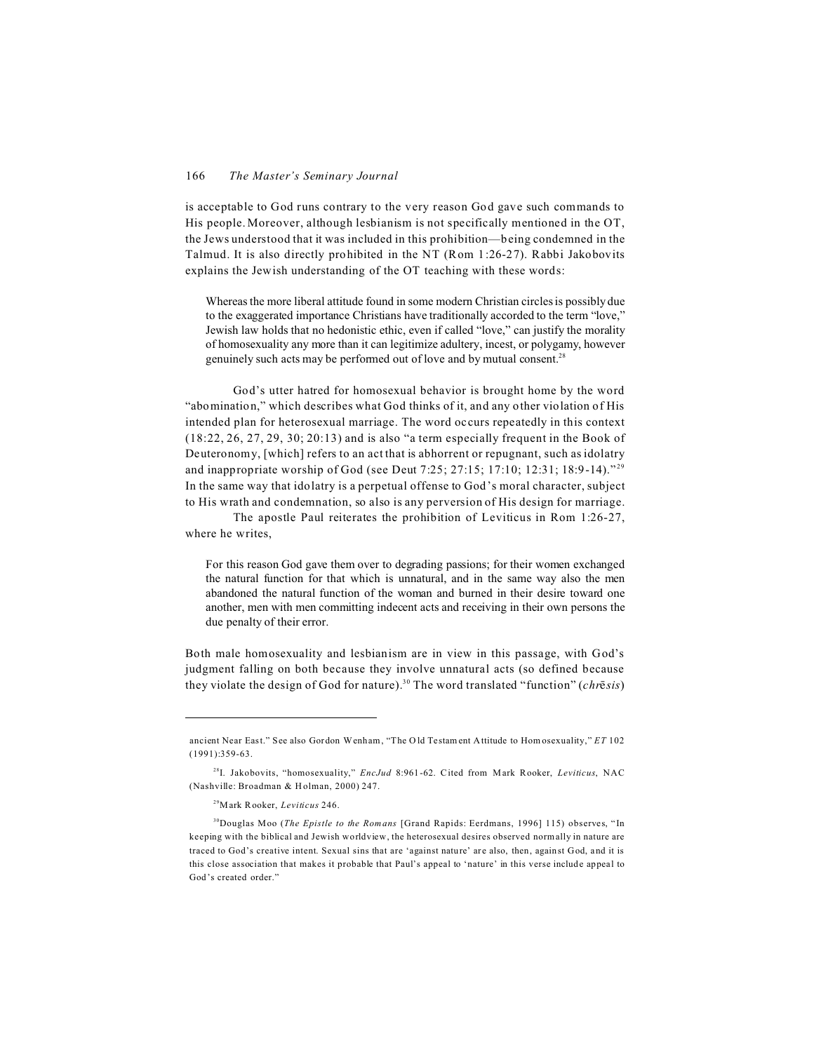is acceptable to God runs contrary to the very reason God gave such commands to His people. Moreover, although lesbianism is not specifically mentioned in the OT, the Jews understood that it was included in this prohibition—being condemned in the Talmud. It is also directly prohibited in the NT (Rom 1:26-27). Rabbi Jakobovits explains the Jewish understanding of the OT teaching with these words:

Whereas the more liberal attitude found in some modern Christian circles is possibly due to the exaggerated importance Christians have traditionally accorded to the term "love," Jewish law holds that no hedonistic ethic, even if called "love," can justify the morality of homosexuality any more than it can legitimize adultery, incest, or polygamy, however genuinely such acts may be performed out of love and by mutual consent.<sup>28</sup>

God's utter hatred for homosexual behavior is brought home by the word "abomination," which describes what God thinks of it, and any other violation of His intended plan for heterosexual marriage. The word occurs repeatedly in this context (18:22, 26, 27, 29, 30; 20:13) and is also "a term especially frequent in the Book of Deuteronomy, [which] refers to an act that is abhorrent or repugnant, such as idolatry and inappropriate worship of God (see Deut 7:25; 27:15; 17:10; 12:31; 18:9-14)."<sup>29</sup> In the same way that idolatry is a perpetual offense to God's moral character, subject to His wrath and condemnation, so also is any perversion of His design for marriage.

The apostle Paul reiterates the prohibition of Leviticus in Rom 1:26-27, where he writes,

For this reason God gave them over to degrading passions; for their women exchanged the natural function for that which is unnatural, and in the same way also the men abandoned the natural function of the woman and burned in their desire toward one another, men with men committing indecent acts and receiving in their own persons the due penalty of their error.

Both male homosexuality and lesbianism are in view in this passage, with God's judgment falling on both because they involve unnatural acts (so defined because they violate the design of God for nature).30 The word translated "function" (*chrsis*)

ancient Near East." See also Gordon Wenham, "The O ld Testam ent Attitude to Hom osexuality," *ET* 102 (1991):359-63.

<sup>28</sup>I. Jakobovits, "homosexuality," *EncJud* 8:961-62. Cited from Mark Rooker, *Leviticus*, NAC (Nashville: Broadman & Holman, 2000) 247.

<sup>29</sup>Mark Rooker, *Leviticus* 246.

<sup>&</sup>lt;sup>30</sup>Douglas Moo (*The Epistle to the Romans* [Grand Rapids: Eerdmans, 1996] 115) observes, "In keeping with the biblical and Jewish worldview, the heterosexual desires observed norm ally in nature are traced to God's creative intent. Sexual sins that are 'against nature' are also, then, against God, and it is this close association that makes it probable that Paul's appeal to 'nature' in this verse include appeal to God's created order."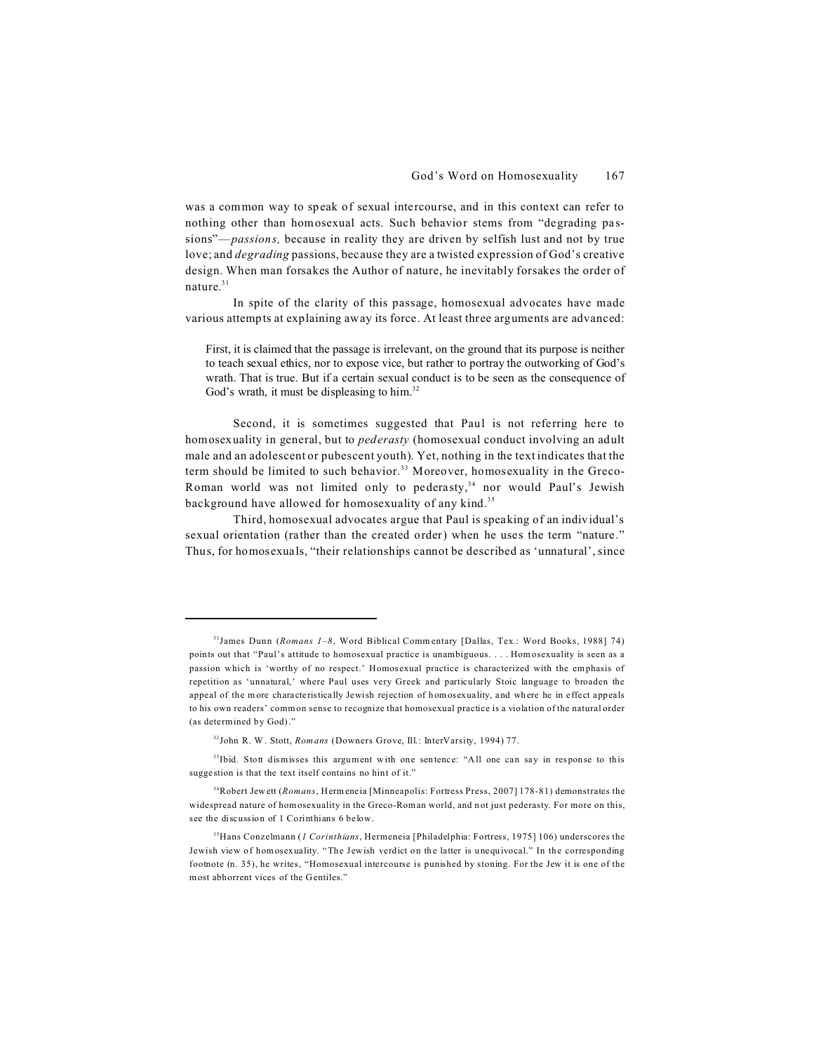was a common way to speak of sexual intercourse, and in this context can refer to nothing other than homosexual acts. Such behavior stems from "degrading passions"—*passions,* because in reality they are driven by selfish lust and not by true love; and *degrading* passions, because they are a twisted expression of God's creative design. When man forsakes the Author of nature, he inevitably forsakes the order of nature.<sup>31</sup>

In spite of the clarity of this passage, homosexual advocates have made various attempts at explaining away its force. At least three arguments are advanced:

First, it is claimed that the passage is irrelevant, on the ground that its purpose is neither to teach sexual ethics, nor to expose vice, but rather to portray the outworking of God's wrath. That is true. But if a certain sexual conduct is to be seen as the consequence of God's wrath, it must be displeasing to him.<sup>32</sup>

Second, it is sometimes suggested that Paul is not referring here to homosexuality in general, but to *pederasty* (homosexual conduct involving an adult male and an adolescent or pubescent youth). Yet, nothing in the text indicates that the term should be limited to such behavior.<sup>33</sup> Moreover, homosexuality in the Greco-Roman world was not limited only to pederasty,<sup>34</sup> nor would Paul's Jewish background have allowed for homosexuality of any kind.<sup>35</sup>

Third, homosexual advocates argue that Paul is speaking of an individual's sexual orientation (rather than the created order) when he uses the term "nature." Thus, for homosexuals, "their relationships cannot be described as 'unnatural', since

<sup>33</sup>Ibid. Stott dismisses this argument with one sentence: "All one can say in response to this suggestion is that the text itself contains no hint of it."

<sup>34</sup>Robert Jewett (*Romans*, Hermeneia [Minneapolis: Fortress Press, 2007] 178-81) demonstrates the widespread nature of homosexuality in the Greco-Roman world, and not just pederasty. For more on this, see the discussion of 1 Corinthians 6 below.

<sup>31</sup>James Dunn (*Romans 1–8*, Word Biblical Comm entary [Dallas, Tex.: Word Books, 1988] 74) points out that "Paul's attitude to homosexual practice is unambiguous. . . . Hom osexuality is seen as a passion which is 'worthy of no respect.' Homosexual practice is characterized with the emphasis of repetition as 'unnatural,' where Paul uses very Greek and particularly Stoic language to broaden the appeal of the m ore characteristically Jewish rejection of hom osexuality, and where he in effect appeals to his own readers' comm on sense to recognize that homosexual practice is a violation of the natural order (as determined by God)."

<sup>32</sup>John R. W . Stott, *Romans* (Downers Grove, Ill.: InterVarsity, 1994) 77.

<sup>35</sup>Hans Conzelmann (*1 Corinthians*, Hermeneia [Philadelphia: Fortress, 1975] 106) underscores the Jewish view of hom osexuality. "The Jewish verdict on the latter is unequivocal." In the corresponding footnote (n. 35), he writes, "Homosexual intercourse is punished by stoning. For the Jew it is one of the most abhorrent vices of the Gentiles."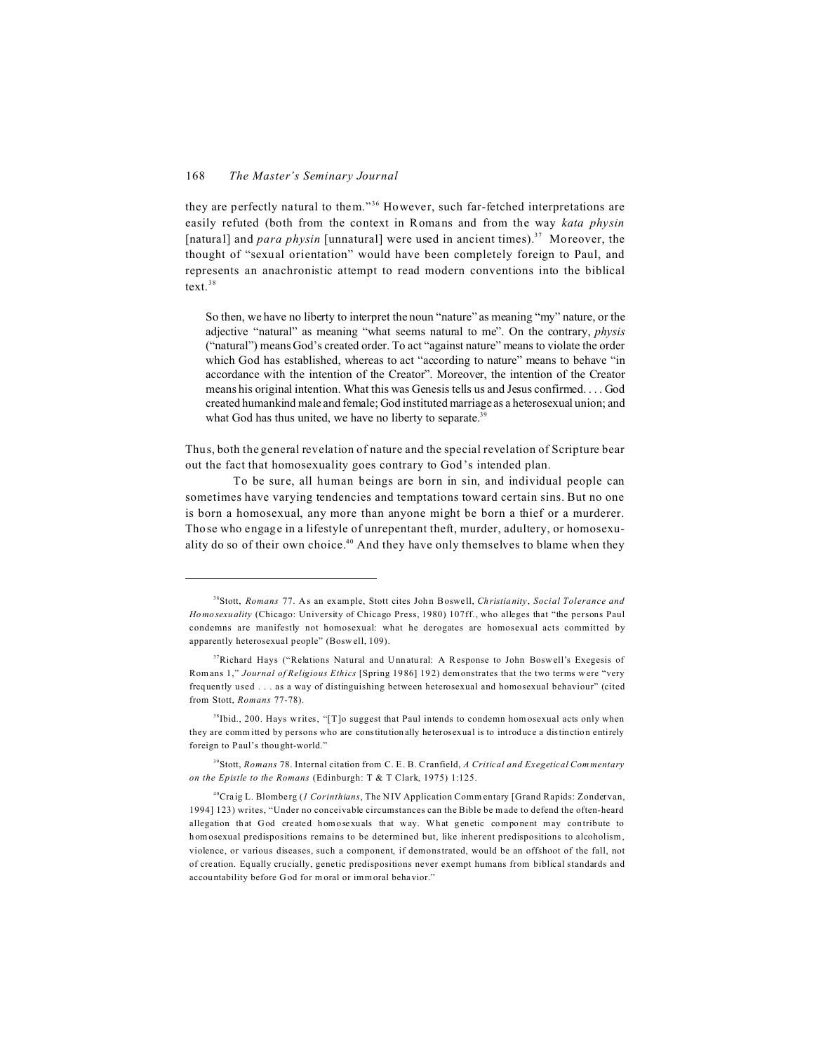they are perfectly natural to them."<sup>36</sup> However, such far-fetched interpretations are easily refuted (both from the context in Romans and from the way *kata physin* [natural] and *para physin* [unnatural] were used in ancient times).<sup>37</sup> Moreover, the thought of "sexual orientation" would have been completely foreign to Paul, and represents an anachronistic attempt to read modern conventions into the biblical text.<sup>38</sup>

So then, we have no liberty to interpret the noun "nature" as meaning "my" nature, or the adjective "natural" as meaning "what seems natural to me". On the contrary, *physis* ("natural") means God's created order. To act "against nature" means to violate the order which God has established, whereas to act "according to nature" means to behave "in accordance with the intention of the Creator". Moreover, the intention of the Creator means his original intention. What this was Genesis tells us and Jesus confirmed. . . . God created humankind male and female; God instituted marriage as a heterosexual union; and what God has thus united, we have no liberty to separate.<sup>39</sup>

Thus, both the general revelation of nature and the special revelation of Scripture bear out the fact that homosexuality goes contrary to God's intended plan.

To be sure, all human beings are born in sin, and individual people can sometimes have varying tendencies and temptations toward certain sins. But no one is born a homosexual, any more than anyone might be born a thief or a murderer. Those who engage in a lifestyle of unrepentant theft, murder, adultery, or homosexuality do so of their own choice.<sup>40</sup> And they have only themselves to blame when they

<sup>39</sup>Stott, *Romans* 78. Internal citation from C. E. B. Cranfield, *A Critical and Exegetical Commentary on the Epistle to the Romans* (Edinburgh: T & T Clark, 1975) 1:125.

<sup>36</sup>Stott, *Romans* 77. As an example, Stott cites John Boswell, *Christianity*, *Social Tolerance and Homosexuality* (Chicago: University of Chicago Press, 1980) 107ff., who alleges that "the persons Paul condemns are manifestly not homosexual: what he derogates are homosexual acts committed by apparently heterosexual people" (Bosw ell, 109).

<sup>&</sup>lt;sup>37</sup>Richard Hays ("Relations Natural and Unnatural: A Response to John Boswell's Exegesis of Romans 1," *Journal of Religious Ethics* [Spring 1986] 192) demonstrates that the two terms were "very frequently used . . . as a way of distinguishing between heterosexual and homosexual behaviour" (cited from Stott, *Romans* 77-78).

<sup>&</sup>lt;sup>38</sup>Ibid., 200. Hays writes, "[T]o suggest that Paul intends to condemn hom osexual acts only when they are comm itted by persons who are constitutionally heterosexual is to introduce a distinction entirely foreign to Paul's thought-world."

<sup>40</sup>Craig L. Blomberg (*1 Corinthians*, The NIV Application Comm entary [Grand Rapids: Zondervan, 1994] 123) writes, "Under no conceivable circumstances can the Bible be made to defend the often-heard allegation that God created homosexuals that way. What genetic component may contribute to homosexual predispositions remains to be determined but, like inherent predispositions to alcoholism, violence, or various diseases, such a component, if demonstrated, would be an offshoot of the fall, not of creation. Equally crucially, genetic predispositions never exempt humans from biblical standards and accountability before God for moral or immoral behavior."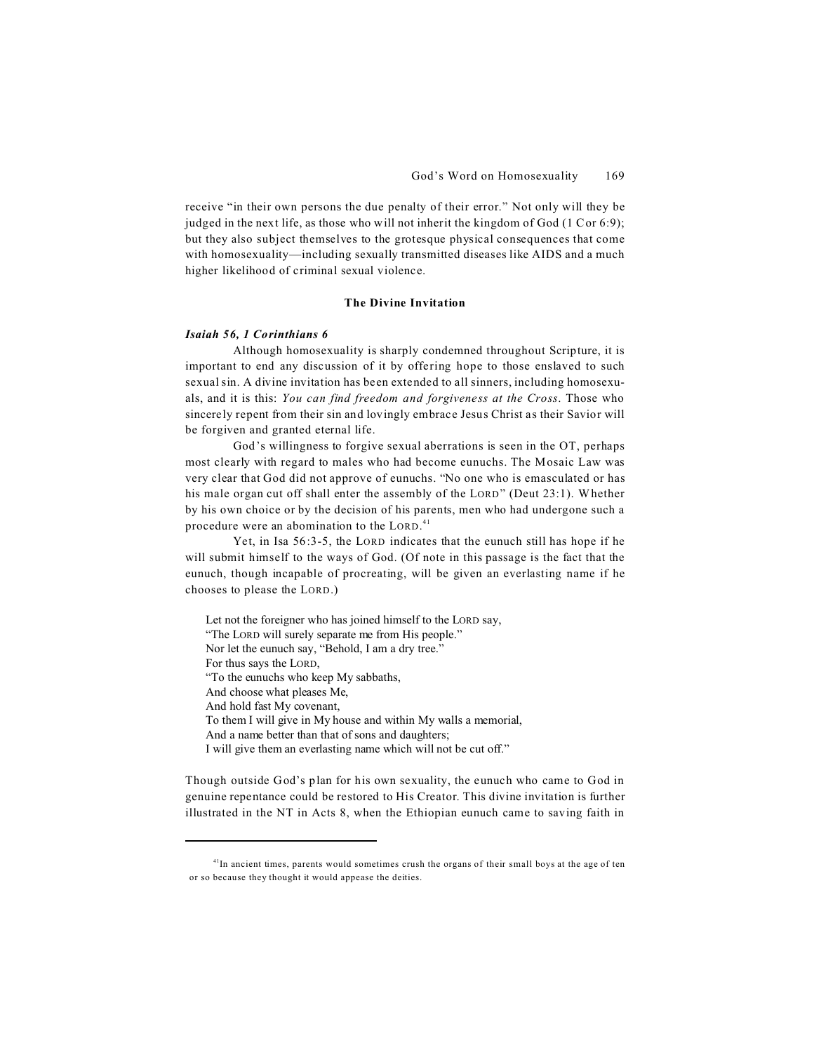receive "in their own persons the due penalty of their error." Not only will they be judged in the next life, as those who will not inherit the kingdom of God (1 Cor 6:9); but they also subject themselves to the grotesque physical consequences that come with homosexuality—including sexually transmitted diseases like AIDS and a much higher likelihood of criminal sexual violence.

# **The Divine Invitation**

#### *Isaiah 56, 1 Corinthians 6*

Although homosexuality is sharply condemned throughout Scripture, it is important to end any discussion of it by offering hope to those enslaved to such sexual sin. A divine invitation has been extended to all sinners, including homosexuals, and it is this: *You can find freedom and forgiveness at the Cross*. Those who sincerely repent from their sin and lovingly embrace Jesus Christ as their Savior will be forgiven and granted eternal life.

God's willingness to forgive sexual aberrations is seen in the OT, perhaps most clearly with regard to males who had become eunuchs. The Mosaic Law was very clear that God did not approve of eunuchs. "No one who is emasculated or has his male organ cut off shall enter the assembly of the LORD" (Deut 23:1). Whether by his own choice or by the decision of his parents, men who had undergone such a procedure were an abomination to the LORD.<sup>41</sup>

Yet, in Isa 56:3-5, the LORD indicates that the eunuch still has hope if he will submit himself to the ways of God. (Of note in this passage is the fact that the eunuch, though incapable of procreating, will be given an everlasting name if he chooses to please the LORD.)

Let not the foreigner who has joined himself to the LORD say, "The LORD will surely separate me from His people." Nor let the eunuch say, "Behold, I am a dry tree." For thus says the LORD, "To the eunuchs who keep My sabbaths, And choose what pleases Me, And hold fast My covenant, To them I will give in My house and within My walls a memorial, And a name better than that of sons and daughters; I will give them an everlasting name which will not be cut off."

Though outside God's plan for his own sexuality, the eunuch who came to God in genuine repentance could be restored to His Creator. This divine invitation is further illustrated in the NT in Acts 8, when the Ethiopian eunuch came to saving faith in

 $<sup>41</sup>$ In ancient times, parents would sometimes crush the organs of their small boys at the age of ten</sup> or so because they thought it would appease the deities.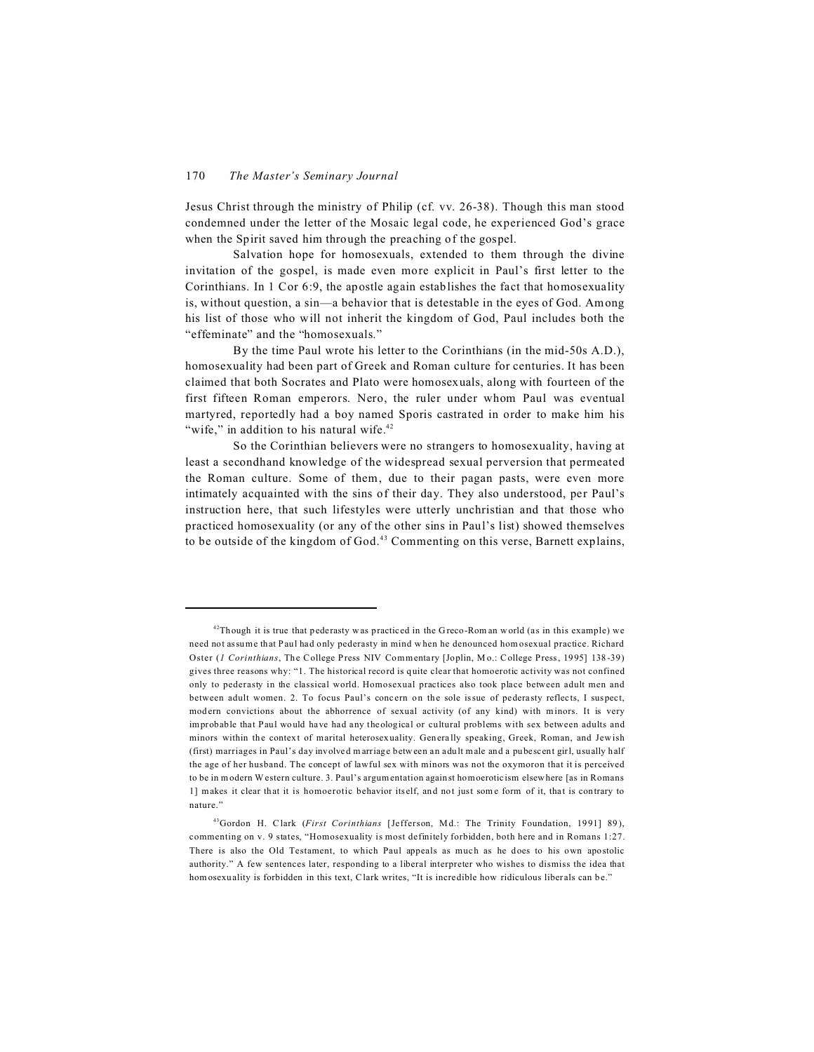Jesus Christ through the ministry of Philip (cf. vv. 26-38). Though this man stood condemned under the letter of the Mosaic legal code, he experienced God's grace when the Spirit saved him through the preaching of the gospel.

Salvation hope for homosexuals, extended to them through the divine invitation of the gospel, is made even more explicit in Paul's first letter to the Corinthians. In 1 Cor 6:9, the apostle again establishes the fact that homosexuality is, without question, a sin—a behavior that is detestable in the eyes of God. Among his list of those who will not inherit the kingdom of God, Paul includes both the "effeminate" and the "homosexuals."

By the time Paul wrote his letter to the Corinthians (in the mid-50s A.D.), homosexuality had been part of Greek and Roman culture for centuries. It has been claimed that both Socrates and Plato were homosexuals, along with fourteen of the first fifteen Roman emperors. Nero, the ruler under whom Paul was eventual martyred, reportedly had a boy named Sporis castrated in order to make him his "wife," in addition to his natural wife.<sup>42</sup>

So the Corinthian believers were no strangers to homosexuality, having at least a secondhand knowledge of the widespread sexual perversion that permeated the Roman culture. Some of them, due to their pagan pasts, were even more intimately acquainted with the sins of their day. They also understood, per Paul's instruction here, that such lifestyles were utterly unchristian and that those who practiced homosexuality (or any of the other sins in Paul's list) showed themselves to be outside of the kingdom of God.<sup>43</sup> Commenting on this verse, Barnett explains,

<sup>&</sup>lt;sup>42</sup>Though it is true that pederasty was practiced in the Greco-Rom an world (as in this example) we need not assume that Paul had only pederasty in mind w hen he denounced hom osexual practice. Richard Oster (*1 Corinthians*, The College Press NIV Commentary [Joplin, M o.: College Press, 1995] 138-39) gives three reasons why: "1. The historical record is quite clear that homoerotic activity was not confined only to pederasty in the classical world. Homosexual practices also took place between adult men and between adult women. 2. To focus Paul's concern on the sole issue of pederasty reflects, I suspect, modern convictions about the abhorrence of sexual activity (of any kind) with minors. It is very improbable that Paul would have had any theological or cultural problems with sex between adults and minors within the context of marital heterosexuality. Generally speaking, Greek, Roman, and Jew ish (first) marriages in Paul's day involved m arriage between an adult male and a pubescent girl, usually half the age of her husband. The concept of lawful sex with minors was not the oxymoron that it is perceived to be in modern Western culture. 3. Paul's argumentation against homoeroticism elsewhere [as in Romans 1] makes it clear that it is homoerotic behavior itself, and not just some form of it, that is contrary to nature."

<sup>43</sup>Gordon H. Clark (*First Corinthians* [Jefferson, Md.: The Trinity Foundation, 1991] 89), commenting on v. 9 states, "Homosexuality is most definitely forbidden, both here and in Romans 1:27. There is also the Old Testament, to which Paul appeals as much as he does to his own apostolic authority." A few sentences later, responding to a liberal interpreter who wishes to dismiss the idea that homosexuality is forbidden in this text, Clark writes, "It is incredible how ridiculous liberals can be."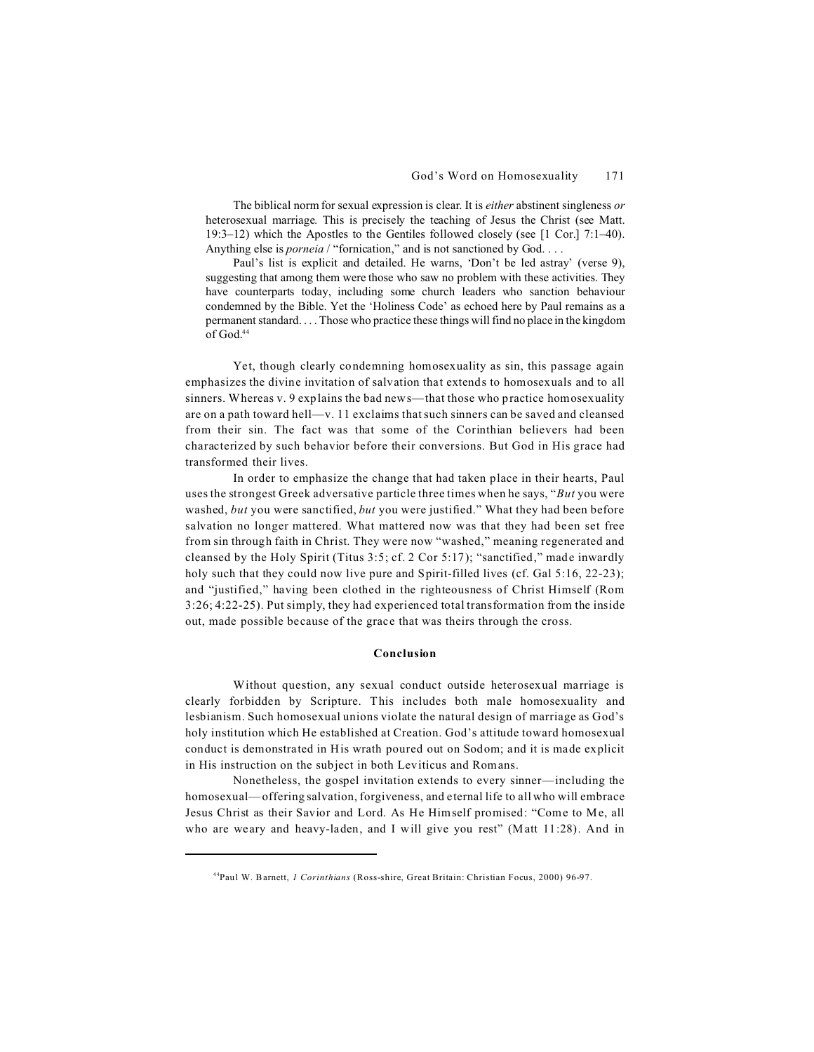The biblical norm for sexual expression is clear. It is *either* abstinent singleness *or* heterosexual marriage. This is precisely the teaching of Jesus the Christ (see Matt. 19:3–12) which the Apostles to the Gentiles followed closely (see [1 Cor.] 7:1–40). Anything else is *porneia* / "fornication," and is not sanctioned by God. . . .

Paul's list is explicit and detailed. He warns, 'Don't be led astray' (verse 9), suggesting that among them were those who saw no problem with these activities. They have counterparts today, including some church leaders who sanction behaviour condemned by the Bible. Yet the 'Holiness Code' as echoed here by Paul remains as a permanent standard. . . . Those who practice these things will find no place in the kingdom of God $^{44}$ 

Yet, though clearly condemning homosexuality as sin, this passage again emphasizes the divine invitation of salvation that extends to homosexuals and to all sinners. Whereas v. 9 explains the bad news—that those who practice homosexuality are on a path toward hell—v. 11 exclaims that such sinners can be saved and cleansed from their sin. The fact was that some of the Corinthian believers had been characterized by such behavior before their conversions. But God in His grace had transformed their lives.

In order to emphasize the change that had taken place in their hearts, Paul uses the strongest Greek adversative particle three times when he says, "*But* you were washed, *but* you were sanctified, *but* you were justified." What they had been before salvation no longer mattered. What mattered now was that they had been set free from sin through faith in Christ. They were now "washed," meaning regenerated and cleansed by the Holy Spirit (Titus 3:5; cf. 2 Cor 5:17); "sanctified," made inwardly holy such that they could now live pure and Spirit-filled lives (cf. Gal 5:16, 22-23); and "justified," having been clothed in the righteousness of Christ Himself (Rom 3:26; 4:22-25). Put simply, they had experienced total transformation from the inside out, made possible because of the grace that was theirs through the cross.

#### **Conclusion**

Without question, any sexual conduct outside heterosexual marriage is clearly forbidden by Scripture. This includes both male homosexuality and lesbianism. Such homosexual unions violate the natural design of marriage as God's holy institution which He established at Creation. God's attitude toward homosexual conduct is demonstrated in His wrath poured out on Sodom; and it is made explicit in His instruction on the subject in both Leviticus and Romans.

Nonetheless, the gospel invitation extends to every sinner—including the homosexual—offering salvation, forgiveness, and eternal life to all who will embrace Jesus Christ as their Savior and Lord. As He Himself promised: "Come to Me, all who are weary and heavy-laden, and I will give you rest" (Matt 11:28). And in

<sup>44</sup>Paul W. Barnett, *1 Corinthians* (Ross-shire, Great Britain: Christian Focus, 2000) 96-97.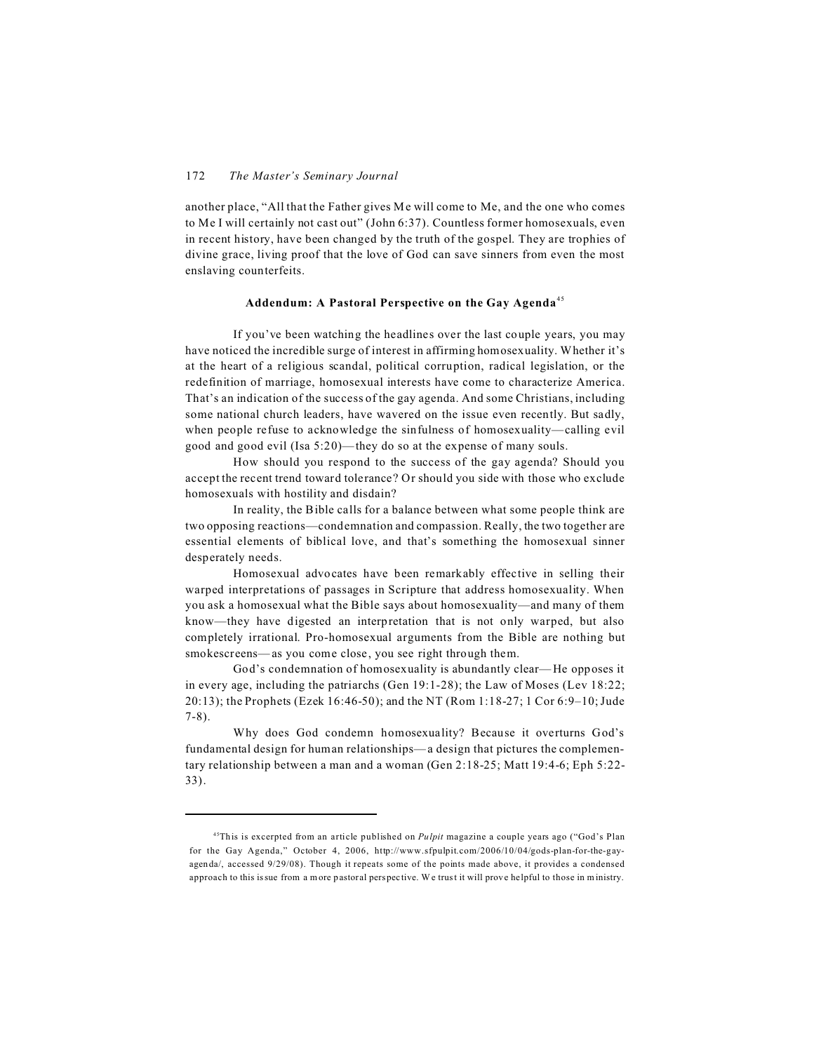another place, "All that the Father gives Me will come to Me, and the one who comes to Me I will certainly not cast out" (John 6:37). Countless former homosexuals, even in recent history, have been changed by the truth of the gospel. They are trophies of divine grace, living proof that the love of God can save sinners from even the most enslaving counterfeits.

# **Addendum: A Pastoral Perspective on the Gay Agenda**<sup>45</sup>

If you've been watching the headlines over the last couple years, you may have noticed the incredible surge of interest in affirming homosexuality. Whether it's at the heart of a religious scandal, political corruption, radical legislation, or the redefinition of marriage, homosexual interests have come to characterize America. That's an indication of the success of the gay agenda. And some Christians, including some national church leaders, have wavered on the issue even recently. But sadly, when people refuse to acknowledge the sinfulness of homosexuality—calling evil good and good evil (Isa 5:20)—they do so at the expense of many souls.

How should you respond to the success of the gay agenda? Should you accept the recent trend toward tolerance? Or should you side with those who exclude homosexuals with hostility and disdain?

In reality, the Bible calls for a balance between what some people think are two opposing reactions—condemnation and compassion. Really, the two together are essential elements of biblical love, and that's something the homosexual sinner desperately needs.

Homosexual advocates have been remarkably effective in selling their warped interpretations of passages in Scripture that address homosexuality. When you ask a homosexual what the Bible says about homosexuality—and many of them know—they have digested an interpretation that is not only warped, but also completely irrational. Pro-homosexual arguments from the Bible are nothing but smokescreens—as you come close, you see right through them.

God's condemnation of homosexuality is abundantly clear—He opposes it in every age, including the patriarchs (Gen 19:1-28); the Law of Moses (Lev 18:22; 20:13); the Prophets (Ezek 16:46-50); and the NT (Rom 1:18-27; 1 Cor 6:9–10; Jude 7-8).

Why does God condemn homosexuality? Because it overturns God's fundamental design for human relationships—a design that pictures the complementary relationship between a man and a woman (Gen 2:18-25; Matt 19:4-6; Eph 5:22- 33).

<sup>45</sup>This is excerpted from an article published on *Pulpit* magazine a couple years ago ("God's Plan for the Gay Agenda," October 4, 2006, http://www.sfpulpit.com/2006/10/04/gods-plan-for-the-gayagenda/, accessed 9/29/08). Though it repeats some of the points made above, it provides a condensed approach to this issue from a more pastoral perspective. W e trust it will prove helpful to those in ministry.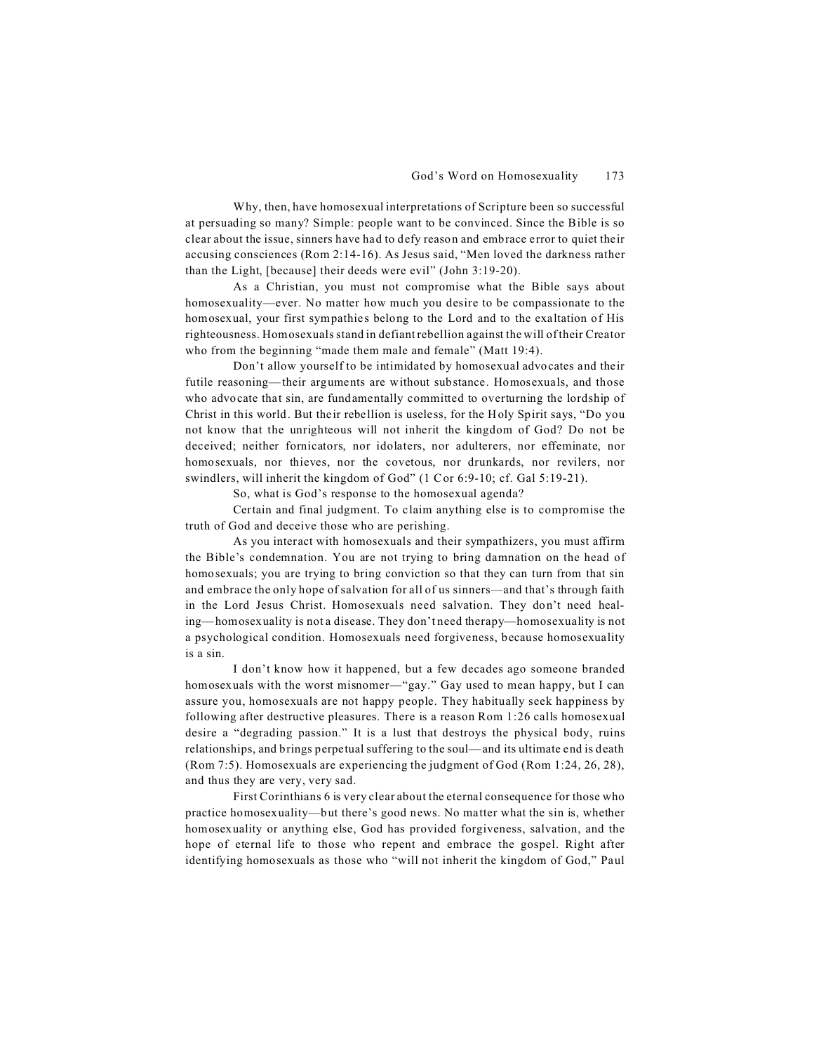Why, then, have homosexual interpretations of Scripture been so successful at persuading so many? Simple: people want to be convinced. Since the Bible is so clear about the issue, sinners have had to defy reason and embrace error to quiet their accusing consciences (Rom 2:14-16). As Jesus said, "Men loved the darkness rather than the Light, [because] their deeds were evil" (John 3:19-20).

As a Christian, you must not compromise what the Bible says about homosexuality—ever. No matter how much you desire to be compassionate to the homosexual, your first sympathies belong to the Lord and to the exaltation of His righteousness. Homosexuals stand in defiant rebellion against the will of their Creator who from the beginning "made them male and female" (Matt 19:4).

Don't allow yourself to be intimidated by homosexual advocates and their futile reasoning—their arguments are without substance. Homosexuals, and those who advocate that sin, are fundamentally committed to overturning the lordship of Christ in this world. But their rebellion is useless, for the Holy Spirit says, "Do you not know that the unrighteous will not inherit the kingdom of God? Do not be deceived; neither fornicators, nor idolaters, nor adulterers, nor effeminate, nor homosexuals, nor thieves, nor the covetous, nor drunkards, nor revilers, nor swindlers, will inherit the kingdom of God" (1 Cor 6:9-10; cf. Gal 5:19-21).

So, what is God's response to the homosexual agenda?

Certain and final judgment. To claim anything else is to compromise the truth of God and deceive those who are perishing.

As you interact with homosexuals and their sympathizers, you must affirm the Bible's condemnation. You are not trying to bring damnation on the head of homosexuals; you are trying to bring conviction so that they can turn from that sin and embrace the only hope of salvation for all of us sinners—and that's through faith in the Lord Jesus Christ. Homosexuals need salvation. They don't need healing—homosexuality is not a disease. They don't need therapy—homosexuality is not a psychological condition. Homosexuals need forgiveness, because homosexuality is a sin.

I don't know how it happened, but a few decades ago someone branded homosexuals with the worst misnomer—"gay." Gay used to mean happy, but I can assure you, homosexuals are not happy people. They habitually seek happiness by following after destructive pleasures. There is a reason Rom 1:26 calls homosexual desire a "degrading passion." It is a lust that destroys the physical body, ruins relationships, and brings perpetual suffering to the soul—and its ultimate end is death (Rom 7:5). Homosexuals are experiencing the judgment of God (Rom 1:24, 26, 28), and thus they are very, very sad.

First Corinthians 6 is very clear about the eternal consequence for those who practice homosexuality—but there's good news. No matter what the sin is, whether homosexuality or anything else, God has provided forgiveness, salvation, and the hope of eternal life to those who repent and embrace the gospel. Right after identifying homosexuals as those who "will not inherit the kingdom of God," Paul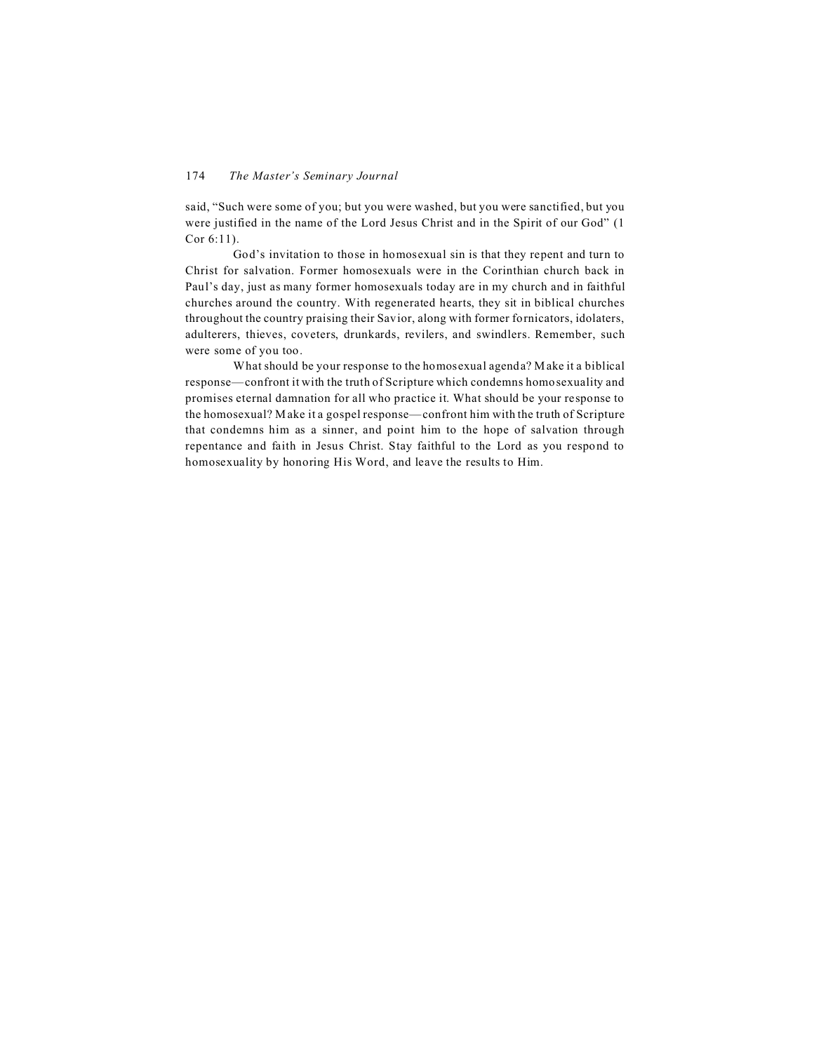said, "Such were some of you; but you were washed, but you were sanctified, but you were justified in the name of the Lord Jesus Christ and in the Spirit of our God" (1 Cor 6:11).

God's invitation to those in homosexual sin is that they repent and turn to Christ for salvation. Former homosexuals were in the Corinthian church back in Paul's day, just as many former homosexuals today are in my church and in faithful churches around the country. With regenerated hearts, they sit in biblical churches throughout the country praising their Savior, along with former fornicators, idolaters, adulterers, thieves, coveters, drunkards, revilers, and swindlers. Remember, such were some of you too.

What should be your response to the homosexual agenda? Make it a biblical response—confront it with the truth of Scripture which condemns homosexuality and promises eternal damnation for all who practice it. What should be your response to the homosexual? Make it a gospel response—confront him with the truth of Scripture that condemns him as a sinner, and point him to the hope of salvation through repentance and faith in Jesus Christ. Stay faithful to the Lord as you respond to homosexuality by honoring His Word, and leave the results to Him.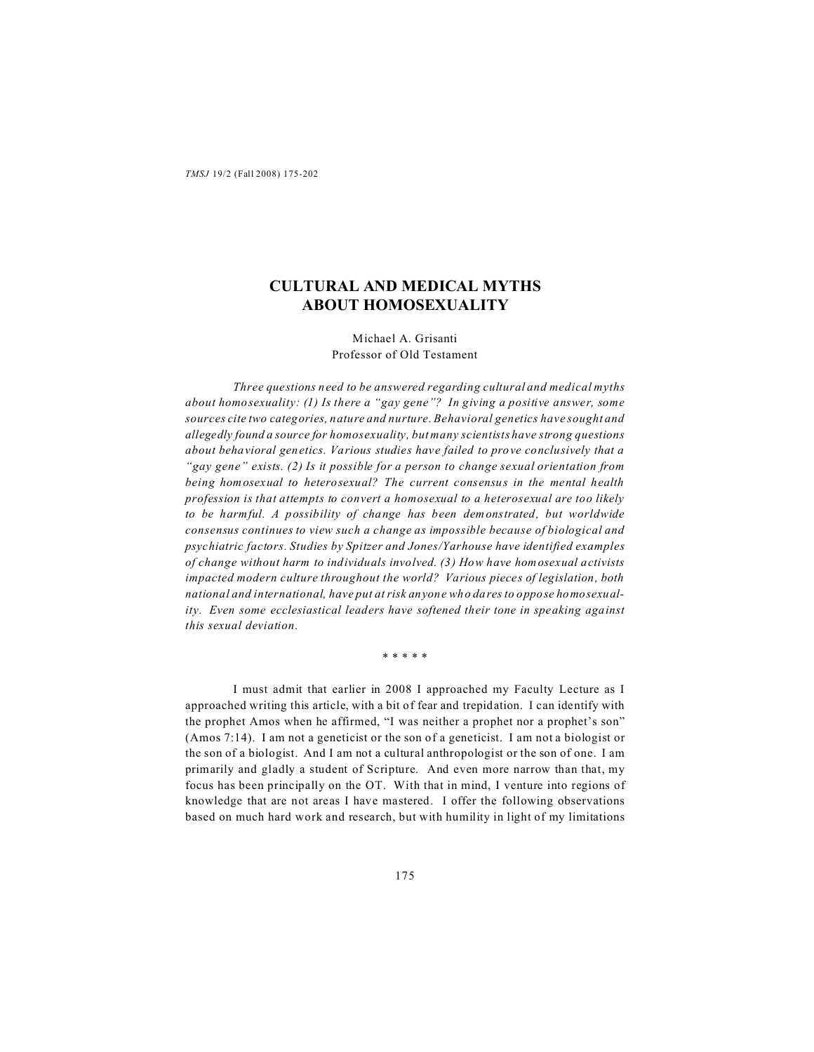# **CULTURAL AND MEDICAL MYTHS ABOUT HOMOSEXUALITY**

Michael A. Grisanti Professor of Old Testament

*Three questions need to be answered regarding cultural and medical myths about homosexuality: (1) Is there a "gay gene"? In giving a positive answer, some sources cite two categories, nature and nurture. Behavioral genetics have sought and allegedly found a source for homosexuality, but many scientists have strong questions about behavioral genetics. Various studies have failed to prove conclusively that a "gay gene" exists. (2) Is it possible for a person to change sexual orientation from being homosexual to heterosexual? The current consensus in the mental health profession is that attempts to convert a homosexual to a heterosexual are too likely to be harmful. A possibility of change has been demonstrated, but worldwide consensus continues to view such a change as impossible because of biological and psychiatric factors. Studies by Spitzer and Jones/Yarhouse have identified examples of change without harm to individuals involved. (3) How have homosexual activists impacted modern culture throughout the world? Various pieces of legislation, both national and international, have put at risk anyone who dares to oppose homosexuality. Even some ecclesiastical leaders have softened their tone in speaking against this sexual deviation.*

\* \* \* \* \*

I must admit that earlier in 2008 I approached my Faculty Lecture as I approached writing this article, with a bit of fear and trepidation. I can identify with the prophet Amos when he affirmed, "I was neither a prophet nor a prophet's son" (Amos 7:14). I am not a geneticist or the son of a geneticist. I am not a biologist or the son of a biologist. And I am not a cultural anthropologist or the son of one. I am primarily and gladly a student of Scripture. And even more narrow than that, my focus has been principally on the OT. With that in mind, I venture into regions of knowledge that are not areas I have mastered. I offer the following observations based on much hard work and research, but with humility in light of my limitations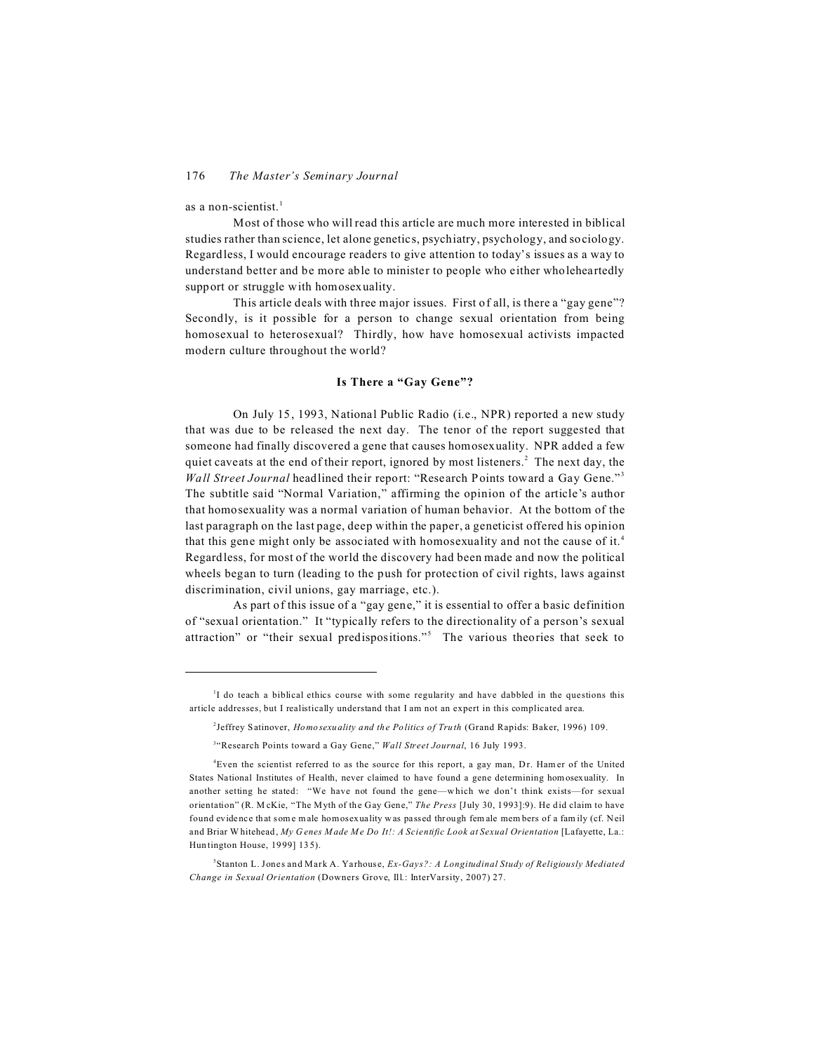as a non-scientist. $<sup>1</sup>$ </sup>

Most of those who will read this article are much more interested in biblical studies rather than science, let alone genetics, psychiatry, psychology, and sociology. Regardless, I would encourage readers to give attention to today's issues as a way to understand better and be more able to minister to people who either wholeheartedly support or struggle with homosexuality.

This article deals with three major issues. First of all, is there a "gay gene"? Secondly, is it possible for a person to change sexual orientation from being homosexual to heterosexual? Thirdly, how have homosexual activists impacted modern culture throughout the world?

# **Is There a "Gay Gene"?**

On July 15, 1993, National Public Radio (i.e., NPR) reported a new study that was due to be released the next day. The tenor of the report suggested that someone had finally discovered a gene that causes homosexuality. NPR added a few quiet caveats at the end of their report, ignored by most listeners.<sup>2</sup> The next day, the *Wall Street Journal* headlined their report: "Research Points toward a Gay Gene."<sup>3</sup> The subtitle said "Normal Variation," affirming the opinion of the article's author that homosexuality was a normal variation of human behavior. At the bottom of the last paragraph on the last page, deep within the paper, a geneticist offered his opinion that this gene might only be associated with homosexuality and not the cause of it.<sup>4</sup> Regardless, for most of the world the discovery had been made and now the political wheels began to turn (leading to the push for protection of civil rights, laws against discrimination, civil unions, gay marriage, etc.).

As part of this issue of a "gay gene," it is essential to offer a basic definition of "sexual orientation." It "typically refers to the directionality of a person's sexual attraction" or "their sexual predispositions."<sup>5</sup> The various theories that seek to

<sup>&</sup>lt;sup>1</sup>I do teach a biblical ethics course with some regularity and have dabbled in the questions this article addresses, but I realistically understand that I am not an expert in this complicated area.

<sup>2</sup> Jeffrey Satinover, *Homosexuality and the Politics of Truth* (Grand Rapids: Baker, 1996) 109.

<sup>3</sup> "Research Points toward a Gay Gene," *Wall Street Journal*, 16 July 1993.

<sup>4</sup>Even the scientist referred to as the source for this report, a gay man, Dr. Hamer of the United States National Institutes of Health, never claimed to have found a gene determining hom osexuality. In another setting he stated: "We have not found the gene—w hich we don't think exists—for sexual orientation" (R. M cKie, "The Myth of the Gay Gene," *The Press* [July 30, 1993]:9). He did claim to have found evidence that som e m ale homosexuality was passed through fem ale mem bers of a fam ily (cf. Neil and Briar W hitehead, *My Genes Made Me Do It!: A Scientific Look at Sexual Orientation* [Lafayette, La.: Huntington House, 1999] 135).

<sup>5</sup> Stanton L. Jones and Mark A. Yarhouse, *Ex-Gays?: A Longitudinal Study of Religiously Mediated Change in Sexual Orientation* (Downers Grove, Ill.: InterVarsity, 2007) 27.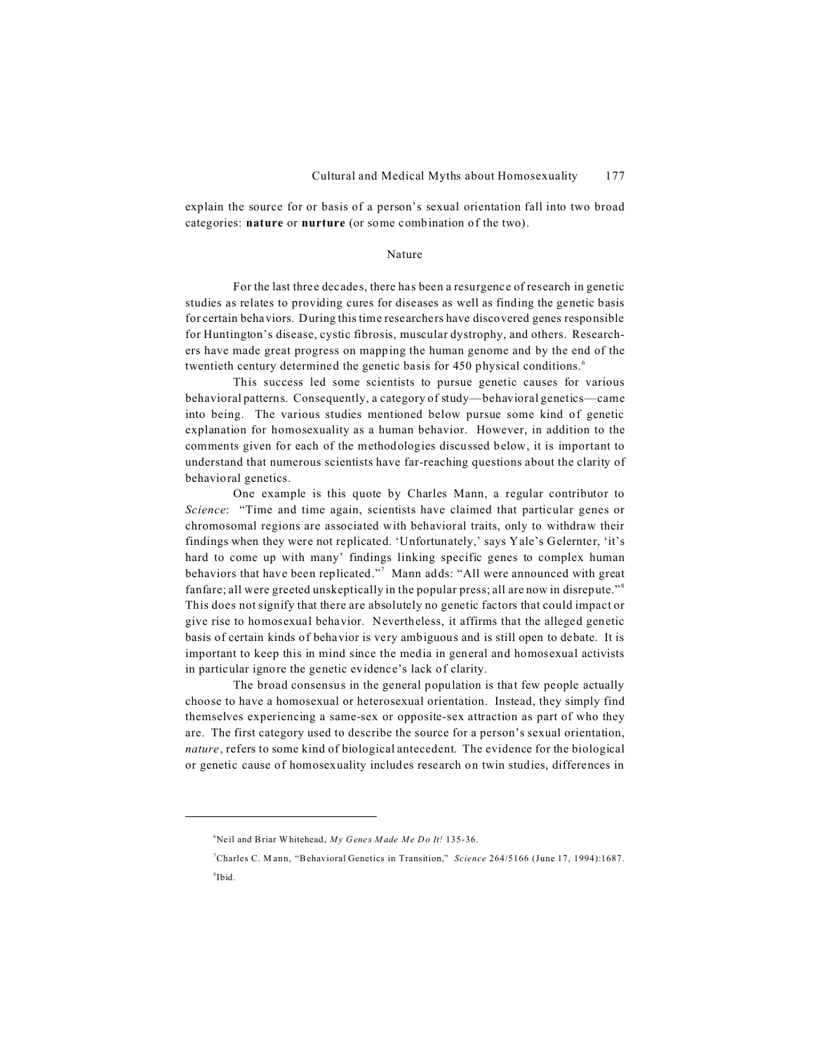explain the source for or basis of a person's sexual orientation fall into two broad categories: **nature** or **nurture** (or some combination of the two).

#### Nature

For the last three decades, there has been a resurgence of research in genetic studies as relates to providing cures for diseases as well as finding the genetic basis for certain behaviors. During this time researchers have discovered genes responsible for Huntington's disease, cystic fibrosis, muscular dystrophy, and others. Researchers have made great progress on mapping the human genome and by the end of the twentieth century determined the genetic basis for 450 physical conditions.<sup>6</sup>

This success led some scientists to pursue genetic causes for various behavioral patterns. Consequently, a category of study—behavioral genetics—came into being. The various studies mentioned below pursue some kind of genetic explanation for homosexuality as a human behavior. However, in addition to the comments given for each of the methodologies discussed below, it is important to understand that numerous scientists have far-reaching questions about the clarity of behavioral genetics.

One example is this quote by Charles Mann, a regular contributor to *Science*: "Time and time again, scientists have claimed that particular genes or chromosomal regions are associated with behavioral traits, only to withdraw their findings when they were not replicated. 'Unfortunately,' says Yale's Gelernter, 'it's hard to come up with many' findings linking specific genes to complex human behaviors that have been replicated."<sup>7</sup> Mann adds: "All were announced with great fanfare; all were greeted unskeptically in the popular press; all are now in disrepute."<sup>8</sup> This does not signify that there are absolutely no genetic factors that could impact or give rise to homosexual behavior. Nevertheless, it affirms that the alleged genetic basis of certain kinds of behavior is very ambiguous and is still open to debate. It is important to keep this in mind since the media in general and homosexual activists in particular ignore the genetic evidence's lack of clarity.

The broad consensus in the general population is that few people actually choose to have a homosexual or heterosexual orientation. Instead, they simply find themselves experiencing a same-sex or opposite-sex attraction as part of who they are. The first category used to describe the source for a person's sexual orientation, *nature*, refers to some kind of biological antecedent. The evidence for the biological or genetic cause of homosexuality includes research on twin studies, differences in

<sup>6</sup>Neil and Briar Whitehead, *My Genes Made Me Do It!* 135-36.

<sup>7</sup>Charles C. M ann, "Behavioral Genetics in Transition," *Science* 264/5166 (June 17, 1994):1687. 8 Ibid.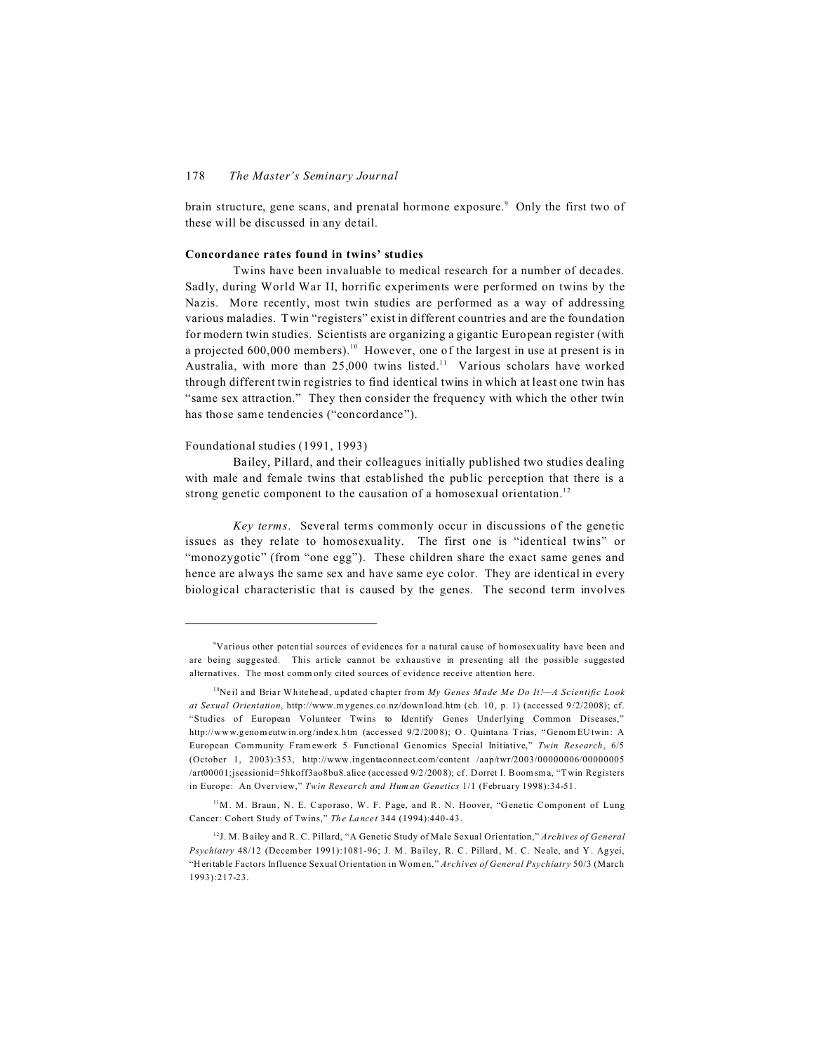brain structure, gene scans, and prenatal hormone exposure.<sup>9</sup> Only the first two of these will be discussed in any detail.

#### **Concordance rates found in twins' studies**

Twins have been invaluable to medical research for a number of decades. Sadly, during World War II, horrific experiments were performed on twins by the Nazis. More recently, most twin studies are performed as a way of addressing various maladies. Twin "registers" exist in different countries and are the foundation for modern twin studies. Scientists are organizing a gigantic European register (with a projected  $600,000$  members).<sup>10</sup> However, one of the largest in use at present is in Australia, with more than 25,000 twins listed.<sup>11</sup> Various scholars have worked through different twin registries to find identical twins in which at least one twin has "same sex attraction." They then consider the frequency with which the other twin has those same tendencies ("concordance").

#### Foundational studies (1991, 1993)

Bailey, Pillard, and their colleagues initially published two studies dealing with male and female twins that established the public perception that there is a strong genetic component to the causation of a homosexual orientation.<sup>12</sup>

*Key terms*. Several terms commonly occur in discussions of the genetic issues as they relate to homosexuality. The first one is "identical twins" or "monozygotic" (from "one egg"). These children share the exact same genes and hence are always the same sex and have same eye color. They are identical in every biological characteristic that is caused by the genes. The second term involves

<sup>9</sup>Various other potential sources of evidences for a natural cause of homosexuality have been and are being suggested. This article cannot be exhaustive in presenting all the possible suggested alternatives. The most comm only cited sources of evidence receive attention here.

<sup>10</sup>Neil and Briar Whitehead, updated chapter from *My Genes Made Me Do It!—A Scientific Look at Sexual Orientation*, http://www.mygenes.co.nz/download.htm (ch. 10, p. 1) (accessed 9/2/2008); cf. "Studies of European Volunteer Twins to Identify Genes Underlying Common Diseases," http://www.genomeutwin.org/index.htm (accessed 9/2/2008); O. Quintana Trias, "Genom EUtwin: A European Community Framework 5 Functional Genomics Special Initiative," *Twin Research*, 6/5 (October 1, 2003):353, http://www.ingentaconnect.com/content /aap/twr/2003/00000006/00000005 /art00001;jsessionid=5hkoff3ao8bu8.alice (accessed 9/2/2008); cf. Dorret I. Boomsma, "Twin Registers in Europe: An Overview," *Twin Research and Human Genetics* 1/1 (February 1998):34-51.

<sup>&</sup>lt;sup>11</sup>M. M. Braun, N. E. Caporaso, W. F. Page, and R. N. Hoover, "Genetic Component of Lung Cancer: Cohort Study of Twins," *The Lancet* 344 (1994):440-43.

<sup>12</sup>J. M. B ailey and R. C. Pillard, "A Genetic Study of Male Sexual Orientation," *Archives of General Psychiatry* 48/12 (December 1991):1081-96; J. M. Bailey, R. C. Pillard, M. C. Neale, and Y. Agyei, "H eritable Factors Influence Sexual Orientation in Wom en," *Archives of General Psychiatry* 50/3 (March 1993):217-23.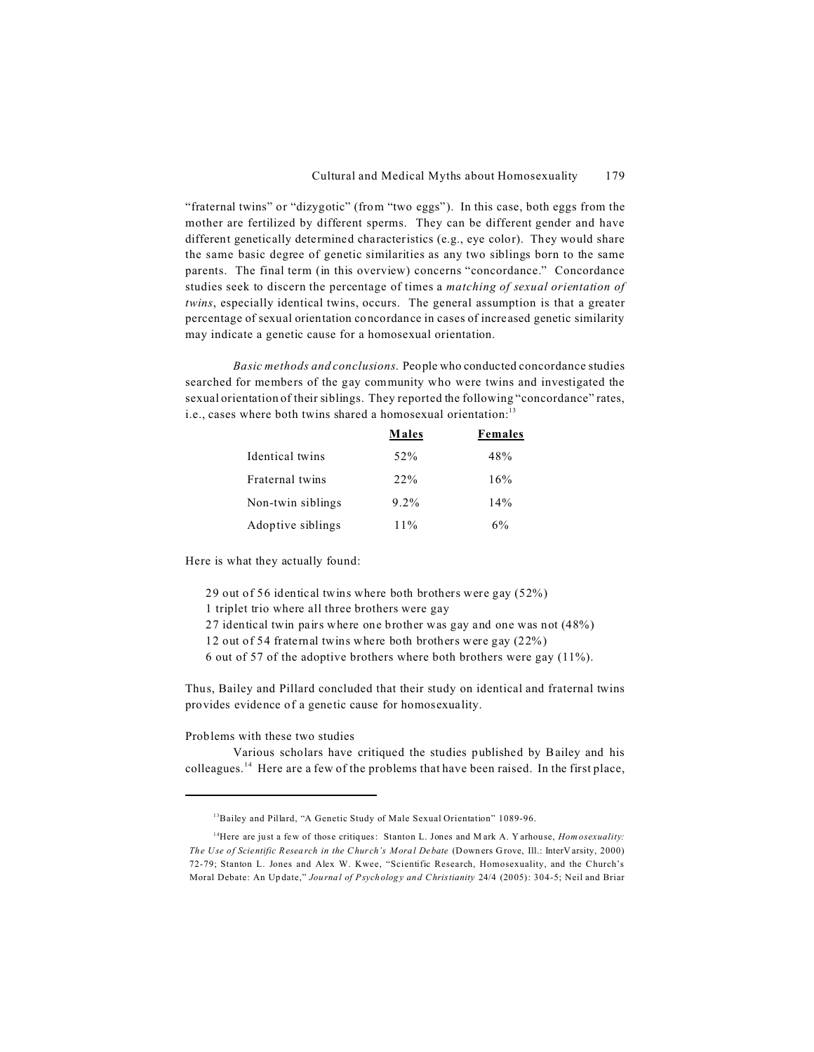"fraternal twins" or "dizygotic" (from "two eggs"). In this case, both eggs from the mother are fertilized by different sperms. They can be different gender and have different genetically determined characteristics (e.g., eye color). They would share the same basic degree of genetic similarities as any two siblings born to the same parents. The final term (in this overview) concerns "concordance." Concordance studies seek to discern the percentage of times a *matching of sexual orientation of twins*, especially identical twins, occurs. The general assumption is that a greater percentage of sexual orientation concordance in cases of increased genetic similarity may indicate a genetic cause for a homosexual orientation.

*Basic methods and conclusions*. People who conducted concordance studies searched for members of the gay community who were twins and investigated the sexual orientation of their siblings. They reported the following "concordance" rates, i.e., cases where both twins shared a homosexual orientation:<sup>13</sup>

|                   | <b>Males</b> | Females |
|-------------------|--------------|---------|
| Identical twins   | 52%          | 48%     |
| Fraternal twins   | 22%          | 16%     |
| Non-twin siblings | $9.2\%$      | 14%     |
| Adoptive siblings | $11\%$       | 6%      |

Here is what they actually found:

- 29 out of 56 identical twins where both brothers were gay (52%)
- 1 triplet trio where all three brothers were gay
- 27 identical twin pairs where one brother was gay and one was not (48%)
- 12 out of 54 fraternal twins where both brothers were gay (22%)
- 6 out of 57 of the adoptive brothers where both brothers were gay (11%).

Thus, Bailey and Pillard concluded that their study on identical and fraternal twins provides evidence of a genetic cause for homosexuality.

Problems with these two studies

Various scholars have critiqued the studies published by Bailey and his colleagues. <sup>14</sup> Here are a few of the problems that have been raised. In the first place,

<sup>&</sup>lt;sup>13</sup>Bailey and Pillard, "A Genetic Study of Male Sexual Orientation" 1089-96.

<sup>&</sup>lt;sup>14</sup>Here are just a few of those critiques: Stanton L. Jones and Mark A. Y arhouse, *Homosexuality*: *The Use of Scientific Research in the Church's Moral Debate* (Down ers G rove, Ill.: InterV arsity, 2000) 72-79; Stanton L. Jones and Alex W. Kwee, "Scientific Research, Homosexuality, and the Church's Moral Debate: An Update," *Journal of Psychology and Christianity* 24/4 (2005): 304-5; Neil and Briar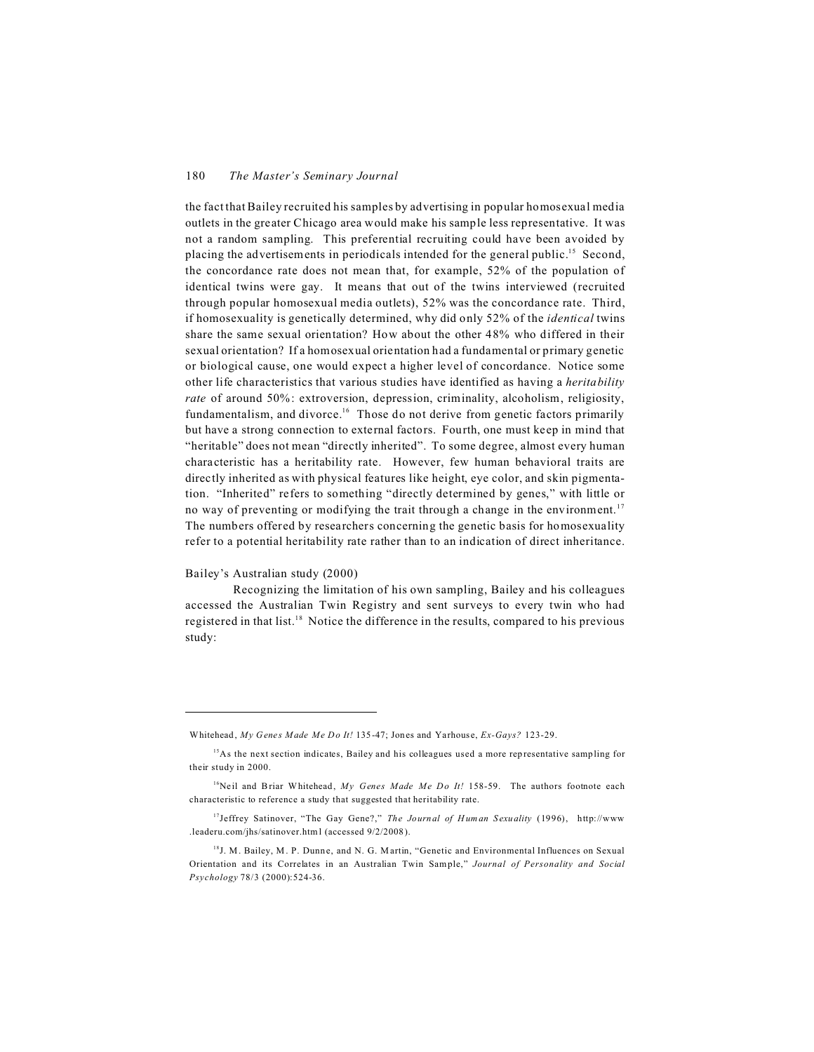the fact that Bailey recruited his samples by advertising in popular homosexual media outlets in the greater Chicago area would make his sample less representative. It was not a random sampling. This preferential recruiting could have been avoided by placing the advertisements in periodicals intended for the general public.<sup>15</sup> Second, the concordance rate does not mean that, for example, 52% of the population of identical twins were gay. It means that out of the twins interviewed (recruited through popular homosexual media outlets), 52% was the concordance rate. Third, if homosexuality is genetically determined, why did only 52% of the *identical* twins share the same sexual orientation? How about the other 48% who differed in their sexual orientation? If a homosexual orientation had a fundamental or primary genetic or biological cause, one would expect a higher level of concordance. Notice some other life characteristics that various studies have identified as having a *heritability rate* of around 50%: extroversion, depression, criminality, alcoholism, religiosity, fundamentalism, and divorce.<sup>16</sup> Those do not derive from genetic factors primarily but have a strong connection to external factors. Fourth, one must keep in mind that "heritable" does not mean "directly inherited". To some degree, almost every human characteristic has a heritability rate. However, few human behavioral traits are directly inherited as with physical features like height, eye color, and skin pigmentation. "Inherited" refers to something "directly determined by genes," with little or no way of preventing or modifying the trait through a change in the environment.<sup>17</sup> The numbers offered by researchers concerning the genetic basis for homosexuality refer to a potential heritability rate rather than to an indication of direct inheritance.

# Bailey's Australian study (2000)

Recognizing the limitation of his own sampling, Bailey and his colleagues accessed the Australian Twin Registry and sent surveys to every twin who had registered in that list.<sup>18</sup> Notice the difference in the results, compared to his previous study:

Whitehead, *My Genes Made Me Do It!* 135-47; Jones and Yarhouse, *Ex-Gays?* 123-29.

<sup>&</sup>lt;sup>15</sup>As the next section indicates, Bailey and his colleagues used a more representative sampling for their study in 2000.

<sup>&</sup>lt;sup>16</sup>Neil and Briar Whitehead, My Genes Made Me Do It! 158-59. The authors footnote each characteristic to reference a study that suggested that heritability rate.

<sup>&</sup>lt;sup>17</sup>Jeffrey Satinover, "The Gay Gene?," *The Journal of Human Sexuality* (1996), http://www .leaderu.com/jhs/satinover.html (accessed 9/2/2008).

<sup>&</sup>lt;sup>18</sup>J. M. Bailey, M. P. Dunne, and N. G. Martin, "Genetic and Environmental Influences on Sexual Orientation and its Correlates in an Australian Twin Sam ple," *Journal of Personality and Social Psychology* 78/3 (2000):524-36.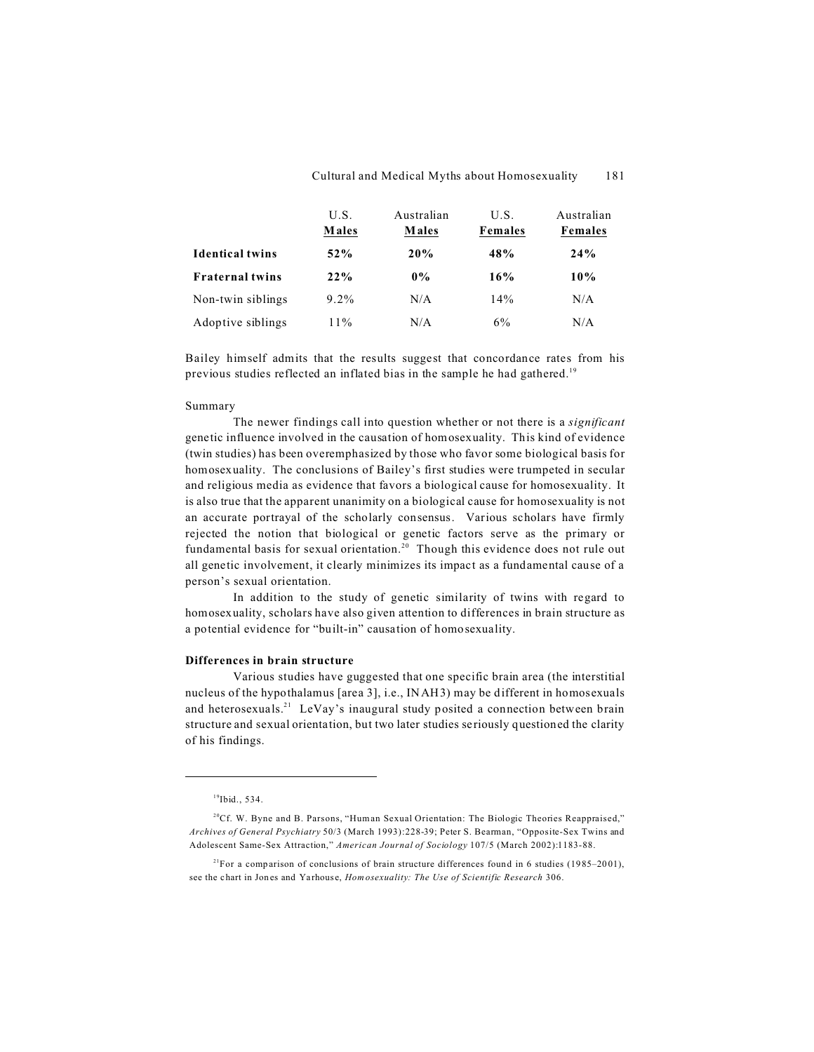|                        | U.S.    | Australian | U.S.    | Australian |
|------------------------|---------|------------|---------|------------|
|                        | Males   | Males      | Females | Females    |
| <b>Identical twins</b> | $52\%$  | 20%        | 48%     | 24%        |
| <b>Fraternal twins</b> | 22%     | $0\%$      | 16%     | 10%        |
| Non-twin siblings      | $9.2\%$ | N/A        | 14%     | N/A        |
| Adoptive siblings      | $11\%$  | N/A        | 6%      | N/A        |

Bailey himself admits that the results suggest that concordance rates from his previous studies reflected an inflated bias in the sample he had gathered.<sup>19</sup>

#### Summary

The newer findings call into question whether or not there is a *significant* genetic influence involved in the causation of homosexuality. This kind of evidence (twin studies) has been overemphasized by those who favor some biological basis for homosexuality. The conclusions of Bailey's first studies were trumpeted in secular and religious media as evidence that favors a biological cause for homosexuality. It is also true that the apparent unanimity on a biological cause for homosexuality is not an accurate portrayal of the scholarly consensus. Various scholars have firmly rejected the notion that biological or genetic factors serve as the primary or fundamental basis for sexual orientation.<sup>20</sup> Though this evidence does not rule out all genetic involvement, it clearly minimizes its impact as a fundamental cause of a person's sexual orientation.

In addition to the study of genetic similarity of twins with regard to homosexuality, scholars have also given attention to differences in brain structure as a potential evidence for "built-in" causation of homosexuality.

#### **Differences in brain structure**

Various studies have guggested that one specific brain area (the interstitial nucleus of the hypothalamus [area 3], i.e., INAH3) may be different in homosexuals and heterosexuals.<sup>21</sup> LeVay's inaugural study posited a connection between brain structure and sexual orientation, but two later studies seriously questioned the clarity of his findings.

<sup>19</sup>Ibid., 534.

 $2^{0}$ Cf. W. Byne and B. Parsons, "Human Sexual Orientation: The Biologic Theories Reappraised," *Archives of General Psychiatry* 50/3 (March 1993):228-39; Peter S. Bearman, "Opposite-Sex Twins and Adolescent Same-Sex Attraction," *American Journal of Sociology* 107/5 (March 2002):1183-88.

<sup>&</sup>lt;sup>21</sup>For a comparison of conclusions of brain structure differences found in 6 studies (1985–2001), see the chart in Jones and Yarhouse, *Hom osexuality: The Use of Scientific Research* 306.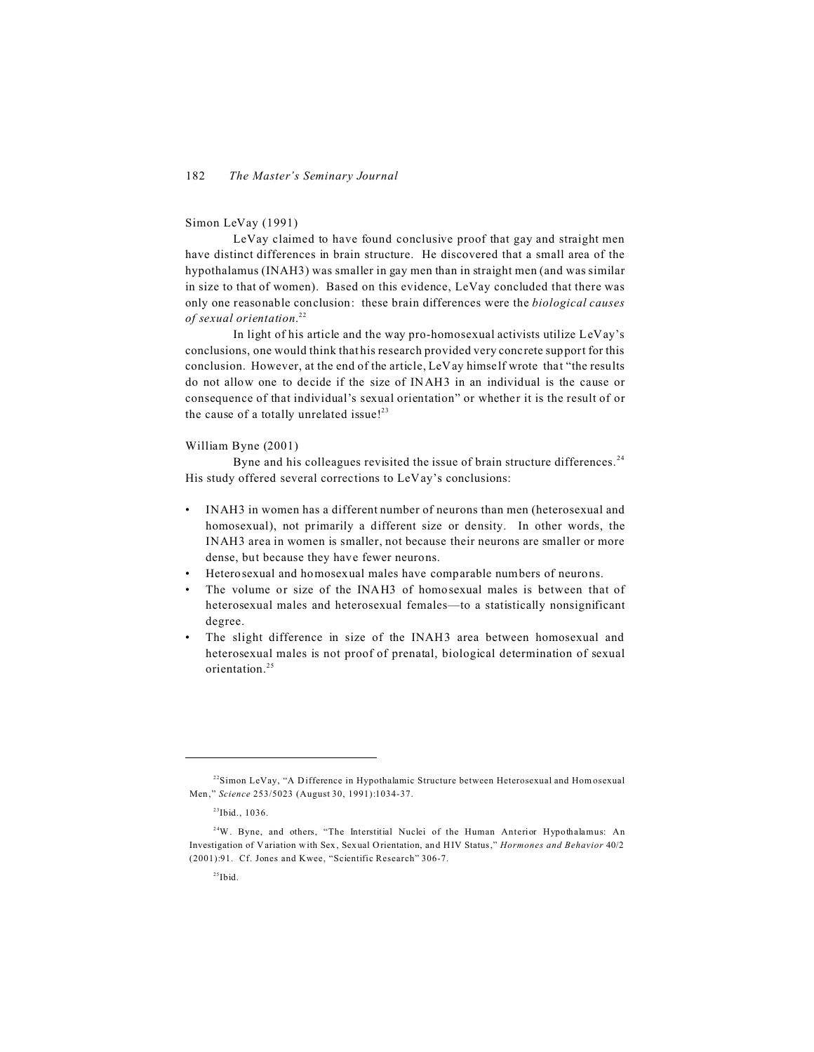#### Simon LeVay (1991)

LeVay claimed to have found conclusive proof that gay and straight men have distinct differences in brain structure. He discovered that a small area of the hypothalamus (INAH3) was smaller in gay men than in straight men (and was similar in size to that of women). Based on this evidence, LeVay concluded that there was only one reasonable conclusion: these brain differences were the *biological causes of sexual orientation*. 22

In light of his article and the way pro-homosexual activists utilize LeVay's conclusions, one would think that his research provided very concrete support for this conclusion. However, at the end of the article, LeVay himself wrote that "the results do not allow one to decide if the size of INAH3 in an individual is the cause or consequence of that individual's sexual orientation" or whether it is the result of or the cause of a totally unrelated issue!<sup>23</sup>

#### William Byne (2001)

Byne and his colleagues revisited the issue of brain structure differences.<sup>24</sup> His study offered several corrections to LeVay's conclusions:

- INAH3 in women has a different number of neurons than men (heterosexual and homosexual), not primarily a different size or density. In other words, the INAH3 area in women is smaller, not because their neurons are smaller or more dense, but because they have fewer neurons.
- Heterosexual and homosexual males have comparable numbers of neurons.
- The volume or size of the INAH3 of homosexual males is between that of heterosexual males and heterosexual females—to a statistically nonsignificant degree.
- The slight difference in size of the INAH3 area between homosexual and heterosexual males is not proof of prenatal, biological determination of sexual orientation.25

<sup>&</sup>lt;sup>22</sup>Simon LeVay, "A Difference in Hypothalamic Structure between Heterosexual and Hom osexual Men," *Science* 253/5023 (August 30, 1991):1034-37.

<sup>23</sup>Ibid., 1036.

<sup>&</sup>lt;sup>24</sup>W. Byne, and others, "The Interstitial Nuclei of the Human Anterior Hypothalamus: An Investigation of Variation with Sex, Sexual Orientation, and HIV Status," *Hormones and Behavior* 40/2 (2001):91. Cf. Jones and Kwee, "Scientific Research" 306-7.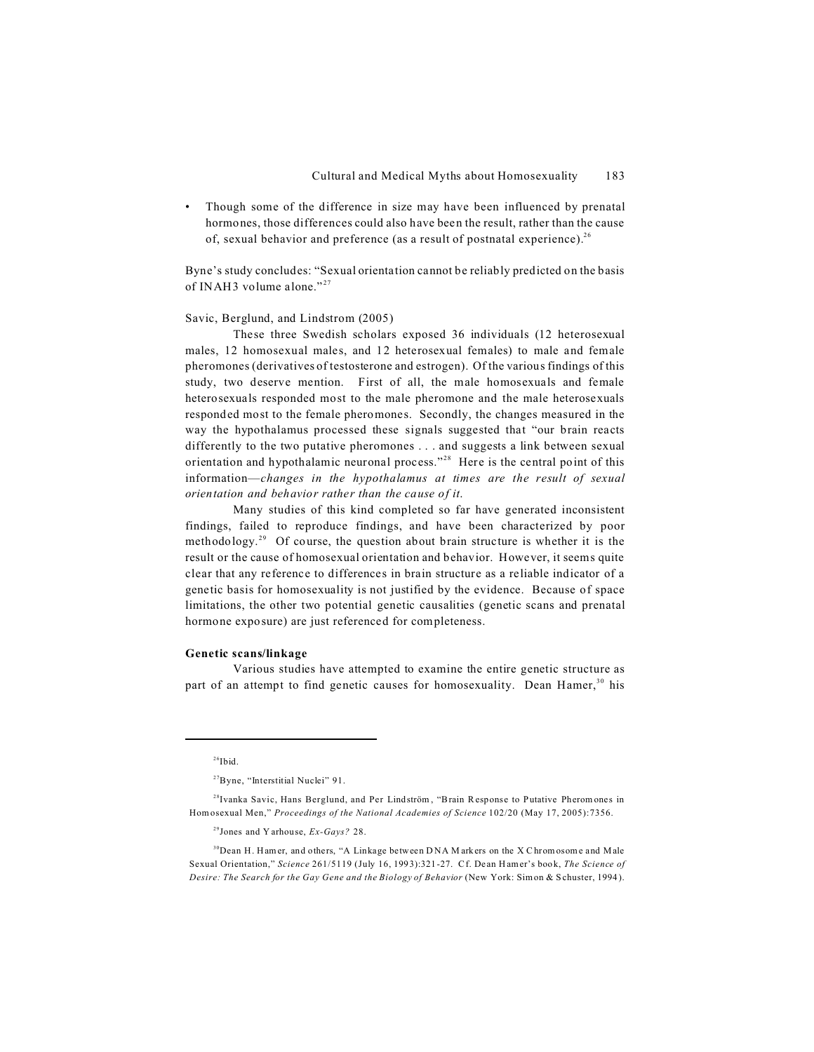• Though some of the difference in size may have been influenced by prenatal hormones, those differences could also have been the result, rather than the cause of, sexual behavior and preference (as a result of postnatal experience).<sup>26</sup>

Byne's study concludes: "Sexual orientation cannot be reliably predicted on the basis of INAH3 volume alone."<sup>27</sup>

#### Savic, Berglund, and Lindstrom (2005)

These three Swedish scholars exposed 36 individuals (12 heterosexual males, 12 homosexual males, and 12 heterosexual females) to male and female pheromones (derivatives of testosterone and estrogen). Of the various findings of this study, two deserve mention. First of all, the male homosexuals and female heterosexuals responded most to the male pheromone and the male heterosexuals responded most to the female pheromones. Secondly, the changes measured in the way the hypothalamus processed these signals suggested that "our brain reacts differently to the two putative pheromones . . . and suggests a link between sexual orientation and hypothalamic neuronal process."<sup>28</sup> Here is the central point of this information—*changes in the hypothalamus at times are the result of sexual orientation and behavior rather than the cause of it*.

Many studies of this kind completed so far have generated inconsistent findings, failed to reproduce findings, and have been characterized by poor methodology.<sup>29</sup> Of course, the question about brain structure is whether it is the result or the cause of homosexual orientation and behavior. However, it seems quite clear that any reference to differences in brain structure as a reliable indicator of a genetic basis for homosexuality is not justified by the evidence. Because of space limitations, the other two potential genetic causalities (genetic scans and prenatal hormone exposure) are just referenced for completeness.

#### **Genetic scans/linkage**

Various studies have attempted to examine the entire genetic structure as part of an attempt to find genetic causes for homosexuality. Dean Hamer,  $30$  his

 $26$ Ibid.

<sup>27</sup>Byne, "Interstitial Nuclei" 91.

<sup>&</sup>lt;sup>28</sup>Ivanka Savic, Hans Berglund, and Per Lindström, "Brain Response to Putative Pheromones in Homosexual Men," *Proceedings of the National Academies of Science* 102/20 (May 17, 2005):7356.

<sup>29</sup>Jones and Y arhouse, *Ex-Gays?* 28.

<sup>&</sup>lt;sup>30</sup>Dean H. Ham er, and others, "A Linkage between DNA M arkers on the X C hrom osome and Male Sexual Orientation," *Science* 261/5119 (July 16, 1993):321-27. Cf. Dean Hamer's book, *The Science of Desire: The Search for the Gay Gene and the Biology of Behavior* (New York: Simon & Schuster, 1994).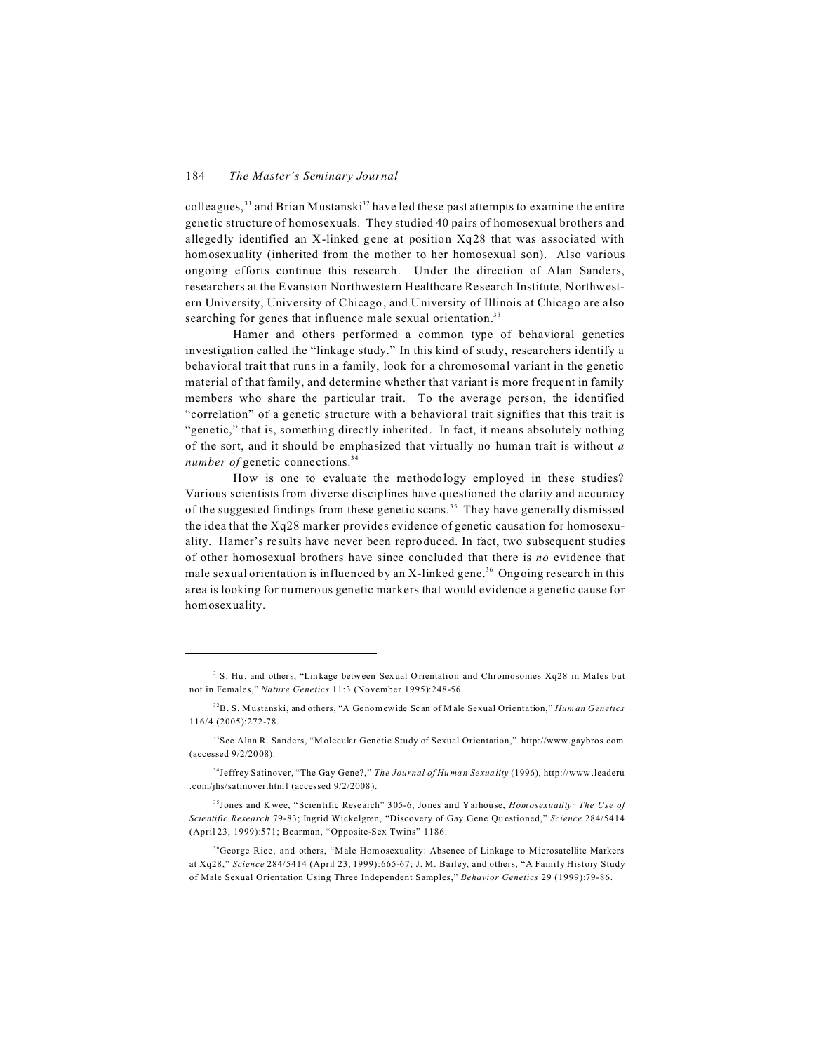colleagues,  $31$  and Brian Mustanski $32$  have led these past attempts to examine the entire genetic structure of homosexuals. They studied 40 pairs of homosexual brothers and allegedly identified an X-linked gene at position Xq28 that was associated with homosexuality (inherited from the mother to her homosexual son). Also various ongoing efforts continue this research. Under the direction of Alan Sanders, researchers at the Evanston Northwestern Healthcare Research Institute, Northwestern University, University of Chicago, and University of Illinois at Chicago are also searching for genes that influence male sexual orientation.<sup>33</sup>

Hamer and others performed a common type of behavioral genetics investigation called the "linkage study." In this kind of study, researchers identify a behavioral trait that runs in a family, look for a chromosomal variant in the genetic material of that family, and determine whether that variant is more frequent in family members who share the particular trait. To the average person, the identified "correlation" of a genetic structure with a behavioral trait signifies that this trait is "genetic," that is, something directly inherited. In fact, it means absolutely nothing of the sort, and it should be emphasized that virtually no human trait is without *a number of* genetic connections.<sup>34</sup>

How is one to evaluate the methodology employed in these studies? Various scientists from diverse disciplines have questioned the clarity and accuracy of the suggested findings from these genetic scans.<sup>35</sup> They have generally dismissed the idea that the Xq28 marker provides evidence of genetic causation for homosexuality. Hamer's results have never been reproduced. In fact, two subsequent studies of other homosexual brothers have since concluded that there is *no* evidence that male sexual orientation is influenced by an X-linked gene.<sup>36</sup> Ongoing research in this area is looking for numerous genetic markers that would evidence a genetic cause for homosexuality.

<sup>&</sup>lt;sup>31</sup>S. Hu, and others, "Linkage between Sexual Orientation and Chromosomes Xq28 in Males but not in Females," *Nature Genetics* 11:3 (November 1995):248-56.

<sup>32</sup>B. S. M ustanski, and others, "A Genomewide Scan of M ale Sexual Orientation," *Human Genetics* 116/4 (2005):272-78.

<sup>33</sup>See Alan R. Sanders, "M olecular Genetic Study of Sexual Orientation," http://www.gaybros.com (accessed 9/2/2008).

<sup>34</sup>Jeffrey Satinover, "The Gay Gene?," *The Journal of Human Sexuality* (1996), http://www.leaderu .com/jhs/satinover.html (accessed 9/2/2008).

<sup>35</sup> Jones and Kwee, "Scientific Research" 305-6; Jones and Yarhouse, *Hom osexuality: The Use of Scientific Research* 79-83; Ingrid Wickelgren, "Discovery of Gay Gene Questioned," *Science* 284/5414 (April 23, 1999):571; Bearman, "Opposite-Sex Twins" 1186.

<sup>&</sup>lt;sup>36</sup>George Rice, and others, "Male Hom osexuality: Absence of Linkage to Microsatellite Markers at Xq28," *Science* 284/5414 (April 23, 1999):665-67; J. M. Bailey, and others, "A Family History Study of Male Sexual Orientation Using Three Independent Samples," *Behavior Genetics* 29 (1999):79-86.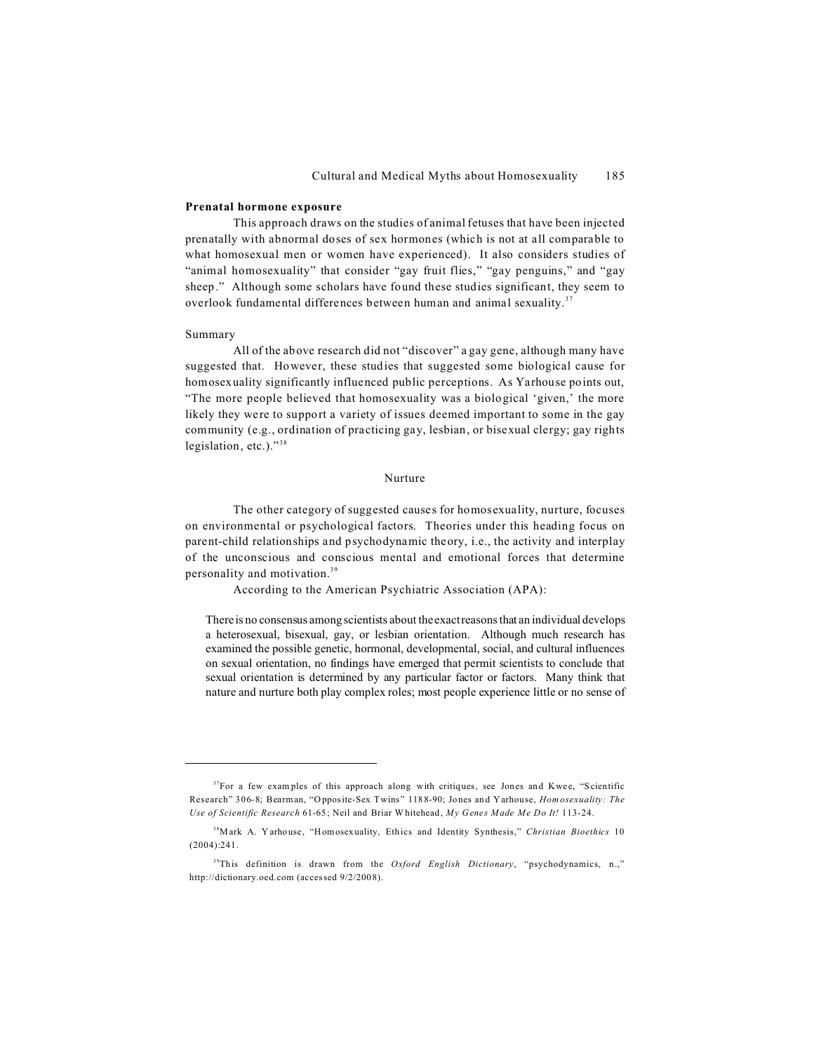#### **Prenatal hormone exposure**

This approach draws on the studies of animal fetuses that have been injected prenatally with abnormal doses of sex hormones (which is not at all comparable to what homosexual men or women have experienced). It also considers studies of "animal homosexuality" that consider "gay fruit flies," "gay penguins," and "gay sheep." Although some scholars have found these studies significant, they seem to overlook fundamental differences between human and animal sexuality. <sup>37</sup>

#### Summary

All of the above research did not "discover" a gay gene, although many have suggested that. However, these studies that suggested some biological cause for homosexuality significantly influenced public perceptions. As Yarhouse points out, "The more people believed that homosexuality was a biological 'given,' the more likely they were to support a variety of issues deemed important to some in the gay community (e.g., ordination of practicing gay, lesbian, or bisexual clergy; gay rights legislation, etc.)."<sup>38</sup>

#### Nurture

The other category of suggested causes for homosexuality, nurture, focuses on environmental or psychological factors. Theories under this heading focus on parent-child relationships and psychodynamic theory, i.e., the activity and interplay of the unconscious and conscious mental and emotional forces that determine personality and motivation.<sup>39</sup>

According to the American Psychiatric Association (APA):

There is no consensus among scientists about the exact reasons that an individual develops a heterosexual, bisexual, gay, or lesbian orientation. Although much research has examined the possible genetic, hormonal, developmental, social, and cultural influences on sexual orientation, no findings have emerged that permit scientists to conclude that sexual orientation is determined by any particular factor or factors. Many think that nature and nurture both play complex roles; most people experience little or no sense of

 $37$ For a few examples of this approach along with critiques, see Jones and Kwee, "Scientific Research" 306-8; Bearman, "Opposite-Sex Twins" 1188-90; Jones and Yarhouse, *Hom osexuality: The Use of Scientific Research* 61-65; Neil and Briar W hitehead, *My Genes Made Me Do It!* 113-24.

<sup>38</sup>Mark A. Y arhouse, "Homosexuality, Ethics and Identity Synthesis," *Christian Bioethics* 10 (2004):241.

<sup>&</sup>lt;sup>39</sup>This definition is drawn from the *Oxford English Dictionary*, "psychodynamics, n.," http://dictionary.oed.com (accessed 9/2/2008).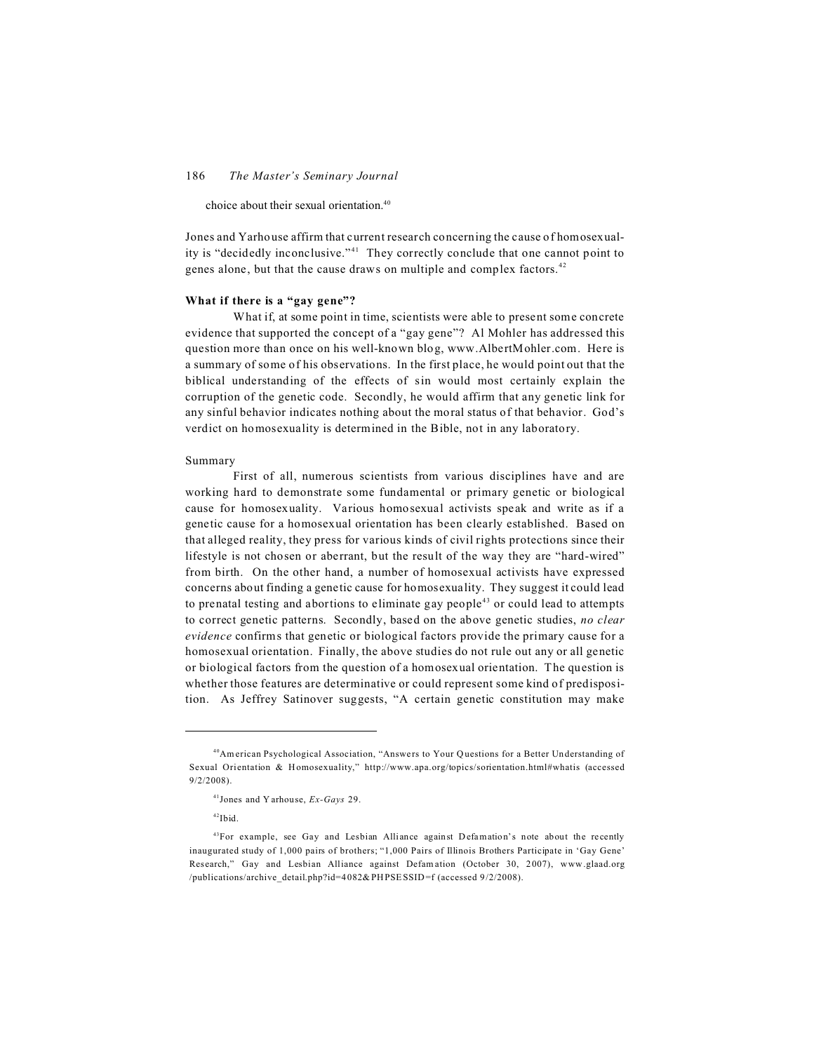choice about their sexual orientation.<sup>40</sup>

Jones and Yarhouse affirm that current research concerning the cause of homosexuality is "decidedly inconclusive."<sup>41</sup> They correctly conclude that one cannot point to genes alone, but that the cause draws on multiple and complex factors.<sup>42</sup>

# **What if there is a "gay gene"?**

What if, at some point in time, scientists were able to present some concrete evidence that supported the concept of a "gay gene"? Al Mohler has addressed this question more than once on his well-known blog, www.AlbertMohler.com. Here is a summary of some of his observations. In the first place, he would point out that the biblical understanding of the effects of sin would most certainly explain the corruption of the genetic code. Secondly, he would affirm that any genetic link for any sinful behavior indicates nothing about the moral status of that behavior. God's verdict on homosexuality is determined in the Bible, not in any laboratory.

#### Summary

First of all, numerous scientists from various disciplines have and are working hard to demonstrate some fundamental or primary genetic or biological cause for homosexuality. Various homosexual activists speak and write as if a genetic cause for a homosexual orientation has been clearly established. Based on that alleged reality, they press for various kinds of civil rights protections since their lifestyle is not chosen or aberrant, but the result of the way they are "hard-wired" from birth. On the other hand, a number of homosexual activists have expressed concerns about finding a genetic cause for homosexuality. They suggest it could lead to prenatal testing and abortions to eliminate gay people<sup>43</sup> or could lead to attempts to correct genetic patterns. Secondly, based on the above genetic studies, *no clear evidence* confirms that genetic or biological factors provide the primary cause for a homosexual orientation. Finally, the above studies do not rule out any or all genetic or biological factors from the question of a homosexual orientation. The question is whether those features are determinative or could represent some kind of predisposition. As Jeffrey Satinover suggests, "A certain genetic constitution may make

<sup>&</sup>lt;sup>40</sup>American Psychological Association, "Answers to Your Questions for a Better Understanding of Sexual Orientation & Homosexuality," http://www.apa.org/topics/sorientation.html#whatis (accessed 9/2/2008).

<sup>41</sup>Jones and Y arhouse, *Ex-Gays* 29.

 $42$ Ibid.

 $43$ For example, see Gay and Lesbian Alliance against Defamation's note about the recently inaugurated study of 1,000 pairs of brothers; "1,000 Pairs of Illinois Brothers Participate in 'Gay Gene' Research," Gay and Lesbian Alliance against Defam ation (October 30, 2007), www.glaad.org /publications/archive\_detail.php?id=4 082& PH PSE SSID =f (accessed 9/2/2008).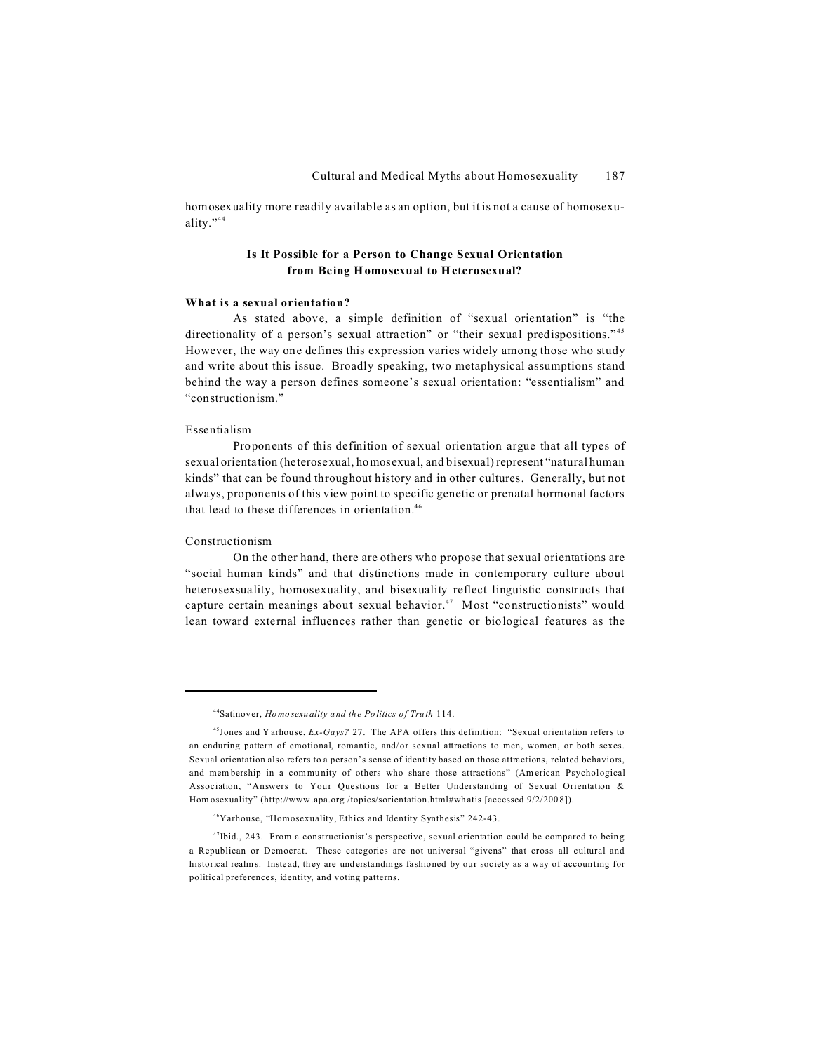homosexuality more readily available as an option, but it is not a cause of homosexuality."<sup>44</sup>

# **Is It Possible for a Person to Change Sexual Orientation from Being Homosexual to Heterosexual?**

# **What is a sexual orientation?**

As stated above, a simple definition of "sexual orientation" is "the directionality of a person's sexual attraction" or "their sexual predispositions."<sup>45</sup> However, the way one defines this expression varies widely among those who study and write about this issue. Broadly speaking, two metaphysical assumptions stand behind the way a person defines someone's sexual orientation: "essentialism" and "constructionism."

# Essentialism

Proponents of this definition of sexual orientation argue that all types of sexual orientation (heterosexual, homosexual, and bisexual) represent "natural human kinds" that can be found throughout history and in other cultures. Generally, but not always, proponents of this view point to specific genetic or prenatal hormonal factors that lead to these differences in orientation.<sup>46</sup>

#### Constructionism

On the other hand, there are others who propose that sexual orientations are "social human kinds" and that distinctions made in contemporary culture about heterosexsuality, homosexuality, and bisexuality reflect linguistic constructs that capture certain meanings about sexual behavior.<sup>47</sup> Most "constructionists" would lean toward external influences rather than genetic or biological features as the

<sup>44</sup>Satinover, *Homosexuality and the Politics of Truth* 114.

<sup>45</sup>Jones and Y arhouse, *Ex-Gays?* 27. The APA offers this definition: "Sexual orientation refers to an enduring pattern of emotional, romantic, and/or sexual attractions to men, women, or both sexes. Sexual orientation also refers to a person's sense of identity based on those attractions, related behaviors, and mem bership in a community of others who share those attractions" (American Psychological Association, "Answers to Your Questions for a Better Understanding of Sexual Orientation & Hom osexuality" (http://www .apa.org /topics/sorientation.html#wh atis [accessed 9/2/200 8]).

<sup>46</sup>Yarhouse, "Homosexuality, Ethics and Identity Synthesis" 242-43.

 $47$ Ibid., 243. From a constructionist's perspective, sexual orientation could be compared to being a Republican or Democrat. These categories are not universal "givens" that cross all cultural and historical realms. Instead, they are understandings fashioned by our society as a way of accounting for political preferences, identity, and voting patterns.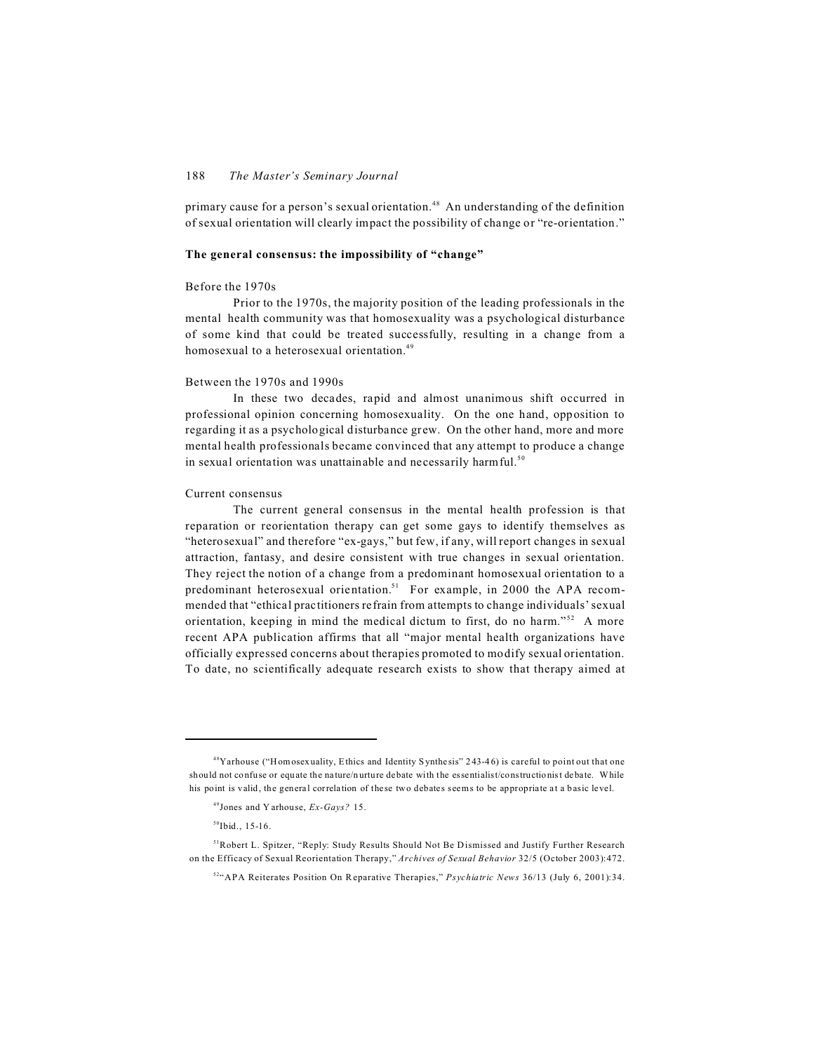# 188 *The Master's Seminary Journal*

primary cause for a person's sexual orientation.<sup>48</sup> An understanding of the definition of sexual orientation will clearly impact the possibility of change or "re-orientation."

#### **The general consensus: the impossibility of "change"**

#### Before the 1970s

Prior to the 1970s, the majority position of the leading professionals in the mental health community was that homosexuality was a psychological disturbance of some kind that could be treated successfully, resulting in a change from a homosexual to a heterosexual orientation.<sup>49</sup>

#### Between the 1970s and 1990s

In these two decades, rapid and almost unanimous shift occurred in professional opinion concerning homosexuality. On the one hand, opposition to regarding it as a psychological disturbance grew. On the other hand, more and more mental health professionals became convinced that any attempt to produce a change in sexual orientation was unattainable and necessarily harmful.<sup>50</sup>

#### Current consensus

The current general consensus in the mental health profession is that reparation or reorientation therapy can get some gays to identify themselves as "heterosexual" and therefore "ex-gays," but few, if any, will report changes in sexual attraction, fantasy, and desire consistent with true changes in sexual orientation. They reject the notion of a change from a predominant homosexual orientation to a predominant heterosexual orientation.<sup>51</sup> For example, in 2000 the APA recommended that "ethical practitioners refrain from attempts to change individuals' sexual orientation, keeping in mind the medical dictum to first, do no harm."<sup>52</sup> A more recent APA publication affirms that all "major mental health organizations have officially expressed concerns about therapies promoted to modify sexual orientation. To date, no scientifically adequate research exists to show that therapy aimed at

 $48$ Yarhouse ("Homosexuality, Ethics and Identity Synthesis" 243-46) is careful to point out that one should not confuse or equate the nature/nurture debate with the essentialist/constructionist debate. While his point is valid, the general correlation of these two debates seems to be appropriate at a basic level.

<sup>49</sup>Jones and Y arhouse, *Ex-Gays?* 15.

 $50$ Ibid., 15-16.

<sup>&</sup>lt;sup>51</sup>Robert L. Spitzer, "Reply: Study Results Should Not Be Dismissed and Justify Further Research on the Efficacy of Sexual Reorientation Therapy," *Archives of Sexual Behavior* 32/5 (October 2003):472.

<sup>52</sup>"APA Reiterates Position On R eparative Therapies," *Psychiatric News* 36/13 (July 6, 2001):34.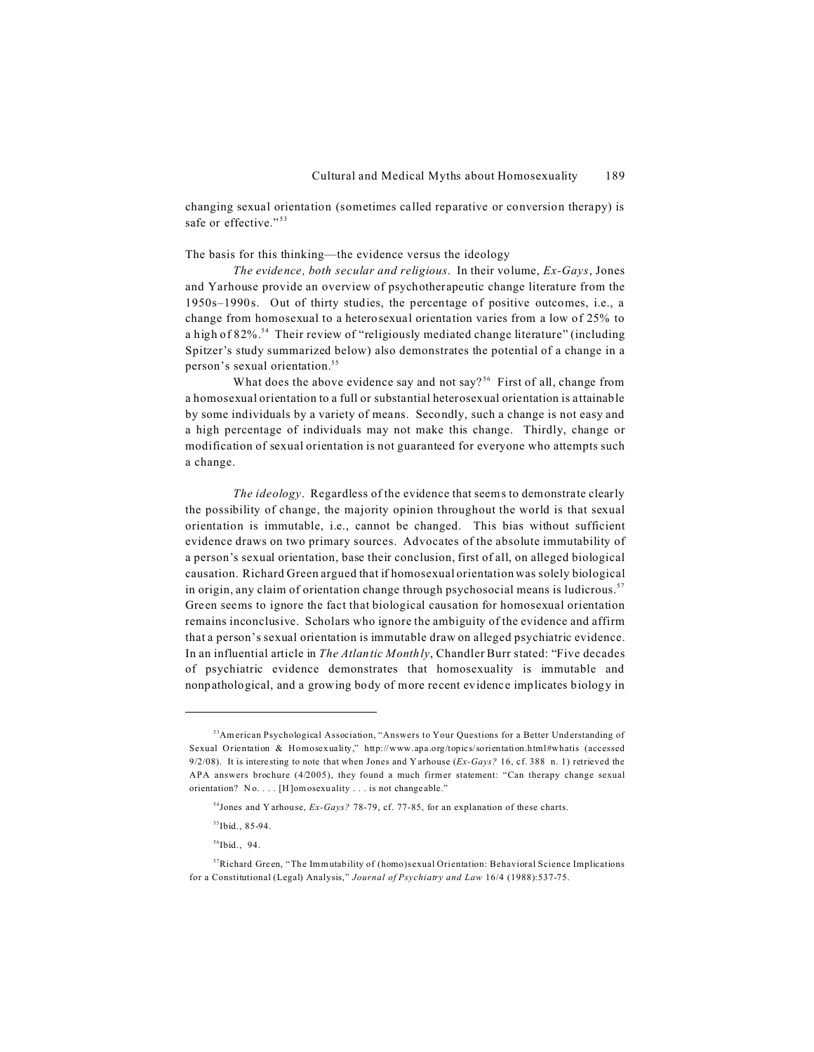changing sexual orientation (sometimes called reparative or conversion therapy) is safe or effective."<sup>53</sup>

# The basis for this thinking—the evidence versus the ideology

*The evidence, both secular and religious*. In their volume, *Ex-Gays*, Jones and Yarhouse provide an overview of psychotherapeutic change literature from the 1950s–1990s. Out of thirty studies, the percentage of positive outcomes, i.e., a change from homosexual to a heterosexual orientation varies from a low of 25% to a high of 82%.<sup>54</sup> Their review of "religiously mediated change literature" (including Spitzer's study summarized below) also demonstrates the potential of a change in a person's sexual orientation.<sup>55</sup>

What does the above evidence say and not say?<sup>56</sup> First of all, change from a homosexual orientation to a full or substantial heterosexual orientation is attainable by some individuals by a variety of means. Secondly, such a change is not easy and a high percentage of individuals may not make this change. Thirdly, change or modification of sexual orientation is not guaranteed for everyone who attempts such a change.

*The ideology*. Regardless of the evidence that seems to demonstrate clearly the possibility of change, the majority opinion throughout the world is that sexual orientation is immutable, i.e., cannot be changed. This bias without sufficient evidence draws on two primary sources. Advocates of the absolute immutability of a person's sexual orientation, base their conclusion, first of all, on alleged biological causation. Richard Green argued that if homosexual orientation was solely biological in origin, any claim of orientation change through psychosocial means is ludicrous.<sup>57</sup> Green seems to ignore the fact that biological causation for homosexual orientation remains inconclusive. Scholars who ignore the ambiguity of the evidence and affirm that a person's sexual orientation is immutable draw on alleged psychiatric evidence. In an influential article in *The Atlantic Monthly*, Chandler Burr stated: "Five decades of psychiatric evidence demonstrates that homosexuality is immutable and nonpathological, and a growing body of more recent evidence implicates biology in

 $56$ Ibid., 94.

<sup>&</sup>lt;sup>53</sup>American Psychological Association, "Answers to Your Questions for a Better Understanding of Sexual Orientation & Homosexuality," http://www.apa.org/topics/sorientation.html#whatis (accessed 9/2/08). It is interesting to note that when Jones and Yarhouse (*Ex-Gays?* 16, cf. 388 n. 1) retrieved the APA answers brochure (4/2005), they found a much firmer statement: "Can therapy change sexual orientation? No. . . . [H]omosexuality . . . is not changeable."

<sup>54</sup>Jones and Y arhouse, *Ex-Gays?* 78-79, cf. 77-85, for an explanation of these charts.

 $55$ Ibid., 85-94.

<sup>57</sup>Richard Green, "The Immutability of (homo)sexual Orientation: Behavioral Science Implications for a Constitutional (Legal) Analysis," *Journal of Psychiatry and Law* 16/4 (1988):537-75.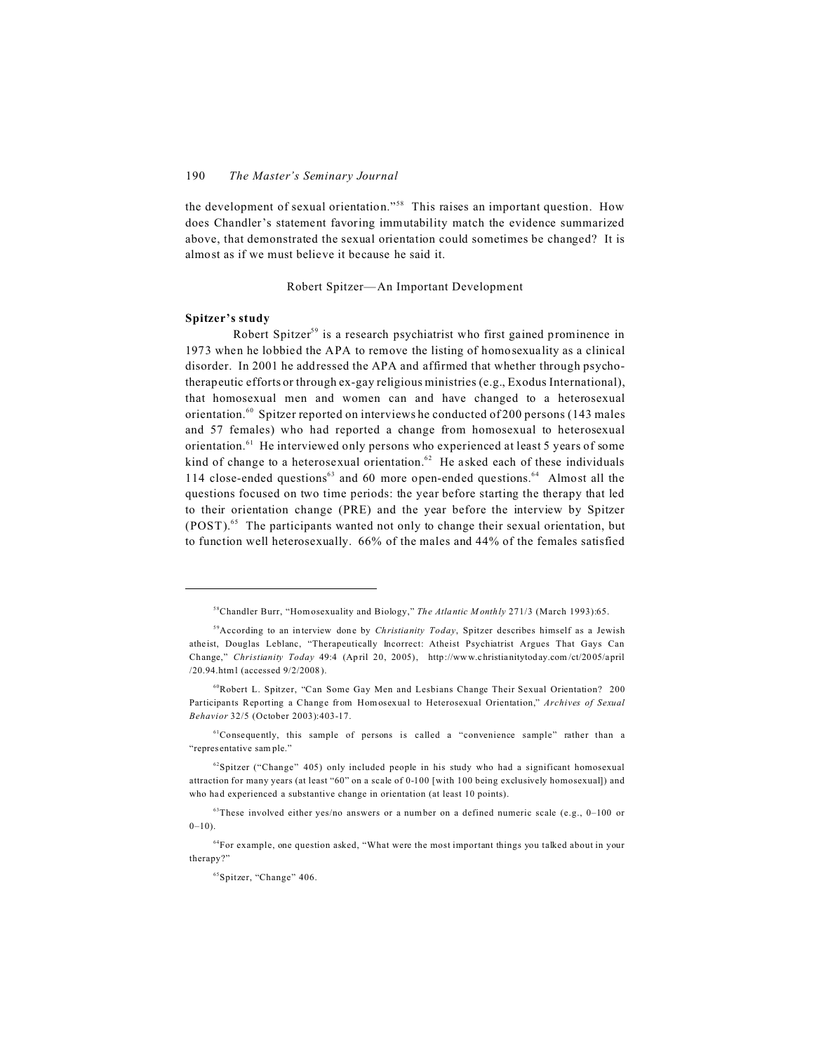the development of sexual orientation."<sup>58</sup> This raises an important question. How does Chandler's statement favoring immutability match the evidence summarized above, that demonstrated the sexual orientation could sometimes be changed? It is almost as if we must believe it because he said it.

Robert Spitzer—An Important Development

# **Spitzer's study**

Robert Spitzer<sup>59</sup> is a research psychiatrist who first gained prominence in 1973 when he lobbied the APA to remove the listing of homosexuality as a clinical disorder. In 2001 he addressed the APA and affirmed that whether through psychotherapeutic efforts or through ex-gay religious ministries (e.g., Exodus International), that homosexual men and women can and have changed to a heterosexual orientation.<sup>60</sup> Spitzer reported on interviews he conducted of 200 persons (143 males) and 57 females) who had reported a change from homosexual to heterosexual orientation.<sup>61</sup> He interviewed only persons who experienced at least 5 years of some kind of change to a heterosexual orientation. $62$  He asked each of these individuals 114 close-ended questions $63$  and 60 more open-ended questions.<sup>64</sup> Almost all the questions focused on two time periods: the year before starting the therapy that led to their orientation change (PRE) and the year before the interview by Spitzer (POST). <sup>65</sup> The participants wanted not only to change their sexual orientation, but to function well heterosexually. 66% of the males and 44% of the females satisfied

<sup>58</sup>Chandler Burr, "Hom osexuality and Biology," *The Atlantic M onthly* 271/3 (March 1993):65.

<sup>59</sup>According to an interview done by *Christianity Today*, Spitzer describes himself as a Jewish atheist, Douglas Leblanc, "Therapeutically Incorrect: Atheist Psychiatrist Argues That Gays Can Change," *Christianity Today* 49:4 (April 20, 2005), http://www.christianitytoday.com /ct/2005/april /20.94.html (accessed 9/2/2008).

<sup>60</sup>Robert L. Spitzer, "Can Some Gay Men and Lesbians Change Their Sexual Orientation? 200 Participants Reporting a Change from Hom osexual to Heterosexual Orientation," *Archives of Sexual Behavior* 32/5 (October 2003):403-17.

 $61$ Consequently, this sample of persons is called a "convenience sample" rather than a "representative sam ple."

 $62$ Spitzer ("Change" 405) only included people in his study who had a significant homosexual attraction for many years (at least "60" on a scale of 0-100 [with 100 being exclusively homosexual]) and who had experienced a substantive change in orientation (at least 10 points).

 $63$ These involved either yes/no answers or a number on a defined numeric scale (e.g., 0-100 or  $0-10$ ).

 $64$ For example, one question asked, "What were the most important things you talked about in your therapy?"

<sup>65</sup>Spitzer, "Change" 406.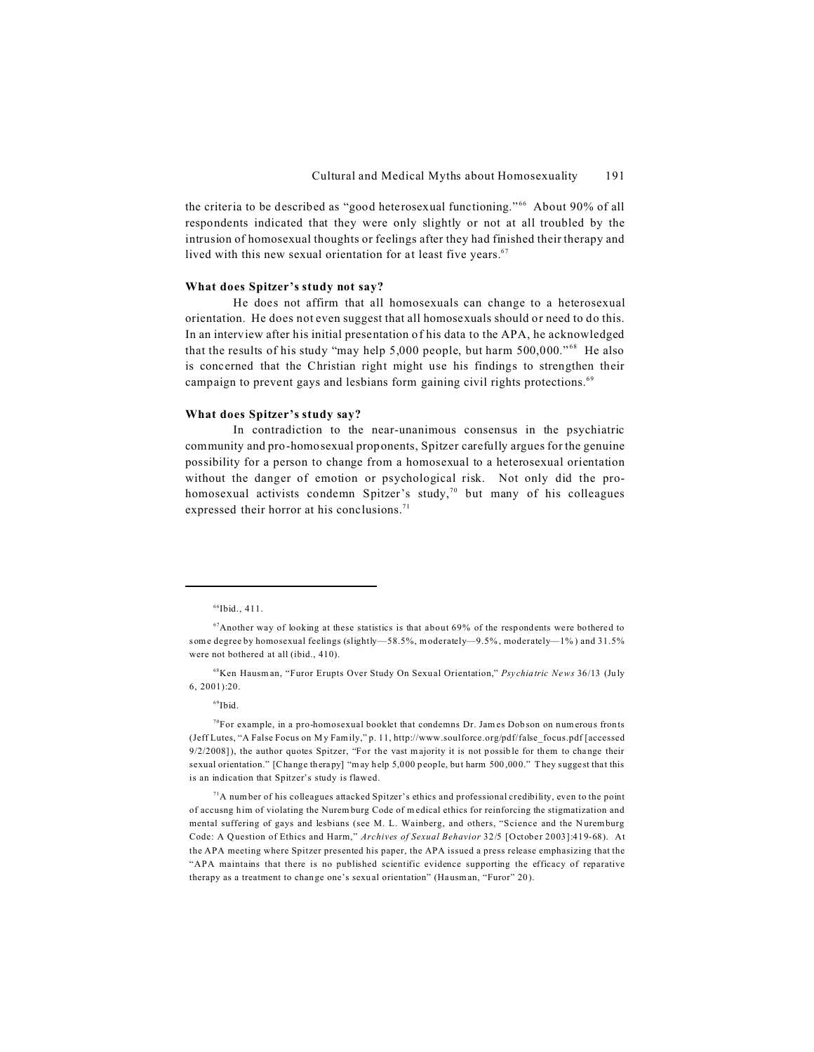the criteria to be described as "good heterosexual functioning."<sup>66</sup> About 90% of all respondents indicated that they were only slightly or not at all troubled by the intrusion of homosexual thoughts or feelings after they had finished their therapy and lived with this new sexual orientation for at least five years. $67$ 

# **What does Spitzer's study not say?**

He does not affirm that all homosexuals can change to a heterosexual orientation. He does not even suggest that all homosexuals should or need to do this. In an interview after his initial presentation of his data to the APA, he acknowledged that the results of his study "may help  $5,000$  people, but harm  $500,000$ ."<sup>68</sup> He also is concerned that the Christian right might use his findings to strengthen their campaign to prevent gays and lesbians form gaining civil rights protections.<sup>69</sup>

# **What does Spitzer's study say?**

In contradiction to the near-unanimous consensus in the psychiatric community and pro-homosexual proponents, Spitzer carefully argues for the genuine possibility for a person to change from a homosexual to a heterosexual orientation without the danger of emotion or psychological risk. Not only did the prohomosexual activists condemn Spitzer's study,<sup>70</sup> but many of his colleagues expressed their horror at his conclusions.<sup>71</sup>

<sup>69</sup>Ibid.

 $<sup>71</sup>A$  number of his colleagues attacked Spitzer's ethics and professional credibility, even to the point</sup> of accusng him of violating the Nuremburg Code of m edical ethics for reinforcing the stigmatization and mental suffering of gays and lesbians (see M. L. Wainberg, and others, "Science and the Nuremburg Code: A Q uestion of Ethics and Harm," *Archives of Sexual Behavior* 32/5 [October 2003]:419-68). At the APA meeting where Spitzer presented his paper, the APA issued a press release emphasizing that the "APA maintains that there is no published scientific evidence supporting the efficacy of reparative therapy as a treatment to change one's sexual orientation" (Hausman, "Furor" 20).

 $66$ Ibid., 411.

 $67$ Another way of looking at these statistics is that about 69% of the respondents were bothered to some degree by homosexual feelings (slightly—58.5%, m oderately—9.5% , moderately—1% ) and 31.5% were not bothered at all (ibid., 410).

<sup>68</sup>Ken Hausman, "Furor Erupts Over Study On Sexu al Orientation," *Psychiatric News* 36/13 (July 6, 2001):20.

 $<sup>70</sup>$ For example, in a pro-homosexual booklet that condemns Dr. James Dobson on numerous fronts</sup> (Jeff Lutes, "A False Focus on My Family," p. 11, http://www.soulforce.org/pdf/false\_focus.pdf [accessed  $9/2/2008$ ]), the author quotes Spitzer, "For the vast majority it is not possible for them to change their sexual orientation." [Change therapy] "m ay help 5,000 people, but harm 500,000." They suggest that this is an indication that Spitzer's study is flawed.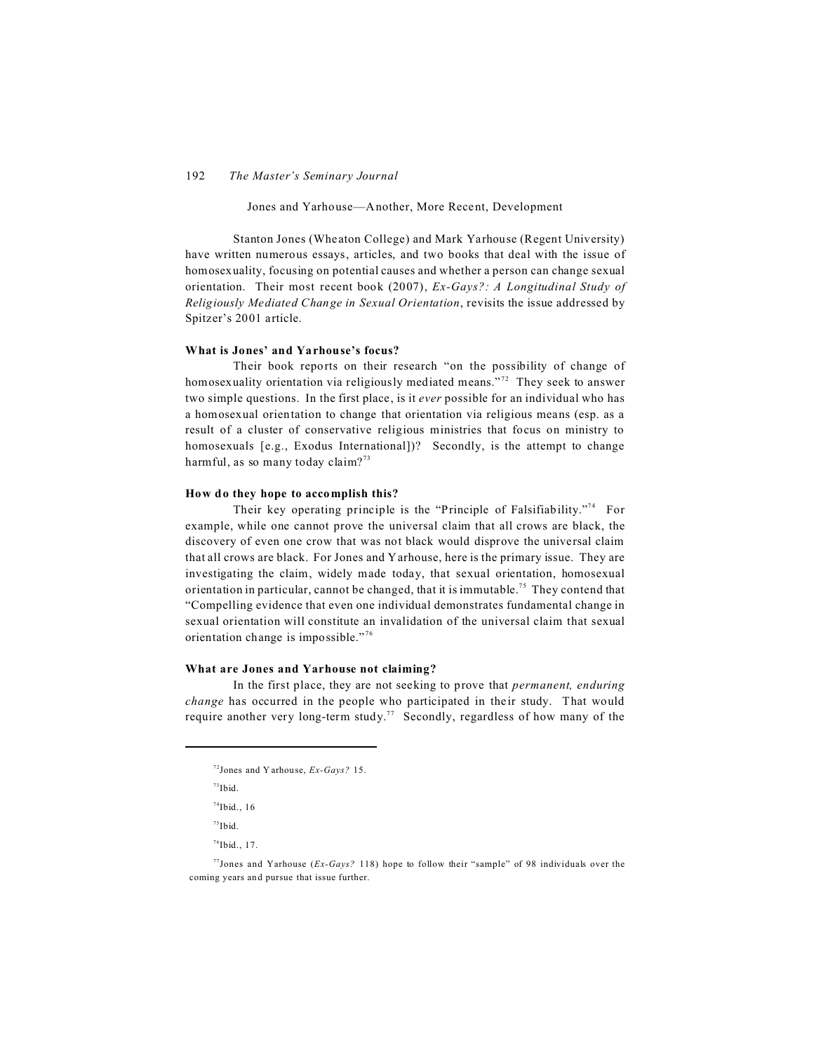Jones and Yarhouse—Another, More Recent, Development

Stanton Jones (Wheaton College) and Mark Yarhouse (Regent University) have written numerous essays, articles, and two books that deal with the issue of homosexuality, focusing on potential causes and whether a person can change sexual orientation. Their most recent book (2007), *Ex-Gays?: A Longitudinal Study of Religiously Mediated Change in Sexual Orientation*, revisits the issue addressed by Spitzer's 2001 article.

#### **What is Jones' and Yarhouse's focus?**

Their book reports on their research "on the possibility of change of homosexuality orientation via religiously mediated means."<sup>72</sup> They seek to answer two simple questions. In the first place, is it *ever* possible for an individual who has a homosexual orientation to change that orientation via religious means (esp. as a result of a cluster of conservative religious ministries that focus on ministry to homosexuals [e.g., Exodus International])? Secondly, is the attempt to change harmful, as so many today claim?<sup>73</sup>

# **How do they hope to accomplish this?**

Their key operating principle is the "Principle of Falsifiability."<sup>74</sup> For example, while one cannot prove the universal claim that all crows are black, the discovery of even one crow that was not black would disprove the universal claim that all crows are black. For Jones and Yarhouse, here is the primary issue. They are investigating the claim, widely made today, that sexual orientation, homosexual orientation in particular, cannot be changed, that it is immutable.<sup>75</sup> They contend that "Compelling evidence that even one individual demonstrates fundamental change in sexual orientation will constitute an invalidation of the universal claim that sexual orientation change is impossible."<sup>76</sup>

# **What are Jones and Yarhouse not claiming?**

In the first place, they are not seeking to prove that *permanent, enduring change* has occurred in the people who participated in their study. That would require another very long-term study.<sup>77</sup> Secondly, regardless of how many of the

 $73$ Ibid.

 $75$ Ibid.

 $76$ Ibid., 17.

<sup>72</sup>Jones and Y arhouse, *Ex-Gays?* 15.

 $74$ Ibid., 16

<sup>77</sup>Jones and Yarhouse (*Ex-Gays?* 118) hope to follow their "sample" of 98 individuals over the coming years and pursue that issue further.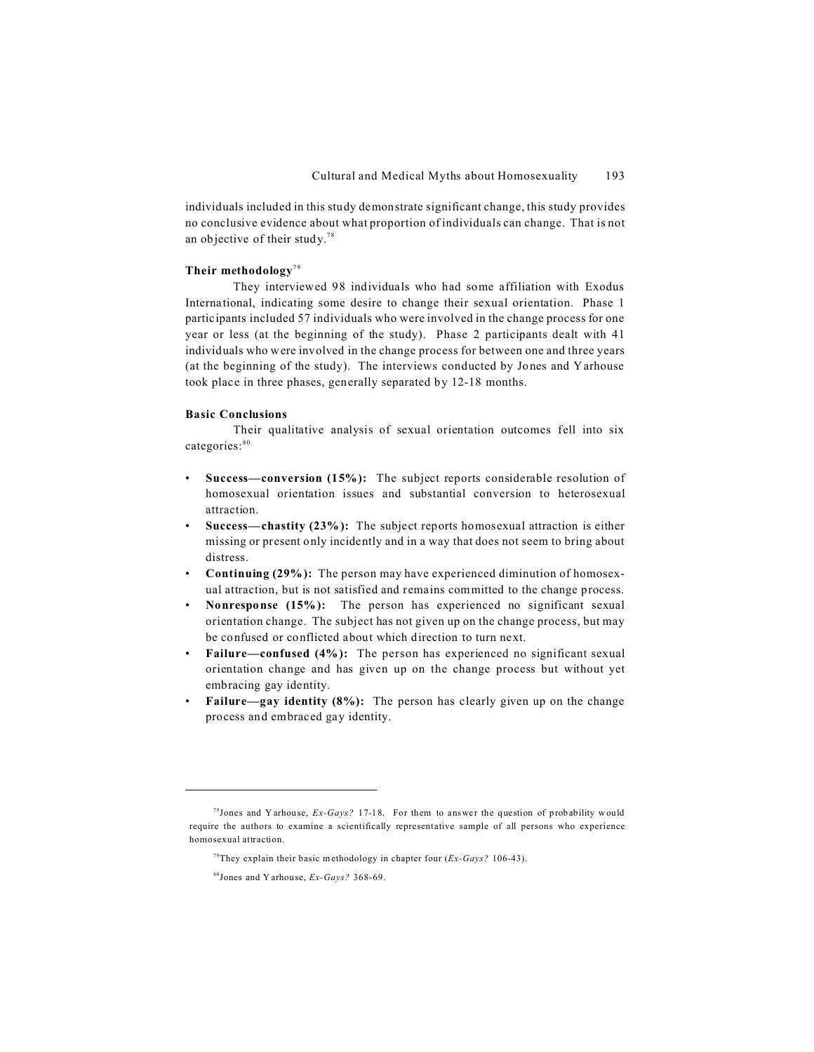individuals included in this study demonstrate significant change, this study provides no conclusive evidence about what proportion of individuals can change. That is not an objective of their study.<sup>78</sup>

# **Their methodology**<sup>79</sup>

They interviewed 98 individuals who had some affiliation with Exodus International, indicating some desire to change their sexual orientation. Phase 1 participants included 57 individuals who were involved in the change process for one year or less (at the beginning of the study). Phase 2 participants dealt with 41 individuals who were involved in the change process for between one and three years (at the beginning of the study). The interviews conducted by Jones and Yarhouse took place in three phases, generally separated by 12-18 months.

# **Basic Conclusions**

Their qualitative analysis of sexual orientation outcomes fell into six categories:<sup>80</sup>

- **Success—conversion (15%):** The subject reports considerable resolution of homosexual orientation issues and substantial conversion to heterosexual attraction.
- **Success—chastity (23%):** The subject reports homosexual attraction is either missing or present only incidently and in a way that does not seem to bring about distress.
- **Continuing (29%):** The person may have experienced diminution of homosexual attraction, but is not satisfied and remains committed to the change process.
- **Nonresponse (15%):** The person has experienced no significant sexual orientation change. The subject has not given up on the change process, but may be confused or conflicted about which direction to turn next.
- **Failure—confused (4%):** The person has experienced no significant sexual orientation change and has given up on the change process but without yet embracing gay identity.
- **Failure—gay identity (8%):** The person has clearly given up on the change process and embraced gay identity.

<sup>&</sup>lt;sup>78</sup> Jones and Y arhouse,  $Ex-Gays$ ? 17-18. For them to answer the question of probability would require the authors to examine a scientifically representative sample of all persons who experience homosexual attraction.

<sup>79</sup>They explain their basic methodology in chapter four (*Ex-Gays?* 106-43).

<sup>80</sup>Jones and Y arhouse, *Ex-Gays?* 368-69.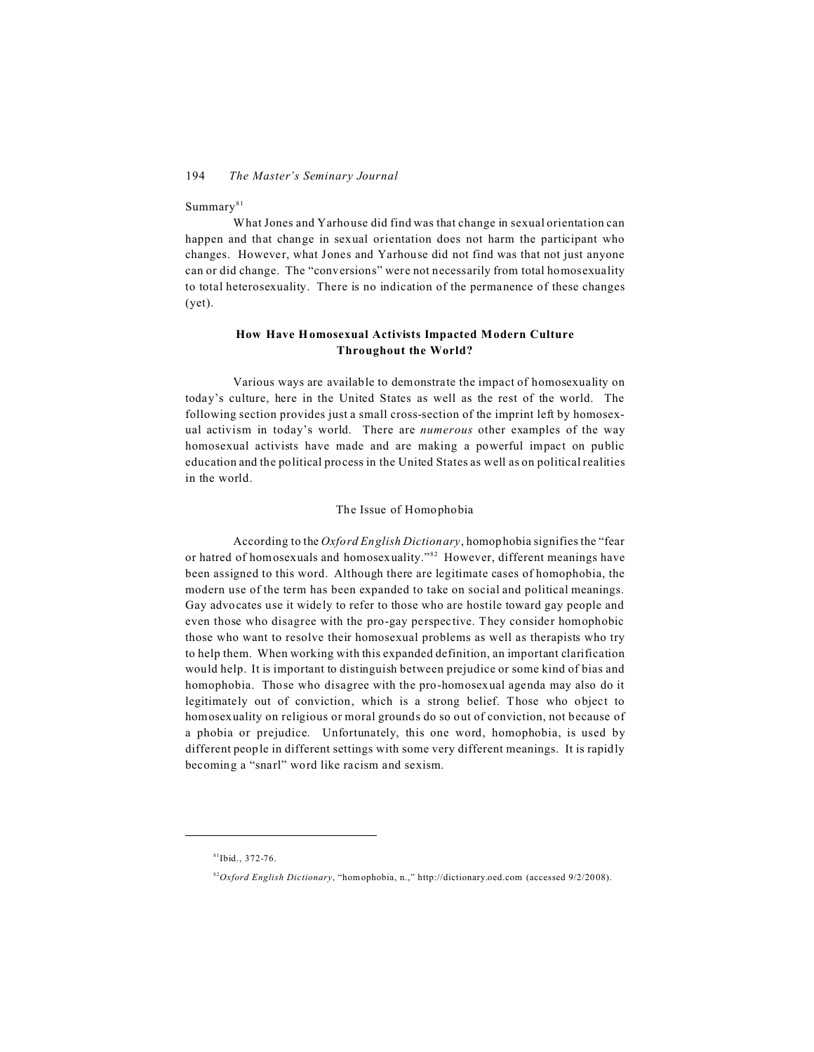# $\mathrm{Summary}^{81}$

What Jones and Yarhouse did find was that change in sexual orientation can happen and that change in sexual orientation does not harm the participant who changes. However, what Jones and Yarhouse did not find was that not just anyone can or did change. The "conversions" were not necessarily from total homosexuality to total heterosexuality. There is no indication of the permanence of these changes (yet).

# **How Have H omosexual Activists Impacted Modern Culture Throughout the World?**

Various ways are available to demonstrate the impact of homosexuality on today's culture, here in the United States as well as the rest of the world. The following section provides just a small cross-section of the imprint left by homosexual activism in today's world. There are *numerous* other examples of the way homosexual activists have made and are making a powerful impact on public education and the political process in the United States as well as on political realities in the world.

# The Issue of Homophobia

According to the *Oxford English Dictionary*, homophobia signifies the "fear or hatred of homosexuals and homosexuality."<sup>82</sup> However, different meanings have been assigned to this word. Although there are legitimate cases of homophobia, the modern use of the term has been expanded to take on social and political meanings. Gay advocates use it widely to refer to those who are hostile toward gay people and even those who disagree with the pro-gay perspective. They consider homophobic those who want to resolve their homosexual problems as well as therapists who try to help them. When working with this expanded definition, an important clarification would help. It is important to distinguish between prejudice or some kind of bias and homophobia. Those who disagree with the pro-homosexual agenda may also do it legitimately out of conviction, which is a strong belief. Those who object to homosexuality on religious or moral grounds do so out of conviction, not because of a phobia or prejudice. Unfortunately, this one word, homophobia, is used by different people in different settings with some very different meanings. It is rapidly becoming a "snarl" word like racism and sexism.

 $81$ Ibid., 372-76.

<sup>82</sup>*Oxford English Dictionary*, "hom ophobia, n.," http://dictionary.oed.com (accessed 9/2/20 08).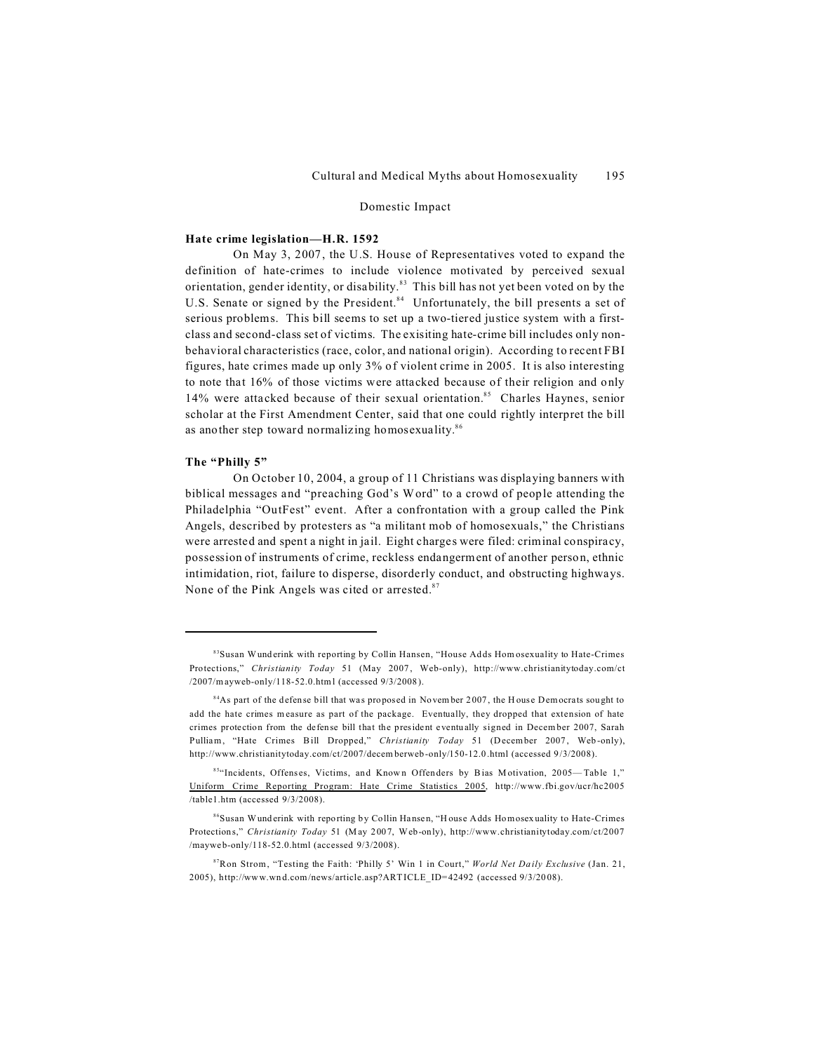# Domestic Impact

# **Hate crime legislation—H.R. 1592**

On May 3, 2007, the U.S. House of Representatives voted to expand the definition of hate-crimes to include violence motivated by perceived sexual orientation, gender identity, or disability.<sup>83</sup> This bill has not yet been voted on by the U.S. Senate or signed by the President.<sup>84</sup> Unfortunately, the bill presents a set of serious problems. This bill seems to set up a two-tiered justice system with a firstclass and second-class set of victims. The exisiting hate-crime bill includes only nonbehavioral characteristics (race, color, and national origin). According to recent FBI figures, hate crimes made up only 3% of violent crime in 2005. It is also interesting to note that 16% of those victims were attacked because of their religion and only 14% were attacked because of their sexual orientation.<sup>85</sup> Charles Haynes, senior scholar at the First Amendment Center, said that one could rightly interpret the bill as another step toward normalizing homosexuality.<sup>86</sup>

# **The "Philly 5"**

On October 10, 2004, a group of 11 Christians was displaying banners with biblical messages and "preaching God's Word" to a crowd of people attending the Philadelphia "OutFest" event. After a confrontation with a group called the Pink Angels, described by protesters as "a militant mob of homosexuals," the Christians were arrested and spent a night in jail. Eight charges were filed: criminal conspiracy, possession of instruments of crime, reckless endangerment of another person, ethnic intimidation, riot, failure to disperse, disorderly conduct, and obstructing highways. None of the Pink Angels was cited or arrested.<sup>87</sup>

<sup>&</sup>lt;sup>83</sup>Susan Wunderink with reporting by Collin Hansen, "House Adds Hom osexuality to Hate-Crimes Protections," *Christianity Today* 51 (May 2007 , Web-only), http://www.christianitytoday.com/ct /2007/mayweb-only/118-52.0.html (accessed 9/3/2008).

 $84$ As part of the defense bill that was proposed in November 2007, the H ouse Democrats sought to add the hate crimes m easure as part of the package. Eventually, they dropped that extension of hate crimes protection from the defense bill that the president eventually signed in December 2007, Sarah Pulliam, "Hate Crimes Bill Dropped," *Christianity Today* 51 (December 2007, Web-only), http://www.christianitytoday.com/ct/2007/decem berweb -only/150-12.0.html (accessed 9/3/2008).

<sup>85</sup>"Incidents, Offenses, Victims, and Known Offenders by Bias Motivation, 2005— Table 1," Uniform Crime Reporting Program: Hate Crime Statistics 2005, http://www.fbi.gov/ucr/hc2005 /table1.htm (accessed 9/3/2008).

<sup>86</sup>Susan Wunderink with reporting by Collin Hansen, "H ouse Adds Homosexuality to Hate-Crimes Protections," *Christianity Today* 51 (M ay 2007, Web-only), http://www.christianitytoday.com/ct/2007 /mayweb-only/118-52.0.html (accessed 9/3/2008).

<sup>87</sup>Ron Strom, "Testing the Faith: 'Philly 5' Win 1 in Court," *World Net Da ily Exclusive* (Jan. 21, 2005), http://www.wn d.com /news/article.asp?ART ICLE\_ID=42492 (accessed 9/3/20 08).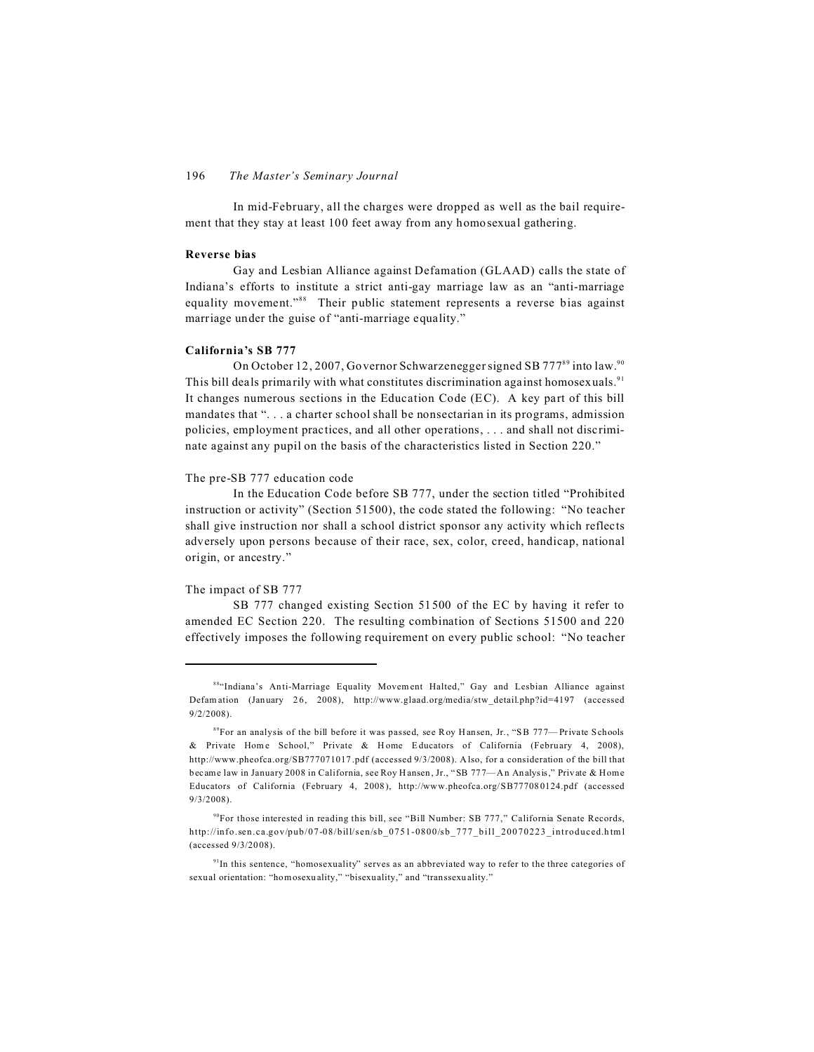In mid-February, all the charges were dropped as well as the bail requirement that they stay at least 100 feet away from any homosexual gathering.

## **Reverse bias**

Gay and Lesbian Alliance against Defamation (GLAAD) calls the state of Indiana's efforts to institute a strict anti-gay marriage law as an "anti-marriage equality movement."<sup>88</sup> Their public statement represents a reverse bias against marriage under the guise of "anti-marriage equality."

#### **California's SB 777**

On October 12, 2007, Governor Schwarzenegger signed SB 777<sup>89</sup> into law.<sup>90</sup> This bill deals primarily with what constitutes discrimination against homosexuals.<sup>91</sup> It changes numerous sections in the Education Code (EC). A key part of this bill mandates that ". . . a charter school shall be nonsectarian in its programs, admission policies, employment practices, and all other operations, . . . and shall not discriminate against any pupil on the basis of the characteristics listed in Section 220."

# The pre-SB 777 education code

In the Education Code before SB 777, under the section titled "Prohibited instruction or activity" (Section 51500), the code stated the following: "No teacher shall give instruction nor shall a school district sponsor any activity which reflects adversely upon persons because of their race, sex, color, creed, handicap, national origin, or ancestry."

#### The impact of SB 777

SB 777 changed existing Section 51500 of the EC by having it refer to amended EC Section 220. The resulting combination of Sections 51500 and 220 effectively imposes the following requirement on every public school: "No teacher

<sup>88&</sup>quot;Indiana's Anti-Marriage Equality Movement Halted," Gay and Lesbian Alliance against Defamation (January 26, 2008), http://www.glaad.org/media/stw\_detail.php?id=4197 (accessed 9/2/2008).

<sup>&</sup>lt;sup>89</sup>For an analysis of the bill before it was passed, see Roy Hansen, Jr., "SB 777— Private Schools & Private Home School," Private & Home Educators of California (February 4, 2008), http://www.pheofca.org/SB777071017 .pdf (accessed 9/3/2008). Also, for a consideration of the bill that became law in January 2008 in California, see Roy Hansen, Jr., "SB 777—An Analysis," Private & Home Educators of California (February 4, 2008), http://www.pheofca.org/SB777080124.pdf (accessed 9/3/2008).

 $90$ For those interested in reading this bill, see "Bill Number: SB 777," California Senate Records, http://info.sen.ca.gov/pub/07-08/bill/sen/sb\_0751-0800/sb\_777\_bill\_20070223\_introduced.html (accessed 9/3/2008).

 $91$ In this sentence, "homosexuality" serves as an abbreviated way to refer to the three categories of sexual orientation: "homosexuality," "bisexuality," and "transsexuality."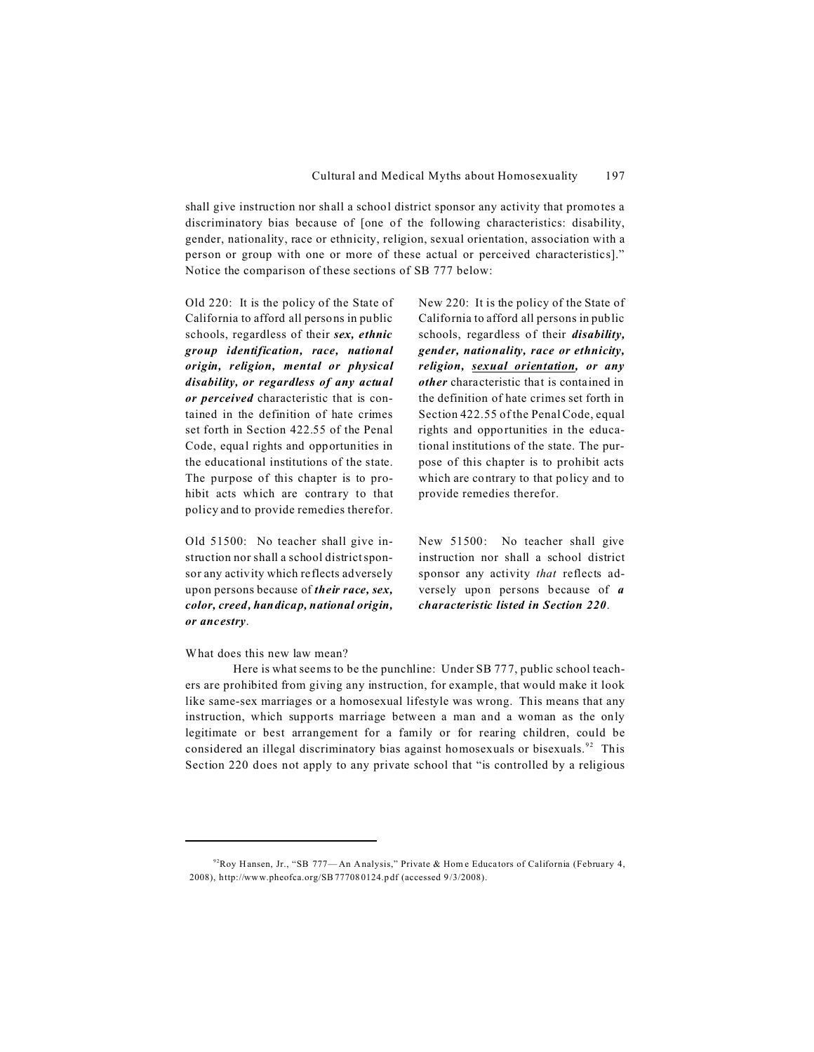shall give instruction nor shall a school district sponsor any activity that promotes a discriminatory bias because of [one of the following characteristics: disability, gender, nationality, race or ethnicity, religion, sexual orientation, association with a person or group with one or more of these actual or perceived characteristics]." Notice the comparison of these sections of SB 777 below:

Old 220: It is the policy of the State of California to afford all persons in public schools, regardless of their *sex, ethnic group identification, race, national origin, religion, mental or physical disability, or regardless of any actual or perceived* characteristic that is contained in the definition of hate crimes set forth in Section 422.55 of the Penal Code, equal rights and opportunities in the educational institutions of the state. The purpose of this chapter is to prohibit acts which are contrary to that policy and to provide remedies therefor.

Old 51500: No teacher shall give instruction nor shall a school district sponsor any activity which reflects adversely upon persons because of *their race, sex, color, creed, handicap, national origin, or ancestry*.

New 220: It is the policy of the State of California to afford all persons in public schools, regardless of their *disability, gender, nationality, race or ethnicity, religion, sexual orientation, or any other* characteristic that is contained in the definition of hate crimes set forth in Section 422.55 of the Penal Code, equal rights and opportunities in the educational institutions of the state. The purpose of this chapter is to prohibit acts which are contrary to that policy and to provide remedies therefor.

New 51500: No teacher shall give instruction nor shall a school district sponsor any activity *that* reflects adversely upon persons because of *a characteristic listed in Section 220*.

## What does this new law mean?

Here is what seems to be the punchline: Under SB 777, public school teachers are prohibited from giving any instruction, for example, that would make it look like same-sex marriages or a homosexual lifestyle was wrong. This means that any instruction, which supports marriage between a man and a woman as the only legitimate or best arrangement for a family or for rearing children, could be considered an illegal discriminatory bias against homosexuals or bisexuals.<sup>92</sup> This Section 220 does not apply to any private school that "is controlled by a religious

 $92Roy$  Hansen, Jr., "SB 777—An Analysis," Private & Home Educators of California (February 4, 2008), http://www.pheofca.org/SB 77708 0124.p df (accessed 9 /3/2008).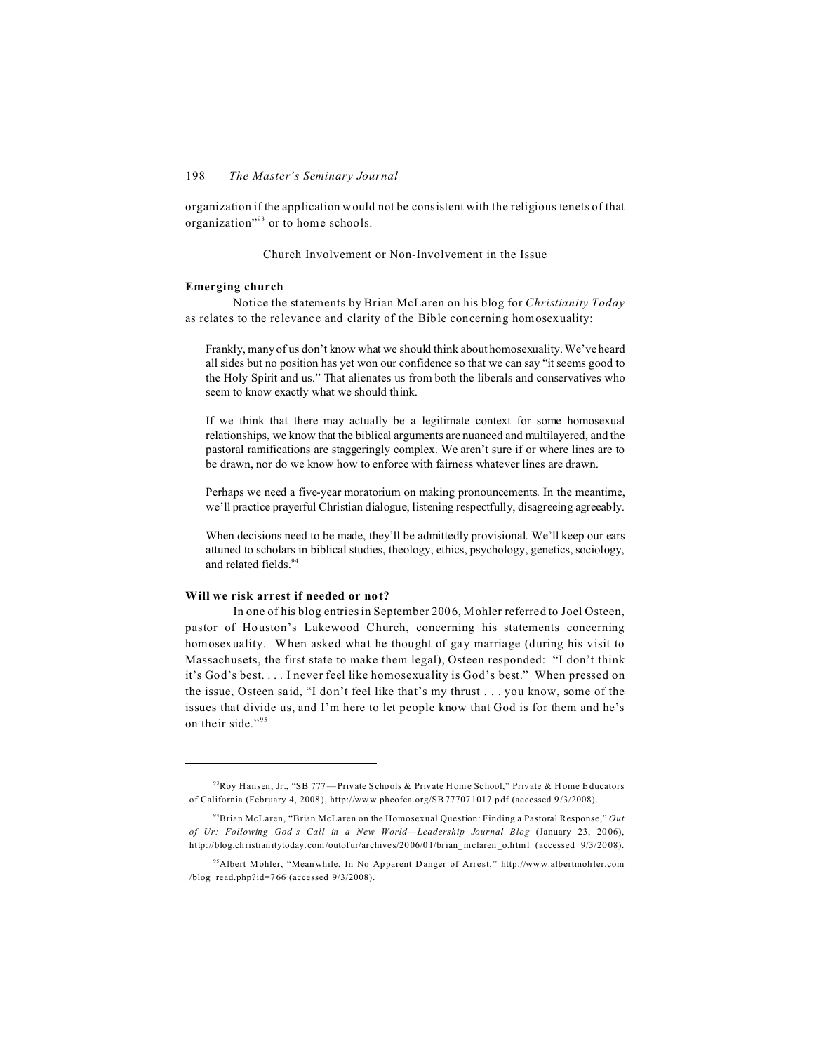organization if the application would not be consistent with the religious tenets of that organization"<sup>93</sup> or to home schools.

# Church Involvement or Non-Involvement in the Issue

# **Emerging church**

Notice the statements by Brian McLaren on his blog for *Christianity Today* as relates to the relevance and clarity of the Bible concerning homosexuality:

Frankly, many of us don't know what we should think about homosexuality. We've heard all sides but no position has yet won our confidence so that we can say "it seems good to the Holy Spirit and us." That alienates us from both the liberals and conservatives who seem to know exactly what we should think.

If we think that there may actually be a legitimate context for some homosexual relationships, we know that the biblical arguments are nuanced and multilayered, and the pastoral ramifications are staggeringly complex. We aren't sure if or where lines are to be drawn, nor do we know how to enforce with fairness whatever lines are drawn.

Perhaps we need a five-year moratorium on making pronouncements. In the meantime, we'll practice prayerful Christian dialogue, listening respectfully, disagreeing agreeably.

When decisions need to be made, they'll be admittedly provisional. We'll keep our ears attuned to scholars in biblical studies, theology, ethics, psychology, genetics, sociology, and related fields.<sup>94</sup>

## **Will we risk arrest if needed or not?**

In one of his blog entries in September 2006, Mohler referred to Joel Osteen, pastor of Houston's Lakewood Church, concerning his statements concerning homosexuality. When asked what he thought of gay marriage (during his visit to Massachusets, the first state to make them legal), Osteen responded: "I don't think it's God's best. . . . I never feel like homosexuality is God's best." When pressed on the issue, Osteen said, "I don't feel like that's my thrust . . . you know, some of the issues that divide us, and I'm here to let people know that God is for them and he's on their side."<sup>95</sup>

<sup>&</sup>lt;sup>93</sup>Roy Hansen, Jr., "SB 777—Private Schools & Private Home School," Private & Home Educators of California (February 4, 2008 ), http://www.pheofca.org/SB 77707 1017.p df (accessed 9 /3/2008).

<sup>94</sup>Brian McLaren, "Brian McLaren on the Homosexual Question: Finding a Pastoral Response," *Out of Ur: Following God's Call in a New World— Leadership Journal Blog* (January 23, 2006), http://blog.christianitytoday.com/outofur/archives/2006/01/brian\_mclaren\_o.html (accessed 9/3/2008).

<sup>95</sup>Albert Mohler, "Meanwhile, In No Apparent Danger of Arrest," http://www.albertmoh ler.com /blog\_read.php?id=766 (accessed 9/3/2008).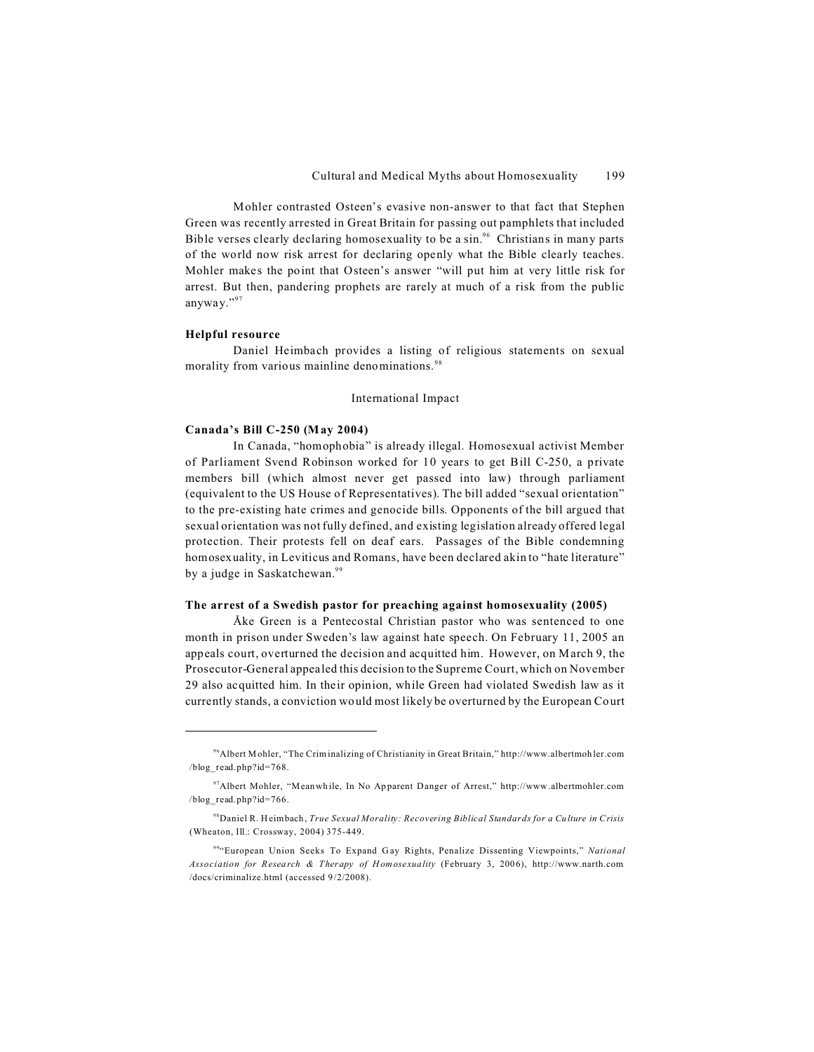Mohler contrasted Osteen's evasive non-answer to that fact that Stephen Green was recently arrested in Great Britain for passing out pamphlets that included Bible verses clearly declaring homosexuality to be a sin.<sup>96</sup> Christians in many parts of the world now risk arrest for declaring openly what the Bible clearly teaches. Mohler makes the point that Osteen's answer "will put him at very little risk for arrest. But then, pandering prophets are rarely at much of a risk from the public anyway."<sup>97</sup>

## **Helpful resource**

Daniel Heimbach provides a listing of religious statements on sexual morality from various mainline denominations.<sup>98</sup>

#### International Impact

## **Canada's Bill C-250 (May 2004)**

In Canada, "homophobia" is already illegal. Homosexual activist Member of Parliament Svend Robinson worked for 10 years to get Bill C-250, a private members bill (which almost never get passed into law) through parliament (equivalent to the US House of Representatives). The bill added "sexual orientation" to the pre-existing hate crimes and genocide bills. Opponents of the bill argued that sexual orientation was not fully defined, and existing legislation already offered legal protection. Their protests fell on deaf ears. Passages of the Bible condemning homosexuality, in Leviticus and Romans, have been declared akin to "hate literature" by a judge in Saskatchewan.<sup>99</sup>

# **The arrest of a Swedish pastor for preaching against homosexuality (2005)**

Åke Green is a Pentecostal Christian pastor who was sentenced to one month in prison under Sweden's law against hate speech. On February 11, 2005 an appeals court, overturned the decision and acquitted him. However, on March 9, the Prosecutor-General appealed this decision to the Supreme Court, which on November 29 also acquitted him. In their opinion, while Green had violated Swedish law as it currently stands, a conviction would most likely be overturned by the European Court

<sup>96</sup>Albert M ohler, "The Crim inalizing of Christianity in Great Britain," http://www.albertmoh ler.com /blog\_read.php?id=768.

<sup>97</sup>Albert Mohler, "Meanwhile, In No Apparent Danger of Arrest," http://www.albertmohler.com /blog\_read.php?id=766.

<sup>98</sup>Daniel R. Heimbach, *True Sexual Morality: Recovering Biblical Standards for a Culture in Crisis* (Wheaton, Ill.: Crossway, 2004) 375-449.

<sup>99</sup>"European Union Seeks To Expand G ay Rights, Penalize Dissenting Viewpoints," *National Association for Research & Therapy of Homosexuality* (February 3, 2006), http://www.narth.com /docs/criminalize.html (accessed 9/2/2008).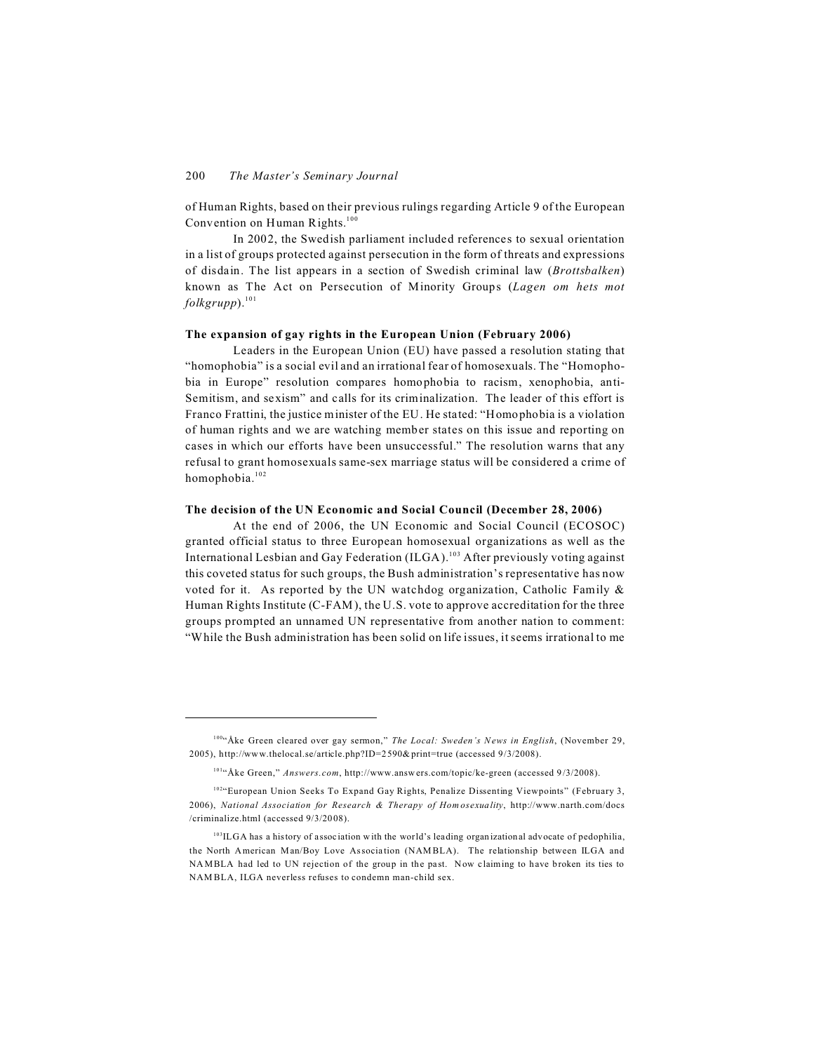of Human Rights, based on their previous rulings regarding Article 9 of the European Convention on Human Rights.<sup>100</sup>

In 2002, the Swedish parliament included references to sexual orientation in a list of groups protected against persecution in the form of threats and expressions of disdain. The list appears in a section of Swedish criminal law (*Brottsbalken*) known as The Act on Persecution of Minority Groups (*Lagen om hets mot folkgrupp*).<sup>101</sup>

# **The expansion of gay rights in the European Union (February 2006)**

Leaders in the European Union (EU) have passed a resolution stating that "homophobia" is a social evil and an irrational fear of homosexuals. The "Homophobia in Europe" resolution compares homophobia to racism, xenophobia, anti-Semitism, and sexism" and calls for its criminalization. The leader of this effort is Franco Frattini, the justice minister of the EU. He stated: "Homophobia is a violation of human rights and we are watching member states on this issue and reporting on cases in which our efforts have been unsuccessful." The resolution warns that any refusal to grant homosexuals same-sex marriage status will be considered a crime of homophobia.<sup>102</sup>

# **The decision of the UN Economic and Social Council (December 28, 2006)**

At the end of 2006, the UN Economic and Social Council (ECOSOC) granted official status to three European homosexual organizations as well as the International Lesbian and Gay Federation (ILGA).<sup>103</sup> After previously voting against this coveted status for such groups, the Bush administration's representative has now voted for it. As reported by the UN watchdog organization, Catholic Family & Human Rights Institute (C-FAM ), the U.S. vote to approve accreditation for the three groups prompted an unnamed UN representative from another nation to comment: "While the Bush administration has been solid on life issues, it seems irrational to me

<sup>100</sup>"Åke Green cleared over gay sermon," *The Local: Sweden's News in English*, (November 29, 2005), http://www.thelocal.se/article.php?ID=2590& print=true (accessed 9/3/2008).

<sup>101</sup>"Åke Green," *Answers.com*, http://www.answers.com/topic/ke-green (accessed 9/3/2008).

<sup>102&</sup>quot;European Union Seeks To Expand Gay Rights, Penalize Dissenting Viewpoints" (February 3, 2006), *National Association for Research & Therapy of Homosexuality*, http://www.narth.com/docs /criminalize.html (accessed 9/3/2008).

<sup>&</sup>lt;sup>103</sup>ILGA has a history of association with the world's leading organizational advocate of pedophilia, the North American Man/Boy Love Association (NAM BLA). The relationship between ILGA and NAMBLA had led to UN rejection of the group in the past. Now claiming to have broken its ties to NAM BLA, ILGA neverless refuses to condemn man-child sex.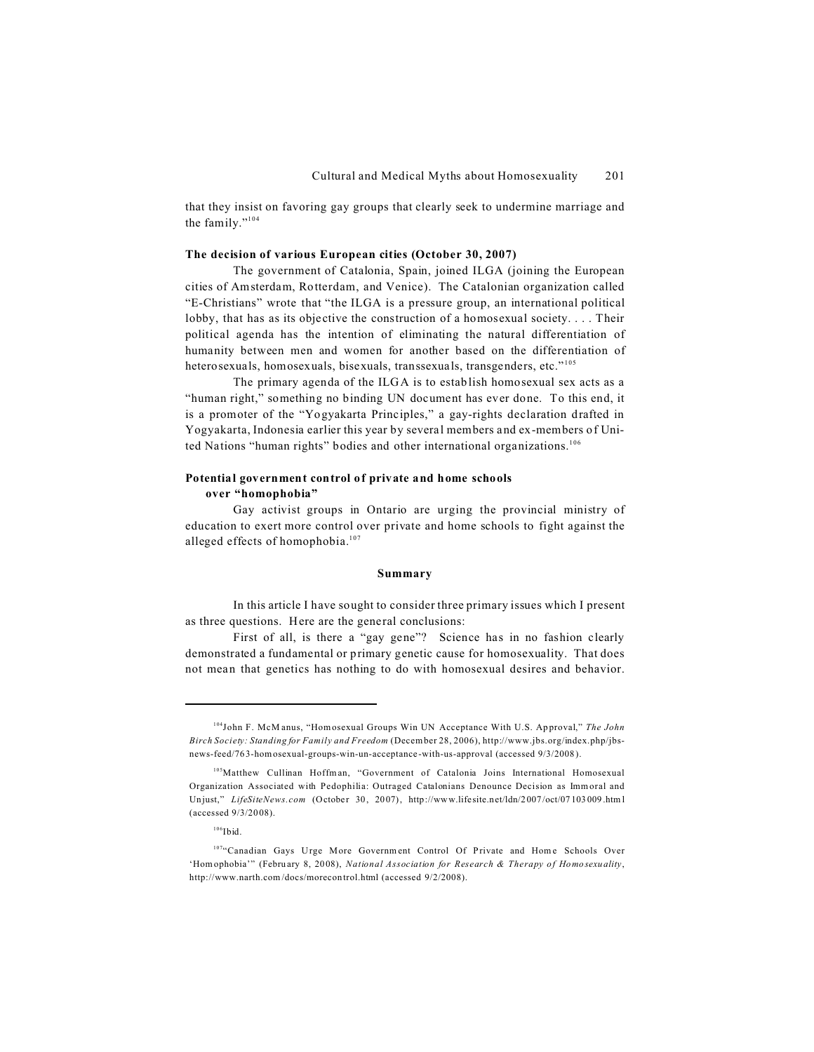that they insist on favoring gay groups that clearly seek to undermine marriage and the family."<sup>104</sup>

#### **The decision of various European cities (October 30, 2007)**

The government of Catalonia, Spain, joined ILGA (joining the European cities of Amsterdam, Rotterdam, and Venice). The Catalonian organization called "E-Christians" wrote that "the ILGA is a pressure group, an international political lobby, that has as its objective the construction of a homosexual society. . . . Their political agenda has the intention of eliminating the natural differentiation of humanity between men and women for another based on the differentiation of heterosexuals, homosexuals, bisexuals, transsexuals, transgenders, etc."<sup>105</sup>

The primary agenda of the ILGA is to establish homosexual sex acts as a "human right," something no binding UN document has ever done. To this end, it is a promoter of the "Yogyakarta Principles," a gay-rights declaration drafted in Yogyakarta, Indonesia earlier this year by several members and ex-members of United Nations "human rights" bodies and other international organizations.<sup>106</sup>

# **Potential government control of private and home schools over "homophobia"**

Gay activist groups in Ontario are urging the provincial ministry of education to exert more control over private and home schools to fight against the alleged effects of homophobia.<sup>107</sup>

#### **Summary**

In this article I have sought to consider three primary issues which I present as three questions. Here are the general conclusions:

First of all, is there a "gay gene"? Science has in no fashion clearly demonstrated a fundamental or primary genetic cause for homosexuality. That does not mean that genetics has nothing to do with homosexual desires and behavior.

<sup>&</sup>lt;sup>104</sup>John F. McM anus, "Hom osexual Groups Win UN Acceptance With U.S. Approval," *The John Birch Society: Standing for Family and Freedom* (Decem ber 28, 2006), http://www.jbs.org/index.php/jbsnews-feed/763-homosexual-groups-win-un-acceptance-with-us-approval (accessed 9/3/2008).

<sup>&</sup>lt;sup>105</sup>Matthew Cullinan Hoffman, "Government of Catalonia Joins International Homosexual Organization Associated with Pedophilia: Outraged Catalonians Denounce Decision as Imm oral and Unjust," *LifeSiteNews.com* (October 30, 2007), http://www.lifesite.net/ldn/2007/oct/07103009.htm l (accessed 9/3/2008).

 $106$ Ibid.

<sup>107&</sup>quot;Canadian Gays Urge More Government Control Of Private and Home Schools Over 'Homophobia'" (February 8, 2008), *National Association for Research & Therapy of Homosexuality*, http://www.narth.com /docs/morecon trol.html (accessed 9/2/2008).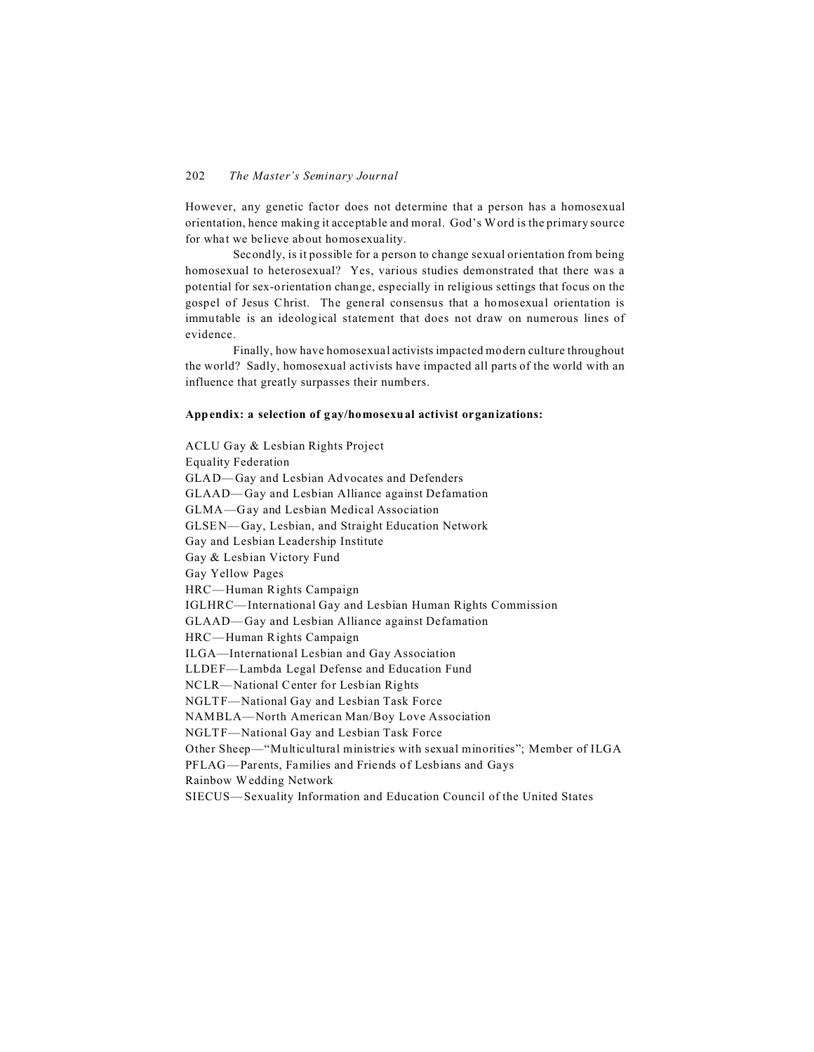However, any genetic factor does not determine that a person has a homosexual orientation, hence making it acceptable and moral. God's Word is the primary source for what we believe about homosexuality.

Secondly, is it possible for a person to change sexual orientation from being homosexual to heterosexual? Yes, various studies demonstrated that there was a potential for sex-orientation change, especially in religious settings that focus on the gospel of Jesus Christ. The general consensus that a homosexual orientation is immutable is an ideological statement that does not draw on numerous lines of evidence.

Finally, how have homosexual activists impacted modern culture throughout the world? Sadly, homosexual activists have impacted all parts of the world with an influence that greatly surpasses their numbers.

# **Appendix: a selection of gay/homosexual activist organizations:**

ACLU G ay & Lesbian Rights Project Equality Federation GLAD—Gay and Lesbian Advocates and Defenders GLAAD— Gay and Lesbian Alliance against Defamation GLMA—Gay and Lesbian Medical Association GLSEN— Gay, Lesbian, and Straight Education Network Gay and Lesbian Leadership Institute Gay & Lesbian Victory Fund Gay Yellow Pages HRC—Human Rights Campaign IGLHRC— International Gay and Lesbian Human Rights Commission GLAAD— Gay and Lesbian Alliance against Defamation HRC—Human Rights Campaign ILGA—International Lesbian and Gay Association LLDEF—Lambda Legal Defense and Education Fund NCLR— National Center for Lesbian Rights NGLTF-National Gay and Lesbian Task Force NAMBLA— North American Man/Boy Love Association NGLTF-National Gay and Lesbian Task Force Other Sheep—"Multicultural ministries with sexual minorities"; Member of ILGA PFLAG—Parents, Families and Friends of Lesbians and Gays Rainbow Wedding Network SIECUS— Sexuality Information and Education Council of the United States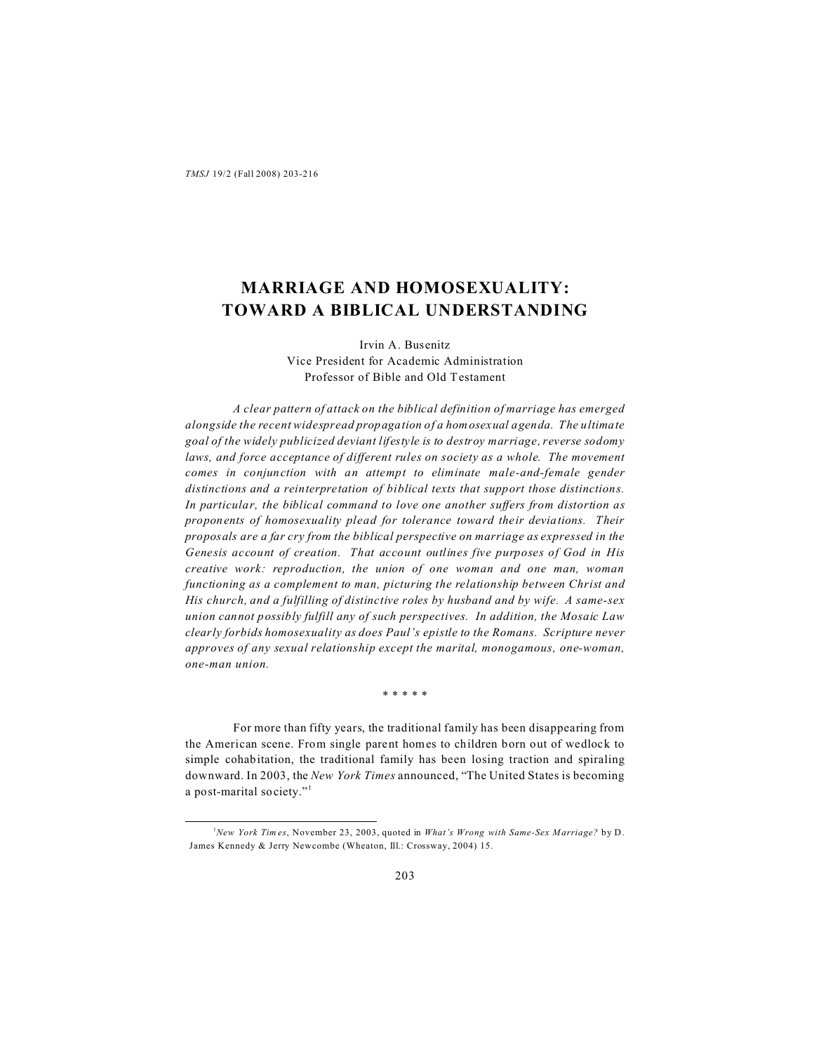# **MARRIAGE AND HOMOSEXUALITY: TOWARD A BIBLICAL UNDERSTANDING**

Irvin A. Busenitz Vice President for Academic Administration Professor of Bible and Old Testament

*A clear pattern of attack on the biblical definition of marriage has emerged alongside the recent widespread propagation of a homosexual agenda. The ultimate goal of the widely publicized deviant lifestyle is to destroy marriage, reverse sodomy laws, and force acceptance of different rules on society as a whole. The movement comes in conjunction with an attempt to eliminate male-and-female gender distinctions and a reinterpretation of biblical texts that support those distinctions. In particular, the biblical command to love one another suffers from distortion as proponents of homosexuality plead for tolerance toward their deviations. Their proposals are a far cry from the biblical perspective on marriage as expressed in the Genesis account of creation. That account outlines five purposes of God in His creative work: reproduction, the union of one woman and one man, woman functioning as a complement to man, picturing the relationship between Christ and His church, and a fulfilling of distinctive roles by husband and by wife. A same-sex union cannot possibly fulfill any of such perspectives. In addition, the Mosaic Law clearly forbids homosexuality as does Paul's epistle to the Romans. Scripture never approves of any sexual relationship except the marital, monogamous, one-woman, one-man union.*

\* \* \* \* \*

For more than fifty years, the traditional family has been disappearing from the American scene. From single parent homes to children born out of wedlock to simple cohabitation, the traditional family has been losing traction and spiraling downward. In 2003, the *New York Times* announced, "The United States is becoming a post-marital society."1

<sup>1</sup>*New York Tim es*, November 23, 2003, quoted in *What's Wrong with Same-Sex Marriage?* by D. James Kennedy & Jerry Newcombe (Wheaton, Ill.: Crossway, 2004) 15.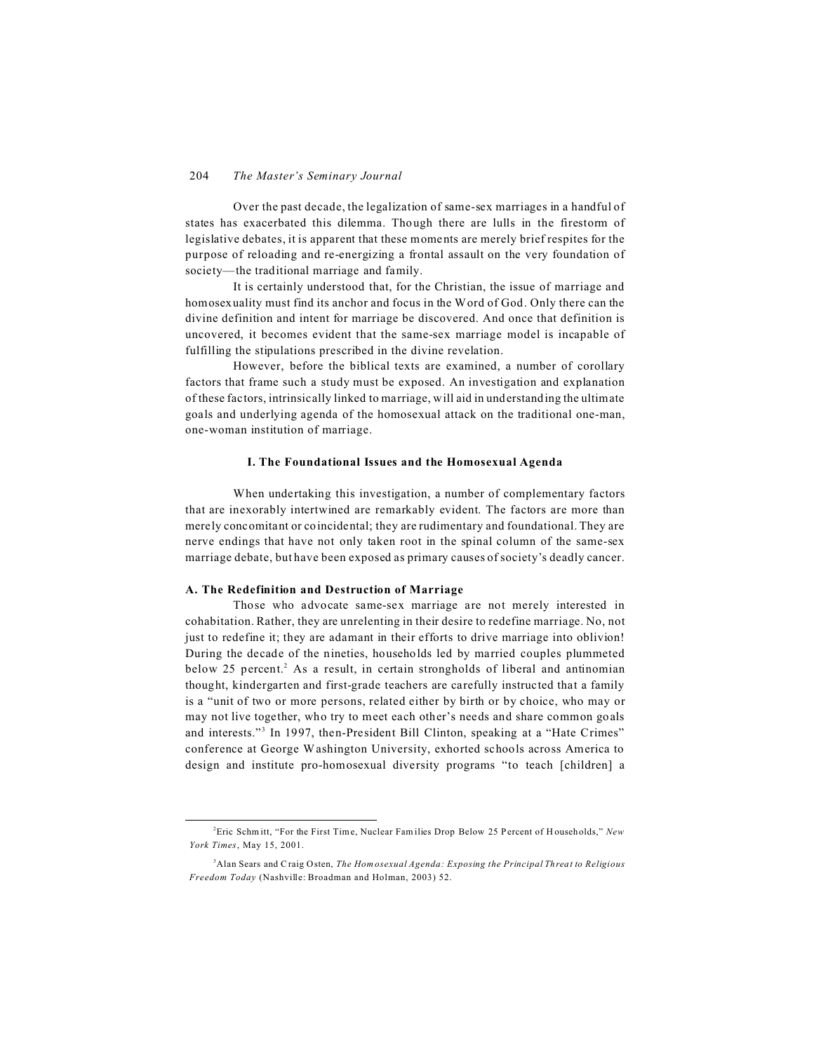Over the past decade, the legalization of same-sex marriages in a handful of states has exacerbated this dilemma. Though there are lulls in the firestorm of legislative debates, it is apparent that these moments are merely brief respites for the purpose of reloading and re-energizing a frontal assault on the very foundation of society—the traditional marriage and family.

It is certainly understood that, for the Christian, the issue of marriage and homosexuality must find its anchor and focus in the Word of God. Only there can the divine definition and intent for marriage be discovered. And once that definition is uncovered, it becomes evident that the same-sex marriage model is incapable of fulfilling the stipulations prescribed in the divine revelation.

However, before the biblical texts are examined, a number of corollary factors that frame such a study must be exposed. An investigation and explanation of these factors, intrinsically linked to marriage, will aid in understanding the ultimate goals and underlying agenda of the homosexual attack on the traditional one-man, one-woman institution of marriage.

# **I. The Foundational Issues and the Homosexual Agenda**

When undertaking this investigation, a number of complementary factors that are inexorably intertwined are remarkably evident. The factors are more than merely concomitant or coincidental; they are rudimentary and foundational. They are nerve endings that have not only taken root in the spinal column of the same-sex marriage debate, but have been exposed as primary causes of society's deadly cancer.

# **A. The Redefinition and Destruction of Marriage**

Those who advocate same-sex marriage are not merely interested in cohabitation. Rather, they are unrelenting in their desire to redefine marriage. No, not just to redefine it; they are adamant in their efforts to drive marriage into oblivion! During the decade of the nineties, households led by married couples plummeted below 25 percent.<sup>2</sup> As a result, in certain strongholds of liberal and antinomian thought, kindergarten and first-grade teachers are carefully instructed that a family is a "unit of two or more persons, related either by birth or by choice, who may or may not live together, who try to meet each other's needs and share common goals and interests."<sup>3</sup> In 1997, then-President Bill Clinton, speaking at a "Hate Crimes" conference at George Washington University, exhorted schools across America to design and institute pro-homosexual diversity programs "to teach [children] a

<sup>2</sup>Eric Schm itt, "For the First Time, Nuclear Fam ilies Drop Below 25 Percent of H ouseholds," *New York Times*, May 15, 2001.

<sup>3</sup>Alan Sears and Craig Osten, *The Hom osexual Agenda: Exposing the Principal Threat to Religious Freedom Today* (Nashville: Broadman and Holman, 2003) 52.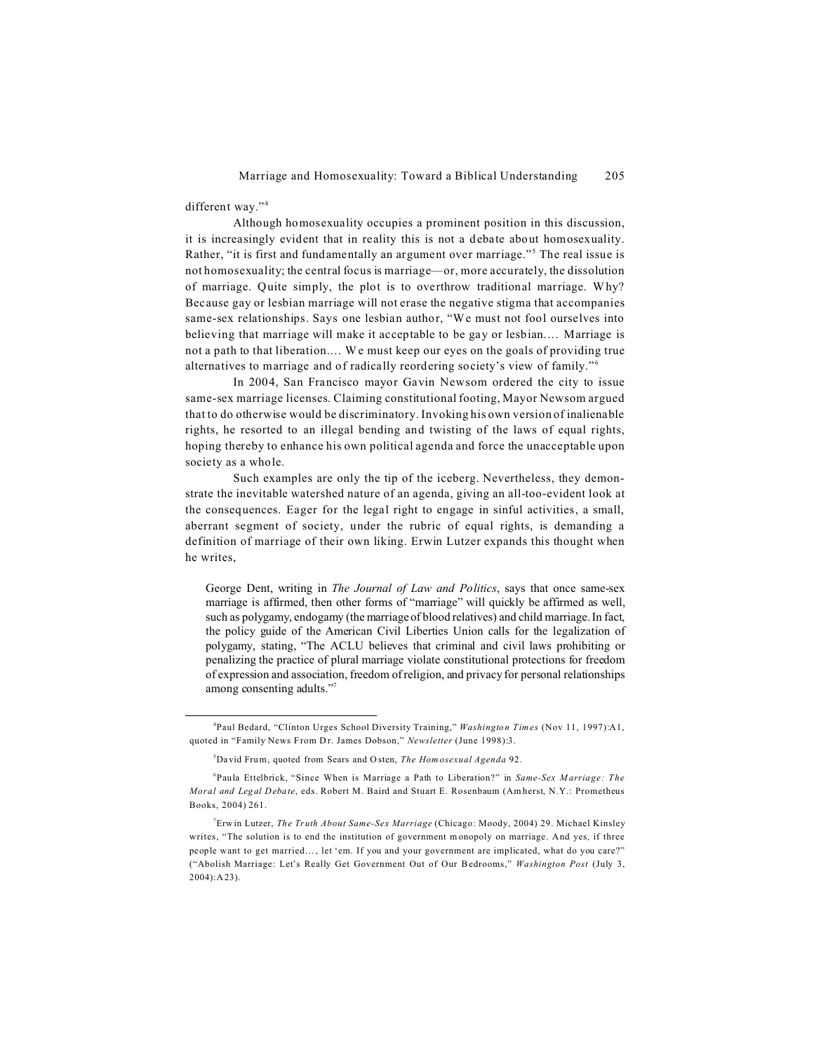different way."<sup>4</sup>

Although homosexuality occupies a prominent position in this discussion, it is increasingly evident that in reality this is not a debate about homosexuality. Rather, "it is first and fundamentally an argument over marriage."<sup>5</sup> The real issue is not homosexuality; the central focus is marriage—or, more accurately, the dissolution of marriage. Quite simply, the plot is to overthrow traditional marriage. Why? Because gay or lesbian marriage will not erase the negative stigma that accompanies same-sex relationships. Says one lesbian author, "We must not fool ourselves into believing that marriage will make it acceptable to be gay or lesbian.… Marriage is not a path to that liberation.… W e must keep our eyes on the goals of providing true alternatives to marriage and of radically reordering society's view of family."<sup>6</sup>

In 2004, San Francisco mayor Gavin Newsom ordered the city to issue same-sex marriage licenses. Claiming constitutional footing, Mayor Newsom argued that to do otherwise would be discriminatory. Invoking his own version of inalienable rights, he resorted to an illegal bending and twisting of the laws of equal rights, hoping thereby to enhance his own political agenda and force the unacceptable upon society as a whole.

Such examples are only the tip of the iceberg. Nevertheless, they demonstrate the inevitable watershed nature of an agenda, giving an all-too-evident look at the consequences. Eager for the legal right to engage in sinful activities, a small, aberrant segment of society, under the rubric of equal rights, is demanding a definition of marriage of their own liking. Erwin Lutzer expands this thought when he writes,

George Dent, writing in *The Journal of Law and Politics*, says that once same-sex marriage is affirmed, then other forms of "marriage" will quickly be affirmed as well, such as polygamy, endogamy (the marriage of blood relatives) and child marriage. In fact, the policy guide of the American Civil Liberties Union calls for the legalization of polygamy, stating, "The ACLU believes that criminal and civil laws prohibiting or penalizing the practice of plural marriage violate constitutional protections for freedom of expression and association, freedom of religion, and privacy for personal relationships among consenting adults."7

<sup>4</sup> Paul Bedard, "Clinton Urges School Diversity Training," *Washington Times* (Nov 11, 1997):A1, quoted in "Family News From Dr. James Dobson," *Newsletter* (June 1998):3.

<sup>5</sup>David Frum, quoted from Sears and O sten, *The Hom osexual Agenda* 92.

<sup>6</sup> Paula Ettelbrick, "Since When is Marriage a Path to Liberation?" in *Same-Sex Marriage: The Moral and Legal Debate*, eds. Robert M. Baird and Stuart E. Rosenbaum (Am herst, N.Y.: Prometheus Books, 2004) 261.

<sup>7</sup>Erwin Lutzer, *The Truth About Same-Sex Marriage* (Chicago: Moody, 2004) 29. Michael Kinsley writes, "The solution is to end the institution of government monopoly on marriage. And yes, if three people want to get married… , let 'em. If you and your government are implicated, what do you care?" ("Abolish Marriage: Let's Really Get Government Out of Our B edrooms," *Washington Post* (July 3, 2004):A23).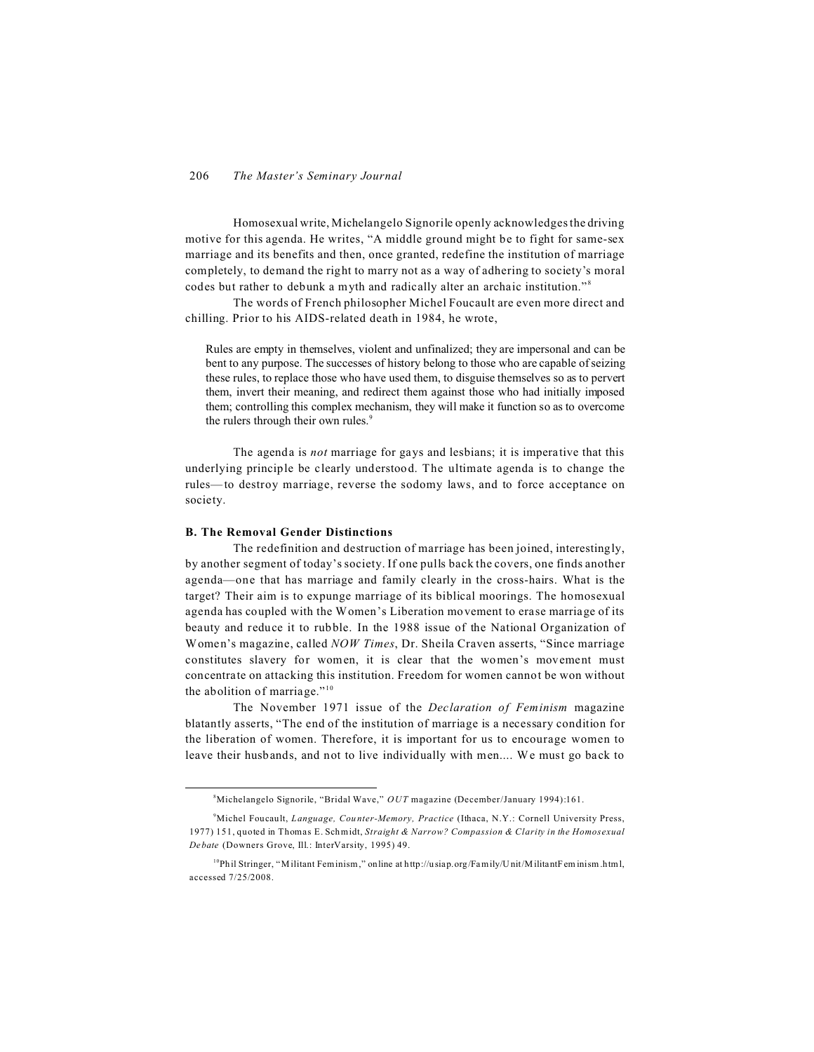Homosexual write, Michelangelo Signorile openly acknowledges the driving motive for this agenda. He writes, "A middle ground might be to fight for same-sex marriage and its benefits and then, once granted, redefine the institution of marriage completely, to demand the right to marry not as a way of adhering to society's moral codes but rather to debunk a myth and radically alter an archaic institution."<sup>8</sup>

The words of French philosopher Michel Foucault are even more direct and chilling. Prior to his AIDS-related death in 1984, he wrote,

Rules are empty in themselves, violent and unfinalized; they are impersonal and can be bent to any purpose. The successes of history belong to those who are capable of seizing these rules, to replace those who have used them, to disguise themselves so as to pervert them, invert their meaning, and redirect them against those who had initially imposed them; controlling this complex mechanism, they will make it function so as to overcome the rulers through their own rules.<sup>9</sup>

The agenda is *not* marriage for gays and lesbians; it is imperative that this underlying principle be clearly understood. The ultimate agenda is to change the rules—to destroy marriage, reverse the sodomy laws, and to force acceptance on society.

#### **B. The Removal Gender Distinctions**

The redefinition and destruction of marriage has been joined, interestingly, by another segment of today's society. If one pulls back the covers, one finds another agenda—one that has marriage and family clearly in the cross-hairs. What is the target? Their aim is to expunge marriage of its biblical moorings. The homosexual agenda has coupled with the Women's Liberation movement to erase marriage of its beauty and reduce it to rubble. In the 1988 issue of the National Organization of Women's magazine, called *NOW Times*, Dr. Sheila Craven asserts, "Since marriage constitutes slavery for women, it is clear that the women's movement must concentrate on attacking this institution. Freedom for women cannot be won without the abolition of marriage." $10$ 

The November 1971 issue of the *Declaration of Feminism* magazine blatantly asserts, "The end of the institution of marriage is a necessary condition for the liberation of women. Therefore, it is important for us to encourage women to leave their husbands, and not to live individually with men.... We must go back to

<sup>8</sup>Michelangelo Signorile, "Bridal Wave," *OUT* magazine (December/January 1994):161.

<sup>&</sup>lt;sup>9</sup>Michel Foucault, *Language, Counter-Memory, Practice* (Ithaca, N.Y.: Cornell University Press, 1977) 151, quoted in Thomas E. Schmidt, *Straight & Narrow? Compassion & Clarity in the Homosexual Debate* (Downers Grove, Ill.: InterVarsity, 1995) 49.

<sup>10</sup>Phil Stringer, "Militant Feminism," online at http://usiap.org/Family/U nit/M ilitantFem inism .html, accessed 7/25/2008.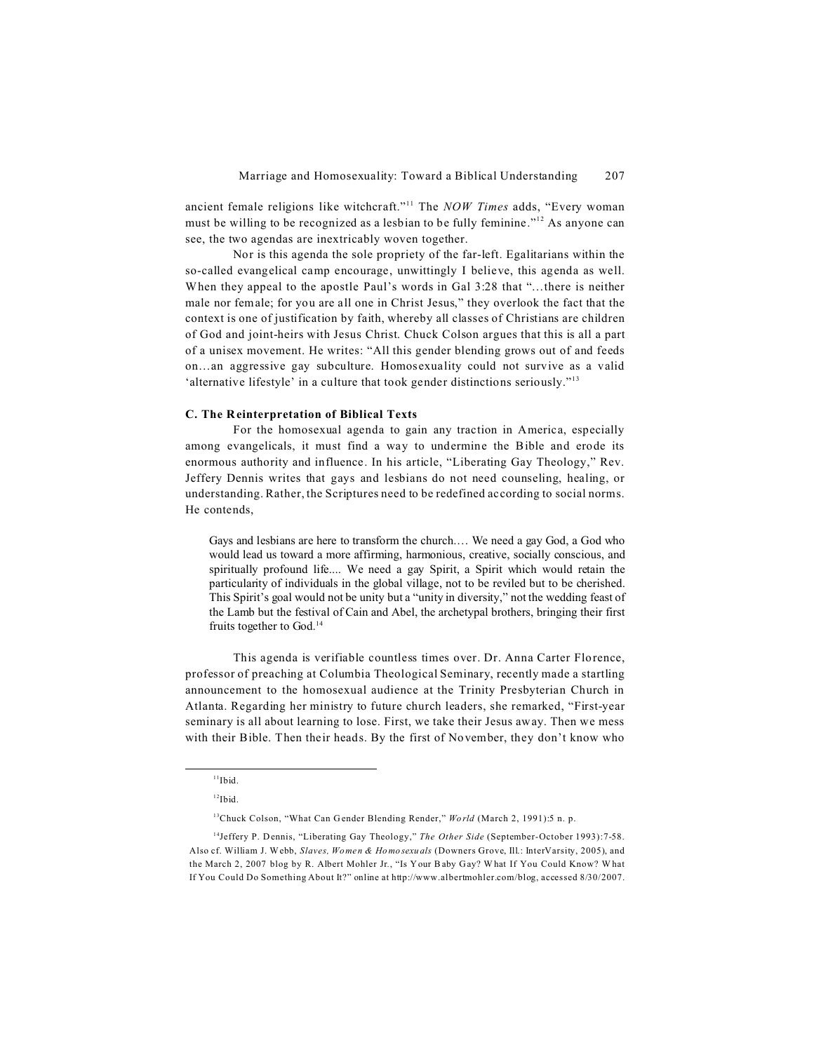ancient female religions like witchcraft."<sup>11</sup> The *NOW Times* adds, "Every woman must be willing to be recognized as a lesbian to be fully feminine."<sup>12</sup> As anyone can see, the two agendas are inextricably woven together.

Nor is this agenda the sole propriety of the far-left. Egalitarians within the so-called evangelical camp encourage, unwittingly I believe, this agenda as well. When they appeal to the apostle Paul's words in Gal 3:28 that "…there is neither male nor female; for you are all one in Christ Jesus," they overlook the fact that the context is one of justification by faith, whereby all classes of Christians are children of God and joint-heirs with Jesus Christ. Chuck Colson argues that this is all a part of a unisex movement. He writes: "All this gender blending grows out of and feeds on…an aggressive gay subculture. Homosexuality could not survive as a valid 'alternative lifestyle' in a culture that took gender distinctions seriously."<sup>13</sup>

# **C. The Reinterpretation of Biblical Texts**

For the homosexual agenda to gain any traction in America, especially among evangelicals, it must find a way to undermine the Bible and erode its enormous authority and influence. In his article, "Liberating Gay Theology," Rev. Jeffery Dennis writes that gays and lesbians do not need counseling, healing, or understanding. Rather, the Scriptures need to be redefined according to social norms. He contends,

Gays and lesbians are here to transform the church.… We need a gay God, a God who would lead us toward a more affirming, harmonious, creative, socially conscious, and spiritually profound life.... We need a gay Spirit, a Spirit which would retain the particularity of individuals in the global village, not to be reviled but to be cherished. This Spirit's goal would not be unity but a "unity in diversity," not the wedding feast of the Lamb but the festival of Cain and Abel, the archetypal brothers, bringing their first fruits together to God.<sup>14</sup>

This agenda is verifiable countless times over. Dr. Anna Carter Florence, professor of preaching at Columbia Theological Seminary, recently made a startling announcement to the homosexual audience at the Trinity Presbyterian Church in Atlanta. Regarding her ministry to future church leaders, she remarked, "First-year seminary is all about learning to lose. First, we take their Jesus away. Then we mess with their Bible. Then their heads. By the first of November, they don't know who

 $11$ Ibid.

 $12$ Ibid.

<sup>13</sup>Chuck Colson, "What Can Gender Blending Render," *World* (March 2, 1991):5 n. p.

<sup>&</sup>lt;sup>14</sup>Jeffery P. Dennis, "Liberating Gay Theology," *The Other Side* (September-October 1993): 7-58. Also cf. William J. Webb, *Slaves, Women & Homosexuals* (Downers Grove, Ill.: InterVarsity, 2005), and the March 2, 2007 blog by R. Albert Mohler Jr*.*, "Is Your Baby Gay? W hat If You Could Know? What If You Could Do Something About It?" online at http://www.albertmohler.com/blog, accessed 8/30/2007.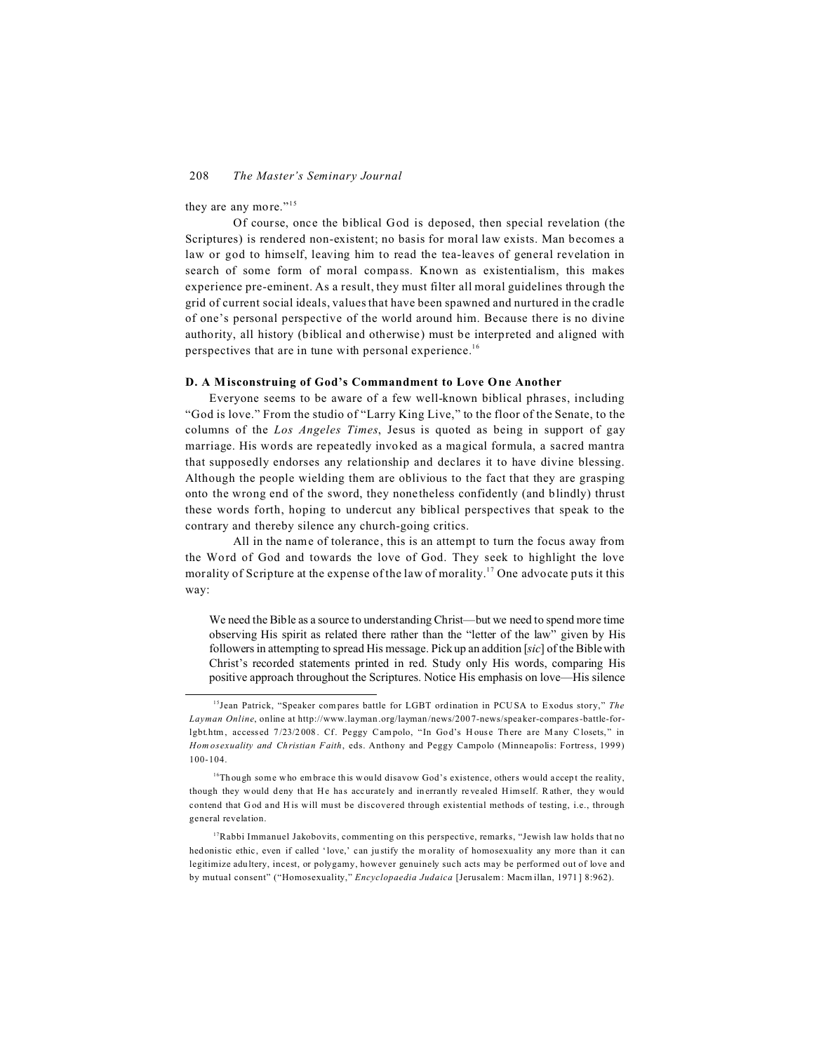they are any more."<sup>15</sup>

Of course, once the biblical God is deposed, then special revelation (the Scriptures) is rendered non-existent; no basis for moral law exists. Man becomes a law or god to himself, leaving him to read the tea-leaves of general revelation in search of some form of moral compass. Known as existentialism, this makes experience pre-eminent. As a result, they must filter all moral guidelines through the grid of current social ideals, values that have been spawned and nurtured in the cradle of one's personal perspective of the world around him. Because there is no divine authority, all history (biblical and otherwise) must be interpreted and aligned with perspectives that are in tune with personal experience.<sup>16</sup>

## **D. A M isconstruing of God's Commandment to Love One Another**

Everyone seems to be aware of a few well-known biblical phrases, including "God is love." From the studio of "Larry King Live," to the floor of the Senate, to the columns of the *Los Angeles Times*, Jesus is quoted as being in support of gay marriage. His words are repeatedly invoked as a magical formula, a sacred mantra that supposedly endorses any relationship and declares it to have divine blessing. Although the people wielding them are oblivious to the fact that they are grasping onto the wrong end of the sword, they nonetheless confidently (and blindly) thrust these words forth, hoping to undercut any biblical perspectives that speak to the contrary and thereby silence any church-going critics.

All in the name of tolerance, this is an attempt to turn the focus away from the Word of God and towards the love of God. They seek to highlight the love morality of Scripture at the expense of the law of morality.<sup>17</sup> One advocate puts it this way:

We need the Bible as a source to understanding Christ—but we need to spend more time observing His spirit as related there rather than the "letter of the law" given by His followers in attempting to spread His message. Pick up an addition [*sic*] of the Bible with Christ's recorded statements printed in red. Study only His words, comparing His positive approach throughout the Scriptures. Notice His emphasis on love—His silence

<sup>15</sup>Jean Patrick, "Speaker compares battle for LGBT ordination in PCUSA to Exodus story," *The Layman Online*, online at http://www.layman .org/layman /news/200 7-news/spea ker-compares -battle-forlgbt.htm, accessed 7/23/2008. Cf. Peggy Campolo, "In God's House There are Many Closets," in *Homosexuality and Christian Faith*, eds. Anthony and Peggy Campolo (Minneapolis: Fortress, 1999) 100-104.

 $16$ Though some who embrace this would disavow God's existence, others would accept the reality, though they would deny that He has accurately and inerrantly revealed Himself. R ather, they would contend that God and H is will must be discovered through existential methods of testing, i.e., through general revelation.

<sup>&</sup>lt;sup>17</sup>Rabbi Immanuel Jakobovits, commenting on this perspective, remarks, "Jewish law holds that no hedonistic ethic, even if called 'love,' can justify the m orality of homosexuality any more than it can legitimize adultery, incest, or polygamy, however genuinely such acts may be performed out of love and by mutual consent" ("Homosexuality," *Encyclopaedia Judaica* [Jerusalem: Macm illan, 1971] 8:962).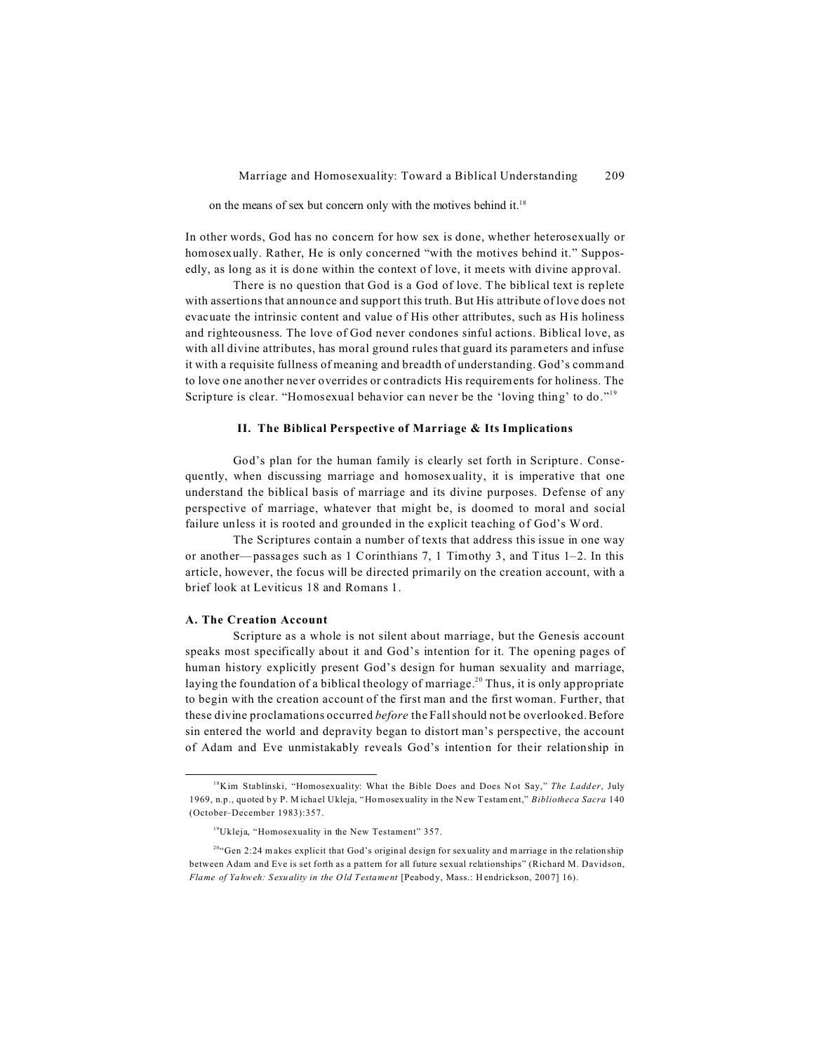on the means of sex but concern only with the motives behind it.<sup>18</sup>

In other words, God has no concern for how sex is done, whether heterosexually or homosexually. Rather, He is only concerned "with the motives behind it." Supposedly, as long as it is done within the context of love, it meets with divine approval.

There is no question that God is a God of love. The biblical text is replete with assertions that announce and support this truth. But His attribute of love does not evacuate the intrinsic content and value of His other attributes, such as His holiness and righteousness. The love of God never condones sinful actions. Biblical love, as with all divine attributes, has moral ground rules that guard its parameters and infuse it with a requisite fullness of meaning and breadth of understanding. God's command to love one another never overrides or contradicts His requirements for holiness. The Scripture is clear. "Homosexual behavior can never be the 'loving thing' to do."<sup>19</sup>

# **II. The Biblical Perspective of Marriage & Its Implications**

God's plan for the human family is clearly set forth in Scripture. Consequently, when discussing marriage and homosexuality, it is imperative that one understand the biblical basis of marriage and its divine purposes. Defense of any perspective of marriage, whatever that might be, is doomed to moral and social failure unless it is rooted and grounded in the explicit teaching of God's Word.

The Scriptures contain a number of texts that address this issue in one way or another—passages such as 1 Corinthians 7, 1 Timothy 3, and Titus  $1-2$ . In this article, however, the focus will be directed primarily on the creation account, with a brief look at Leviticus 18 and Romans 1.

#### **A. The Creation Account**

Scripture as a whole is not silent about marriage, but the Genesis account speaks most specifically about it and God's intention for it. The opening pages of human history explicitly present God's design for human sexuality and marriage, laying the foundation of a biblical theology of marriage.<sup>20</sup> Thus, it is only appropriate to begin with the creation account of the first man and the first woman. Further, that these divine proclamations occurred *before* the Fall should not be overlooked. Before sin entered the world and depravity began to distort man's perspective, the account of Adam and Eve unmistakably reveals God's intention for their relationship in

<sup>&</sup>lt;sup>18</sup>Kim Stablinski, "Homosexuality: What the Bible Does and Does Not Say," The Ladder, July 1969, n.p., quoted by P. M ichael Ukleja, "Homosexuality in the New Testament," *Bibliotheca Sacra* 140 (October–December 1983):357.

<sup>19</sup>Ukleja, "Homosexuality in the New Testament" 357.

<sup>&</sup>lt;sup>20</sup>"Gen 2:24 makes explicit that God's original design for sexuality and marriage in the relationship between Adam and Eve is set forth as a pattern for all future sexual relationships" (Richard M. Davidson, *Flame of Yahweh: Sexuality in the Old Testament [Peabody, Mass.: Hendrickson, 2007] 16).*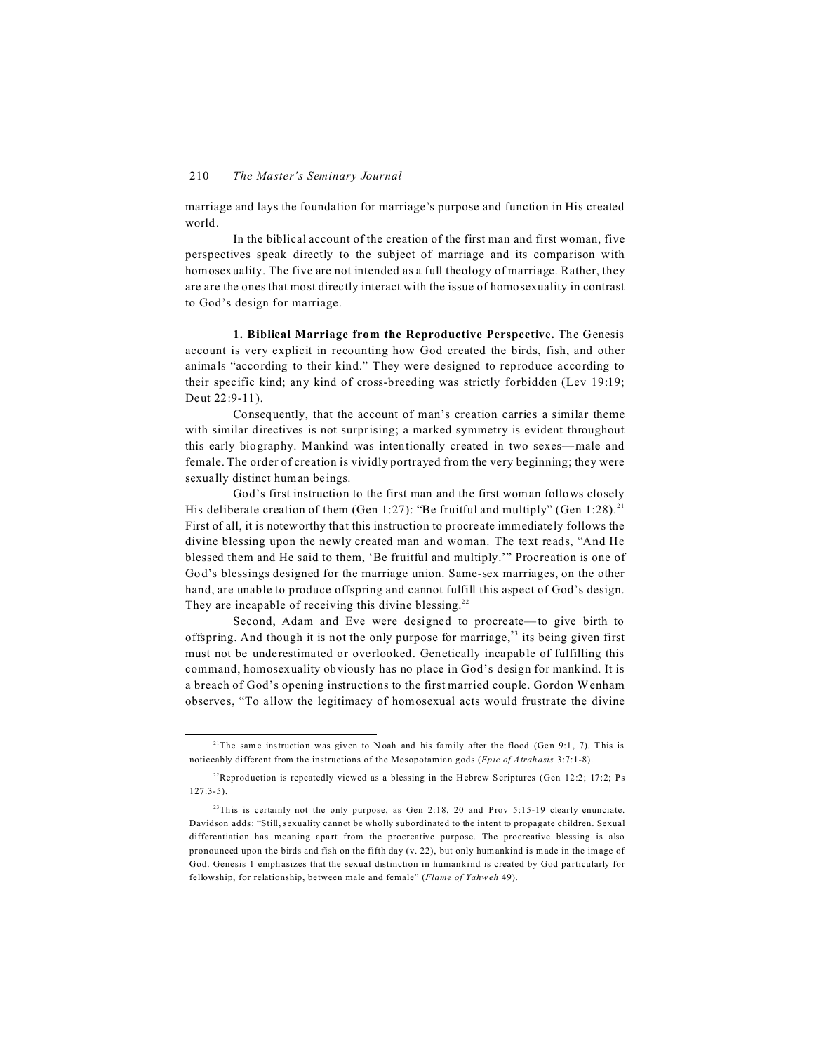marriage and lays the foundation for marriage's purpose and function in His created world.

In the biblical account of the creation of the first man and first woman, five perspectives speak directly to the subject of marriage and its comparison with homosexuality. The five are not intended as a full theology of marriage. Rather, they are are the ones that most directly interact with the issue of homosexuality in contrast to God's design for marriage.

**1. Biblical Marriage from the Reproductive Perspective.** The Genesis account is very explicit in recounting how God created the birds, fish, and other animals "according to their kind." They were designed to reproduce according to their specific kind; any kind of cross-breeding was strictly forbidden (Lev 19:19; Deut 22:9-11).

Consequently, that the account of man's creation carries a similar theme with similar directives is not surprising; a marked symmetry is evident throughout this early biography. Mankind was intentionally created in two sexes—male and female. The order of creation is vividly portrayed from the very beginning; they were sexually distinct human beings.

God's first instruction to the first man and the first woman follows closely His deliberate creation of them (Gen 1:27): "Be fruitful and multiply" (Gen 1:28).<sup>21</sup> First of all, it is noteworthy that this instruction to procreate immediately follows the divine blessing upon the newly created man and woman. The text reads, "And He blessed them and He said to them, 'Be fruitful and multiply.'" Procreation is one of God's blessings designed for the marriage union. Same-sex marriages, on the other hand, are unable to produce offspring and cannot fulfill this aspect of God's design. They are incapable of receiving this divine blessing.<sup>22</sup>

Second, Adam and Eve were designed to procreate—to give birth to offspring. And though it is not the only purpose for marriage,<sup>23</sup> its being given first must not be underestimated or overlooked. Genetically incapable of fulfilling this command, homosexuality obviously has no place in God's design for mankind. It is a breach of God's opening instructions to the first married couple. Gordon Wenham observes, "To allow the legitimacy of homosexual acts would frustrate the divine

<sup>&</sup>lt;sup>21</sup>The same instruction was given to Noah and his family after the flood (Gen 9:1, 7). This is noticeably different from the instructions of the Mesopotamian gods (*Epic of Atrahasis* 3:7:1-8).

<sup>&</sup>lt;sup>22</sup>Reproduction is repeatedly viewed as a blessing in the Hebrew Scriptures (Gen 12:2; 17:2; Ps 127:3-5).

 $^{23}$ This is certainly not the only purpose, as Gen 2:18, 20 and Prov 5:15-19 clearly enunciate. Davidson adds: "Still, sexuality cannot be wholly subordinated to the intent to propagate children. Sexual differentiation has meaning apart from the procreative purpose. The procreative blessing is also pronounced upon the birds and fish on the fifth day (v. 22), but only humankind is made in the image of God. Genesis 1 emph asizes that the sexual distinction in humankind is created by God particularly for fellowship, for relationship, between male and female" (*Flame of Yahweh* 49).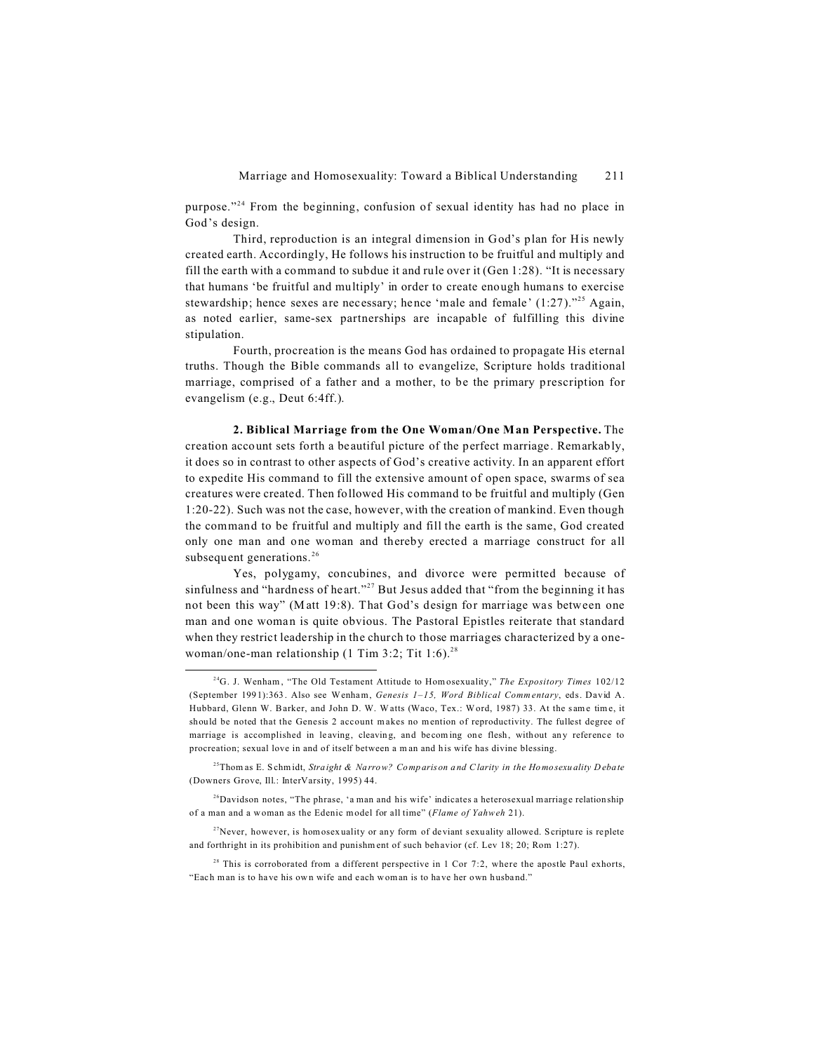purpose."<sup>24</sup> From the beginning, confusion of sexual identity has had no place in God's design.

Third, reproduction is an integral dimension in God's plan for His newly created earth. Accordingly, He follows his instruction to be fruitful and multiply and fill the earth with a command to subdue it and rule over it (Gen 1:28). "It is necessary that humans 'be fruitful and multiply' in order to create enough humans to exercise stewardship; hence sexes are necessary; hence 'male and female'  $(1:27)$ ."<sup>25</sup> Again, as noted earlier, same-sex partnerships are incapable of fulfilling this divine stipulation.

Fourth, procreation is the means God has ordained to propagate His eternal truths. Though the Bible commands all to evangelize, Scripture holds traditional marriage, comprised of a father and a mother, to be the primary prescription for evangelism (e.g., Deut 6:4ff.).

**2. Biblical Marriage from the One Woman/One Man Perspective.** The creation account sets forth a beautiful picture of the perfect marriage. Remarkably, it does so in contrast to other aspects of God's creative activity. In an apparent effort to expedite His command to fill the extensive amount of open space, swarms of sea creatures were created. Then followed His command to be fruitful and multiply (Gen 1:20-22). Such was not the case, however, with the creation of mankind. Even though the command to be fruitful and multiply and fill the earth is the same, God created only one man and one woman and thereby erected a marriage construct for all subsequent generations.<sup>26</sup>

Yes, polygamy, concubines, and divorce were permitted because of sinfulness and "hardness of heart."<sup>27</sup> But Jesus added that "from the beginning it has not been this way" (Matt 19:8). That God's design for marriage was between one man and one woman is quite obvious. The Pastoral Epistles reiterate that standard when they restrict leadership in the church to those marriages characterized by a onewoman/one-man relationship (1 Tim 3:2; Tit 1:6).<sup>28</sup>

<sup>25</sup>Thom as E. Schmidt, *Straight & Narrow? Comparison and C larity in the Homosexuality Debate* (Downers Grove, Ill.: InterVarsity, 1995) 44.

<sup>28</sup> This is corroborated from a different perspective in 1 Cor 7:2, where the apostle Paul exhorts, "Each man is to have his own wife and each woman is to have her own husband."

<sup>&</sup>lt;sup>24</sup>G. J. Wenham, "The Old Testament Attitude to Hom osexuality," The Expository Times 102/12 (September 1991):363. Also see Wenham, *Genesis 1–15, Word Biblical Commentary*, eds. David A. Hubbard, Glenn W. Barker, and John D. W. Watts (Waco, Tex.: Word, 1987) 33. At the same time, it should be noted that the Genesis 2 account makes no mention of reproductivity. The fullest degree of marriage is accomplished in leaving, cleaving, and becoming one flesh, without any reference to procreation; sexual love in and of itself between a man and his wife has divine blessing.

 $26$ Davidson notes, "The phrase, 'a man and his wife' indicates a heterosexual marriage relationship of a man and a w oman as the Edenic m odel for all time" (*Flame of Yahweh* 21).

 $27$ Never, however, is homosexuality or any form of deviant sexuality allowed. Scripture is replete and forthright in its prohibition and punishment of such behavior (cf. Lev 18; 20; Rom 1:27).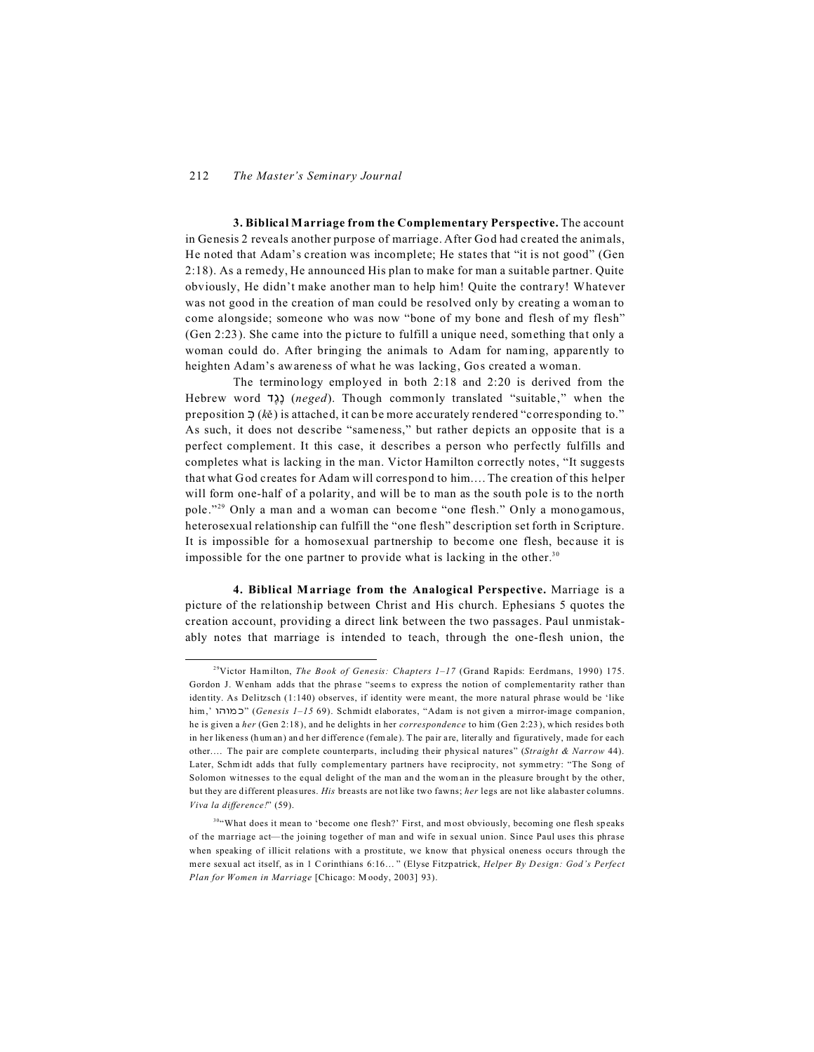**3. Biblical Marriage from the Complementary Perspective.** The account in Genesis 2 reveals another purpose of marriage. After God had created the animals, He noted that Adam's creation was incomplete; He states that "it is not good" (Gen 2:18). As a remedy, He announced His plan to make for man a suitable partner. Quite obviously, He didn't make another man to help him! Quite the contrary! Whatever was not good in the creation of man could be resolved only by creating a woman to come alongside; someone who was now "bone of my bone and flesh of my flesh" (Gen 2:23). She came into the picture to fulfill a unique need, something that only a woman could do. After bringing the animals to Adam for naming, apparently to heighten Adam's awareness of what he was lacking, Gos created a woman.

The terminology employed in both 2:18 and 2:20 is derived from the Hebrew word **(12)** (*neged*). Though commonly translated "suitable," when the preposition  $\supseteq (k\check{e})$  is attached, it can be more accurately rendered "corresponding to." As such, it does not describe "sameness," but rather depicts an opposite that is a perfect complement. It this case, it describes a person who perfectly fulfills and completes what is lacking in the man. Victor Hamilton correctly notes, "It suggests that what God creates for Adam will correspond to him.…The creation of this helper will form one-half of a polarity, and will be to man as the south pole is to the north pole."<sup>29</sup> Only a man and a woman can become "one flesh." Only a monogamous, heterosexual relationship can fulfill the "one flesh" description set forth in Scripture. It is impossible for a homosexual partnership to become one flesh, because it is impossible for the one partner to provide what is lacking in the other.<sup>30</sup>

**4. Biblical Marriage from the Analogical Perspective.** Marriage is a picture of the relationship between Christ and His church. Ephesians 5 quotes the creation account, providing a direct link between the two passages. Paul unmistakably notes that marriage is intended to teach, through the one-flesh union, the

<sup>29</sup>Victor Hamilton, *The Book of Genesis: Chapters 1–17* (Grand Rapids: Eerdmans, 1990) 175. Gordon J. Wenham adds that the phrase "seems to express the notion of complementarity rather than identity. As Delitzsch (1:140) observes, if identity were meant, the more natural phrase would be 'like him,' &%&/ ," (*Genesis 1–15* 69). Schmidt elaborates, "Adam is not given a mirror-image companion, he is given a *her* (Gen 2:18), and he delights in her *correspondence* to him (Gen 2:23), which resides both in her likeness (hum an) and her difference (fem ale). The pair are, literally and figuratively, made for each other.… The pair are complete counterparts, including their physical natures" (*Straight & Narrow* 44). Later, Schmidt adds that fully complementary partners have reciprocity, not symmetry: "The Song of Solomon witnesses to the equal delight of the man and the woman in the pleasure brought by the other, but they are different pleasures. *His* breasts are not like two fawns; *her* legs are not like alabaster columns. *Viva la difference!*" (59).

<sup>&</sup>lt;sup>30</sup>"What does it mean to 'become one flesh?' First, and most obviously, becoming one flesh speaks of the marriage act— the joining together of man and wife in sexual union. Since Paul uses this phrase when speaking of illicit relations with a prostitute, we know that physical oneness occurs through the mer e sexual act itself, as in 1 Corinthians 6:16… " (Elyse Fitzpatrick, *Helper By Design: God's Perfect Plan for Women in Marriage* [Chicago: Moody, 2003] 93).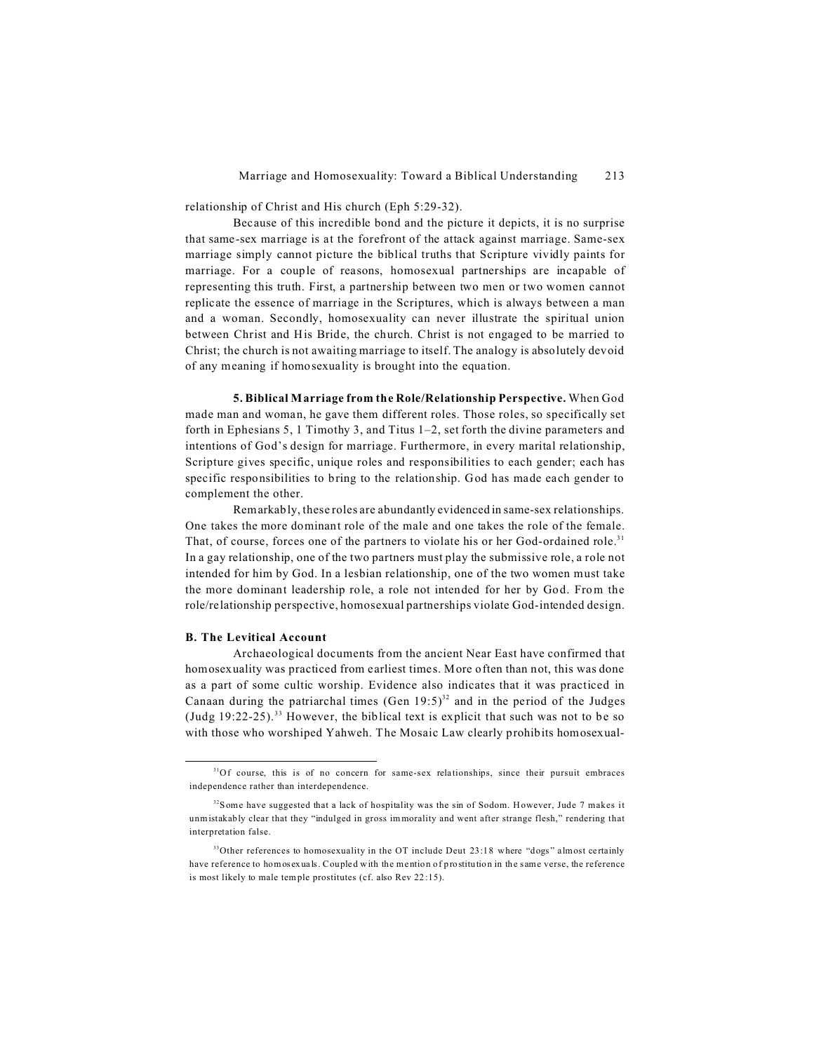relationship of Christ and His church (Eph 5:29-32).

Because of this incredible bond and the picture it depicts, it is no surprise that same-sex marriage is at the forefront of the attack against marriage. Same-sex marriage simply cannot picture the biblical truths that Scripture vividly paints for marriage. For a couple of reasons, homosexual partnerships are incapable of representing this truth. First, a partnership between two men or two women cannot replicate the essence of marriage in the Scriptures, which is always between a man and a woman. Secondly, homosexuality can never illustrate the spiritual union between Christ and His Bride, the church. Christ is not engaged to be married to Christ; the church is not awaiting marriage to itself. The analogy is absolutely devoid of any meaning if homosexuality is brought into the equation.

**5. Biblical Marriage from the Role/Relationship Perspective.** When God made man and woman, he gave them different roles. Those roles, so specifically set forth in Ephesians 5, 1 Timothy 3, and Titus 1–2, set forth the divine parameters and intentions of God's design for marriage. Furthermore, in every marital relationship, Scripture gives specific, unique roles and responsibilities to each gender; each has specific responsibilities to bring to the relationship. God has made each gender to complement the other.

Remarkably, these roles are abundantly evidenced in same-sex relationships. One takes the more dominant role of the male and one takes the role of the female. That, of course, forces one of the partners to violate his or her God-ordained role.<sup>31</sup> In a gay relationship, one of the two partners must play the submissive role, a role not intended for him by God. In a lesbian relationship, one of the two women must take the more dominant leadership role, a role not intended for her by God. From the role/relationship perspective, homosexual partnerships violate God-intended design.

## **B. The Levitical Account**

Archaeological documents from the ancient Near East have confirmed that homosexuality was practiced from earliest times. More often than not, this was done as a part of some cultic worship. Evidence also indicates that it was practiced in Canaan during the patriarchal times  $(Gen 19:5)^{32}$  and in the period of the Judges (Judg  $19:22-25$ ).<sup>33</sup> However, the biblical text is explicit that such was not to be so with those who worshiped Yahweh. The Mosaic Law clearly prohibits homosexual-

<sup>&</sup>lt;sup>31</sup>Of course, this is of no concern for same-sex relationships, since their pursuit embraces independence rather than interdependence.

 $32$ Some have suggested that a lack of hospitality was the sin of Sodom. However, Jude 7 makes it unmistakably clear that they "indulged in gross im morality and went after strange flesh," rendering that interpretation false.

 $33$ Other references to homosexuality in the OT include Deut 23:18 where "dogs" almost certainly have reference to homosexuals. Coupled with the mention of prostitution in the same verse, the reference is most likely to male tem ple prostitutes (cf. also Rev 22 :15).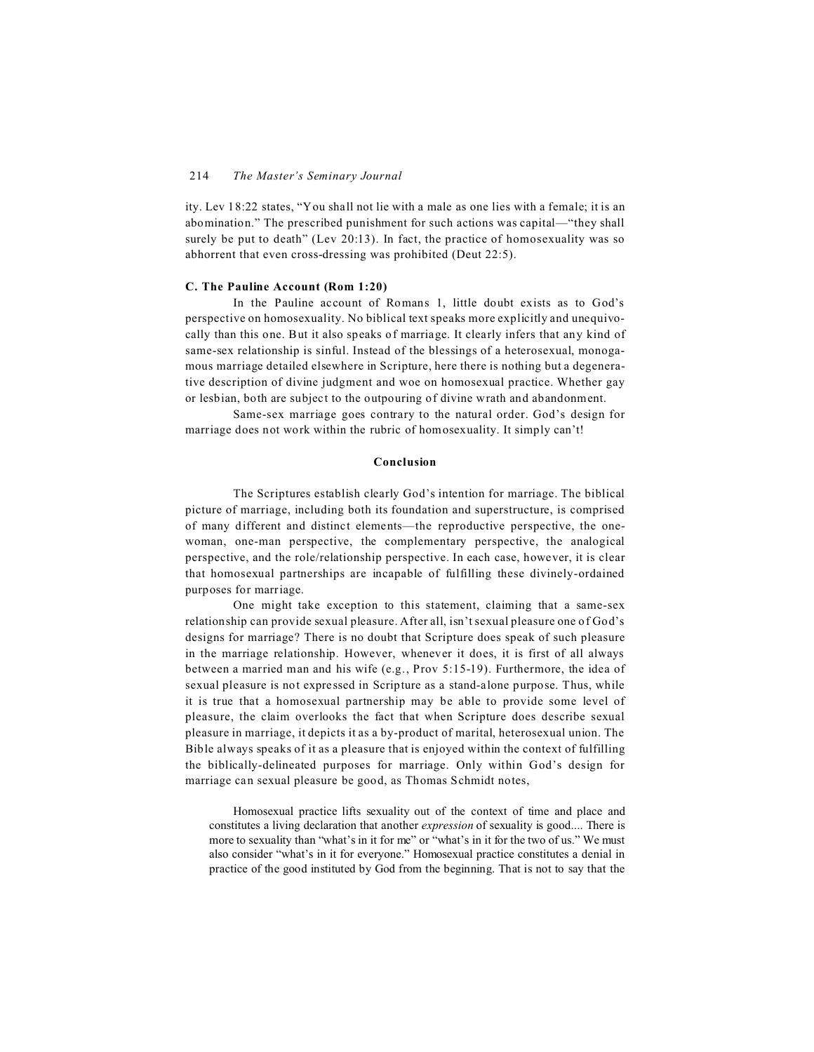ity. Lev 18:22 states, "You shall not lie with a male as one lies with a female; it is an abomination." The prescribed punishment for such actions was capital—"they shall surely be put to death" (Lev 20:13). In fact, the practice of homosexuality was so abhorrent that even cross-dressing was prohibited (Deut 22:5).

# **C. The Pauline Account (Rom 1:20)**

In the Pauline account of Romans 1, little doubt exists as to God's perspective on homosexuality. No biblical text speaks more explicitly and unequivocally than this one. But it also speaks of marriage. It clearly infers that any kind of same-sex relationship is sinful. Instead of the blessings of a heterosexual, monogamous marriage detailed elsewhere in Scripture, here there is nothing but a degenerative description of divine judgment and woe on homosexual practice. Whether gay or lesbian, both are subject to the outpouring of divine wrath and abandonment.

Same-sex marriage goes contrary to the natural order. God's design for marriage does not work within the rubric of homosexuality. It simply can't!

# **Conclusion**

The Scriptures establish clearly God's intention for marriage. The biblical picture of marriage, including both its foundation and superstructure, is comprised of many different and distinct elements—the reproductive perspective, the onewoman, one-man perspective, the complementary perspective, the analogical perspective, and the role/relationship perspective. In each case, however, it is clear that homosexual partnerships are incapable of fulfilling these divinely-ordained purposes for marriage.

One might take exception to this statement, claiming that a same-sex relationship can provide sexual pleasure. After all, isn't sexual pleasure one of God's designs for marriage? There is no doubt that Scripture does speak of such pleasure in the marriage relationship. However, whenever it does, it is first of all always between a married man and his wife (e.g., Prov 5:15-19). Furthermore, the idea of sexual pleasure is not expressed in Scripture as a stand-alone purpose. Thus, while it is true that a homosexual partnership may be able to provide some level of pleasure, the claim overlooks the fact that when Scripture does describe sexual pleasure in marriage, it depicts it as a by-product of marital, heterosexual union. The Bible always speaks of it as a pleasure that is enjoyed within the context of fulfilling the biblically-delineated purposes for marriage. Only within God's design for marriage can sexual pleasure be good, as Thomas Schmidt notes,

Homosexual practice lifts sexuality out of the context of time and place and constitutes a living declaration that another *expression* of sexuality is good.... There is more to sexuality than "what's in it for me" or "what's in it for the two of us." We must also consider "what's in it for everyone." Homosexual practice constitutes a denial in practice of the good instituted by God from the beginning. That is not to say that the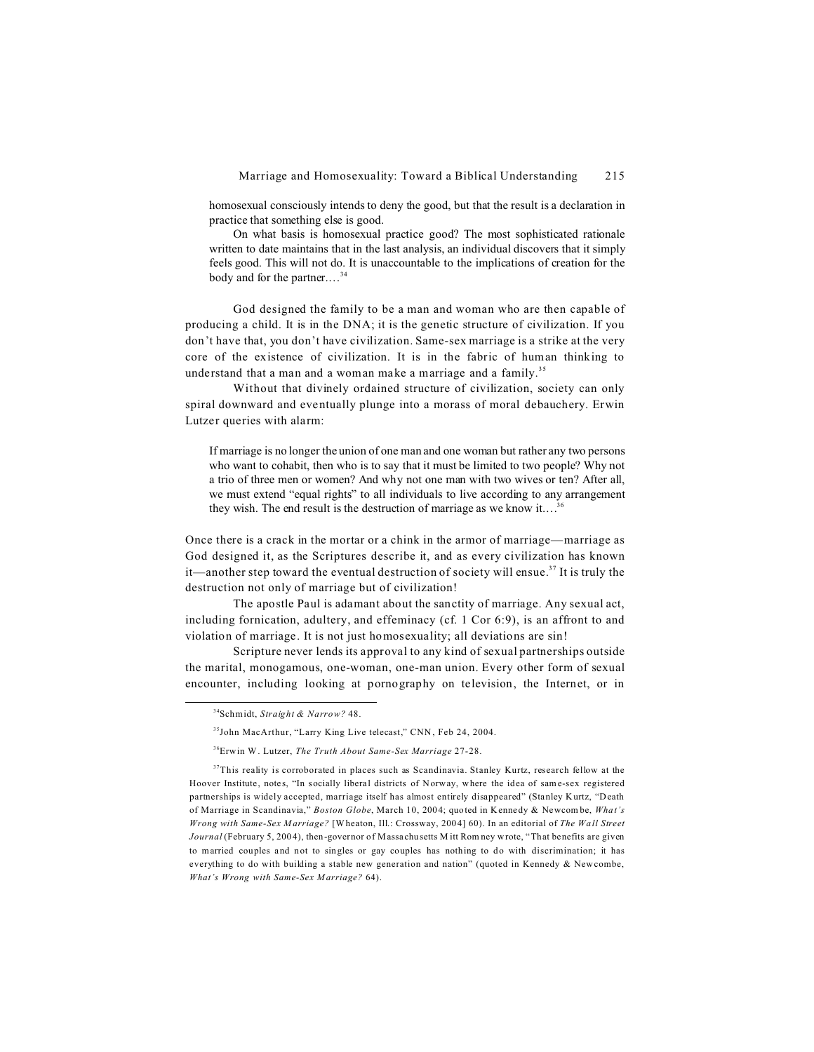homosexual consciously intends to deny the good, but that the result is a declaration in practice that something else is good.

On what basis is homosexual practice good? The most sophisticated rationale written to date maintains that in the last analysis, an individual discovers that it simply feels good. This will not do. It is unaccountable to the implications of creation for the body and for the partner.…<sup>34</sup>

God designed the family to be a man and woman who are then capable of producing a child. It is in the DNA; it is the genetic structure of civilization. If you don't have that, you don't have civilization. Same-sex marriage is a strike at the very core of the existence of civilization. It is in the fabric of human thinking to understand that a man and a woman make a marriage and a family.<sup>35</sup>

Without that divinely ordained structure of civilization, society can only spiral downward and eventually plunge into a morass of moral debauchery. Erwin Lutzer queries with alarm:

If marriage is no longer the union of one man and one woman but rather any two persons who want to cohabit, then who is to say that it must be limited to two people? Why not a trio of three men or women? And why not one man with two wives or ten? After all, we must extend "equal rights" to all individuals to live according to any arrangement they wish. The end result is the destruction of marriage as we know it....<sup>36</sup>

Once there is a crack in the mortar or a chink in the armor of marriage—marriage as God designed it, as the Scriptures describe it, and as every civilization has known it—another step toward the eventual destruction of society will ensue.<sup>37</sup> It is truly the destruction not only of marriage but of civilization!

The apostle Paul is adamant about the sanctity of marriage. Any sexual act, including fornication, adultery, and effeminacy (cf. 1 Cor 6:9), is an affront to and violation of marriage. It is not just homosexuality; all deviations are sin!

Scripture never lends its approval to any kind of sexual partnerships outside the marital, monogamous, one-woman, one-man union. Every other form of sexual encounter, including looking at pornography on television, the Internet, or in

<sup>34</sup>Schmidt, *Straight & Narrow?* 48.

<sup>&</sup>lt;sup>35</sup>John MacArthur, "Larry King Live telecast," CNN, Feb 24, 2004.

<sup>36</sup>Erwin W. Lutzer, *The Truth About Same-Sex Marriage* 27-28.

<sup>&</sup>lt;sup>37</sup>This reality is corroborated in places such as Scandinavia. Stanley Kurtz, research fellow at the Hoover Institute, notes, "In socially liberal districts of Norway, where the idea of sam e-sex registered partnerships is widely accepted, marriage itself has almost entirely disappeared" (Stanley Kurtz, "Death of Marriage in Scandinavia," *Boston Globe*, March 10, 2004; quoted in Kennedy & Newcom be, *What's Wrong with Same-Sex Marriage?* [Wheaton, Ill.: Crossway, 2004] 60). In an editorial of *The Wall Street Journal* (February 5, 2004), then-governor of Massachusetts M itt Rom ney wrote, "That benefits are given to married couples and not to singles or gay couples has nothing to do with discrimination; it has everything to do with building a stable new generation and nation" (quoted in Kennedy & New combe, *What's Wrong with Same-Sex Marriage?* 64).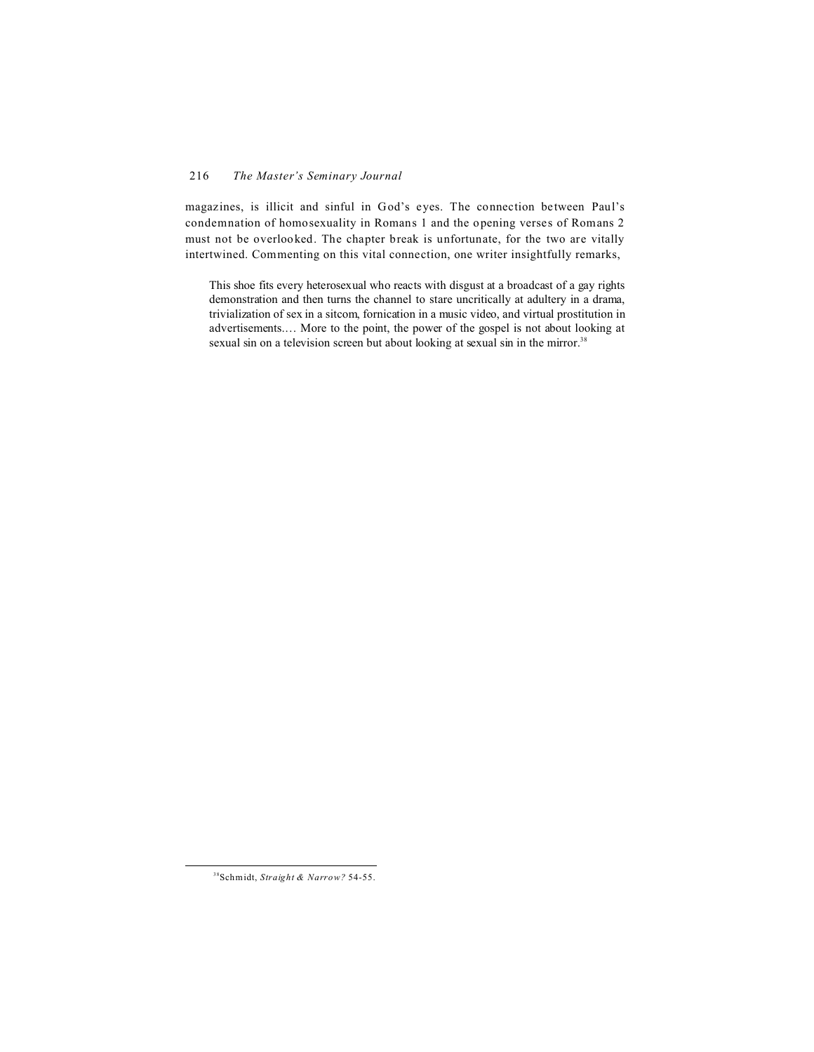magazines, is illicit and sinful in God's eyes. The connection between Paul's condemnation of homosexuality in Romans 1 and the opening verses of Romans 2 must not be overlooked. The chapter break is unfortunate, for the two are vitally intertwined. Commenting on this vital connection, one writer insightfully remarks,

This shoe fits every heterosexual who reacts with disgust at a broadcast of a gay rights demonstration and then turns the channel to stare uncritically at adultery in a drama, trivialization of sex in a sitcom, fornication in a music video, and virtual prostitution in advertisements.… More to the point, the power of the gospel is not about looking at sexual sin on a television screen but about looking at sexual sin in the mirror.<sup>38</sup>

<sup>38</sup>Schmidt, *Straight & Narrow?* 54-55.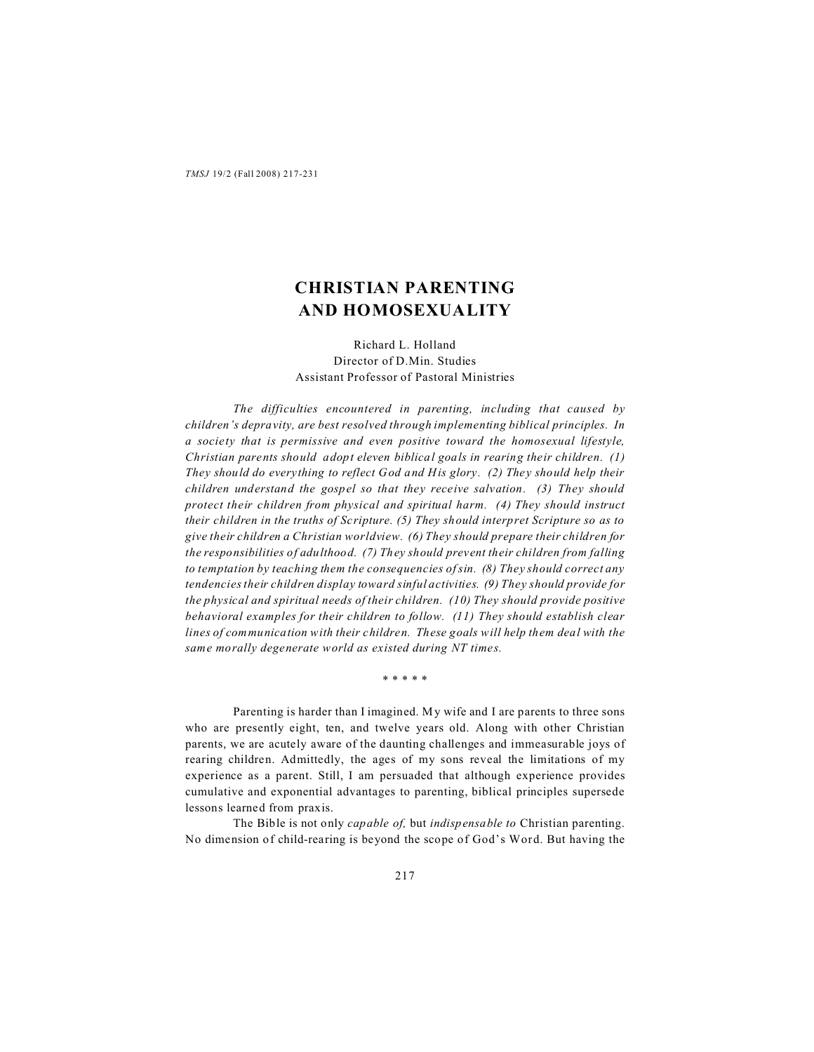# **CHRISTIAN PARENTING AND HOMOSEXUALITY**

Richard L. Holland Director of D.Min. Studies Assistant Professor of Pastoral Ministries

*The difficulties encountered in parenting, including that caused by children's depravity, are best resolved through implementing biblical principles. In a society that is permissive and even positive toward the homosexual lifestyle, Christian parents should adopt eleven biblical goals in rearing their children. (1) They should do everything to reflect God and His glory. (2) They should help their children understand the gospel so that they receive salvation. (3) They should protect their children from physical and spiritual harm. (4) They should instruct their children in the truths of Scripture. (5) They should interpret Scripture so as to give their children a Christian worldview. (6) They should prepare their children for the responsibilities of adulthood. (7) They should prevent their children from falling to temptation by teaching them the consequencies of sin. (8) They should correct any tendencies their children display toward sinful activities. (9) They should provide for the physical and spiritual needs of their children. (10) They should provide positive behavioral examples for their children to follow. (11) They should establish clear lines of communication with their children. These goals will help them deal with the same morally degenerate world as existed during NT times.*

\* \* \* \* \*

Parenting is harder than I imagined. My wife and I are parents to three sons who are presently eight, ten, and twelve years old. Along with other Christian parents, we are acutely aware of the daunting challenges and immeasurable joys of rearing children. Admittedly, the ages of my sons reveal the limitations of my experience as a parent. Still, I am persuaded that although experience provides cumulative and exponential advantages to parenting, biblical principles supersede lessons learned from praxis.

The Bible is not only *capable of,* but *indispensable to* Christian parenting. No dimension of child-rearing is beyond the scope of God's Word. But having the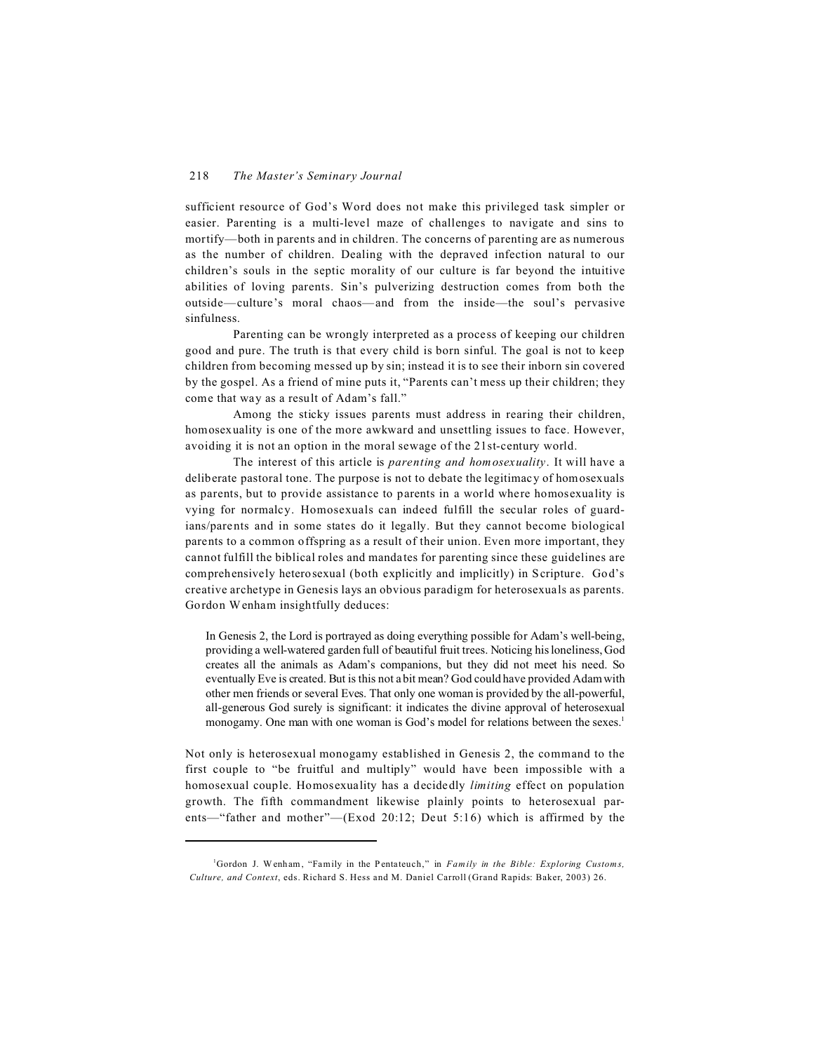sufficient resource of God's Word does not make this privileged task simpler or easier. Parenting is a multi-level maze of challenges to navigate and sins to mortify—both in parents and in children. The concerns of parenting are as numerous as the number of children. Dealing with the depraved infection natural to our children's souls in the septic morality of our culture is far beyond the intuitive abilities of loving parents. Sin's pulverizing destruction comes from both the outside—culture's moral chaos—and from the inside—the soul's pervasive sinfulness.

Parenting can be wrongly interpreted as a process of keeping our children good and pure. The truth is that every child is born sinful. The goal is not to keep children from becoming messed up by sin; instead it is to see their inborn sin covered by the gospel. As a friend of mine puts it, "Parents can't mess up their children; they come that way as a result of Adam's fall."

Among the sticky issues parents must address in rearing their children, homosexuality is one of the more awkward and unsettling issues to face. However, avoiding it is not an option in the moral sewage of the 21st-century world.

The interest of this article is *parenting and homosexuality*. It will have a deliberate pastoral tone. The purpose is not to debate the legitimacy of homosexuals as parents, but to provide assistance to parents in a world where homosexuality is vying for normalcy. Homosexuals can indeed fulfill the secular roles of guardians/parents and in some states do it legally. But they cannot become biological parents to a common offspring as a result of their union. Even more important, they cannot fulfill the biblical roles and mandates for parenting since these guidelines are comprehensively heterosexual (both explicitly and implicitly) in Scripture. God's creative archetype in Genesis lays an obvious paradigm for heterosexuals as parents. Gordon Wenham insightfully deduces:

In Genesis 2, the Lord is portrayed as doing everything possible for Adam's well-being, providing a well-watered garden full of beautiful fruit trees. Noticing his loneliness, God creates all the animals as Adam's companions, but they did not meet his need. So eventually Eve is created. But is this not a bit mean? God could have provided Adam with other men friends or several Eves. That only one woman is provided by the all-powerful, all-generous God surely is significant: it indicates the divine approval of heterosexual monogamy. One man with one woman is God's model for relations between the sexes.<sup>1</sup>

Not only is heterosexual monogamy established in Genesis 2, the command to the first couple to "be fruitful and multiply" would have been impossible with a homosexual couple. Homosexuality has a decidedly *limiting* effect on population growth. The fifth commandment likewise plainly points to heterosexual parents—"father and mother"—(Exod 20:12; Deut 5:16) which is affirmed by the

<sup>&</sup>lt;sup>1</sup>Gordon J. Wenham, "Family in the Pentateuch," in *Family in the Bible: Exploring Customs*, *Culture, and Context*, eds. Richard S. Hess and M. Daniel Carroll (Grand Rapids: Baker, 2003) 26.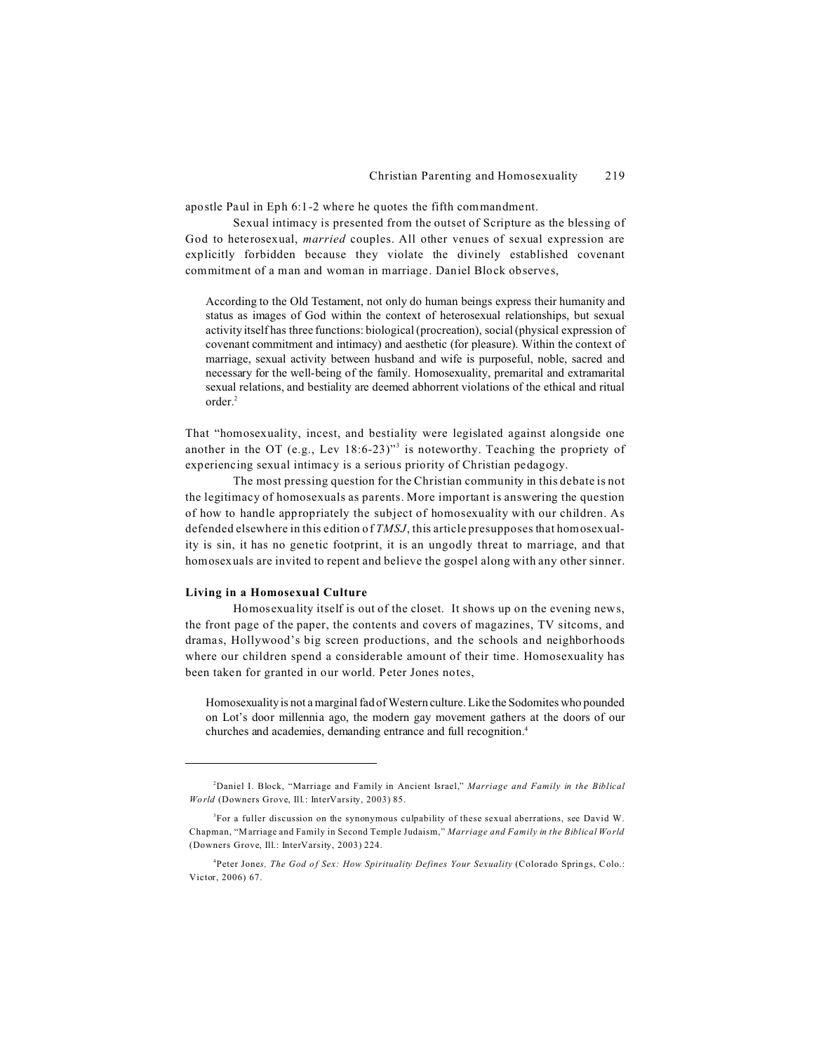apostle Paul in Eph 6:1-2 where he quotes the fifth commandment.

Sexual intimacy is presented from the outset of Scripture as the blessing of God to heterosexual, *married* couples. All other venues of sexual expression are explicitly forbidden because they violate the divinely established covenant commitment of a man and woman in marriage. Daniel Block observes,

According to the Old Testament, not only do human beings express their humanity and status as images of God within the context of heterosexual relationships, but sexual activity itself has three functions: biological (procreation), social (physical expression of covenant commitment and intimacy) and aesthetic (for pleasure). Within the context of marriage, sexual activity between husband and wife is purposeful, noble, sacred and necessary for the well-being of the family. Homosexuality, premarital and extramarital sexual relations, and bestiality are deemed abhorrent violations of the ethical and ritual order.<sup>2</sup>

That "homosexuality, incest, and bestiality were legislated against alongside one another in the OT (e.g., Lev  $18:6-23$ )<sup>33</sup> is noteworthy. Teaching the propriety of experiencing sexual intimacy is a serious priority of Christian pedagogy.

The most pressing question for the Christian community in this debate is not the legitimacy of homosexuals as parents. More important is answering the question of how to handle appropriately the subject of homosexuality with our children. As defended elsewhere in this edition of *TMSJ*, this article presupposes that homosexuality is sin, it has no genetic footprint, it is an ungodly threat to marriage, and that homosexuals are invited to repent and believe the gospel along with any other sinner.

# **Living in a Homosexual Culture**

Homosexuality itself is out of the closet. It shows up on the evening news, the front page of the paper, the contents and covers of magazines, TV sitcoms, and dramas, Hollywood's big screen productions, and the schools and neighborhoods where our children spend a considerable amount of their time. Homosexuality has been taken for granted in our world. Peter Jones notes,

Homosexuality is not a marginal fad of Western culture. Like the Sodomites who pounded on Lot's door millennia ago, the modern gay movement gathers at the doors of our churches and academies, demanding entrance and full recognition.4

<sup>2</sup>Daniel I. Block, "Marriage and Family in Ancient Israel," *Marriage and Family in the Biblical World* (Downers Grove, Ill.: InterVarsity, 2003) 85.

<sup>3</sup> For a fuller discussion on the synonymous culpability of these sexual aberrations, see David W. Chapman, "Marriage and Family in Second Temple Judaism," *Marriage and Family in the Biblical World* (Downers Grove, Ill.: InterVarsity, 2003) 224.

<sup>&</sup>lt;sup>4</sup>Peter Jones, The God of Sex: How Spirituality Defines Your Sexuality (Colorado Springs, Colo.: Victor, 2006) 67.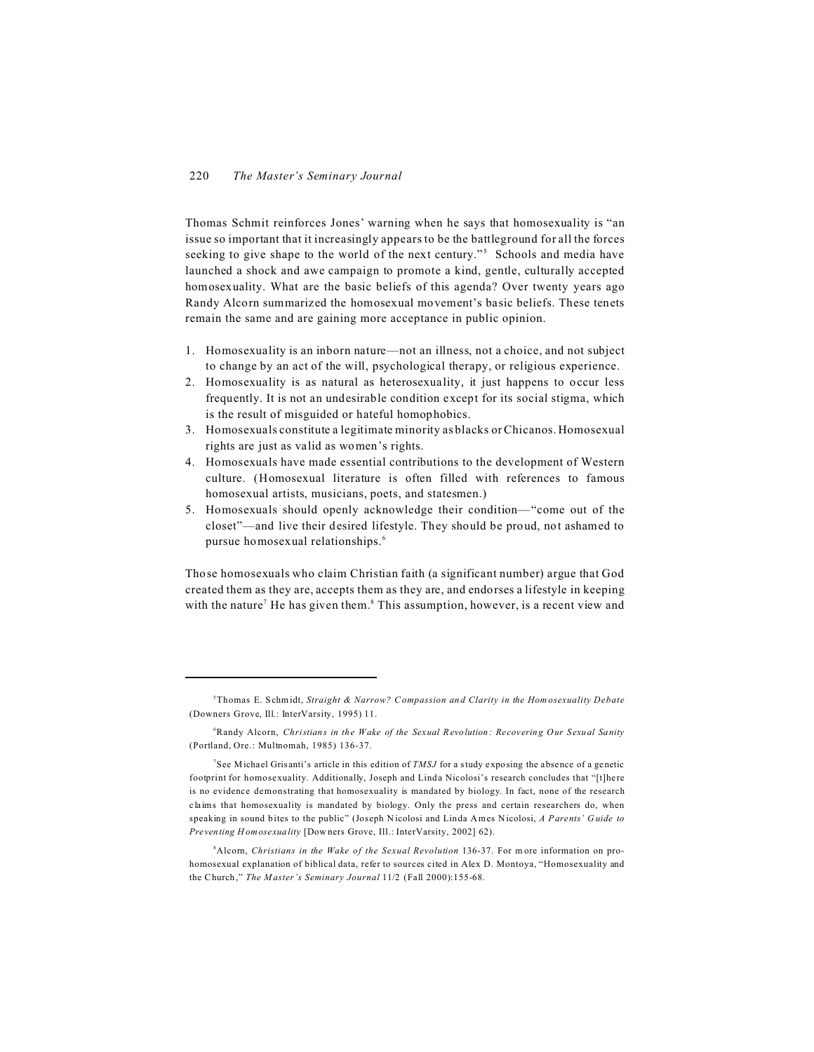Thomas Schmit reinforces Jones' warning when he says that homosexuality is "an issue so important that it increasingly appears to be the battleground for all the forces seeking to give shape to the world of the next century."<sup>5</sup> Schools and media have launched a shock and awe campaign to promote a kind, gentle, culturally accepted homosexuality. What are the basic beliefs of this agenda? Over twenty years ago Randy Alcorn summarized the homosexual movement's basic beliefs. These tenets remain the same and are gaining more acceptance in public opinion.

- 1. Homosexuality is an inborn nature—not an illness, not a choice, and not subject to change by an act of the will, psychological therapy, or religious experience.
- 2. Homosexuality is as natural as heterosexuality, it just happens to occur less frequently. It is not an undesirable condition except for its social stigma, which is the result of misguided or hateful homophobics.
- 3. Homosexuals constitute a legitimate minority as blacks or Chicanos. Homosexual rights are just as valid as women's rights.
- 4. Homosexuals have made essential contributions to the development of Western culture. (Homosexual literature is often filled with references to famous homosexual artists, musicians, poets, and statesmen.)
- 5. Homosexuals should openly acknowledge their condition—"come out of the closet"—and live their desired lifestyle. They should be proud, not ashamed to pursue homosexual relationships.<sup>6</sup>

Those homosexuals who claim Christian faith (a significant number) argue that God created them as they are, accepts them as they are, and endorses a lifestyle in keeping with the nature<sup>7</sup> He has given them.<sup>8</sup> This assumption, however, is a recent view and

<sup>8</sup>Alcom, *Christians in the Wake of the Sexual Revolution* 136-37. For more information on prohomosexual explanation of biblical data, refer to sources cited in Alex D. Montoya, "Homosexuality and the Church," *The Master's Seminary Journal* 11/2 (Fall 2000):155-68.

<sup>5</sup>Thomas E. Schmidt, *Straight & Narrow? C ompassion an d Clarity in the Hom osexuality Debate* (Downers Grove, Ill.: InterVarsity, 1995) 11.

<sup>6</sup>Randy Alcorn, *Christians in the Wake of the Sexual Revolution: Recovering Our Sexual Sanity* (Portland, Ore.: Multnomah, 1985) 136-37.

<sup>7</sup> See Michael Grisanti's article in this edition of *TMSJ* for a study exposing the absence of a genetic footprint for homosexuality. Additionally, Joseph and Linda Nicolosi's research concludes that "[t]here is no evidence demonstrating that homosexuality is mandated by biology. In fact, none of the research claims that homosexuality is mandated by biology. Only the press and certain researchers do, when speaking in sound bites to the public" (Joseph Nicolosi and Linda Ames Nicolosi, *A Parents' G uide to Preventing H omosexuality* [Dow ners Grove, Ill.: InterVarsity, 2002] 62).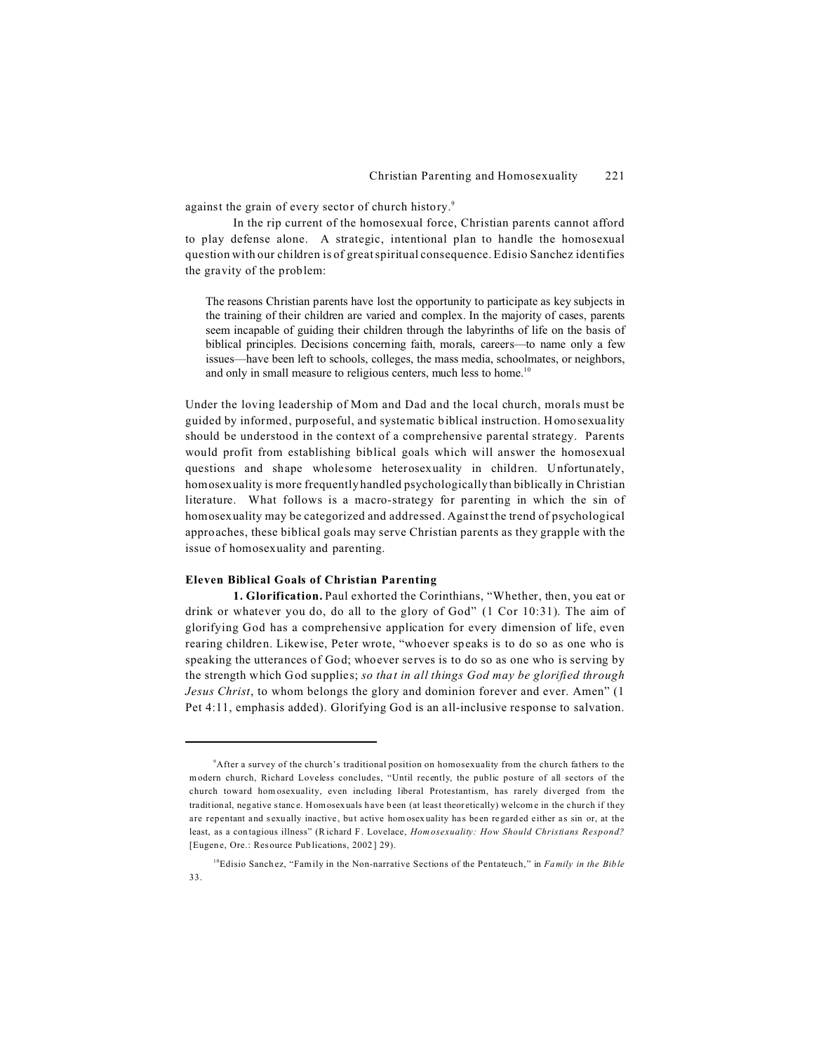against the grain of every sector of church history.<sup>9</sup>

In the rip current of the homosexual force, Christian parents cannot afford to play defense alone. A strategic, intentional plan to handle the homosexual question with our children is of great spiritual consequence. Edisio Sanchez identifies the gravity of the problem:

The reasons Christian parents have lost the opportunity to participate as key subjects in the training of their children are varied and complex. In the majority of cases, parents seem incapable of guiding their children through the labyrinths of life on the basis of biblical principles. Decisions concerning faith, morals, careers—to name only a few issues—have been left to schools, colleges, the mass media, schoolmates, or neighbors, and only in small measure to religious centers, much less to home.<sup>10</sup>

Under the loving leadership of Mom and Dad and the local church, morals must be guided by informed, purposeful, and systematic biblical instruction. Homosexuality should be understood in the context of a comprehensive parental strategy. Parents would profit from establishing biblical goals which will answer the homosexual questions and shape wholesome heterosexuality in children. Unfortunately, homosexuality is more frequently handled psychologically than biblically in Christian literature. What follows is a macro-strategy for parenting in which the sin of homosexuality may be categorized and addressed. Against the trend of psychological approaches, these biblical goals may serve Christian parents as they grapple with the issue of homosexuality and parenting.

#### **Eleven Biblical Goals of Christian Parenting**

**1. Glorification.** Paul exhorted the Corinthians, "Whether, then, you eat or drink or whatever you do, do all to the glory of God" (1 Cor 10:31). The aim of glorifying God has a comprehensive application for every dimension of life, even rearing children. Likewise, Peter wrote, "whoever speaks is to do so as one who is speaking the utterances of God; whoever serves is to do so as one who is serving by the strength which God supplies; *so that in all things God may be glorified through Jesus Christ*, to whom belongs the glory and dominion forever and ever. Amen" (1 Pet 4:11, emphasis added). Glorifying God is an all-inclusive response to salvation.

<sup>9</sup>After a survey of the church's traditional position on homosexuality from the church fathers to the modern church, Richard Loveless concludes, "Until recently, the public posture of all sectors of the church toward hom osexuality, even including liberal Protestantism, has rarely diverged from the traditional, negative stance. Homosexuals have been (at least theoretically) welcome in the church if they are repentant and sexually inactive, but active hom osexuality has been regarded either as sin or, at the least, as a contagious illness" (Richard F. Lovelace, *Hom osexuality: How Should Christians Respond?* [Eugene, Ore.: Resource Publications, 2002] 29).

<sup>10</sup>Edisio Sanch ez, "Fam ily in the Non-narrative Sections of the Pentateuch," in *Family in the Bible*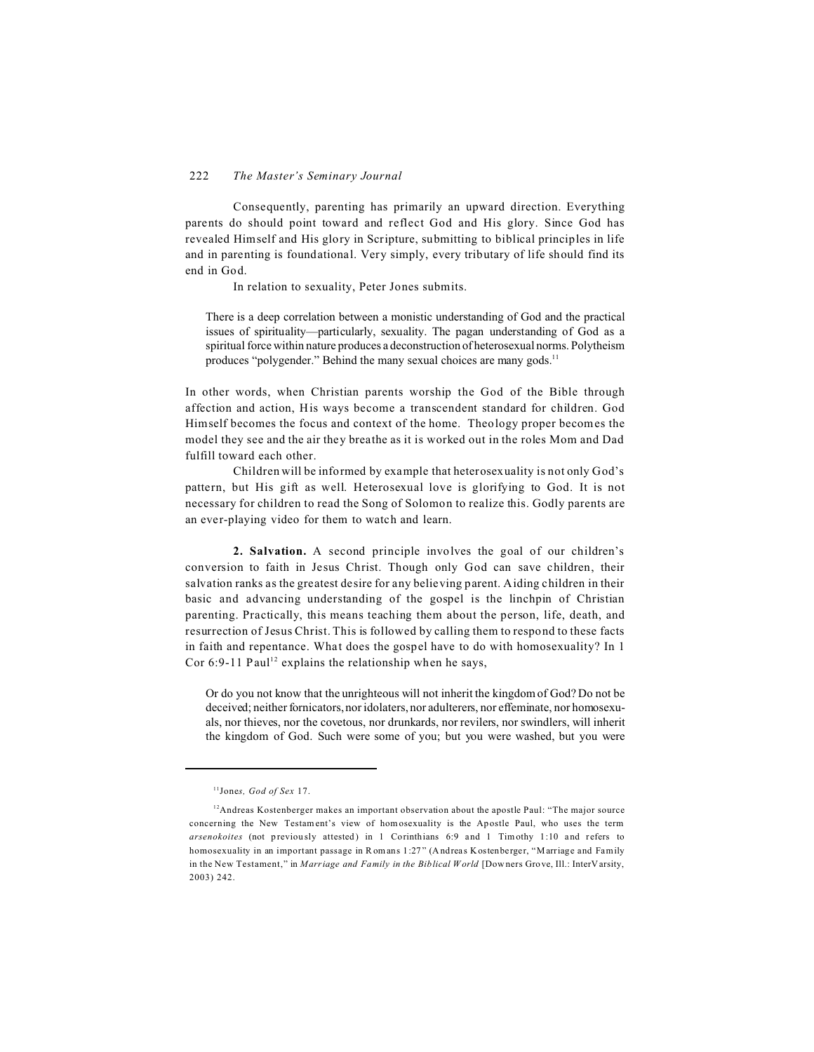# 222 *The Master's Seminary Journal*

Consequently, parenting has primarily an upward direction. Everything parents do should point toward and reflect God and His glory. Since God has revealed Himself and His glory in Scripture, submitting to biblical principles in life and in parenting is foundational. Very simply, every tributary of life should find its end in God.

In relation to sexuality, Peter Jones submits.

There is a deep correlation between a monistic understanding of God and the practical issues of spirituality—particularly, sexuality. The pagan understanding of God as a spiritual force within nature produces a deconstruction of heterosexual norms. Polytheism produces "polygender." Behind the many sexual choices are many gods.<sup>11</sup>

In other words, when Christian parents worship the God of the Bible through affection and action, His ways become a transcendent standard for children. God Himself becomes the focus and context of the home. Theology proper becomes the model they see and the air they breathe as it is worked out in the roles Mom and Dad fulfill toward each other.

Children will be informed by example that heterosexuality is not only God's pattern, but His gift as well. Heterosexual love is glorifying to God. It is not necessary for children to read the Song of Solomon to realize this. Godly parents are an ever-playing video for them to watch and learn.

**2. Salvation.** A second principle involves the goal of our children's conversion to faith in Jesus Christ. Though only God can save children, their salvation ranks as the greatest desire for any believing parent. Aiding children in their basic and advancing understanding of the gospel is the linchpin of Christian parenting. Practically, this means teaching them about the person, life, death, and resurrection of Jesus Christ. This is followed by calling them to respond to these facts in faith and repentance. What does the gospel have to do with homosexuality? In 1 Cor 6:9-11 Paul<sup>12</sup> explains the relationship when he says,

Or do you not know that the unrighteous will not inherit the kingdom of God? Do not be deceived; neither fornicators, nor idolaters, nor adulterers, nor effeminate, nor homosexuals, nor thieves, nor the covetous, nor drunkards, nor revilers, nor swindlers, will inherit the kingdom of God. Such were some of you; but you were washed, but you were

<sup>11</sup>Jone*s, God of Sex* 17.

 $12A$ ndreas Kostenberger makes an important observation about the apostle Paul: "The major source concerning the New Testam ent's view of hom osexuality is the Ap ostle Paul, who uses the term *arsenokoites* (not previously attested) in 1 Corinthians 6:9 and 1 Timothy 1:10 and refers to homosexuality in an important passage in Romans 1:27" (Andreas Kostenberger, "Marriage and Family in the New Testament," in *Marriage and Family in the Biblical World* [Downers Grove, Ill.: InterVarsity, 2003) 242.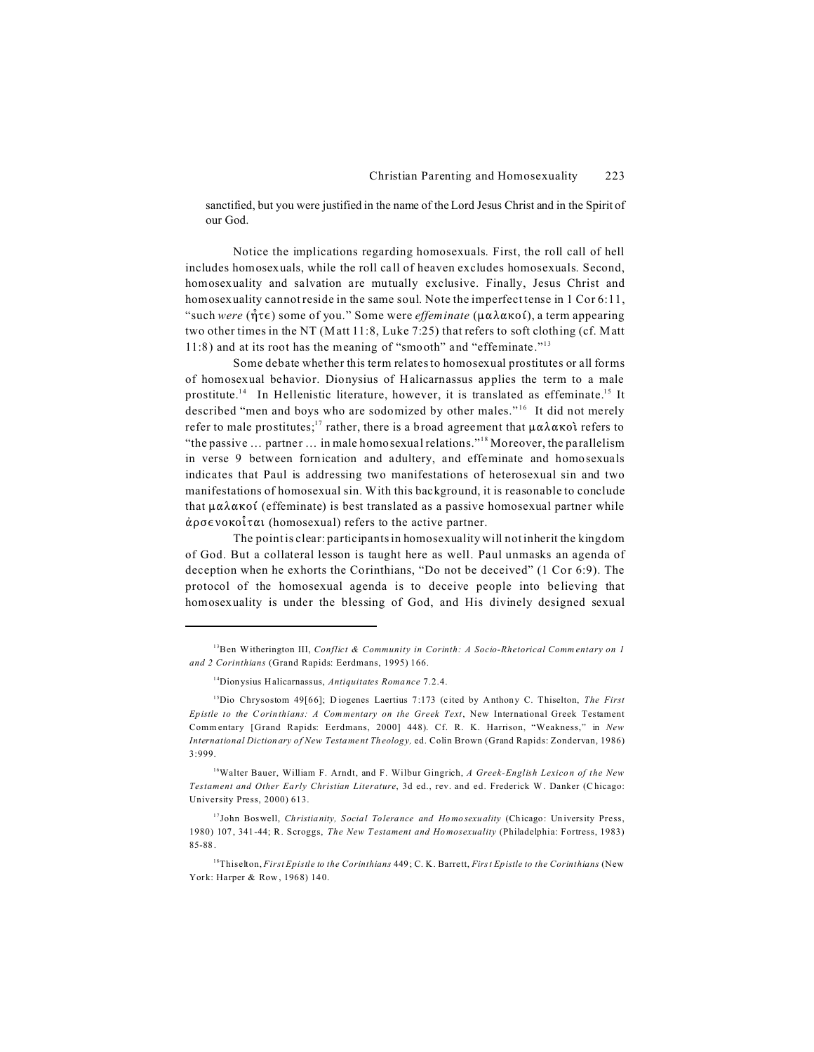sanctified, but you were justified in the name of the Lord Jesus Christ and in the Spirit of our God.

Notice the implications regarding homosexuals. First, the roll call of hell includes homosexuals, while the roll call of heaven excludes homosexuals. Second, homosexuality and salvation are mutually exclusive. Finally, Jesus Christ and homosexuality cannot reside in the same soul. Note the imperfect tense in 1 Cor 6:11, "such *were* ( $\hat{\eta} \tau \epsilon$ ) some of you." Some were *effeminate* ( $\mu \alpha \lambda \alpha \kappa$ oí), a term appearing two other times in the NT (Matt 11:8, Luke 7:25) that refers to soft clothing (cf. Matt 11:8) and at its root has the meaning of "smooth" and "effeminate."<sup>13</sup>

Some debate whether this term relates to homosexual prostitutes or all forms of homosexual behavior. Dionysius of Halicarnassus applies the term to a male prostitute.<sup>14</sup> In Hellenistic literature, however, it is translated as effeminate.<sup>15</sup> It described "men and boys who are sodomized by other males."<sup>16</sup> It did not merely refer to male prostitutes;<sup>17</sup> rather, there is a broad agreement that  $\mu \alpha \lambda \alpha \kappa o \hat{i}$  refers to "the passive … partner … in male homosexual relations."<sup>18</sup> Moreover, the parallelism in verse 9 between fornication and adultery, and effeminate and homosexuals indicates that Paul is addressing two manifestations of heterosexual sin and two manifestations of homosexual sin. With this background, it is reasonable to conclude that  $\mu \alpha \lambda \alpha \kappa$  (effeminate) is best translated as a passive homosexual partner while  $\dot{\alpha}$ ρσενοκοίται (homosexual) refers to the active partner.

The point is clear: participants in homosexuality will not inherit the kingdom of God. But a collateral lesson is taught here as well. Paul unmasks an agenda of deception when he exhorts the Corinthians, "Do not be deceived" (1 Cor 6:9). The protocol of the homosexual agenda is to deceive people into believing that homosexuality is under the blessing of God, and His divinely designed sexual

<sup>13</sup>Ben Witherington III, *Conflict & Community in Corinth: A Socio-Rhetorical Comm entary on 1 and 2 Corinthians* (Grand Rapids: Eerdmans, 1995) 166.

<sup>14</sup>Dionysius Halicarnassus, *Antiquitates Roma nce* 7.2.4.

<sup>15</sup>Dio Chrysostom 49[66]; D iogenes Laertius 7:173 (cited by Anthony C. Thiselton, *The First Epistle to the Corinthians: A Commentary on the Greek Text*, New International Greek Testament Commentary [Grand Rapids: Eerdmans, 2000] 448). Cf. R. K. Harrison, "Weakness," in *New International Dictionary of New Testament Theology,* ed. Colin Brown (Grand Rapids: Zondervan, 1986) 3:999.

<sup>16</sup>Walter Bauer, William F. Arndt, and F. Wilbur Gingrich, *A Greek-English Lexicon of the New Testament and Other Ea rly Christian Literature*, 3d ed., rev. and ed. Frederick W. Danker (Chicago: University Press, 2000) 613.

<sup>&</sup>lt;sup>17</sup>John Boswell, *Christianity, Social Tolerance and Homosexuality* (Chicago: University Press, 1980) 107, 341-44; R. Scroggs, *The New Testament and Homosexuality* (Philadelphia: Fortress, 1983) 85-88.

<sup>18</sup>Thiselton, *First Epistle to the Corinthians* 449; C. K. Barrett, *First Epistle to the Corinthians* (New York: Harper & Row, 1968) 140.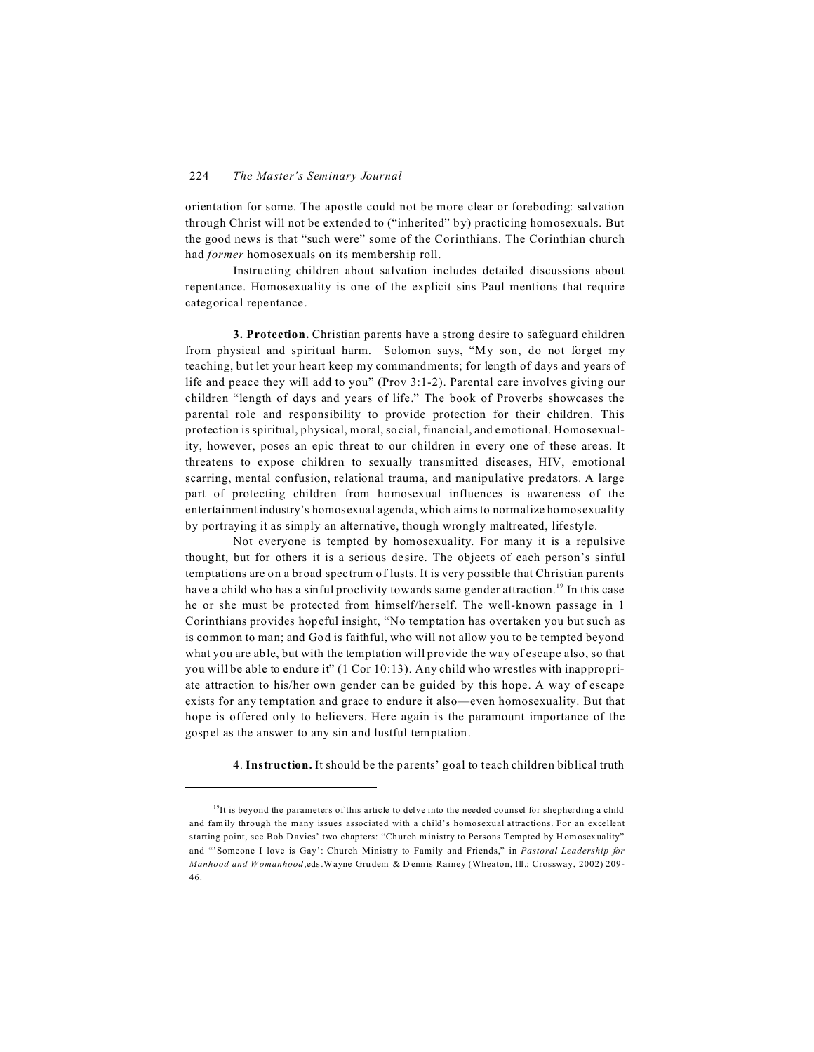orientation for some. The apostle could not be more clear or foreboding: salvation through Christ will not be extended to ("inherited" by) practicing homosexuals. But the good news is that "such were" some of the Corinthians. The Corinthian church had *former* homosexuals on its membership roll.

Instructing children about salvation includes detailed discussions about repentance. Homosexuality is one of the explicit sins Paul mentions that require categorical repentance.

**3. Protection.** Christian parents have a strong desire to safeguard children from physical and spiritual harm. Solomon says, "My son, do not forget my teaching, but let your heart keep my commandments; for length of days and years of life and peace they will add to you" (Prov 3:1-2). Parental care involves giving our children "length of days and years of life." The book of Proverbs showcases the parental role and responsibility to provide protection for their children. This protection is spiritual, physical, moral, social, financial, and emotional. Homosexuality, however, poses an epic threat to our children in every one of these areas. It threatens to expose children to sexually transmitted diseases, HIV, emotional scarring, mental confusion, relational trauma, and manipulative predators. A large part of protecting children from homosexual influences is awareness of the entertainment industry's homosexual agenda, which aims to normalize homosexuality by portraying it as simply an alternative, though wrongly maltreated, lifestyle.

Not everyone is tempted by homosexuality. For many it is a repulsive thought, but for others it is a serious desire. The objects of each person's sinful temptations are on a broad spectrum of lusts. It is very possible that Christian parents have a child who has a sinful proclivity towards same gender attraction.<sup>19</sup> In this case he or she must be protected from himself/herself. The well-known passage in 1 Corinthians provides hopeful insight, "No temptation has overtaken you but such as is common to man; and God is faithful, who will not allow you to be tempted beyond what you are able, but with the temptation will provide the way of escape also, so that you will be able to endure it" (1 Cor 10:13). Any child who wrestles with inappropriate attraction to his/her own gender can be guided by this hope. A way of escape exists for any temptation and grace to endure it also—even homosexuality. But that hope is offered only to believers. Here again is the paramount importance of the gospel as the answer to any sin and lustful temptation.

4. **Instruction.** It should be the parents' goal to teach children biblical truth

 $19$ It is beyond the parameters of this article to delve into the needed counsel for shepherding a child and family through the many issues associated with a child's homosexual attractions. For an excellent starting point, see Bob Davies' two chapters: "Church ministry to Persons Tempted by Homosexuality" and "'Someone I love is Gay': Church Ministry to Family and Friends," in *Pastoral Leadership for Manhood and Womanhood*,eds.Wayne Grudem & D ennis Rainey (Wheaton, Ill.: Crossway, 2002) 209- 46.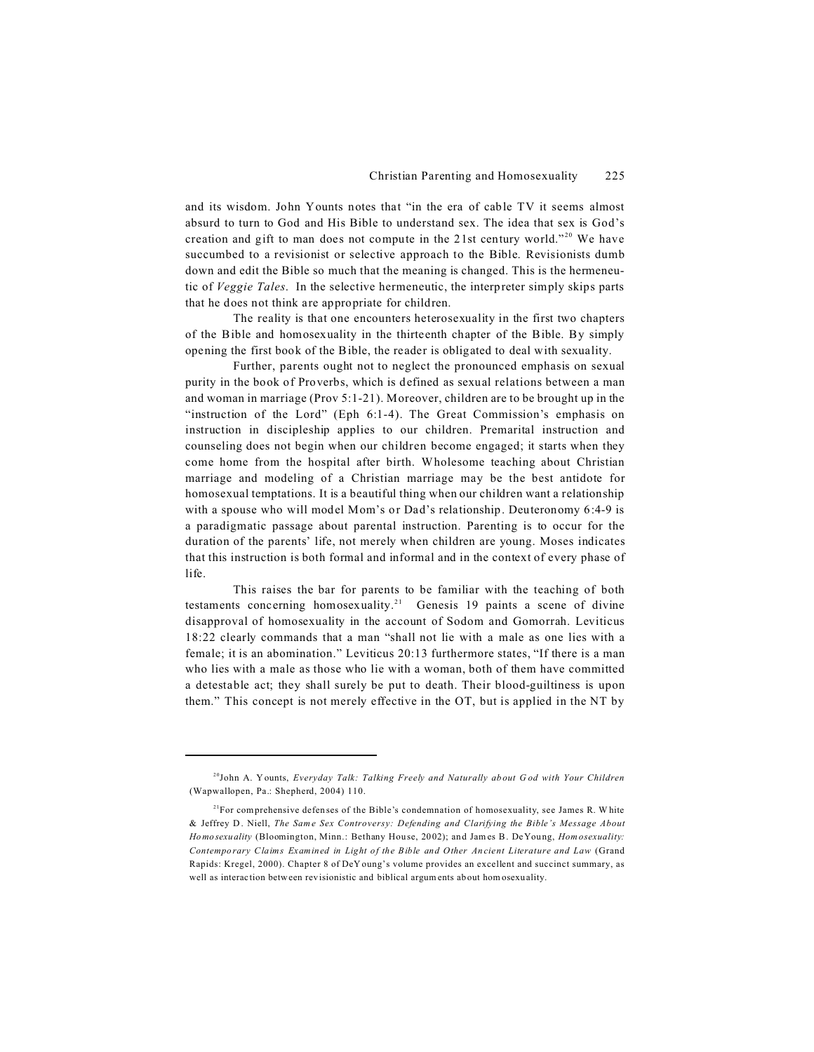and its wisdom. John Younts notes that "in the era of cable TV it seems almost absurd to turn to God and His Bible to understand sex. The idea that sex is God's creation and gift to man does not compute in the 21st century world."<sup>20</sup> We have succumbed to a revisionist or selective approach to the Bible. Revisionists dumb down and edit the Bible so much that the meaning is changed. This is the hermeneutic of *Veggie Tales*. In the selective hermeneutic, the interpreter simply skips parts that he does not think are appropriate for children.

The reality is that one encounters heterosexuality in the first two chapters of the Bible and homosexuality in the thirteenth chapter of the Bible. By simply opening the first book of the Bible, the reader is obligated to deal with sexuality.

Further, parents ought not to neglect the pronounced emphasis on sexual purity in the book of Proverbs, which is defined as sexual relations between a man and woman in marriage (Prov 5:1-21). Moreover, children are to be brought up in the "instruction of the Lord" (Eph 6:1-4). The Great Commission's emphasis on instruction in discipleship applies to our children. Premarital instruction and counseling does not begin when our children become engaged; it starts when they come home from the hospital after birth. Wholesome teaching about Christian marriage and modeling of a Christian marriage may be the best antidote for homosexual temptations. It is a beautiful thing when our children want a relationship with a spouse who will model Mom's or Dad's relationship. Deuteronomy 6:4-9 is a paradigmatic passage about parental instruction. Parenting is to occur for the duration of the parents' life, not merely when children are young. Moses indicates that this instruction is both formal and informal and in the context of every phase of life.

This raises the bar for parents to be familiar with the teaching of both testaments concerning homosexuality.<sup>21</sup> Genesis 19 paints a scene of divine disapproval of homosexuality in the account of Sodom and Gomorrah. Leviticus 18:22 clearly commands that a man "shall not lie with a male as one lies with a female; it is an abomination." Leviticus 20:13 furthermore states, "If there is a man who lies with a male as those who lie with a woman, both of them have committed a detestable act; they shall surely be put to death. Their blood-guiltiness is upon them." This concept is not merely effective in the OT, but is applied in the NT by

<sup>20</sup>John A. Younts, *Everyday Talk: Talking Freely and Naturally about G od with Your Children* (Wapwallopen, Pa.: Shepherd, 2004) 110.

 $2^{21}$ For comprehensive defenses of the Bible's condemnation of homosexuality, see James R. W hite & Jeffrey D. Niell, *The Same Sex Controversy: Defending and Clarifying the Bible's Message About Homosexuality* (Bloomington, Minn.: Bethany Hou se, 2002); and Jam es B. DeYoung, *Hom osexuality: Contemporary Claims Examined in Light of the Bible and Other Ancient Literature and Law* (Grand Rapids: Kregel, 2000). Chapter 8 of DeY oung's volume provides an excellent and succinct summary, as well as interaction between revisionistic and biblical argum ents about hom osexuality.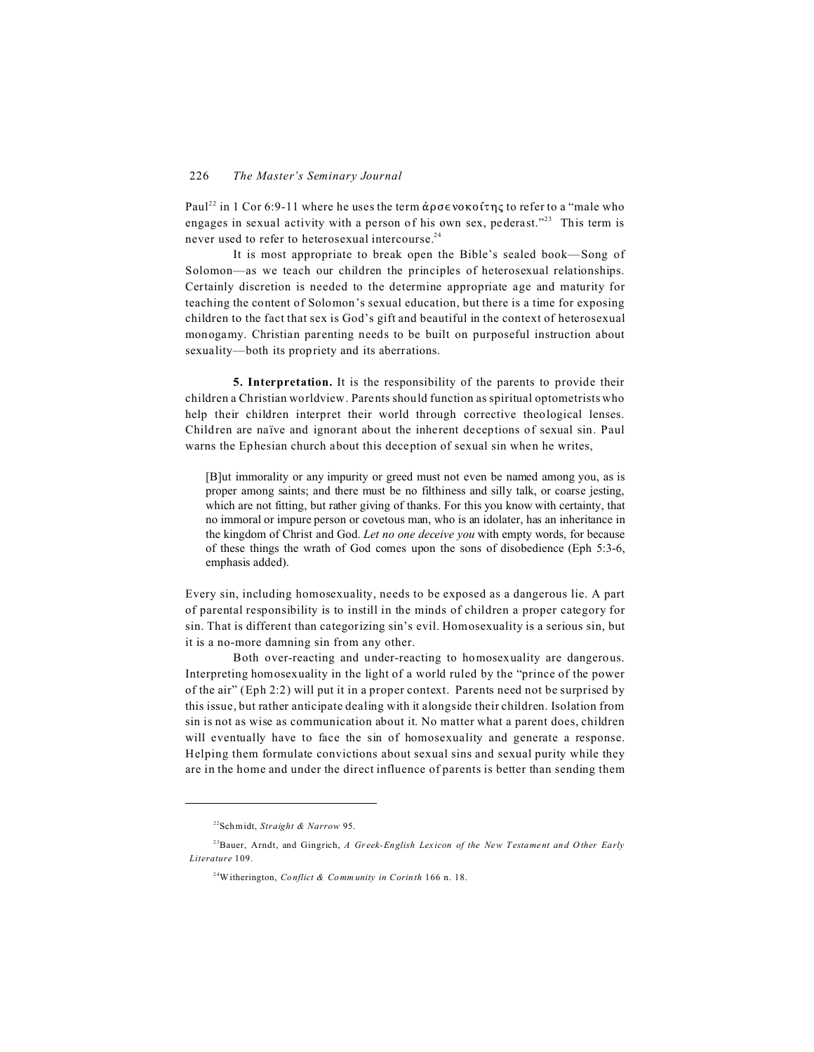Paul<sup>22</sup> in 1 Cor 6:9-11 where he uses the term  $\dot{\alpha}$   $\rho \sigma \epsilon$  voko  $\alpha$  for refer to a "male who engages in sexual activity with a person of his own sex, pederast."<sup>23</sup> This term is never used to refer to heterosexual intercourse.<sup>24</sup>

It is most appropriate to break open the Bible's sealed book—Song of Solomon—as we teach our children the principles of heterosexual relationships. Certainly discretion is needed to the determine appropriate age and maturity for teaching the content of Solomon's sexual education, but there is a time for exposing children to the fact that sex is God's gift and beautiful in the context of heterosexual monogamy. Christian parenting needs to be built on purposeful instruction about sexuality—both its propriety and its aberrations.

**5. Interpretation.** It is the responsibility of the parents to provide their children a Christian worldview. Parents should function as spiritual optometrists who help their children interpret their world through corrective theological lenses. Children are naïve and ignorant about the inherent deceptions of sexual sin. Paul warns the Ephesian church about this deception of sexual sin when he writes,

[B]ut immorality or any impurity or greed must not even be named among you, as is proper among saints; and there must be no filthiness and silly talk, or coarse jesting, which are not fitting, but rather giving of thanks. For this you know with certainty, that no immoral or impure person or covetous man, who is an idolater, has an inheritance in the kingdom of Christ and God. *Let no one deceive you* with empty words, for because of these things the wrath of God comes upon the sons of disobedience (Eph 5:3-6, emphasis added).

Every sin, including homosexuality, needs to be exposed as a dangerous lie. A part of parental responsibility is to instill in the minds of children a proper category for sin. That is different than categorizing sin's evil. Homosexuality is a serious sin, but it is a no-more damning sin from any other.

Both over-reacting and under-reacting to homosexuality are dangerous. Interpreting homosexuality in the light of a world ruled by the "prince of the power of the air" (Eph 2:2) will put it in a proper context. Parents need not be surprised by this issue, but rather anticipate dealing with it alongside their children. Isolation from sin is not as wise as communication about it. No matter what a parent does, children will eventually have to face the sin of homosexuality and generate a response. Helping them formulate convictions about sexual sins and sexual purity while they are in the home and under the direct influence of parents is better than sending them

<sup>22</sup>Schmidt, *Straight & Narrow* 95.

<sup>23</sup>Bauer, Arndt, and Gingrich, *A Greek-English Lexicon of the New Testament and Other Early Literature* 109.

<sup>24</sup>Witherington, *Conflict & Comm unity in Corinth* 166 n. 18.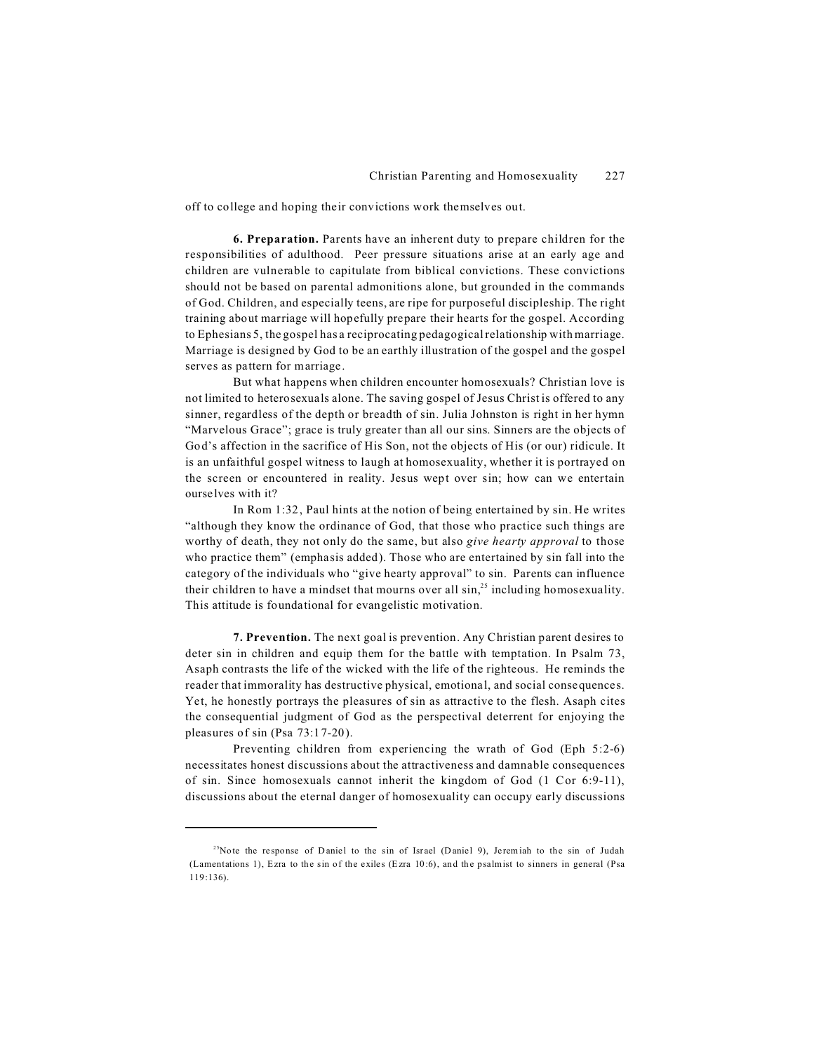off to college and hoping their convictions work themselves out.

**6. Preparation.** Parents have an inherent duty to prepare children for the responsibilities of adulthood. Peer pressure situations arise at an early age and children are vulnerable to capitulate from biblical convictions. These convictions should not be based on parental admonitions alone, but grounded in the commands of God. Children, and especially teens, are ripe for purposeful discipleship. The right training about marriage will hopefully prepare their hearts for the gospel. According to Ephesians 5, the gospel has a reciprocating pedagogical relationship with marriage. Marriage is designed by God to be an earthly illustration of the gospel and the gospel serves as pattern for marriage.

But what happens when children encounter homosexuals? Christian love is not limited to heterosexuals alone. The saving gospel of Jesus Christ is offered to any sinner, regardless of the depth or breadth of sin. Julia Johnston is right in her hymn "Marvelous Grace"; grace is truly greater than all our sins. Sinners are the objects of God's affection in the sacrifice of His Son, not the objects of His (or our) ridicule. It is an unfaithful gospel witness to laugh at homosexuality, whether it is portrayed on the screen or encountered in reality. Jesus wept over sin; how can we entertain ourselves with it?

In Rom 1:32, Paul hints at the notion of being entertained by sin. He writes "although they know the ordinance of God, that those who practice such things are worthy of death, they not only do the same, but also *give hearty approval* to those who practice them" (emphasis added). Those who are entertained by sin fall into the category of the individuals who "give hearty approval" to sin. Parents can influence their children to have a mindset that mourns over all  $\sin^{25}$  including homosexuality. This attitude is foundational for evangelistic motivation.

**7. Prevention.** The next goal is prevention. Any Christian parent desires to deter sin in children and equip them for the battle with temptation. In Psalm 73, Asaph contrasts the life of the wicked with the life of the righteous. He reminds the reader that immorality has destructive physical, emotional, and social consequences. Yet, he honestly portrays the pleasures of sin as attractive to the flesh. Asaph cites the consequential judgment of God as the perspectival deterrent for enjoying the pleasures of sin (Psa 73:17-20).

Preventing children from experiencing the wrath of God (Eph 5:2-6) necessitates honest discussions about the attractiveness and damnable consequences of sin. Since homosexuals cannot inherit the kingdom of God (1 Cor 6:9-11), discussions about the eternal danger of homosexuality can occupy early discussions

<sup>&</sup>lt;sup>25</sup>Note the response of Daniel to the sin of Israel (Daniel 9), Jeremiah to the sin of Judah (Lamentations 1), Ezra to the sin of the exiles (E zra 10:6), and the psalmist to sinners in general (Psa 119:136).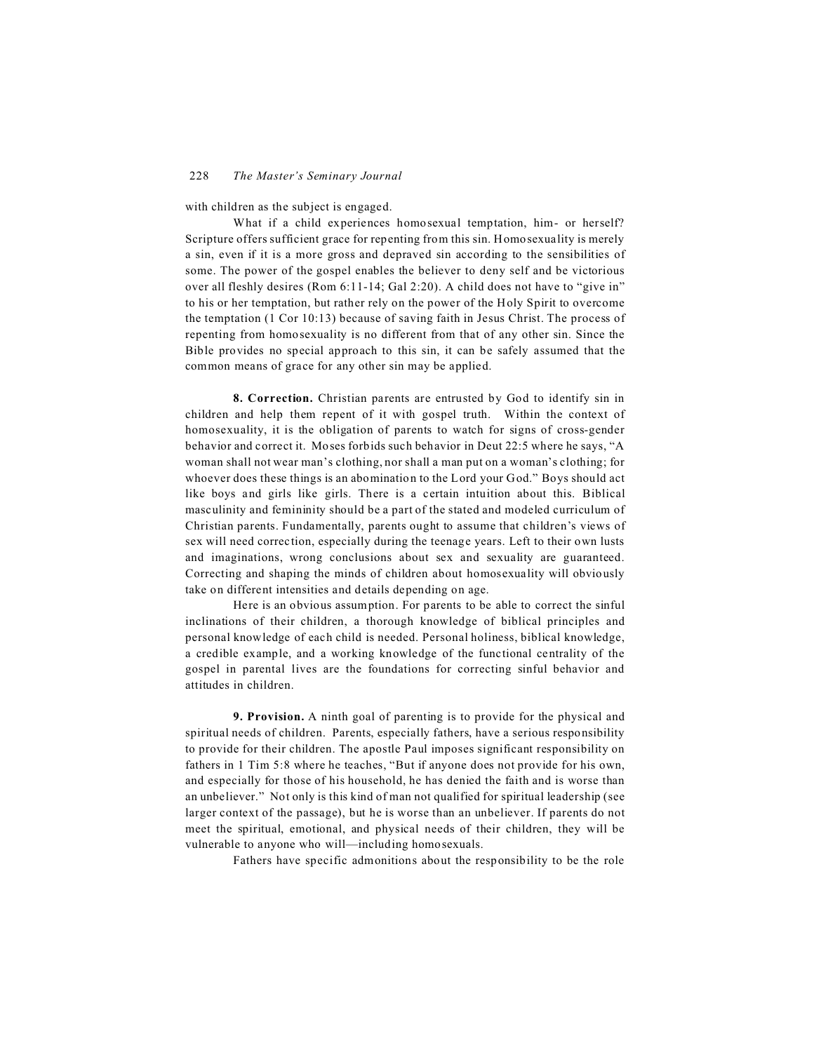with children as the subject is engaged.

What if a child experiences homosexual temptation, him- or herself? Scripture offers sufficient grace for repenting from this sin. Homosexuality is merely a sin, even if it is a more gross and depraved sin according to the sensibilities of some. The power of the gospel enables the believer to deny self and be victorious over all fleshly desires (Rom 6:11-14; Gal 2:20). A child does not have to "give in" to his or her temptation, but rather rely on the power of the Holy Spirit to overcome the temptation (1 Cor 10:13) because of saving faith in Jesus Christ. The process of repenting from homosexuality is no different from that of any other sin. Since the Bible provides no special approach to this sin, it can be safely assumed that the common means of grace for any other sin may be applied.

**8. Correction.** Christian parents are entrusted by God to identify sin in children and help them repent of it with gospel truth. Within the context of homosexuality, it is the obligation of parents to watch for signs of cross-gender behavior and correct it. Moses forbids such behavior in Deut 22:5 where he says, "A woman shall not wear man's clothing, nor shall a man put on a woman's clothing; for whoever does these things is an abomination to the Lord your God." Boys should act like boys and girls like girls. There is a certain intuition about this. Biblical masculinity and femininity should be a part of the stated and modeled curriculum of Christian parents. Fundamentally, parents ought to assume that children's views of sex will need correction, especially during the teenage years. Left to their own lusts and imaginations, wrong conclusions about sex and sexuality are guaranteed. Correcting and shaping the minds of children about homosexuality will obviously take on different intensities and details depending on age.

Here is an obvious assumption. For parents to be able to correct the sinful inclinations of their children, a thorough knowledge of biblical principles and personal knowledge of each child is needed. Personal holiness, biblical knowledge, a credible example, and a working knowledge of the functional centrality of the gospel in parental lives are the foundations for correcting sinful behavior and attitudes in children.

**9. Provision.** A ninth goal of parenting is to provide for the physical and spiritual needs of children. Parents, especially fathers, have a serious responsibility to provide for their children. The apostle Paul imposes significant responsibility on fathers in 1 Tim 5:8 where he teaches, "But if anyone does not provide for his own, and especially for those of his household, he has denied the faith and is worse than an unbeliever." Not only is this kind of man not qualified for spiritual leadership (see larger context of the passage), but he is worse than an unbeliever. If parents do not meet the spiritual, emotional, and physical needs of their children, they will be vulnerable to anyone who will—including homosexuals.

Fathers have specific admonitions about the responsibility to be the role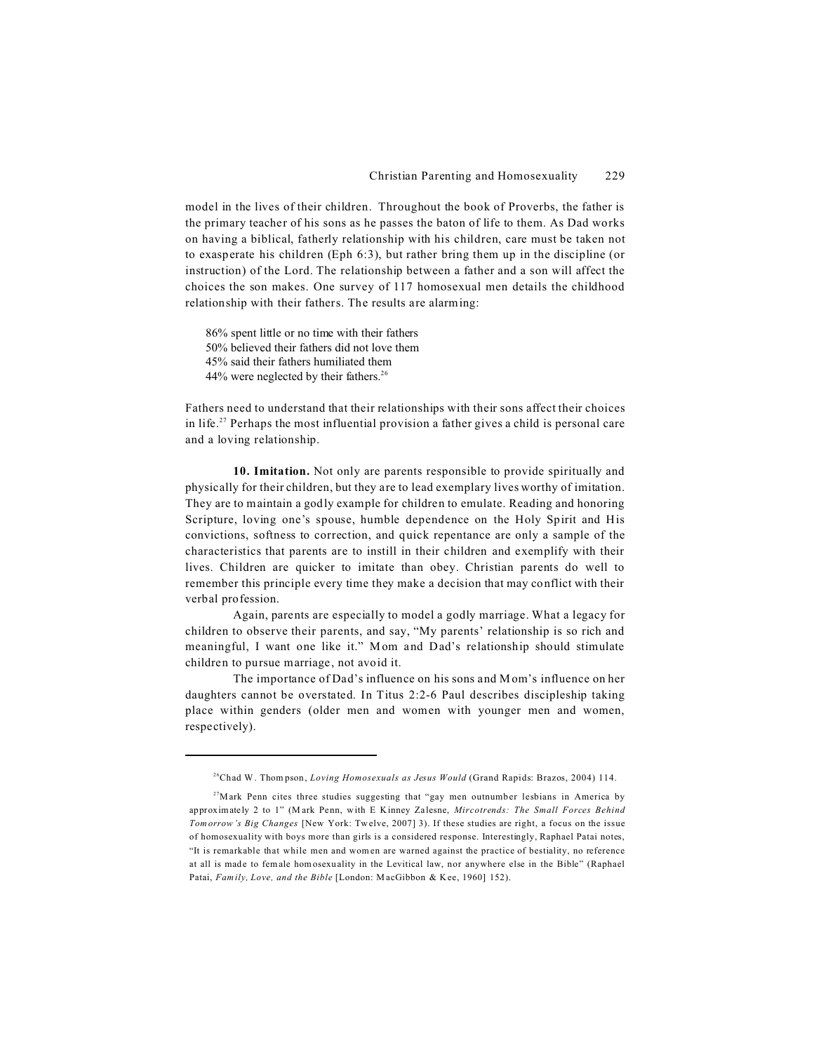model in the lives of their children. Throughout the book of Proverbs, the father is the primary teacher of his sons as he passes the baton of life to them. As Dad works on having a biblical, fatherly relationship with his children, care must be taken not to exasperate his children (Eph 6:3), but rather bring them up in the discipline (or instruction) of the Lord. The relationship between a father and a son will affect the choices the son makes. One survey of 117 homosexual men details the childhood relationship with their fathers. The results are alarming:

86% spent little or no time with their fathers 50% believed their fathers did not love them 45% said their fathers humiliated them 44% were neglected by their fathers.<sup>26</sup>

Fathers need to understand that their relationships with their sons affect their choices in life.<sup>27</sup> Perhaps the most influential provision a father gives a child is personal care and a loving relationship.

**10. Imitation.** Not only are parents responsible to provide spiritually and physically for their children, but they are to lead exemplary lives worthy of imitation. They are to maintain a godly example for children to emulate. Reading and honoring Scripture, loving one's spouse, humble dependence on the Holy Spirit and His convictions, softness to correction, and quick repentance are only a sample of the characteristics that parents are to instill in their children and exemplify with their lives. Children are quicker to imitate than obey. Christian parents do well to remember this principle every time they make a decision that may conflict with their verbal profession.

Again, parents are especially to model a godly marriage. What a legacy for children to observe their parents, and say, "My parents' relationship is so rich and meaningful, I want one like it." Mom and Dad's relationship should stimulate children to pursue marriage, not avoid it.

The importance of Dad's influence on his sons and Mom's influence on her daughters cannot be overstated. In Titus 2:2-6 Paul describes discipleship taking place within genders (older men and women with younger men and women, respectively).

<sup>26</sup>Chad W. Thom pson, *Loving Homosexuals as Jesus Would* (Grand Rapids: Brazos, 2004) 114.

<sup>&</sup>lt;sup>27</sup>Mark Penn cites three studies suggesting that "gay men outnumber lesbians in America by approximately 2 to 1" (M ark Penn, with E Kinney Zalesne, *Mircotrends: The Small Forces Behind Tomorrow's Big Changes* [New York: Twelve, 2007] 3). If these studies are right, a focus on the issue of homosexuality with boys more than girls is a considered response. Interestingly, Raphael Patai notes, "It is remarkable that while men and wom en are warned against the practice of bestiality, no reference at all is made to female homosexuality in the Levitical law, nor anywhere else in the Bible" (Raphael Patai, *Fam ily, Love, and the Bible* [London: MacGibbon & Kee, 1960] 152).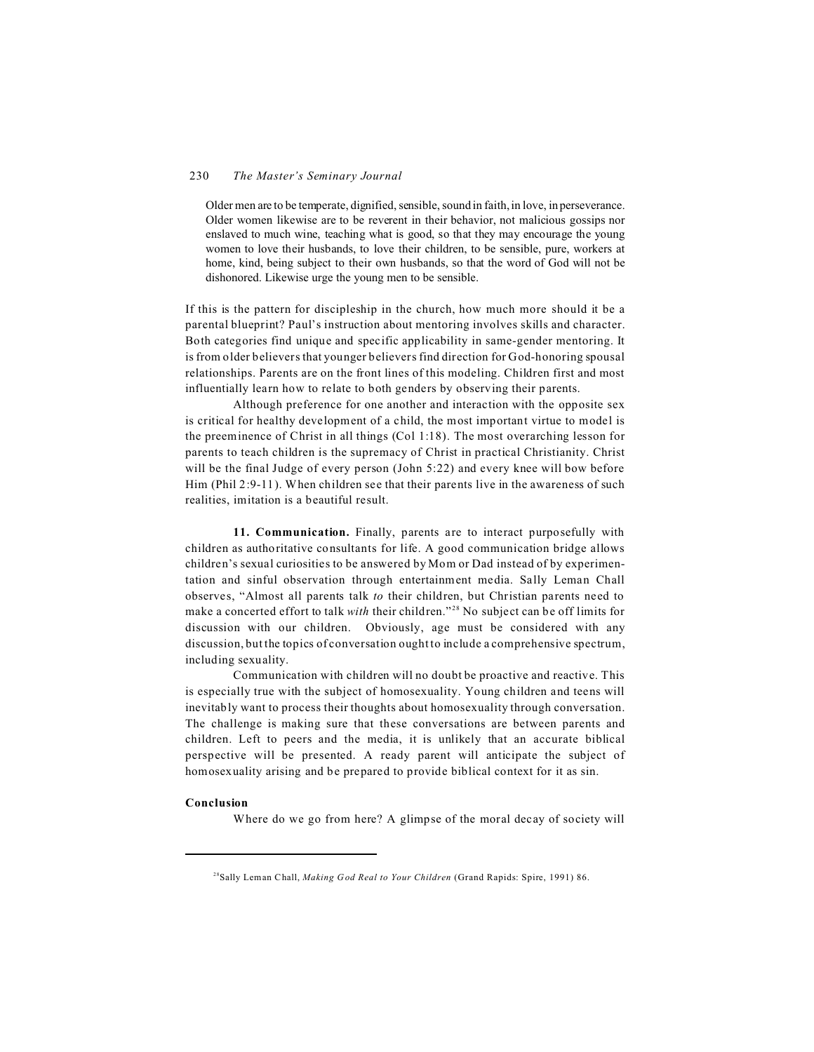#### 230 *The Master's Seminary Journal*

Older men are to be temperate, dignified, sensible, sound in faith, in love, in perseverance. Older women likewise are to be reverent in their behavior, not malicious gossips nor enslaved to much wine, teaching what is good, so that they may encourage the young women to love their husbands, to love their children, to be sensible, pure, workers at home, kind, being subject to their own husbands, so that the word of God will not be dishonored. Likewise urge the young men to be sensible.

If this is the pattern for discipleship in the church, how much more should it be a parental blueprint? Paul's instruction about mentoring involves skills and character. Both categories find unique and specific applicability in same-gender mentoring. It is from older believers that younger believers find direction for God-honoring spousal relationships. Parents are on the front lines of this modeling. Children first and most influentially learn how to relate to both genders by observing their parents.

Although preference for one another and interaction with the opposite sex is critical for healthy development of a child, the most important virtue to model is the preeminence of Christ in all things (Col 1:18). The most overarching lesson for parents to teach children is the supremacy of Christ in practical Christianity. Christ will be the final Judge of every person (John 5:22) and every knee will bow before Him (Phil 2:9-11). When children see that their parents live in the awareness of such realities, imitation is a beautiful result.

**11. Communication.** Finally, parents are to interact purposefully with children as authoritative consultants for life. A good communication bridge allows children's sexual curiosities to be answered by Mom or Dad instead of by experimentation and sinful observation through entertainment media. Sally Leman Chall observes, "Almost all parents talk *to* their children, but Christian parents need to make a concerted effort to talk *with* their children."<sup>28</sup> No subject can be off limits for discussion with our children. Obviously, age must be considered with any discussion, but the topics of conversation ought to include a comprehensive spectrum, including sexuality.

Communication with children will no doubt be proactive and reactive. This is especially true with the subject of homosexuality. Young children and teens will inevitably want to process their thoughts about homosexuality through conversation. The challenge is making sure that these conversations are between parents and children. Left to peers and the media, it is unlikely that an accurate biblical perspective will be presented. A ready parent will anticipate the subject of homosexuality arising and be prepared to provide biblical context for it as sin.

#### **Conclusion**

Where do we go from here? A glimpse of the moral decay of society will

<sup>28</sup>Sally Leman Chall, *Making God Real to Your Children* (Grand Rapids: Spire, 1991) 86.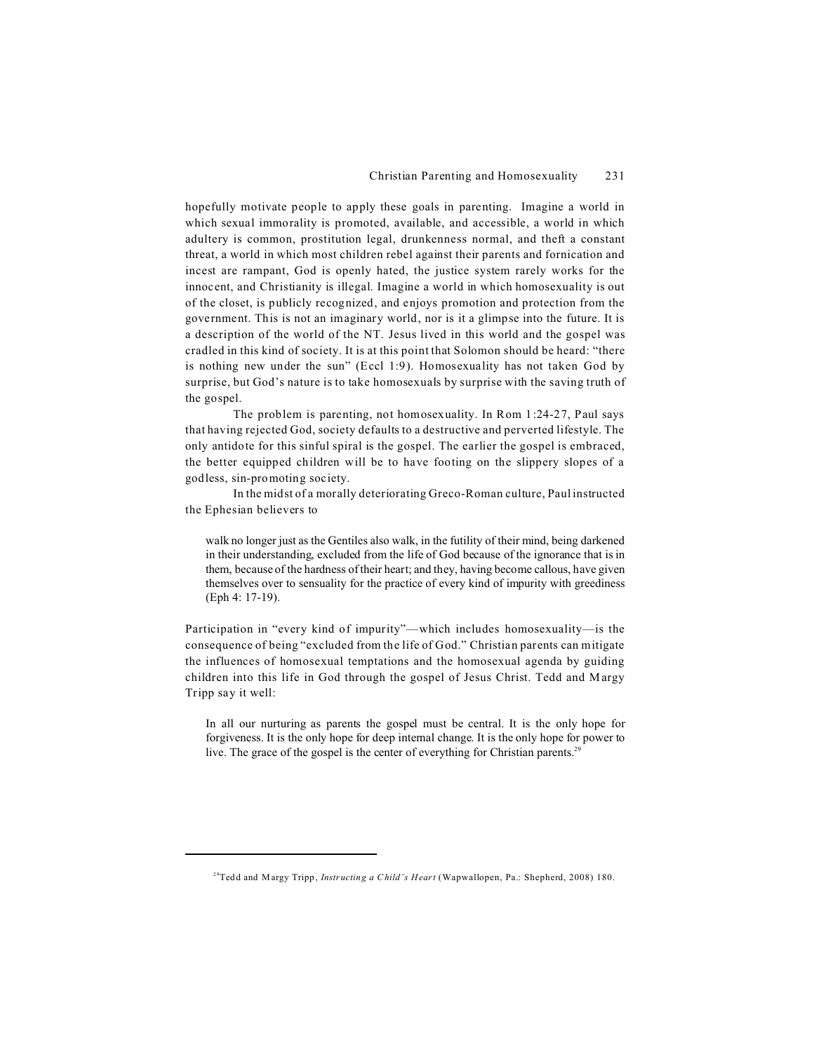hopefully motivate people to apply these goals in parenting. Imagine a world in which sexual immorality is promoted, available, and accessible, a world in which adultery is common, prostitution legal, drunkenness normal, and theft a constant threat, a world in which most children rebel against their parents and fornication and incest are rampant, God is openly hated, the justice system rarely works for the innocent, and Christianity is illegal. Imagine a world in which homosexuality is out of the closet, is publicly recognized, and enjoys promotion and protection from the government. This is not an imaginary world, nor is it a glimpse into the future. It is a description of the world of the NT. Jesus lived in this world and the gospel was cradled in this kind of society. It is at this point that Solomon should be heard: "there is nothing new under the sun" (Eccl 1:9). Homosexuality has not taken God by surprise, but God's nature is to take homosexuals by surprise with the saving truth of the gospel.

The problem is parenting, not homosexuality. In Rom 1:24-27, Paul says that having rejected God, society defaults to a destructive and perverted lifestyle. The only antidote for this sinful spiral is the gospel. The earlier the gospel is embraced, the better equipped children will be to have footing on the slippery slopes of a godless, sin-promoting society.

In the midst of a morally deteriorating Greco-Roman culture, Paul instructed the Ephesian believers to

walk no longer just as the Gentiles also walk, in the futility of their mind, being darkened in their understanding, excluded from the life of God because of the ignorance that is in them, because of the hardness of their heart; and they, having become callous, have given themselves over to sensuality for the practice of every kind of impurity with greediness (Eph 4: 17-19).

Participation in "every kind of impurity"—which includes homosexuality—is the consequence of being "excluded from the life of God." Christian parents can mitigate the influences of homosexual temptations and the homosexual agenda by guiding children into this life in God through the gospel of Jesus Christ. Tedd and M argy Tripp say it well:

In all our nurturing as parents the gospel must be central. It is the only hope for forgiveness. It is the only hope for deep internal change. It is the only hope for power to live. The grace of the gospel is the center of everything for Christian parents.<sup>29</sup>

<sup>29</sup>Tedd and Margy Tripp, *Instructing a C hild's Heart* (Wapwallopen, Pa.: Shepherd, 2008) 180.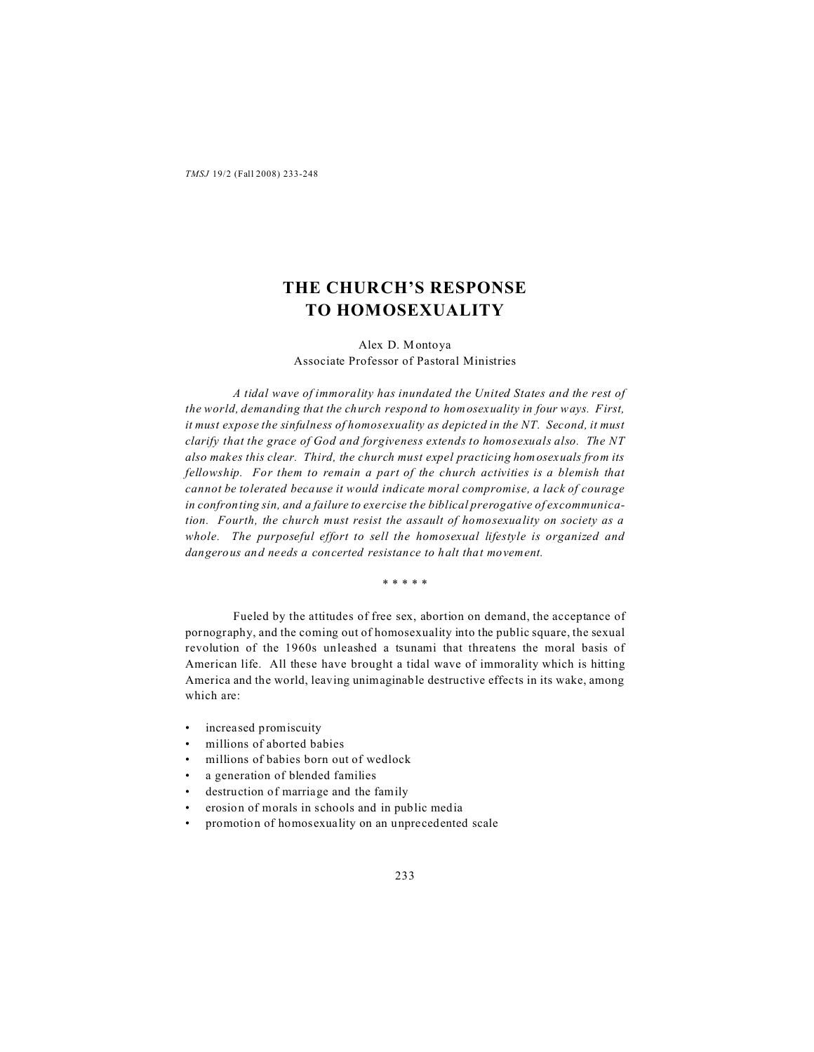# **THE CHURCH'S RESPONSE TO HOMOSEXUALITY**

Alex D. Montoya Associate Professor of Pastoral Ministries

*A tidal wave of immorality has inundated the United States and the rest of the world, demanding that the church respond to homosexuality in four ways. First, it must expose the sinfulness of homosexuality as depicted in the NT. Second, it must clarify that the grace of God and forgiveness extends to homosexuals also. The NT also makes this clear. Third, the church must expel practicing homosexuals from its fellowship. For them to remain a part of the church activities is a blemish that cannot be tolerated because it would indicate moral compromise, a lack of courage in confronting sin, and a failure to exercise the biblical prerogative of excommunication. Fourth, the church must resist the assault of homosexuality on society as a whole. The purposeful effort to sell the homosexual lifestyle is organized and dangerous and needs a concerted resistance to halt that movement.*

\* \* \* \* \*

Fueled by the attitudes of free sex, abortion on demand, the acceptance of pornography, and the coming out of homosexuality into the public square, the sexual revolution of the 1960s unleashed a tsunami that threatens the moral basis of American life. All these have brought a tidal wave of immorality which is hitting America and the world, leaving unimaginable destructive effects in its wake, among which are:

- increased promiscuity
- millions of aborted babies
- millions of babies born out of wedlock
- a generation of blended families
- destruction of marriage and the family
- erosion of morals in schools and in public media
- promotion of homosexuality on an unprecedented scale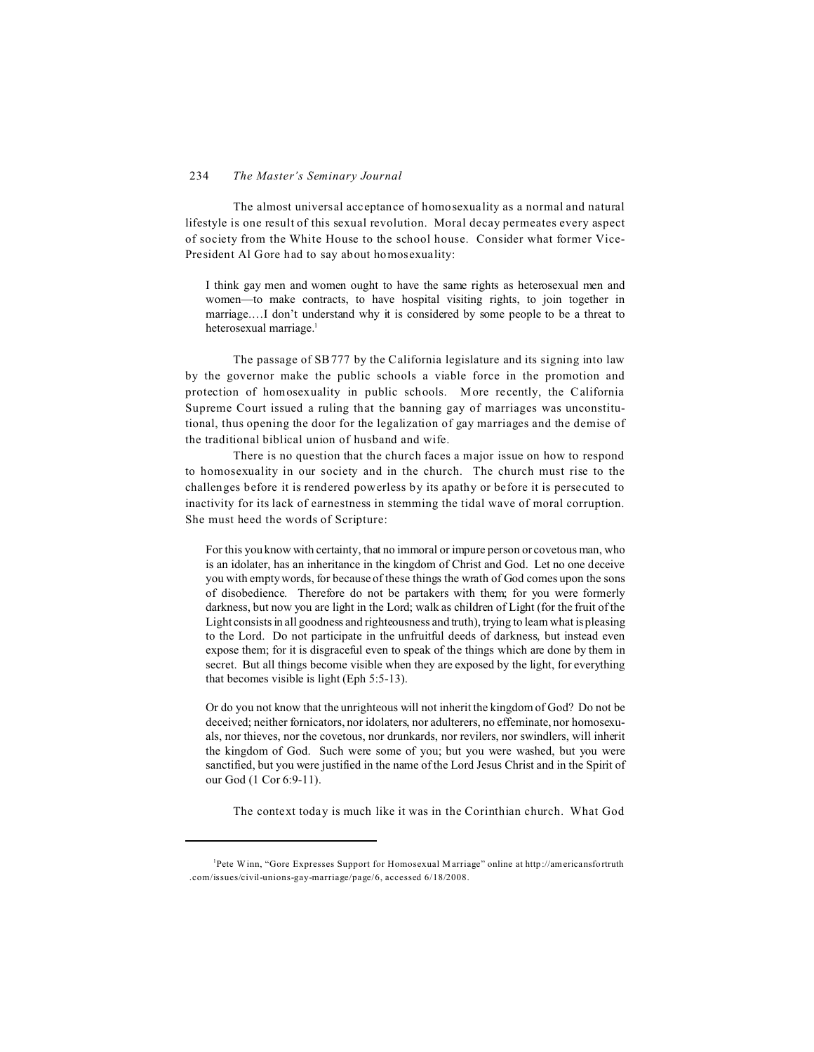#### 234 *The Master's Seminary Journal*

The almost universal acceptance of homosexuality as a normal and natural lifestyle is one result of this sexual revolution. Moral decay permeates every aspect of society from the White House to the school house. Consider what former Vice-President Al Gore had to say about homosexuality:

I think gay men and women ought to have the same rights as heterosexual men and women—to make contracts, to have hospital visiting rights, to join together in marriage.…I don't understand why it is considered by some people to be a threat to heterosexual marriage.<sup>1</sup>

The passage of SB777 by the California legislature and its signing into law by the governor make the public schools a viable force in the promotion and protection of homosexuality in public schools. More recently, the California Supreme Court issued a ruling that the banning gay of marriages was unconstitutional, thus opening the door for the legalization of gay marriages and the demise of the traditional biblical union of husband and wife.

There is no question that the church faces a major issue on how to respond to homosexuality in our society and in the church. The church must rise to the challenges before it is rendered powerless by its apathy or before it is persecuted to inactivity for its lack of earnestness in stemming the tidal wave of moral corruption. She must heed the words of Scripture:

For this you know with certainty, that no immoral or impure person or covetous man, who is an idolater, has an inheritance in the kingdom of Christ and God. Let no one deceive you with empty words, for because of these things the wrath of God comes upon the sons of disobedience. Therefore do not be partakers with them; for you were formerly darkness, but now you are light in the Lord; walk as children of Light (for the fruit of the Light consists in all goodness and righteousness and truth), trying to learn what is pleasing to the Lord. Do not participate in the unfruitful deeds of darkness, but instead even expose them; for it is disgraceful even to speak of the things which are done by them in secret. But all things become visible when they are exposed by the light, for everything that becomes visible is light (Eph 5:5-13).

Or do you not know that the unrighteous will not inherit the kingdom of God? Do not be deceived; neither fornicators, nor idolaters, nor adulterers, no effeminate, nor homosexuals, nor thieves, nor the covetous, nor drunkards, nor revilers, nor swindlers, will inherit the kingdom of God. Such were some of you; but you were washed, but you were sanctified, but you were justified in the name of the Lord Jesus Christ and in the Spirit of our God (1 Cor 6:9-11).

The context today is much like it was in the Corinthian church. What God

Pete Winn, "Gore Expresses Support for Homosexual Marriage" online at http://americansfortruth .com/issues/civil-unions-gay-marriage/page/6, accessed 6/18/2008.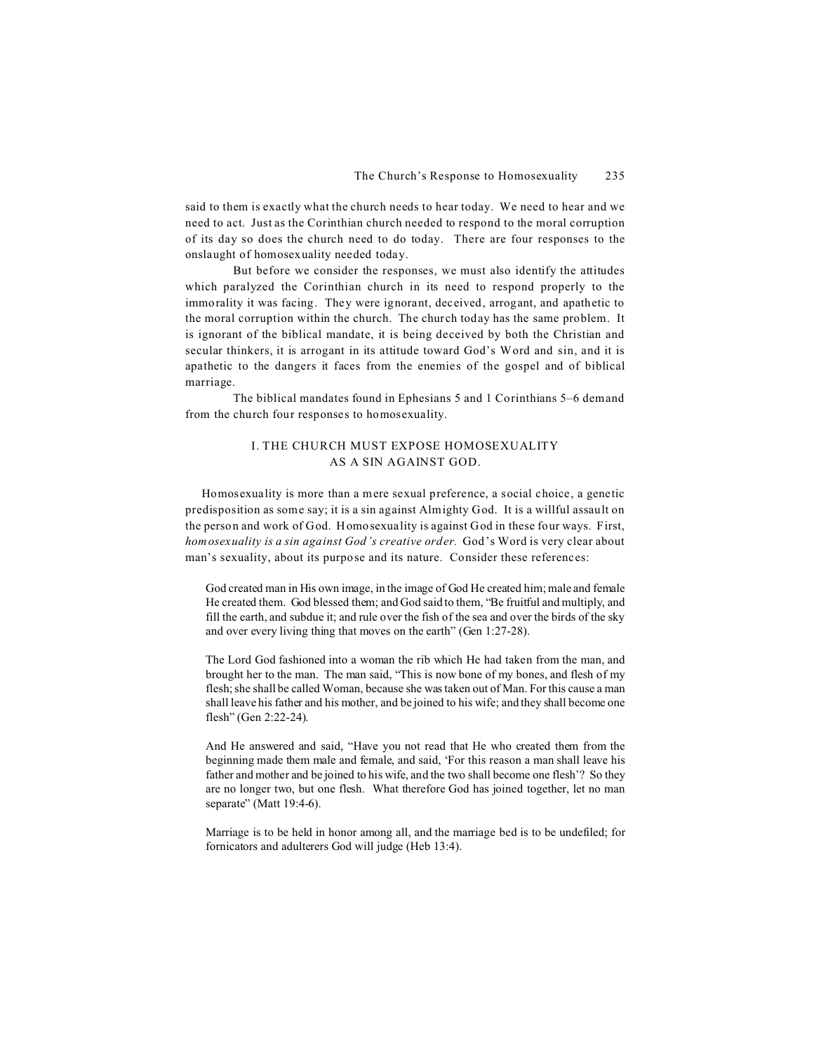said to them is exactly what the church needs to hear today. We need to hear and we need to act. Just as the Corinthian church needed to respond to the moral corruption of its day so does the church need to do today. There are four responses to the onslaught of homosexuality needed today.

But before we consider the responses, we must also identify the attitudes which paralyzed the Corinthian church in its need to respond properly to the immorality it was facing. They were ignorant, deceived, arrogant, and apathetic to the moral corruption within the church. The church today has the same problem. It is ignorant of the biblical mandate, it is being deceived by both the Christian and secular thinkers, it is arrogant in its attitude toward God's Word and sin, and it is apathetic to the dangers it faces from the enemies of the gospel and of biblical marriage.

The biblical mandates found in Ephesians 5 and 1 Corinthians 5–6 demand from the church four responses to homosexuality.

# I. THE CHURCH MUST EXPOSE HOMOSEXUALITY AS A SIN AGAINST GOD.

 Homosexuality is more than a mere sexual preference, a social choice, a genetic predisposition as some say; it is a sin against Almighty God. It is a willful assault on the person and work of God. Homosexuality is against God in these four ways. First, *homosexuality is a sin against God's creative order.* God's Word is very clear about man's sexuality, about its purpose and its nature. Consider these references:

God created man in His own image, in the image of God He created him; male and female He created them. God blessed them; and God said to them, "Be fruitful and multiply, and fill the earth, and subdue it; and rule over the fish of the sea and over the birds of the sky and over every living thing that moves on the earth" (Gen 1:27-28).

The Lord God fashioned into a woman the rib which He had taken from the man, and brought her to the man. The man said, "This is now bone of my bones, and flesh of my flesh; she shall be called Woman, because she was taken out of Man. For this cause a man shall leave his father and his mother, and be joined to his wife; and they shall become one flesh" (Gen 2:22-24).

And He answered and said, "Have you not read that He who created them from the beginning made them male and female, and said, 'For this reason a man shall leave his father and mother and be joined to his wife, and the two shall become one flesh'? So they are no longer two, but one flesh. What therefore God has joined together, let no man separate" (Matt 19:4-6).

Marriage is to be held in honor among all, and the marriage bed is to be undefiled; for fornicators and adulterers God will judge (Heb 13:4).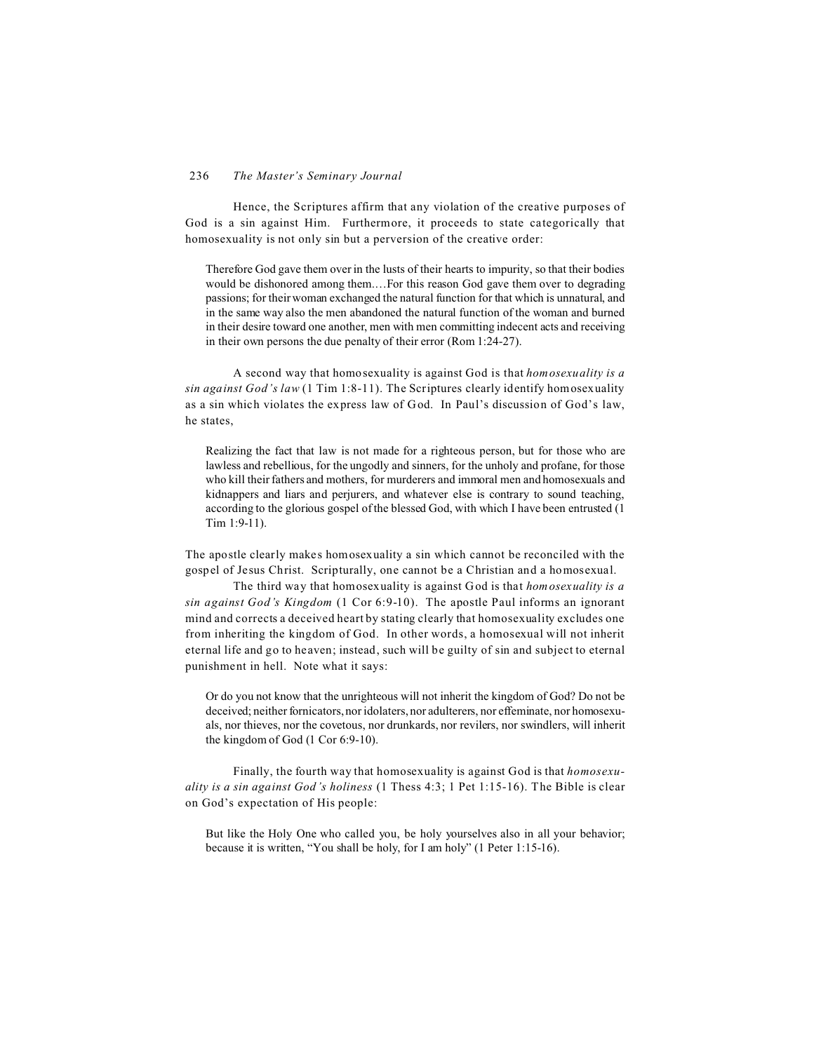Hence, the Scriptures affirm that any violation of the creative purposes of God is a sin against Him. Furthermore, it proceeds to state categorically that homosexuality is not only sin but a perversion of the creative order:

Therefore God gave them over in the lusts of their hearts to impurity, so that their bodies would be dishonored among them.…For this reason God gave them over to degrading passions; for their woman exchanged the natural function for that which is unnatural, and in the same way also the men abandoned the natural function of the woman and burned in their desire toward one another, men with men committing indecent acts and receiving in their own persons the due penalty of their error (Rom 1:24-27).

A second way that homosexuality is against God is that *homosexuality is a sin against God's law* (1 Tim 1:8-11). The Scriptures clearly identify homosexuality as a sin which violates the express law of God. In Paul's discussion of God's law, he states,

Realizing the fact that law is not made for a righteous person, but for those who are lawless and rebellious, for the ungodly and sinners, for the unholy and profane, for those who kill their fathers and mothers, for murderers and immoral men and homosexuals and kidnappers and liars and perjurers, and whatever else is contrary to sound teaching, according to the glorious gospel of the blessed God, with which I have been entrusted (1 Tim 1:9-11).

The apostle clearly makes homosexuality a sin which cannot be reconciled with the gospel of Jesus Christ. Scripturally, one cannot be a Christian and a homosexual.

The third way that homosexuality is against God is that *homosexuality is a sin against God's Kingdom* (1 Cor 6:9-10). The apostle Paul informs an ignorant mind and corrects a deceived heart by stating clearly that homosexuality excludes one from inheriting the kingdom of God. In other words, a homosexual will not inherit eternal life and go to heaven; instead, such will be guilty of sin and subject to eternal punishment in hell. Note what it says:

Or do you not know that the unrighteous will not inherit the kingdom of God? Do not be deceived; neither fornicators, nor idolaters, nor adulterers, nor effeminate, nor homosexuals, nor thieves, nor the covetous, nor drunkards, nor revilers, nor swindlers, will inherit the kingdom of God (1 Cor 6:9-10).

Finally, the fourth way that homosexuality is against God is that *homosexuality is a sin against God's holiness* (1 Thess 4:3; 1 Pet 1:15-16). The Bible is clear on God's expectation of His people:

But like the Holy One who called you, be holy yourselves also in all your behavior; because it is written, "You shall be holy, for I am holy" (1 Peter 1:15-16).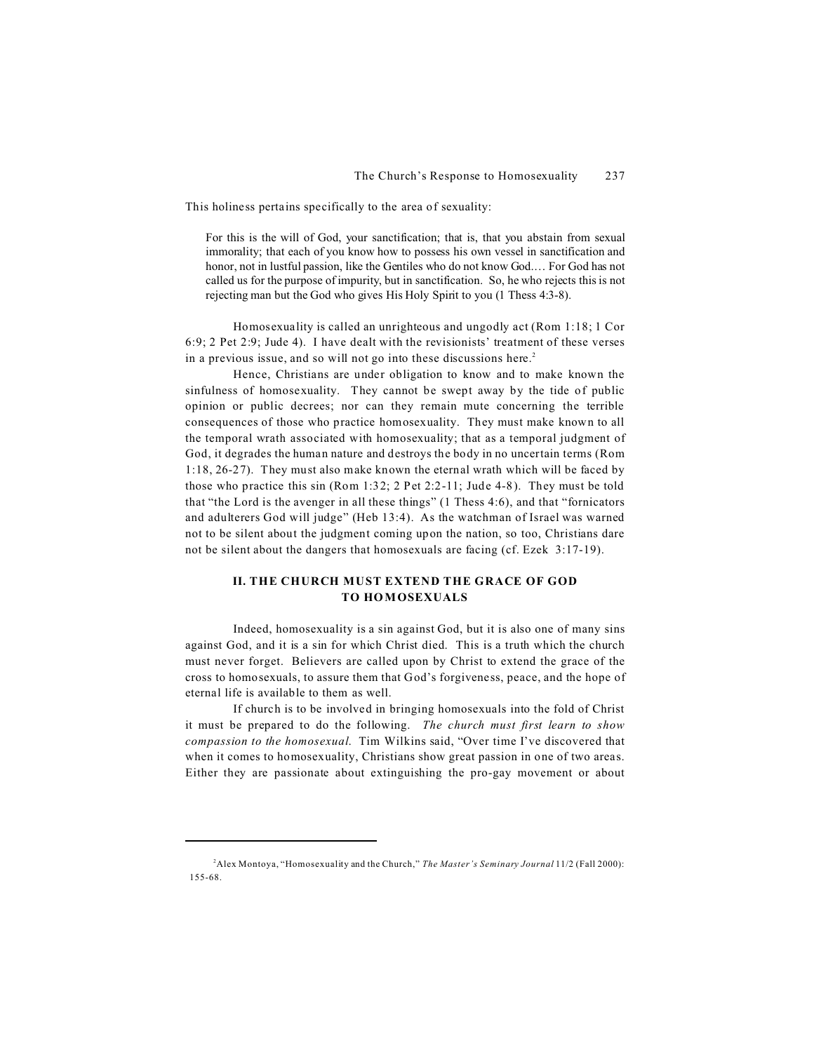This holiness pertains specifically to the area of sexuality:

For this is the will of God, your sanctification; that is, that you abstain from sexual immorality; that each of you know how to possess his own vessel in sanctification and honor, not in lustful passion, like the Gentiles who do not know God.… For God has not called us for the purpose of impurity, but in sanctification. So, he who rejects this is not rejecting man but the God who gives His Holy Spirit to you (1 Thess 4:3-8).

Homosexuality is called an unrighteous and ungodly act (Rom 1:18; 1 Cor 6:9; 2 Pet 2:9; Jude 4). I have dealt with the revisionists' treatment of these verses in a previous issue, and so will not go into these discussions here.<sup>2</sup>

Hence, Christians are under obligation to know and to make known the sinfulness of homosexuality. They cannot be swept away by the tide of public opinion or public decrees; nor can they remain mute concerning the terrible consequences of those who practice homosexuality. They must make known to all the temporal wrath associated with homosexuality; that as a temporal judgment of God, it degrades the human nature and destroys the body in no uncertain terms (Rom 1:18, 26-27). They must also make known the eternal wrath which will be faced by those who practice this sin (Rom 1:32; 2 Pet 2:2-11; Jude 4-8). They must be told that "the Lord is the avenger in all these things" (1 Thess 4:6), and that "fornicators and adulterers God will judge" (Heb 13:4). As the watchman of Israel was warned not to be silent about the judgment coming upon the nation, so too, Christians dare not be silent about the dangers that homosexuals are facing (cf. Ezek 3:17-19).

### **II. THE CHURCH MUST EXTEND THE GRACE OF GOD TO HOMOSEXUALS**

Indeed, homosexuality is a sin against God, but it is also one of many sins against God, and it is a sin for which Christ died. This is a truth which the church must never forget. Believers are called upon by Christ to extend the grace of the cross to homosexuals, to assure them that God's forgiveness, peace, and the hope of eternal life is available to them as well.

If church is to be involved in bringing homosexuals into the fold of Christ it must be prepared to do the following. *The church must first learn to show compassion to the homosexual*. Tim Wilkins said, "Over time I've discovered that when it comes to homosexuality, Christians show great passion in one of two areas. Either they are passionate about extinguishing the pro-gay movement or about

<sup>2</sup>Alex Montoya, "Homosexuality and the Church," *The Master's Seminary Journal* 11/2 (Fall 2000): 155-68.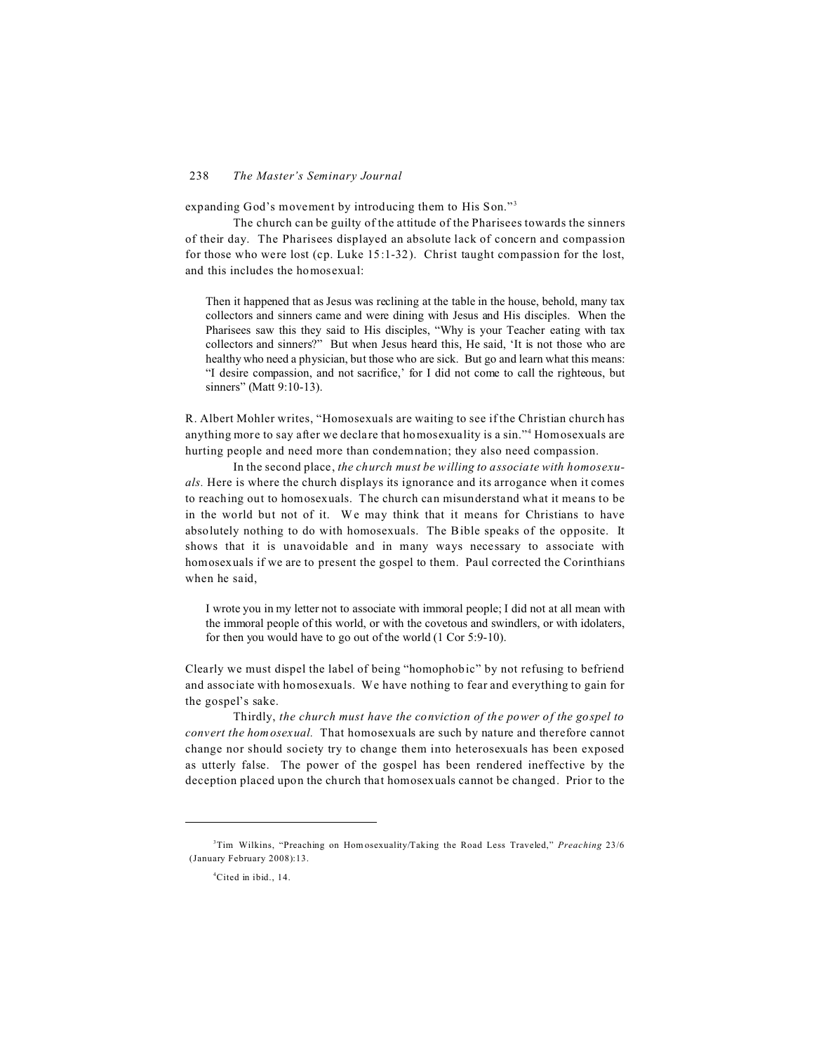expanding God's movement by introducing them to His Son."<sup>3</sup>

The church can be guilty of the attitude of the Pharisees towards the sinners of their day. The Pharisees displayed an absolute lack of concern and compassion for those who were lost (cp. Luke 15:1-32). Christ taught compassion for the lost, and this includes the homosexual:

Then it happened that as Jesus was reclining at the table in the house, behold, many tax collectors and sinners came and were dining with Jesus and His disciples. When the Pharisees saw this they said to His disciples, "Why is your Teacher eating with tax collectors and sinners?" But when Jesus heard this, He said, 'It is not those who are healthy who need a physician, but those who are sick. But go and learn what this means: "I desire compassion, and not sacrifice,' for I did not come to call the righteous, but sinners" (Matt 9:10-13).

R. Albert Mohler writes, "Homosexuals are waiting to see if the Christian church has anything more to say after we declare that homosexuality is a sin."<sup>4</sup> Homosexuals are hurting people and need more than condemnation; they also need compassion.

In the second place, *the church must be willing to associate with homosexuals.* Here is where the church displays its ignorance and its arrogance when it comes to reaching out to homosexuals. The church can misunderstand what it means to be in the world but not of it. We may think that it means for Christians to have absolutely nothing to do with homosexuals. The Bible speaks of the opposite. It shows that it is unavoidable and in many ways necessary to associate with homosexuals if we are to present the gospel to them. Paul corrected the Corinthians when he said,

I wrote you in my letter not to associate with immoral people; I did not at all mean with the immoral people of this world, or with the covetous and swindlers, or with idolaters, for then you would have to go out of the world (1 Cor 5:9-10).

Clearly we must dispel the label of being "homophobic" by not refusing to befriend and associate with homosexuals. We have nothing to fear and everything to gain for the gospel's sake.

Thirdly, *the church must have the conviction of the power of the gospel to convert the homosexual.* That homosexuals are such by nature and therefore cannot change nor should society try to change them into heterosexuals has been exposed as utterly false. The power of the gospel has been rendered ineffective by the deception placed upon the church that homosexuals cannot be changed. Prior to the

<sup>3</sup>Tim Wilkins, "Preaching on Hom osexuality/Taking the Road Less Traveled," *Preaching* 23/6 (January February 2008):13.

<sup>4</sup>Cited in ibid., 14.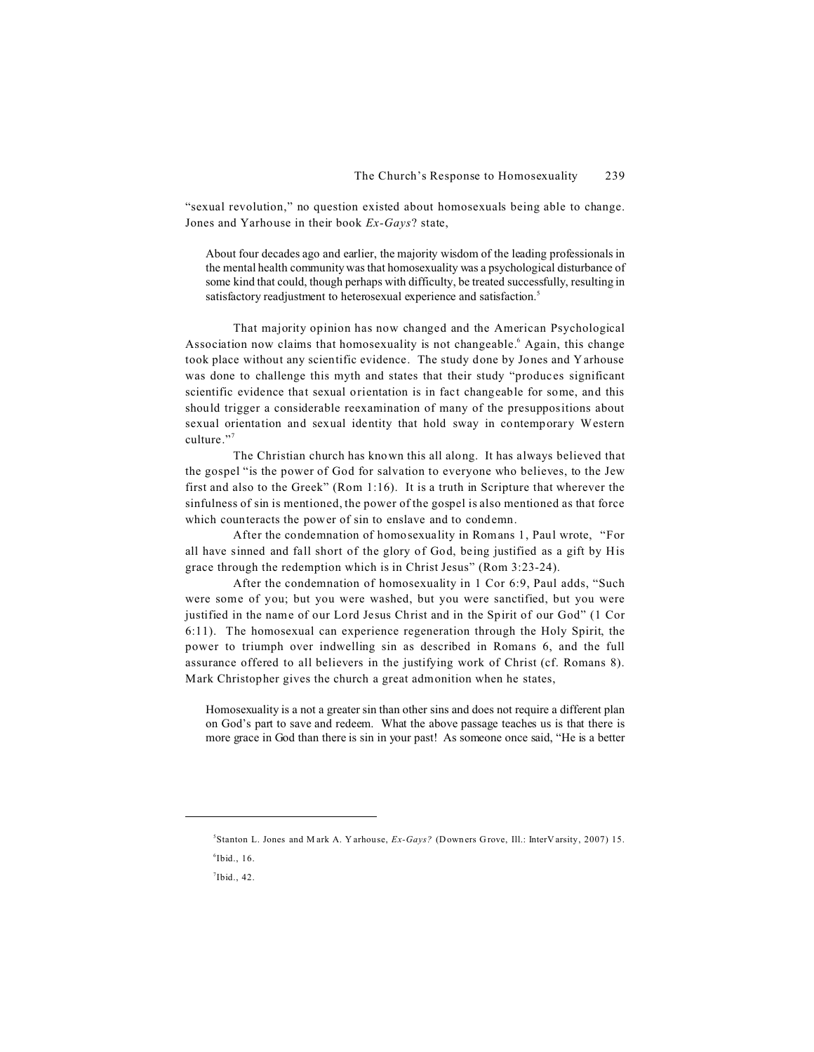"sexual revolution," no question existed about homosexuals being able to change. Jones and Yarhouse in their book *Ex-Gays*? state,

About four decades ago and earlier, the majority wisdom of the leading professionals in the mental health community was that homosexuality was a psychological disturbance of some kind that could, though perhaps with difficulty, be treated successfully, resulting in satisfactory readjustment to heterosexual experience and satisfaction.<sup>5</sup>

That majority opinion has now changed and the American Psychological Association now claims that homosexuality is not changeable.<sup>6</sup> Again, this change took place without any scientific evidence. The study done by Jones and Yarhouse was done to challenge this myth and states that their study "produces significant scientific evidence that sexual orientation is in fact changeable for some, and this should trigger a considerable reexamination of many of the presuppositions about sexual orientation and sexual identity that hold sway in contemporary Western culture."<sup>7</sup>

The Christian church has known this all along. It has always believed that the gospel "is the power of God for salvation to everyone who believes, to the Jew first and also to the Greek" (Rom 1:16). It is a truth in Scripture that wherever the sinfulness of sin is mentioned, the power of the gospel is also mentioned as that force which counteracts the power of sin to enslave and to condemn.

After the condemnation of homosexuality in Romans 1, Paul wrote, "For all have sinned and fall short of the glory of God, being justified as a gift by His grace through the redemption which is in Christ Jesus" (Rom 3:23-24).

After the condemnation of homosexuality in 1 Cor 6:9, Paul adds, "Such were some of you; but you were washed, but you were sanctified, but you were justified in the name of our Lord Jesus Christ and in the Spirit of our God" (1 Cor 6:11). The homosexual can experience regeneration through the Holy Spirit, the power to triumph over indwelling sin as described in Romans 6, and the full assurance offered to all believers in the justifying work of Christ (cf. Romans 8). Mark Christopher gives the church a great admonition when he states,

Homosexuality is a not a greater sin than other sins and does not require a different plan on God's part to save and redeem. What the above passage teaches us is that there is more grace in God than there is sin in your past! As someone once said, "He is a better

<sup>5</sup> Stanton L. Jones and M ark A. Y arhouse, *Ex-Gays?* (Down ers G rove, Ill.: InterV arsity, 2007) 15.

 $^6$ Ibid., 16.

 $7$ Ibid., 42.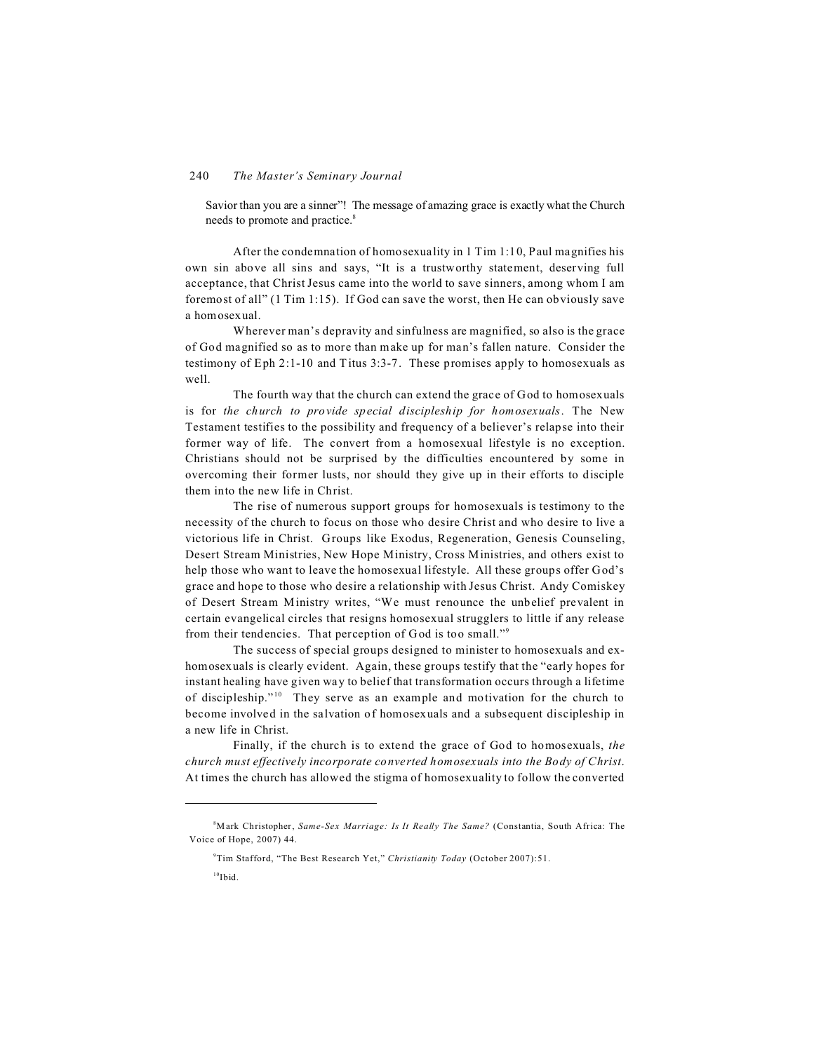Savior than you are a sinner"! The message of amazing grace is exactly what the Church needs to promote and practice.<sup>8</sup>

After the condemnation of homosexuality in 1 Tim 1:10, Paul magnifies his own sin above all sins and says, "It is a trustworthy statement, deserving full acceptance, that Christ Jesus came into the world to save sinners, among whom I am foremost of all" (1 Tim 1:15). If God can save the worst, then He can obviously save a homosexual.

Wherever man's depravity and sinfulness are magnified, so also is the grace of God magnified so as to more than make up for man's fallen nature. Consider the testimony of Eph 2:1-10 and Titus 3:3-7. These promises apply to homosexuals as well.

The fourth way that the church can extend the grace of God to homosexuals is for *the church to provide special discipleship for homosexuals*. The New Testament testifies to the possibility and frequency of a believer's relapse into their former way of life. The convert from a homosexual lifestyle is no exception. Christians should not be surprised by the difficulties encountered by some in overcoming their former lusts, nor should they give up in their efforts to disciple them into the new life in Christ.

The rise of numerous support groups for homosexuals is testimony to the necessity of the church to focus on those who desire Christ and who desire to live a victorious life in Christ. Groups like Exodus, Regeneration, Genesis Counseling, Desert Stream Ministries, New Hope Ministry, Cross Ministries, and others exist to help those who want to leave the homosexual lifestyle. All these groups offer God's grace and hope to those who desire a relationship with Jesus Christ. Andy Comiskey of Desert Stream Ministry writes, "We must renounce the unbelief prevalent in certain evangelical circles that resigns homosexual strugglers to little if any release from their tendencies. That perception of God is too small."<sup>9</sup>

The success of special groups designed to minister to homosexuals and exhomosexuals is clearly evident. Again, these groups testify that the "early hopes for instant healing have given way to belief that transformation occurs through a lifetime of discipleship."<sup>10</sup> They serve as an example and motivation for the church to become involved in the salvation of homosexuals and a subsequent discipleship in a new life in Christ.

Finally, if the church is to extend the grace of God to homosexuals, *the church must effectively incorporate converted homosexuals into the Body of Christ*. At times the church has allowed the stigma of homosexuality to follow the converted

<sup>8</sup>Mark Christopher, *Same-Sex Marriage: Is It Really The Same?* (Constantia, South Africa: The Voice of Hope, 2007) 44.

<sup>9</sup>Tim Stafford, "The Best Research Yet," *Christianity Today* (October 2007):51.

 $10$ Ibid.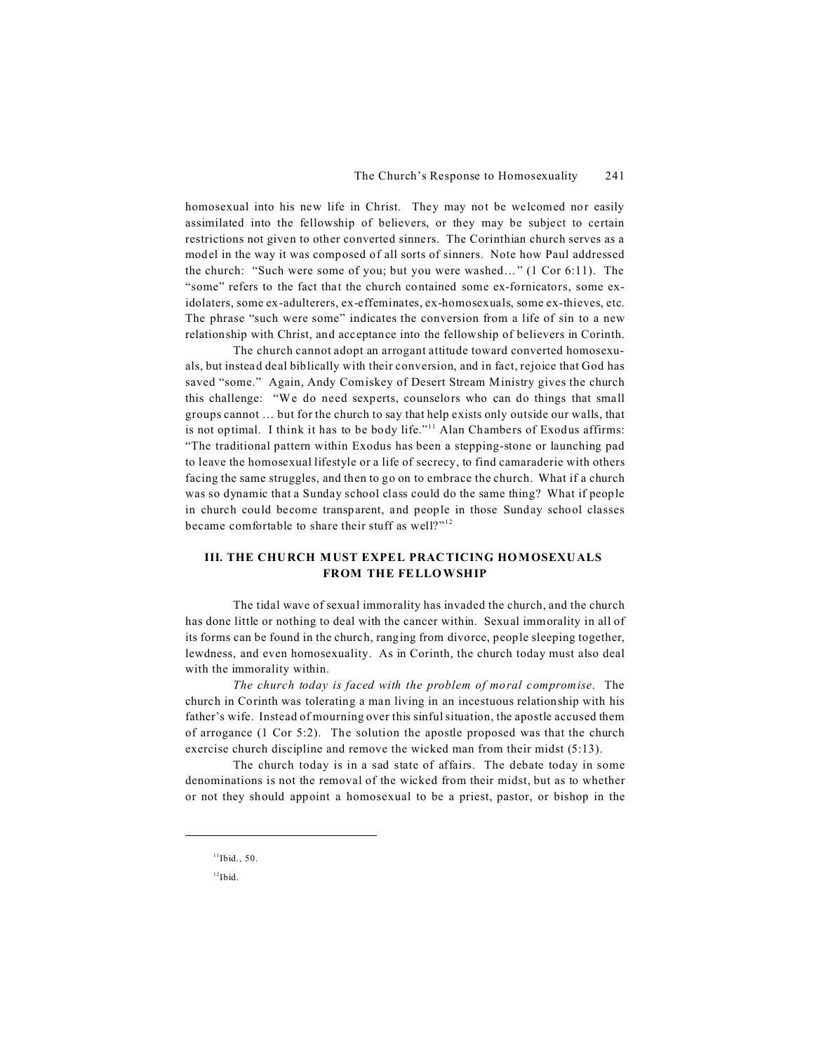homosexual into his new life in Christ. They may not be welcomed nor easily assimilated into the fellowship of believers, or they may be subject to certain restrictions not given to other converted sinners. The Corinthian church serves as a model in the way it was composed of all sorts of sinners. Note how Paul addressed the church: "Such were some of you; but you were washed…" (1 Cor 6:11). The "some" refers to the fact that the church contained some ex-fornicators, some exidolaters, some ex-adulterers, ex-effeminates, ex-homosexuals, some ex-thieves, etc. The phrase "such were some" indicates the conversion from a life of sin to a new relationship with Christ, and acceptance into the fellowship of believers in Corinth.

The church cannot adopt an arrogant attitude toward converted homosexuals, but instead deal biblically with their conversion, and in fact, rejoice that God has saved "some." Again, Andy Comiskey of Desert Stream Ministry gives the church this challenge: "We do need sexperts, counselors who can do things that small groups cannot … but for the church to say that help exists only outside our walls, that is not optimal. I think it has to be body life."<sup>11</sup> Alan Chambers of Exodus affirms: "The traditional pattern within Exodus has been a stepping-stone or launching pad to leave the homosexual lifestyle or a life of secrecy, to find camaraderie with others facing the same struggles, and then to go on to embrace the church. What if a church was so dynamic that a Sunday school class could do the same thing? What if people in church could become transparent, and people in those Sunday school classes became comfortable to share their stuff as well?"<sup>12</sup>

### **III. THE CHU RCH MUST EXPEL PRAC TICING HO MOSEXU ALS FROM THE FELLOWSHIP**

The tidal wave of sexual immorality has invaded the church, and the church has done little or nothing to deal with the cancer within. Sexual immorality in all of its forms can be found in the church, ranging from divorce, people sleeping together, lewdness, and even homosexuality. As in Corinth, the church today must also deal with the immorality within.

*The church today is faced with the problem of moral compromise*. The church in Corinth was tolerating a man living in an incestuous relationship with his father's wife. Instead of mourning over this sinful situation, the apostle accused them of arrogance (1 Cor 5:2). The solution the apostle proposed was that the church exercise church discipline and remove the wicked man from their midst (5:13).

The church today is in a sad state of affairs. The debate today in some denominations is not the removal of the wicked from their midst, but as to whether or not they should appoint a homosexual to be a priest, pastor, or bishop in the

 $11$ Ibid., 50.

 $12$ Ibid.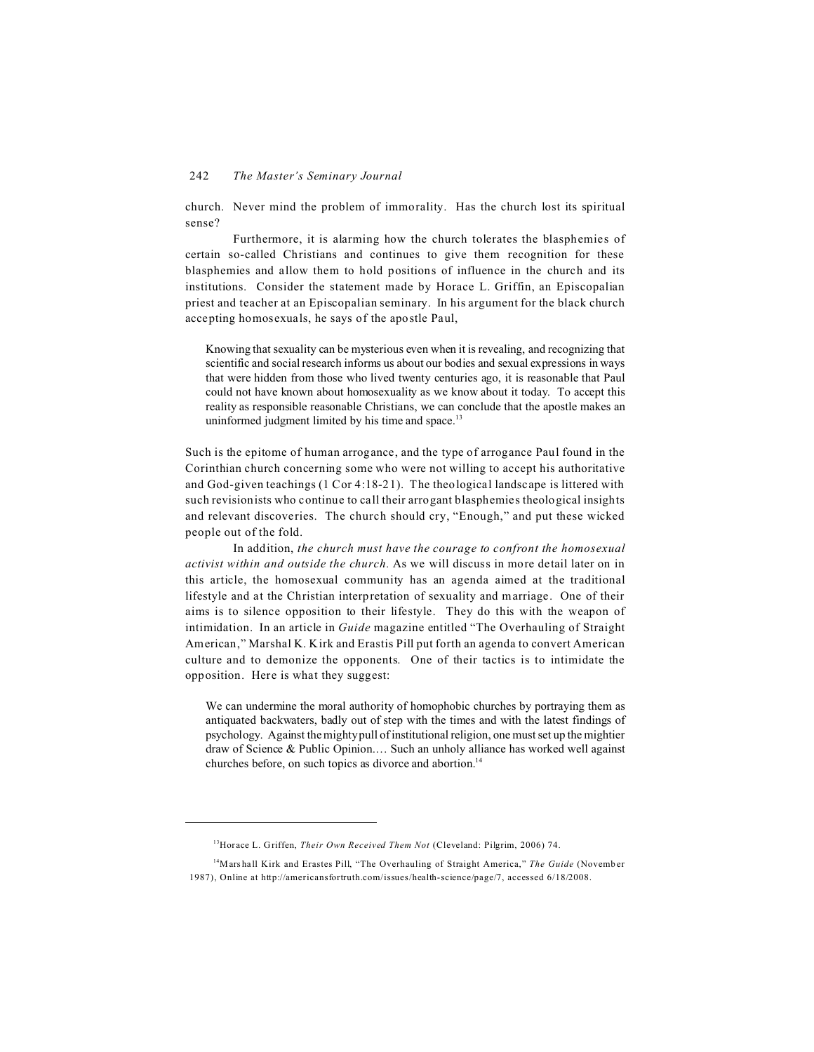church. Never mind the problem of immorality. Has the church lost its spiritual sense?

Furthermore, it is alarming how the church tolerates the blasphemies of certain so-called Christians and continues to give them recognition for these blasphemies and allow them to hold positions of influence in the church and its institutions. Consider the statement made by Horace L. Griffin, an Episcopalian priest and teacher at an Episcopalian seminary. In his argument for the black church accepting homosexuals, he says of the apostle Paul,

Knowing that sexuality can be mysterious even when it is revealing, and recognizing that scientific and social research informs us about our bodies and sexual expressions in ways that were hidden from those who lived twenty centuries ago, it is reasonable that Paul could not have known about homosexuality as we know about it today. To accept this reality as responsible reasonable Christians, we can conclude that the apostle makes an uninformed judgment limited by his time and space.<sup>13</sup>

Such is the epitome of human arrogance, and the type of arrogance Paul found in the Corinthian church concerning some who were not willing to accept his authoritative and God-given teachings (1 Cor 4:18-21). The theological landscape is littered with such revisionists who continue to call their arrogant blasphemies theological insights and relevant discoveries. The church should cry, "Enough," and put these wicked people out of the fold.

In addition, *the church must have the courage to confront the homosexual activist within and outside the church.* As we will discuss in more detail later on in this article, the homosexual community has an agenda aimed at the traditional lifestyle and at the Christian interpretation of sexuality and marriage. One of their aims is to silence opposition to their lifestyle. They do this with the weapon of intimidation. In an article in *Guide* magazine entitled "The Overhauling of Straight American," Marshal K. Kirk and Erastis Pill put forth an agenda to convert American culture and to demonize the opponents. One of their tactics is to intimidate the opposition. Here is what they suggest:

We can undermine the moral authority of homophobic churches by portraying them as antiquated backwaters, badly out of step with the times and with the latest findings of psychology. Against the mighty pull of institutional religion, one must set up the mightier draw of Science & Public Opinion.… Such an unholy alliance has worked well against churches before, on such topics as divorce and abortion.<sup>14</sup>

<sup>13</sup>Horace L. Griffen, *Their Own Received Them Not* (Cleveland: Pilgrim, 2006) 74.

<sup>14</sup>Marshall Kirk and Erastes Pill, "The Overhauling of Straight America," *The Guide* (November 1987), Online at http://americansfortruth.com/issues/health-science/page/7, accessed 6/18/2008.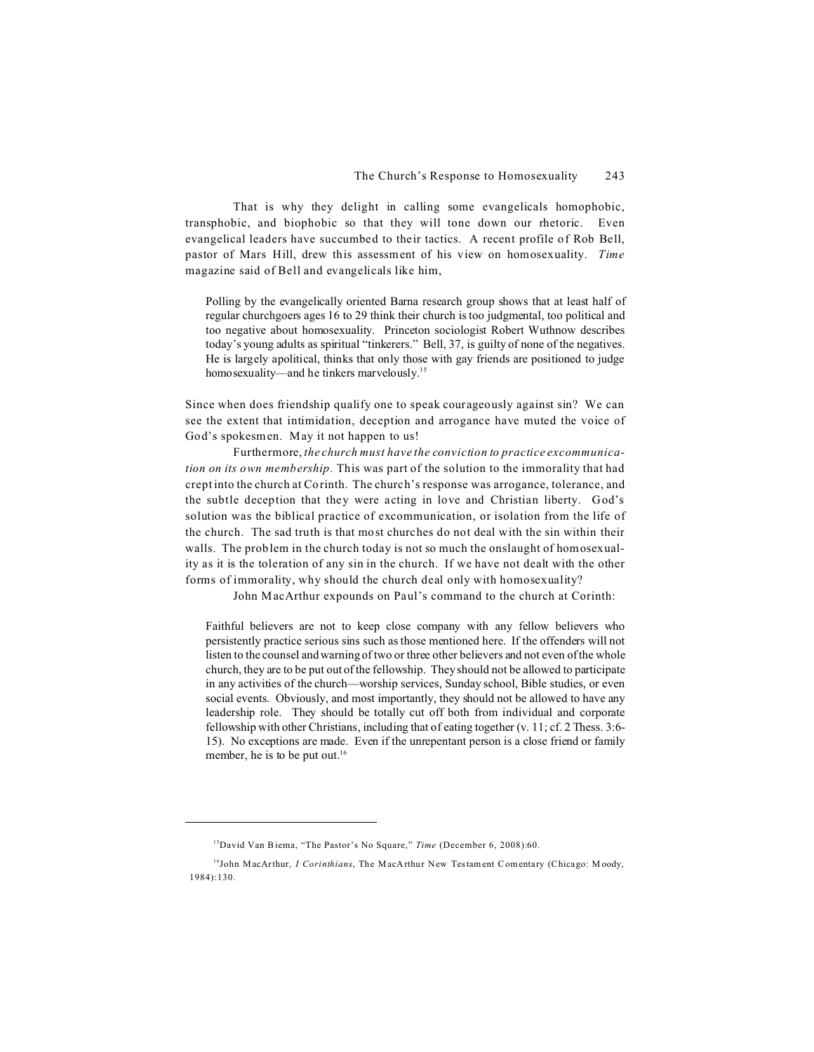That is why they delight in calling some evangelicals homophobic, transphobic, and biophobic so that they will tone down our rhetoric. Even evangelical leaders have succumbed to their tactics. A recent profile of Rob Bell, pastor of Mars Hill, drew this assessment of his view on homosexuality. *Time* magazine said of Bell and evangelicals like him,

Polling by the evangelically oriented Barna research group shows that at least half of regular churchgoers ages 16 to 29 think their church is too judgmental, too political and too negative about homosexuality. Princeton sociologist Robert Wuthnow describes today's young adults as spiritual "tinkerers." Bell, 37, is guilty of none of the negatives. He is largely apolitical, thinks that only those with gay friends are positioned to judge homosexuality—and he tinkers marvelously.<sup>15</sup>

Since when does friendship qualify one to speak courageously against sin? We can see the extent that intimidation, deception and arrogance have muted the voice of God's spokesmen. May it not happen to us!

Furthermore, *the church must have the conviction to practice excommunication on its own membership.* This was part of the solution to the immorality that had crept into the church at Corinth. The church's response was arrogance, tolerance, and the subtle deception that they were acting in love and Christian liberty. God's solution was the biblical practice of excommunication, or isolation from the life of the church. The sad truth is that most churches do not deal with the sin within their walls. The problem in the church today is not so much the onslaught of homosexuality as it is the toleration of any sin in the church. If we have not dealt with the other forms of immorality, why should the church deal only with homosexuality?

John MacArthur expounds on Paul's command to the church at Corinth:

Faithful believers are not to keep close company with any fellow believers who persistently practice serious sins such as those mentioned here. If the offenders will not listen to the counsel and warning of two or three other believers and not even of the whole church, they are to be put out of the fellowship. They should not be allowed to participate in any activities of the church—worship services, Sunday school, Bible studies, or even social events. Obviously, and most importantly, they should not be allowed to have any leadership role. They should be totally cut off both from individual and corporate fellowship with other Christians, including that of eating together (v. 11; cf. 2 Thess. 3:6- 15). No exceptions are made. Even if the unrepentant person is a close friend or family member, he is to be put out. $16$ 

<sup>15</sup>David Van Biema, "The Pastor's No Square," *Time* (December 6, 2008):60.

<sup>16</sup>John MacArthur, *I Corinthians*, The MacArthur New Testament Comentary (Chicago: M oody, 1984):130.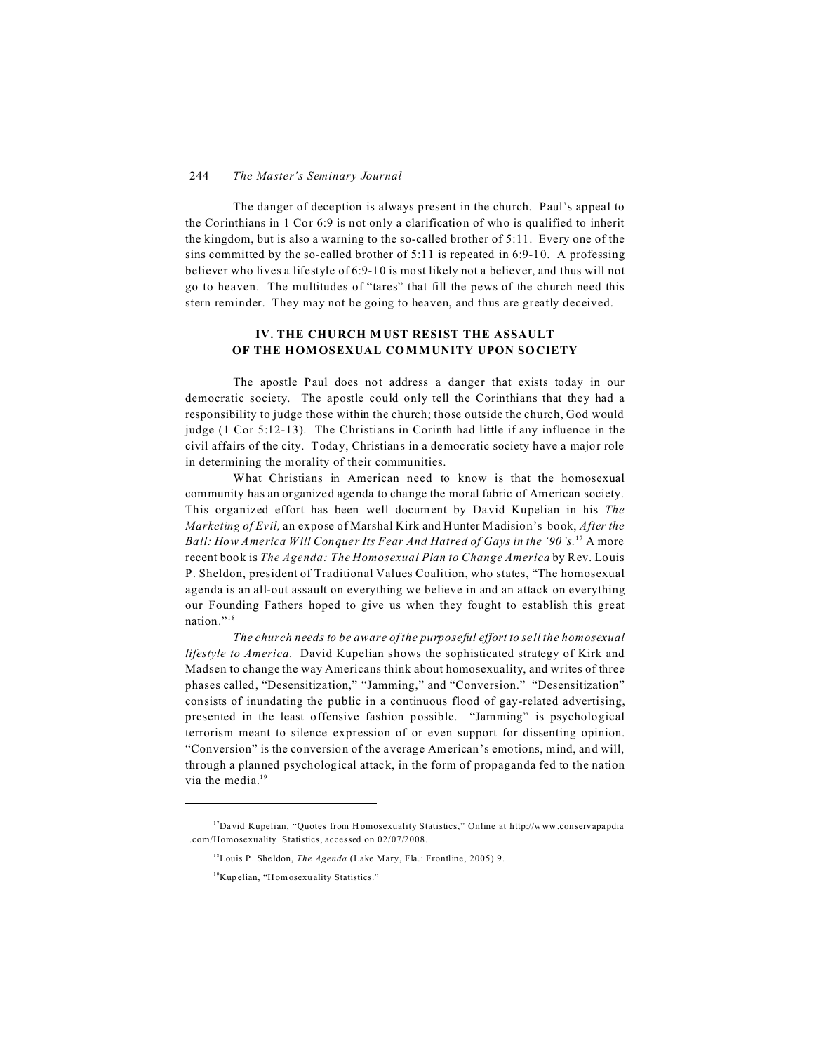The danger of deception is always present in the church. Paul's appeal to the Corinthians in 1 Cor 6:9 is not only a clarification of who is qualified to inherit the kingdom, but is also a warning to the so-called brother of 5:11. Every one of the sins committed by the so-called brother of 5:11 is repeated in 6:9-10. A professing believer who lives a lifestyle of 6:9-10 is most likely not a believer, and thus will not go to heaven. The multitudes of "tares" that fill the pews of the church need this stern reminder. They may not be going to heaven, and thus are greatly deceived.

# **IV. THE CHURCH M UST RESIST THE ASSAULT OF THE HOMOSEXUAL COMMUNITY UPON SOCIETY**

The apostle Paul does not address a danger that exists today in our democratic society. The apostle could only tell the Corinthians that they had a responsibility to judge those within the church; those outside the church, God would judge (1 Cor 5:12-13). The Christians in Corinth had little if any influence in the civil affairs of the city. Today, Christians in a democratic society have a major role in determining the morality of their communities.

What Christians in American need to know is that the homosexual community has an organized agenda to change the moral fabric of American society. This organized effort has been well document by David Kupelian in his *The Marketing of Evil,* an expose of Marshal Kirk and Hunter Madision's book, *After the Ball: How America Will Conquer Its Fear And Hatred of Gays in the '90's.*<sup>17</sup> A more recent book is *The Agenda: The Homosexual Plan to Change America* by Rev. Louis P. Sheldon, president of Traditional Values Coalition, who states, "The homosexual agenda is an all-out assault on everything we believe in and an attack on everything our Founding Fathers hoped to give us when they fought to establish this great nation."<sup>18</sup>

*The church needs to be aware of the purposeful effort to sell the homosexual lifestyle to America*. David Kupelian shows the sophisticated strategy of Kirk and Madsen to change the way Americans think about homosexuality, and writes of three phases called, "Desensitization," "Jamming," and "Conversion." "Desensitization" consists of inundating the public in a continuous flood of gay-related advertising, presented in the least offensive fashion possible. "Jamming" is psychological terrorism meant to silence expression of or even support for dissenting opinion. "Conversion" is the conversion of the average American's emotions, mind, and will, through a planned psychological attack, in the form of propaganda fed to the nation via the media.<sup>19</sup>

<sup>&</sup>lt;sup>17</sup>David Kupelian, "Quotes from Homosexuality Statistics," Online at http://www.conservapapdia .com/Homosexuality\_Statistics, accessed on 02/07/2008.

<sup>18</sup>Louis P. Sheldon, *The Agenda* (Lake Mary, Fla.: Frontline, 2005) 9.

<sup>19</sup>Kupelian, "Homosexuality Statistics."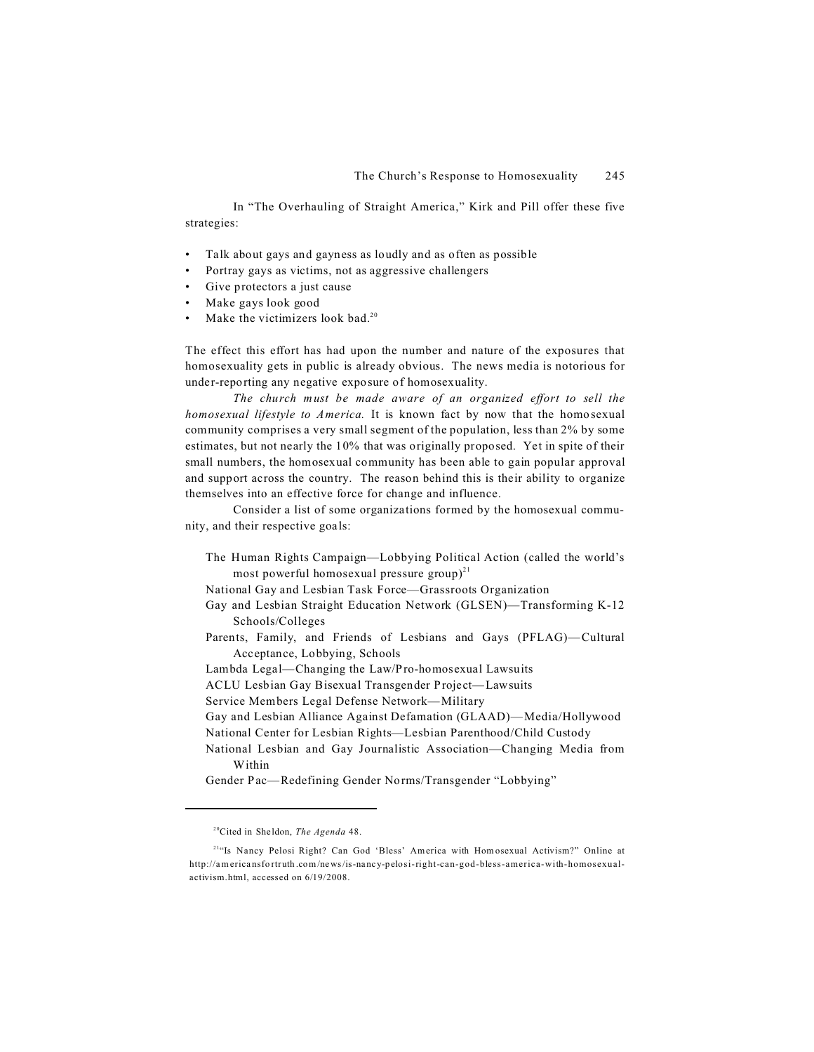In "The Overhauling of Straight America," Kirk and Pill offer these five strategies:

- Talk about gays and gayness as loudly and as often as possible
- Portray gays as victims, not as aggressive challengers
- Give protectors a just cause
- Make gays look good
- Make the victimizers look bad.<sup>20</sup>

The effect this effort has had upon the number and nature of the exposures that homosexuality gets in public is already obvious. The news media is notorious for under-reporting any negative exposure of homosexuality.

*The church must be made aware of an organized effort to sell the homosexual lifestyle to America.* It is known fact by now that the homosexual community comprises a very small segment of the population, less than 2% by some estimates, but not nearly the 10% that was originally proposed. Yet in spite of their small numbers, the homosexual community has been able to gain popular approval and support across the country. The reason behind this is their ability to organize themselves into an effective force for change and influence.

Consider a list of some organizations formed by the homosexual community, and their respective goals:

The Human Rights Campaign—Lobbying Political Action (called the world's most powerful homosexual pressure group) $^{21}$ 

National Gay and Lesbian Task Force—Grassroots Organization

- Gay and Lesbian Straight Education Network (GLSEN)—Transforming K-12 Schools/Colleges
- Parents, Family, and Friends of Lesbians and Gays (PFLAG)— Cultural Acceptance, Lobbying, Schools
- Lambda Legal—Changing the Law/Pro-homosexual Lawsuits
- ACLU Lesbian Gay Bisexual Transgender Project—Lawsuits

Service Members Legal Defense Network—Military

- Gay and Lesbian Alliance Against Defamation (GLAAD)— Media/Hollywood
- National Center for Lesbian Rights—Lesbian Parenthood/Child Custody
- National Lesbian and Gay Journalistic Association—Changing Media from Within

Gender Pac—Redefining Gender Norms/Transgender "Lobbying"

<sup>20</sup>Cited in Sheldon, *The Agenda* 48.

<sup>&</sup>lt;sup>21"</sup>Is Nancy Pelosi Right? Can God 'Bless' America with Hom osexual Activism?" Online at http://americansfortruth.com/news/is-nancy-pelosi-right-can-god-bless-america-with-homosexualactivism.html, accessed on 6/19/2008.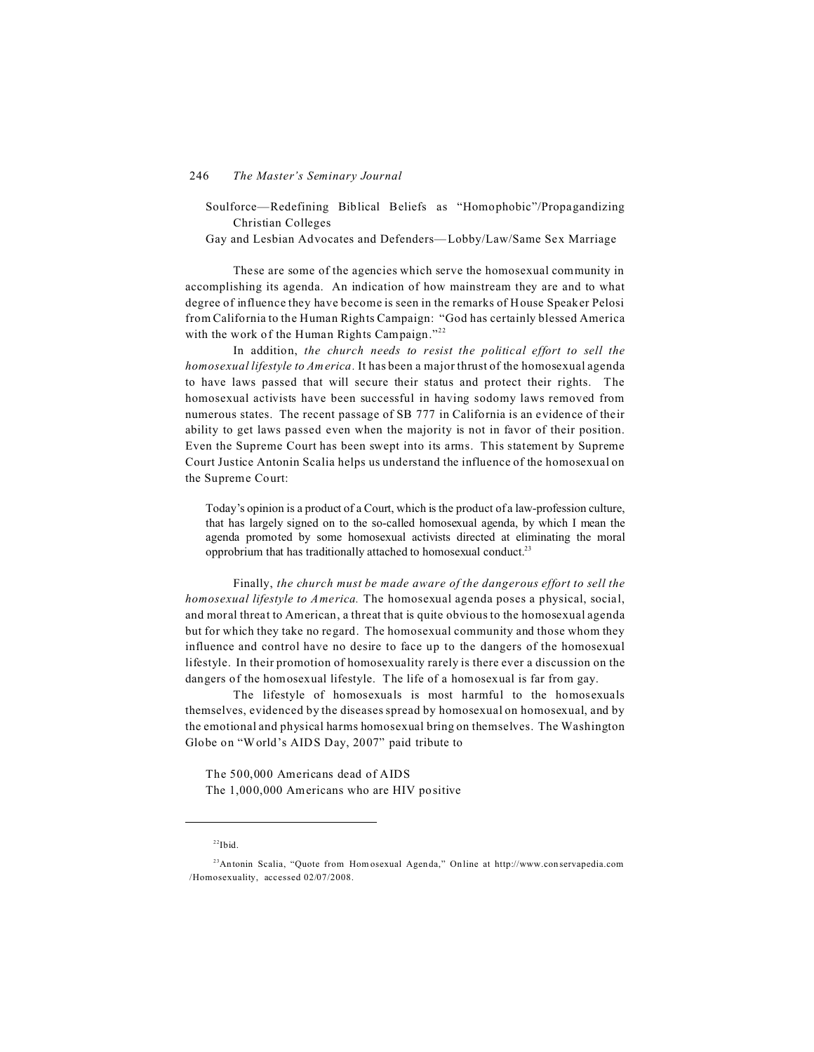Soulforce—Redefining Biblical Beliefs as "Homophobic"/Propagandizing Christian Colleges

Gay and Lesbian Advocates and Defenders—Lobby/Law/Same Sex Marriage

These are some of the agencies which serve the homosexual community in accomplishing its agenda. An indication of how mainstream they are and to what degree of influence they have become is seen in the remarks of House Speaker Pelosi from California to the Human Rights Campaign: "God has certainly blessed America with the work of the Human Rights Campaign."<sup>22</sup>

In addition, *the church needs to resist the political effort to sell the homosexual lifestyle to America.* It has been a major thrust of the homosexual agenda to have laws passed that will secure their status and protect their rights. The homosexual activists have been successful in having sodomy laws removed from numerous states. The recent passage of SB 777 in California is an evidence of their ability to get laws passed even when the majority is not in favor of their position. Even the Supreme Court has been swept into its arms. This statement by Supreme Court Justice Antonin Scalia helps us understand the influence of the homosexual on the Supreme Court:

Today's opinion is a product of a Court, which is the product of a law-profession culture, that has largely signed on to the so-called homosexual agenda, by which I mean the agenda promoted by some homosexual activists directed at eliminating the moral opprobrium that has traditionally attached to homosexual conduct.<sup>23</sup>

Finally, *the church must be made aware of the dangerous effort to sell the homosexual lifestyle to America.* The homosexual agenda poses a physical, social, and moral threat to American, a threat that is quite obvious to the homosexual agenda but for which they take no regard. The homosexual community and those whom they influence and control have no desire to face up to the dangers of the homosexual lifestyle. In their promotion of homosexuality rarely is there ever a discussion on the dangers of the homosexual lifestyle. The life of a homosexual is far from gay.

The lifestyle of homosexuals is most harmful to the homosexuals themselves, evidenced by the diseases spread by homosexual on homosexual, and by the emotional and physical harms homosexual bring on themselves. The Washington Globe on "World's AIDS Day, 2007" paid tribute to

The 500,000 Americans dead of AIDS The 1,000,000 Americans who are HIV positive

 $22$ Ibid.

<sup>&</sup>lt;sup>23</sup>Antonin Scalia, "Quote from Hom osexual Agenda," On line at http://www.con servapedia.com /Homosexuality, accessed 02/07/2008.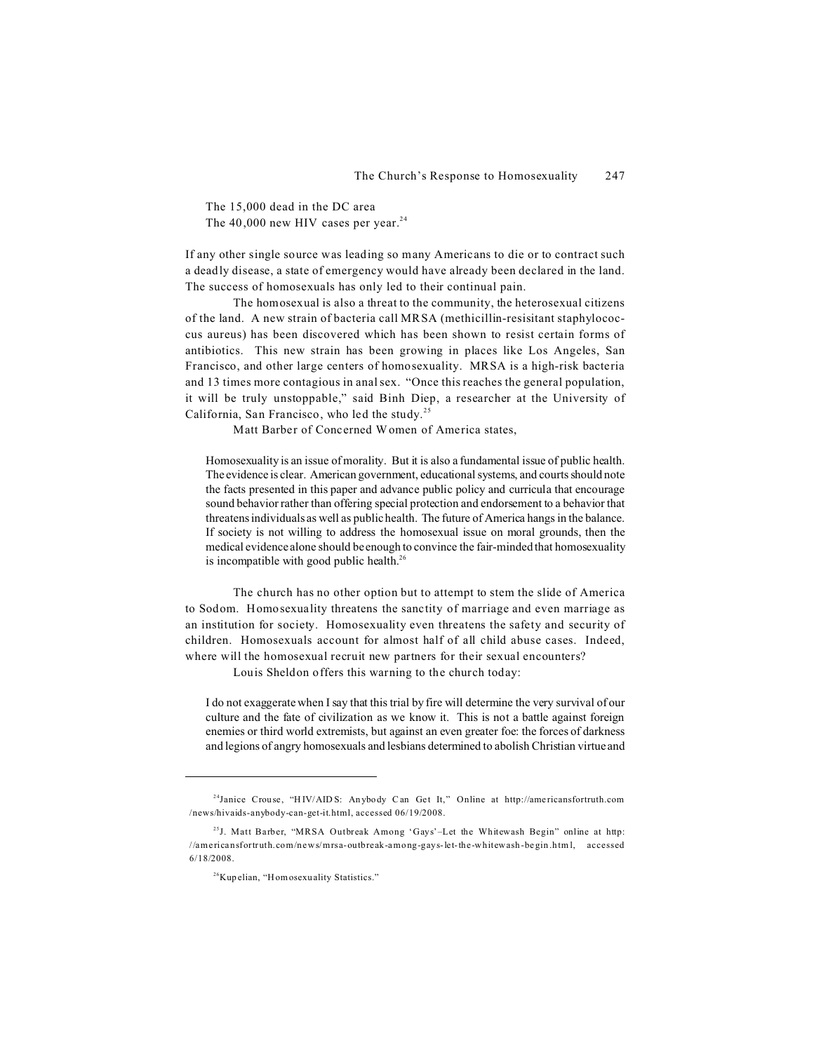The 15,000 dead in the DC area The  $40,000$  new HIV cases per year.<sup>24</sup>

If any other single source was leading so many Americans to die or to contract such a deadly disease, a state of emergency would have already been declared in the land. The success of homosexuals has only led to their continual pain.

The homosexual is also a threat to the community, the heterosexual citizens of the land. A new strain of bacteria call MRSA (methicillin-resisitant staphylococcus aureus) has been discovered which has been shown to resist certain forms of antibiotics. This new strain has been growing in places like Los Angeles, San Francisco, and other large centers of homosexuality. MRSA is a high-risk bacteria and 13 times more contagious in anal sex. "Once this reaches the general population, it will be truly unstoppable," said Binh Diep, a researcher at the University of California, San Francisco, who led the study.<sup>25</sup>

Matt Barber of Concerned Women of America states,

Homosexuality is an issue of morality. But it is also a fundamental issue of public health. The evidence is clear. American government, educational systems, and courts should note the facts presented in this paper and advance public policy and curricula that encourage sound behavior rather than offering special protection and endorsement to a behavior that threatens individuals as well as public health. The future of America hangs in the balance. If society is not willing to address the homosexual issue on moral grounds, then the medical evidence alone should be enough to convince the fair-minded that homosexuality is incompatible with good public health.<sup>26</sup>

The church has no other option but to attempt to stem the slide of America to Sodom. Homosexuality threatens the sanctity of marriage and even marriage as an institution for society. Homosexuality even threatens the safety and security of children. Homosexuals account for almost half of all child abuse cases. Indeed, where will the homosexual recruit new partners for their sexual encounters?

Louis Sheldon offers this warning to the church today:

I do not exaggerate when I say that this trial by fire will determine the very survival of our culture and the fate of civilization as we know it. This is not a battle against foreign enemies or third world extremists, but against an even greater foe: the forces of darkness and legions of angry homosexuals and lesbians determined to abolish Christian virtue and

<sup>&</sup>lt;sup>24</sup>Janice Crouse, "HIV/AIDS: Anybody Can Get It," Online at http://americansfortruth.com /news/hivaids-anybody-can-get-it.html, accessed 06/19/2008.

<sup>&</sup>lt;sup>25</sup>J. Matt Barber, "MRSA Outbreak Among 'Gays'–Let the Whitewash Begin" online at http: //americansfortruth.com/news/mrsa-outbreak-among-gays-let-the-whitewash-begin.html, accessed 6/18/2008.

<sup>26</sup>Kupelian, "Homosexuality Statistics."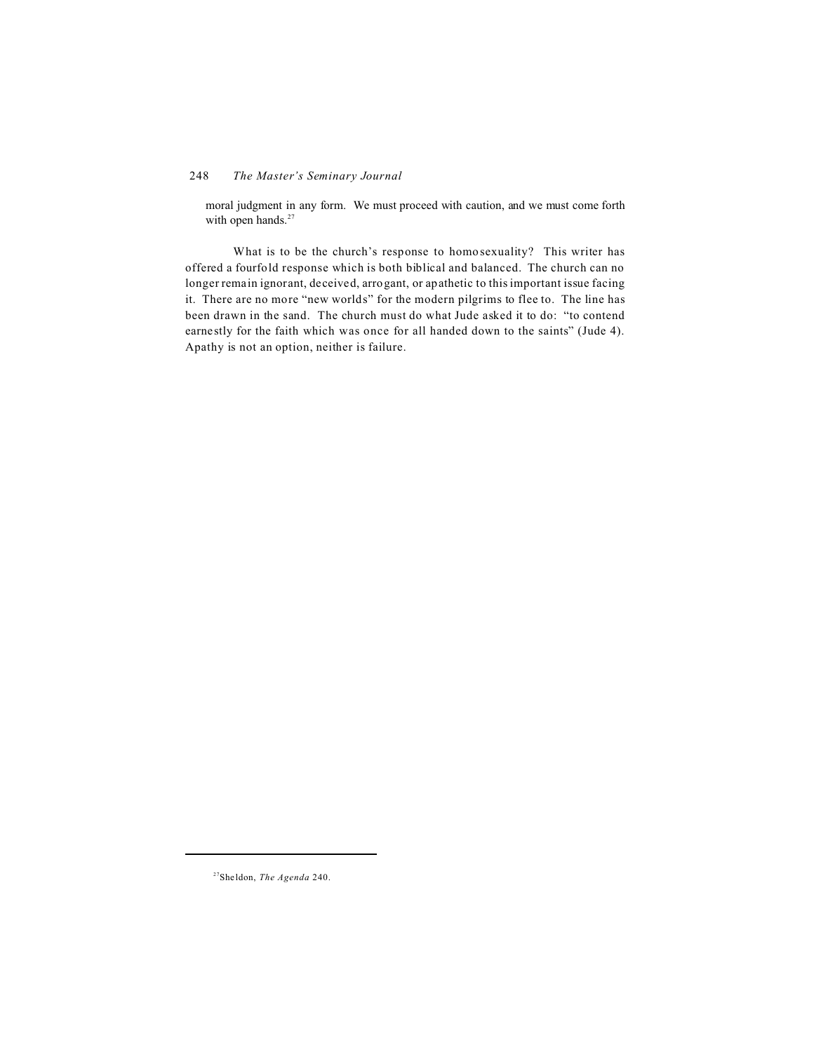moral judgment in any form. We must proceed with caution, and we must come forth with open hands.<sup>27</sup>

What is to be the church's response to homosexuality? This writer has offered a fourfold response which is both biblical and balanced. The church can no longer remain ignorant, deceived, arrogant, or apathetic to this important issue facing it. There are no more "new worlds" for the modern pilgrims to flee to. The line has been drawn in the sand. The church must do what Jude asked it to do: "to contend earnestly for the faith which was once for all handed down to the saints" (Jude 4). Apathy is not an option, neither is failure.

<sup>27</sup>Sheldon, *The Agenda* 240.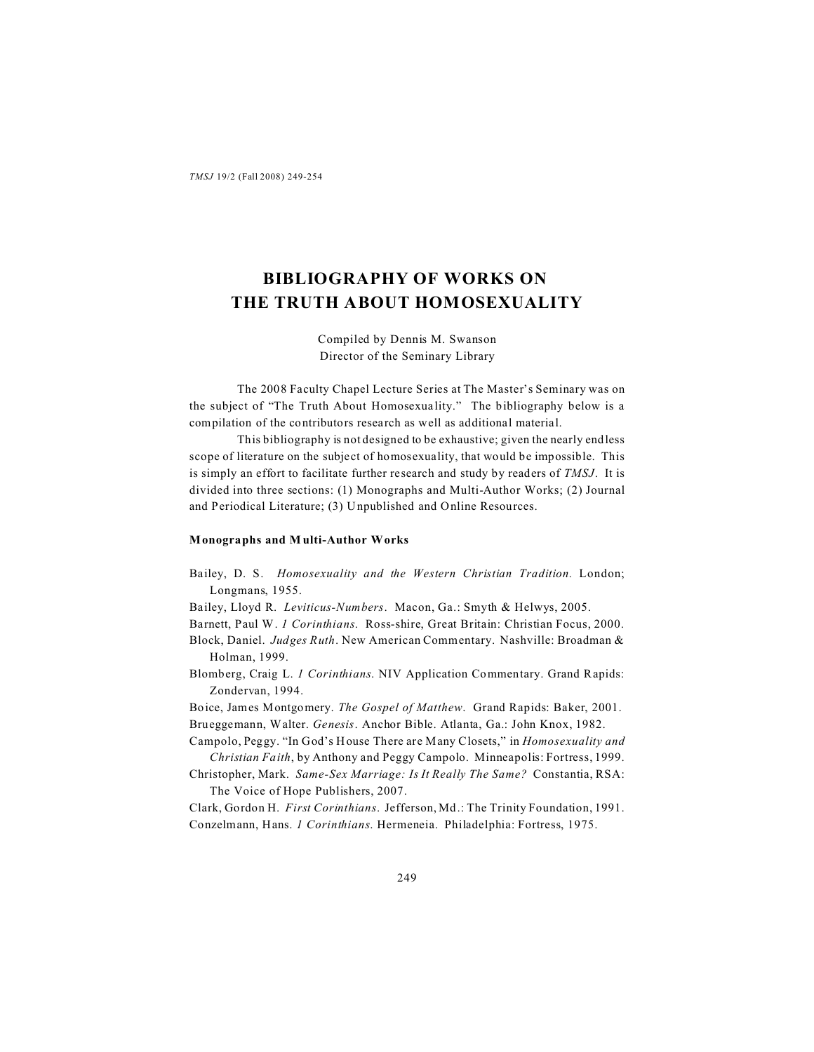# **BIBLIOGRAPHY OF WORKS ON THE TRUTH ABOUT HOMOSEXUALITY**

Compiled by Dennis M. Swanson Director of the Seminary Library

The 2008 Faculty Chapel Lecture Series at The Master's Seminary was on the subject of "The Truth About Homosexuality." The bibliography below is a compilation of the contributors research as well as additional material.

This bibliography is not designed to be exhaustive; given the nearly endless scope of literature on the subject of homosexuality, that would be impossible. This is simply an effort to facilitate further research and study by readers of *TMSJ*. It is divided into three sections: (1) Monographs and Multi-Author Works; (2) Journal and Periodical Literature; (3) Unpublished and Online Resources.

#### **Monographs and Multi-Author Works**

- Bailey, D. S. *Homosexuality and the Western Christian Tradition.* London; Longmans, 1955.
- Bailey, Lloyd R. *Leviticus-Numbers*. Macon, Ga.: Smyth & Helwys, 2005.

Barnett, Paul W. *1 Corinthians*. Ross-shire, Great Britain: Christian Focus, 2000.

- Block, Daniel. *Judges Ruth*. New American Commentary. Nashville: Broadman & Holman, 1999.
- Blomberg, Craig L. *1 Corinthians*. NIV Application Commentary. Grand Rapids: Zondervan, 1994.

Boice, James Montgomery. *The Gospel of Matthew*. Grand Rapids: Baker, 2001.

Brueggemann, Walter. *Genesis*. Anchor Bible. Atlanta, Ga.: John Knox, 1982.

- Campolo, Peggy. "In God's House There are Many Closets," in *Homosexuality and Christian Faith*, by Anthony and Peggy Campolo. Minneapolis: Fortress, 1999.
- Christopher, Mark. *Same-Sex Marriage: Is It Really The Same?* Constantia, RSA: The Voice of Hope Publishers, 2007.

Clark, Gordon H. *First Corinthians*. Jefferson, Md.: The Trinity Foundation, 1991. Conzelmann, Hans. *1 Corinthians*. Hermeneia. Philadelphia: Fortress, 1975.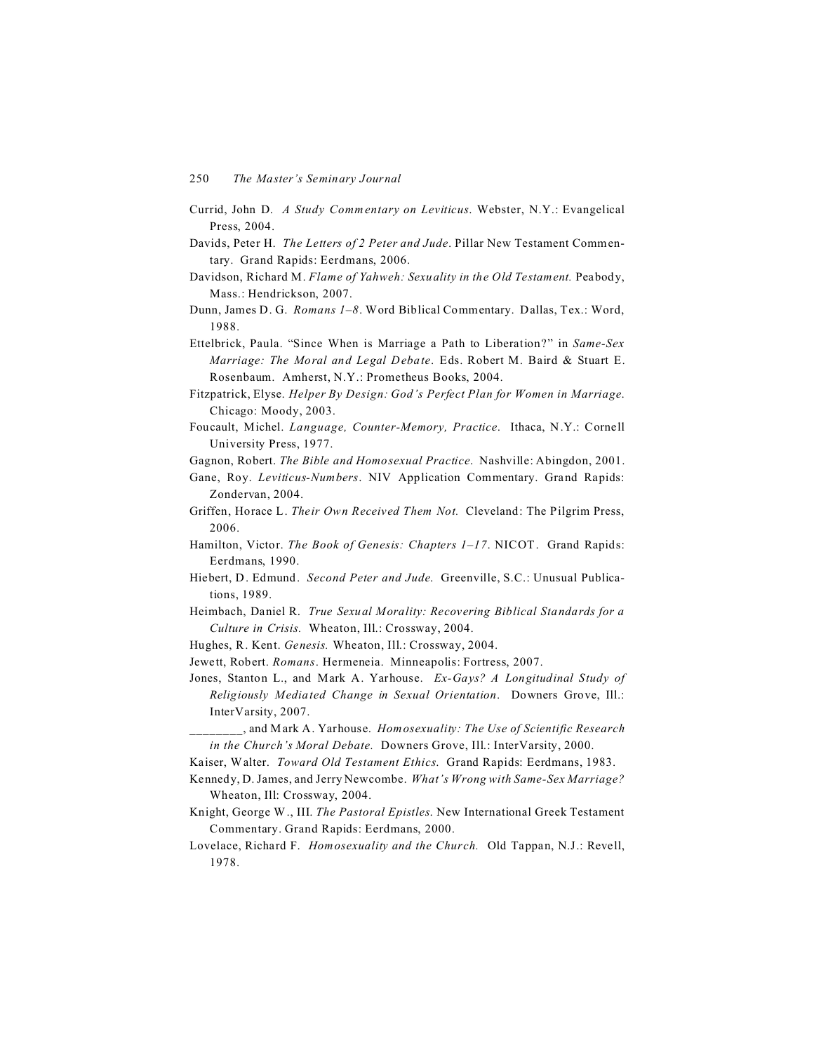- Currid, John D. *A Study Commentary on Leviticus*. Webster, N.Y.: Evangelical Press, 2004.
- Davids, Peter H. *The Letters of 2 Peter and Jude*. Pillar New Testament Commentary. Grand Rapids: Eerdmans, 2006.
- Davidson, Richard M. *Flame of Yahweh: Sexuality in the Old Testament.* Peabody, Mass.: Hendrickson, 2007.
- Dunn, James D. G. *Romans 1–8*. Word Biblical Commentary. Dallas, Tex.: Word, 1988.
- Ettelbrick, Paula. "Since When is Marriage a Path to Liberation?" in *Same-Sex Marriage: The Moral and Legal Debate*. Eds. Robert M. Baird & Stuart E. Rosenbaum. Amherst, N.Y.: Prometheus Books, 2004.
- Fitzpatrick, Elyse. *Helper By Design: God's Perfect Plan for Women in Marriage*. Chicago: Moody, 2003.
- Foucault, Michel. *Language, Counter-Memory, Practice*. Ithaca, N.Y.: Cornell University Press, 1977.
- Gagnon, Robert. *The Bible and Homosexual Practice*. Nashville: Abingdon, 2001.
- Gane, Roy. *Leviticus-Numbers*. NIV Application Commentary. Grand Rapids: Zondervan, 2004.
- Griffen, Horace L. *Their Own Received Them Not.* Cleveland: The Pilgrim Press, 2006.
- Hamilton, Victor. *The Book of Genesis: Chapters 1–17*. NICOT. Grand Rapids: Eerdmans, 1990.
- Hiebert, D. Edmund. *Second Peter and Jude*. Greenville, S.C.: Unusual Publications, 1989.
- Heimbach, Daniel R. *True Sexual Morality: Recovering Biblical Standards for a Culture in Crisis.* Wheaton, Ill.: Crossway, 2004.
- Hughes, R. Kent. *Genesis.* Wheaton, Ill.: Crossway, 2004.
- Jewett, Robert. *Romans*. Hermeneia. Minneapolis: Fortress, 2007.
- Jones, Stanton L., and Mark A. Yarhouse. *Ex-Gays? A Longitudinal Study of Religiously Mediated Change in Sexual Orientation*. Downers Grove, Ill.: InterVarsity, 2007.

\_\_\_\_\_\_\_\_, and Mark A. Yarhouse. *Homosexuality: The Use of Scientific Research in the Church's Moral Debate.* Downers Grove, Ill.: InterVarsity, 2000.

- Kaiser, Walter. *Toward Old Testament Ethics*. Grand Rapids: Eerdmans, 1983.
- Kennedy, D. James, and Jerry Newcombe. *What's Wrong with Same-Sex Marriage?* Wheaton, Ill: Crossway, 2004.
- Knight, George W ., III. *The Pastoral Epistles*. New International Greek Testament Commentary. Grand Rapids: Eerdmans, 2000.
- Lovelace, Richard F. *Homosexuality and the Church.* Old Tappan, N.J.: Revell, 1978.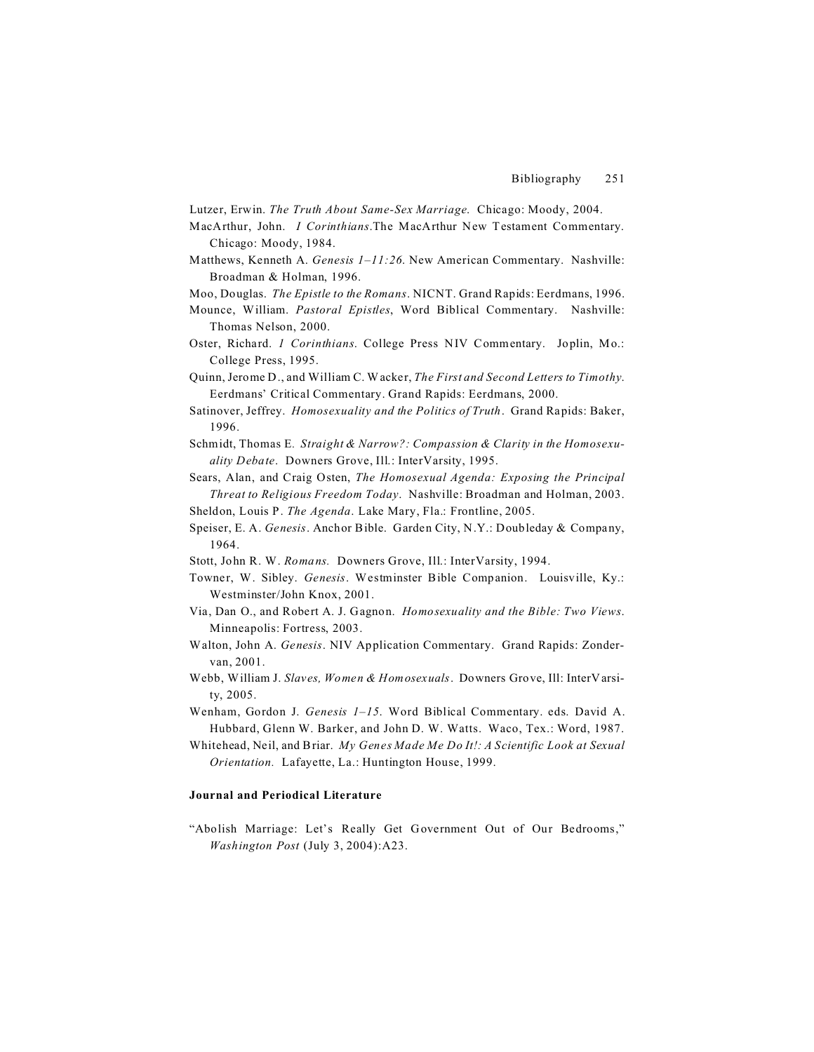- Lutzer, Erwin. *The Truth About Same-Sex Marriage*. Chicago: Moody, 2004.
- MacArthur, John. *I Corinthians*.The MacArthur New Testament Commentary. Chicago: Moody, 1984.
- Matthews, Kenneth A. *Genesis 1–11:26*. New American Commentary. Nashville: Broadman & Holman, 1996.
- Moo, Douglas. *The Epistle to the Romans*. NICNT. Grand Rapids: Eerdmans, 1996.
- Mounce, William. *Pastoral Epistles*, Word Biblical Commentary. Nashville: Thomas Nelson, 2000.
- Oster, Richard. *1 Corinthians*. College Press NIV Commentary. Joplin, Mo.: College Press, 1995.
- Quinn, Jerome D., and William C. Wacker, *The First and Second Letters to Timothy*. Eerdmans' Critical Commentary. Grand Rapids: Eerdmans, 2000.
- Satinover, Jeffrey. *Homosexuality and the Politics of Truth*. Grand Rapids: Baker, 1996.
- Schmidt, Thomas E*. Straight & Narrow?: Compassion & Clarity in the Homosexuality Debate*. Downers Grove, Ill.: InterVarsity, 1995.
- Sears, Alan, and Craig Osten, *The Homosexual Agenda: Exposing the Principal Threat to Religious Freedom Today*. Nashville: Broadman and Holman, 2003.
- Sheldon, Louis P. *The Agenda*. Lake Mary, Fla.: Frontline, 2005.
- Speiser, E. A. *Genesis*. Anchor Bible. Garden City, N.Y.: Doubleday & Company, 1964.
- Stott, John R. W. *Romans.* Downers Grove, Ill.: InterVarsity, 1994.
- Towner, W. Sibley. *Genesis*. Westminster Bible Companion. Louisville, Ky.: Westminster/John Knox, 2001.
- Via, Dan O., and Robert A. J. Gagnon. *Homosexuality and the Bible: Two Views*. Minneapolis: Fortress, 2003.
- Walton, John A. *Genesis*. NIV Application Commentary. Grand Rapids: Zondervan, 2001.
- Webb, William J. *Slaves, Women & Homosexuals*. Downers Grove, Ill: InterVarsity, 2005.
- Wenham, Gordon J. *Genesis 1–15*. Word Biblical Commentary. eds. David A. Hubbard, Glenn W. Barker, and John D. W. Watts. Waco, Tex.: Word, 1987.
- Whitehead, Neil, and Briar. *My Genes Made Me Do It!: A Scientific Look at Sexual Orientation.* Lafayette, La.: Huntington House, 1999.

### **Journal and Periodical Literature**

"Abolish Marriage: Let's Really Get Government Out of Our Bedrooms," *Washington Post* (July 3, 2004):A23.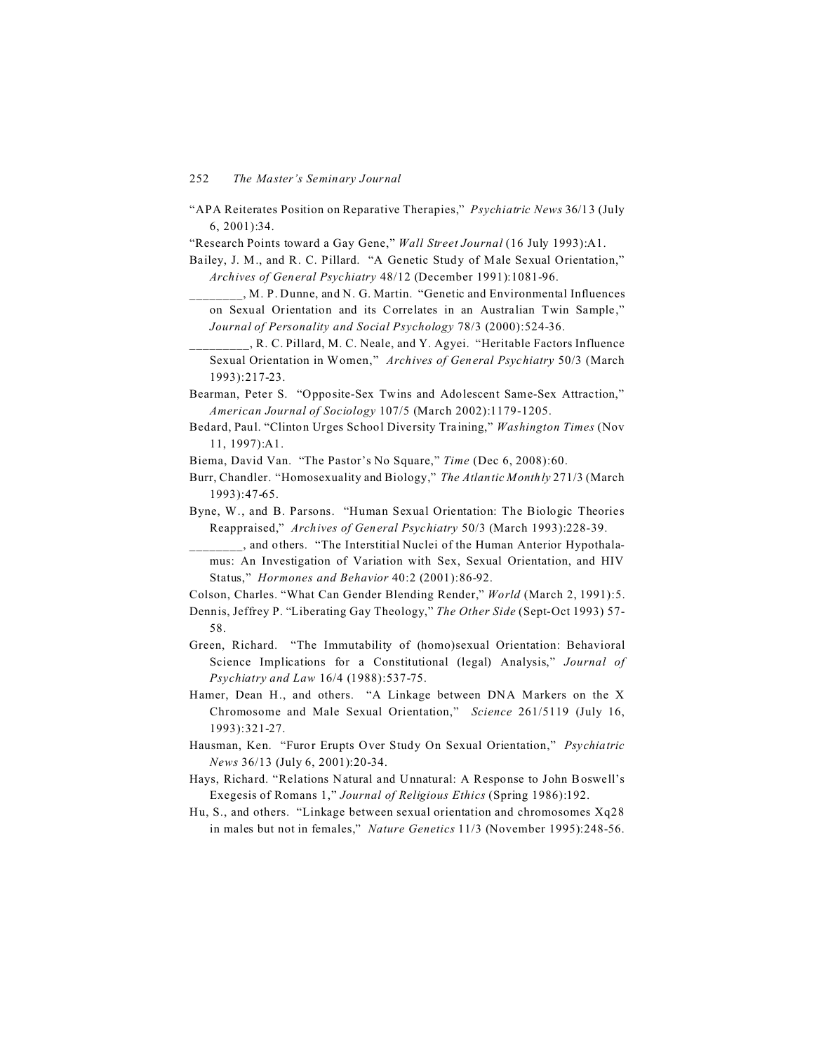"APA Reiterates Position on Reparative Therapies," *Psychiatric News* 36/13 (July 6, 2001):34.

"Research Points toward a Gay Gene," *Wall Street Journal* (16 July 1993):A1.

- Bailey, J. M., and R. C. Pillard. "A Genetic Study of Male Sexual Orientation," *Archives of General Psychiatry* 48/12 (December 1991):1081-96.
	- \_\_\_\_\_\_\_\_, M. P. Dunne, and N. G. Martin. "Genetic and Environmental Influences on Sexual Orientation and its Correlates in an Australian Twin Sample," *Journal of Personality and Social Psychology* 78/3 (2000):524-36.
	- \_\_\_\_\_\_\_\_\_, R. C. Pillard, M. C. Neale, and Y. Agyei. "Heritable Factors Influence Sexual Orientation in Women," *Archives of General Psychiatry* 50/3 (March 1993):217-23.

Bearman, Peter S. "Opposite-Sex Twins and Adolescent Same-Sex Attraction," *American Journal of Sociology* 107/5 (March 2002):1179-1205.

Bedard, Paul. "Clinton Urges School Diversity Training," *Washington Times* (Nov 11, 1997):A1.

Biema, David Van. "The Pastor's No Square," *Time* (Dec 6, 2008):60.

- Burr, Chandler. "Homosexuality and Biology," *The Atlantic Monthly* 271/3 (March 1993):47-65.
- Byne, W., and B. Parsons. "Human Sexual Orientation: The Biologic Theories Reappraised," *Archives of General Psychiatry* 50/3 (March 1993):228-39.
	- \_\_\_\_\_\_\_\_, and others. "The Interstitial Nuclei of the Human Anterior Hypothalamus: An Investigation of Variation with Sex, Sexual Orientation, and HIV Status," *Hormones and Behavior* 40:2 (2001):86-92.

Colson, Charles. "What Can Gender Blending Render," *World* (March 2, 1991):5.

Dennis, Jeffrey P. "Liberating Gay Theology," *The Other Side* (Sept-Oct 1993) 57- 58.

- Green, Richard. "The Immutability of (homo)sexual Orientation: Behavioral Science Implications for a Constitutional (legal) Analysis," *Journal of Psychiatry and Law* 16/4 (1988):537-75.
- Hamer, Dean H., and others. "A Linkage between DNA Markers on the X Chromosome and Male Sexual Orientation," *Science* 261/5119 (July 16, 1993):321-27.
- Hausman, Ken. "Furor Erupts Over Study On Sexual Orientation," *Psychiatric News* 36/13 (July 6, 2001):20-34.
- Hays, Richard. "Relations Natural and Unnatural: A Response to John Boswell's Exegesis of Romans 1," *Journal of Religious Ethics* (Spring 1986):192.
- Hu, S., and others. "Linkage between sexual orientation and chromosomes Xq28 in males but not in females," *Nature Genetics* 11/3 (November 1995):248-56.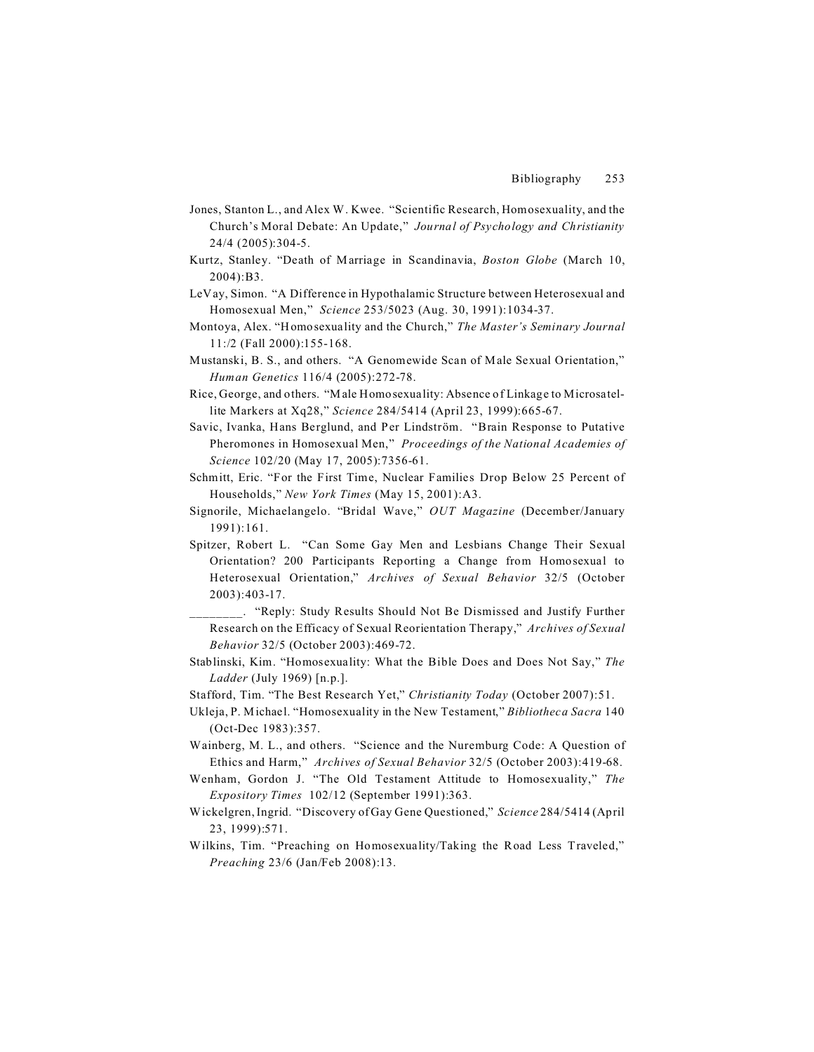- Jones, Stanton L., and Alex W. Kwee. "Scientific Research, Homosexuality, and the Church's Moral Debate: An Update," *Journal of Psychology and Christianity* 24/4 (2005):304-5.
- Kurtz, Stanley. "Death of Marriage in Scandinavia, *Boston Globe* (March 10, 2004):B3.
- LeVay, Simon. "A Difference in Hypothalamic Structure between Heterosexual and Homosexual Men," *Science* 253/5023 (Aug. 30, 1991):1034-37.
- Montoya, Alex. "Homosexuality and the Church," *The Master's Seminary Journal* 11:/2 (Fall 2000):155-168.
- Mustanski, B. S., and others. "A Genomewide Scan of Male Sexual Orientation," *Human Genetics* 116/4 (2005):272-78.
- Rice, George, and others. "Male Homosexuality: Absence of Linkage to Microsatellite Markers at Xq28," *Science* 284/5414 (April 23, 1999):665-67.
- Savic, Ivanka, Hans Berglund, and Per Lindström. "Brain Response to Putative Pheromones in Homosexual Men," *Proceedings of the National Academies of Science* 102/20 (May 17, 2005):7356-61.
- Schmitt, Eric. "For the First Time, Nuclear Families Drop Below 25 Percent of Households," *New York Times* (May 15, 2001):A3.
- Signorile, Michaelangelo. "Bridal Wave," *OUT Magazine* (December/January 1991):161.
- Spitzer, Robert L. "Can Some Gay Men and Lesbians Change Their Sexual Orientation? 200 Participants Reporting a Change from Homosexual to Heterosexual Orientation," *Archives of Sexual Behavior* 32/5 (October 2003):403-17.
- \_\_\_\_\_\_\_\_. "Reply: Study Results Should Not Be Dismissed and Justify Further Research on the Efficacy of Sexual Reorientation Therapy," *Archives of Sexual Behavior* 32/5 (October 2003):469-72.
- Stablinski, Kim. "Homosexuality: What the Bible Does and Does Not Say," *The Ladder* (July 1969) [n.p.].
- Stafford, Tim. "The Best Research Yet," *Christianity Today* (October 2007):51.
- Ukleja, P. Michael. "Homosexuality in the New Testament," *Bibliotheca Sacra* 140 (Oct-Dec 1983):357.
- Wainberg, M. L., and others. "Science and the Nuremburg Code: A Question of Ethics and Harm," *Archives of Sexual Behavior* 32/5 (October 2003):419-68.
- Wenham, Gordon J. "The Old Testament Attitude to Homosexuality," *The Expository Times* 102/12 (September 1991):363.
- Wickelgren, Ingrid. "Discovery of Gay Gene Questioned," *Science* 284/5414 (April 23, 1999):571.
- Wilkins, Tim. "Preaching on Homosexuality/Taking the Road Less Traveled," *Preaching* 23/6 (Jan/Feb 2008):13.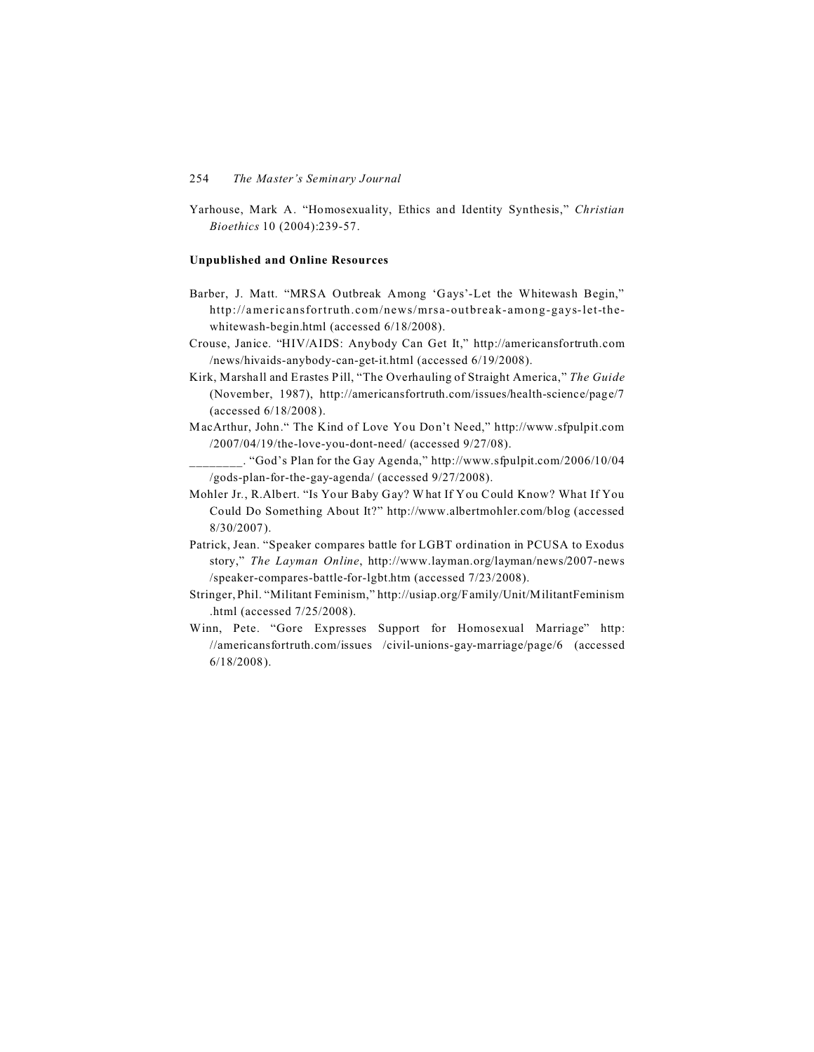Yarhouse, Mark A. "Homosexuality, Ethics and Identity Synthesis," *Christian Bioethics* 10 (2004):239-57.

#### **Unpublished and Online Resources**

- Barber, J. Matt. "MRSA Outbreak Among 'Gays'-Let the Whitewash Begin," http://americansfortruth.com/news/mrsa-outbreak-among-gays-let-thewhitewash-begin.html (accessed 6/18/2008).
- Crouse, Janice. "HIV/AIDS: Anybody Can Get It," http://americansfortruth.com /news/hivaids-anybody-can-get-it.html (accessed 6/19/2008).
- Kirk, Marshall and Erastes Pill, "The Overhauling of Straight America," *The Guide* (November, 1987), http://americansfortruth.com/issues/health-science/page/7 (accessed 6/18/2008).
- MacArthur, John." The Kind of Love You Don't Need," http://www.sfpulpit.com /2007/04/19/the-love-you-dont-need/ (accessed 9/27/08).
- \_\_\_\_\_\_\_\_. "God's Plan for the Gay Agenda," http://www.sfpulpit.com/2006/10/04 /gods-plan-for-the-gay-agenda/ (accessed 9/27/2008).
- Mohler Jr*.*, R.Albert. "Is Your Baby Gay? What If You Could Know? What If You Could Do Something About It?" http://www.albertmohler.com/blog (accessed 8/30/2007).
- Patrick, Jean. "Speaker compares battle for LGBT ordination in PCUSA to Exodus story," *The Layman Online*, http://www.layman.org/layman/news/2007-news /speaker-compares-battle-for-lgbt.htm (accessed 7/23/2008).
- Stringer, Phil. "Militant Feminism," http://usiap.org/Family/Unit/MilitantFeminism .html (accessed 7/25/2008).
- Winn, Pete. "Gore Expresses Support for Homosexual Marriage" http: //americansfortruth.com/issues /civil-unions-gay-marriage/page/6 (accessed 6/18/2008).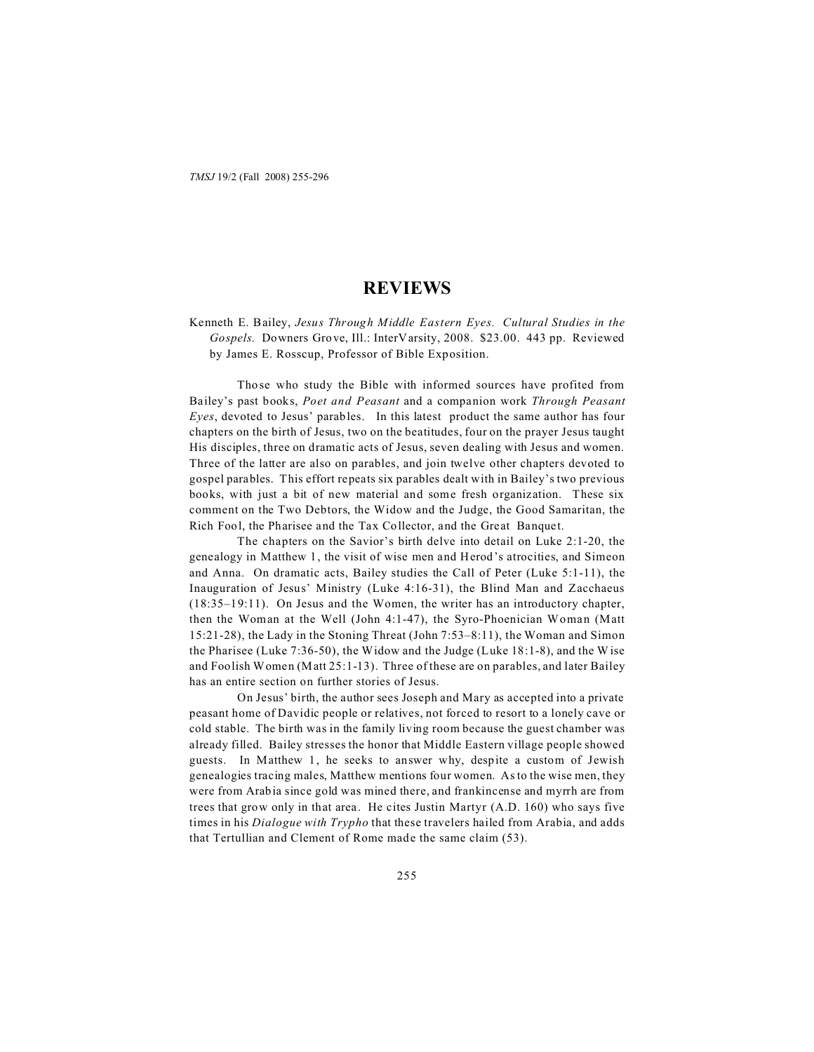*TMSJ* 19/2 (Fall 2008) 255-296

# **REVIEWS**

Kenneth E. Bailey, *Jesus Through Middle Eastern Eyes. Cultural Studies in the Gospels.* Downers Grove, Ill.: InterVarsity, 2008. \$23.00. 443 pp. Reviewed by James E. Rosscup, Professor of Bible Exposition.

Those who study the Bible with informed sources have profited from Bailey's past books, *Poet and Peasant* and a companion work *Through Peasant Eyes*, devoted to Jesus' parables. In this latest product the same author has four chapters on the birth of Jesus, two on the beatitudes, four on the prayer Jesus taught His disciples, three on dramatic acts of Jesus, seven dealing with Jesus and women. Three of the latter are also on parables, and join twelve other chapters devoted to gospel parables. This effort repeats six parables dealt with in Bailey's two previous books, with just a bit of new material and some fresh organization. These six comment on the Two Debtors, the Widow and the Judge, the Good Samaritan, the Rich Fool, the Pharisee and the Tax Collector, and the Great Banquet.

The chapters on the Savior's birth delve into detail on Luke 2:1-20, the genealogy in Matthew 1, the visit of wise men and Herod's atrocities, and Simeon and Anna. On dramatic acts, Bailey studies the Call of Peter (Luke 5:1-11), the Inauguration of Jesus' Ministry (Luke 4:16-31), the Blind Man and Zacchaeus (18:35–19:11). On Jesus and the Women, the writer has an introductory chapter, then the Woman at the Well (John 4:1-47), the Syro-Phoenician Woman (Matt 15:21-28), the Lady in the Stoning Threat (John 7:53–8:11), the Woman and Simon the Pharisee (Luke 7:36-50), the Widow and the Judge (Luke 18:1-8), and the Wise and Foolish Women (Matt 25:1-13). Three of these are on parables, and later Bailey has an entire section on further stories of Jesus.

On Jesus' birth, the author sees Joseph and Mary as accepted into a private peasant home of Davidic people or relatives, not forced to resort to a lonely cave or cold stable. The birth was in the family living room because the guest chamber was already filled. Bailey stresses the honor that Middle Eastern village people showed guests. In Matthew 1, he seeks to answer why, despite a custom of Jewish genealogies tracing males, Matthew mentions four women. As to the wise men, they were from Arabia since gold was mined there, and frankincense and myrrh are from trees that grow only in that area. He cites Justin Martyr (A.D. 160) who says five times in his *Dialogue with Trypho* that these travelers hailed from Arabia, and adds that Tertullian and Clement of Rome made the same claim (53).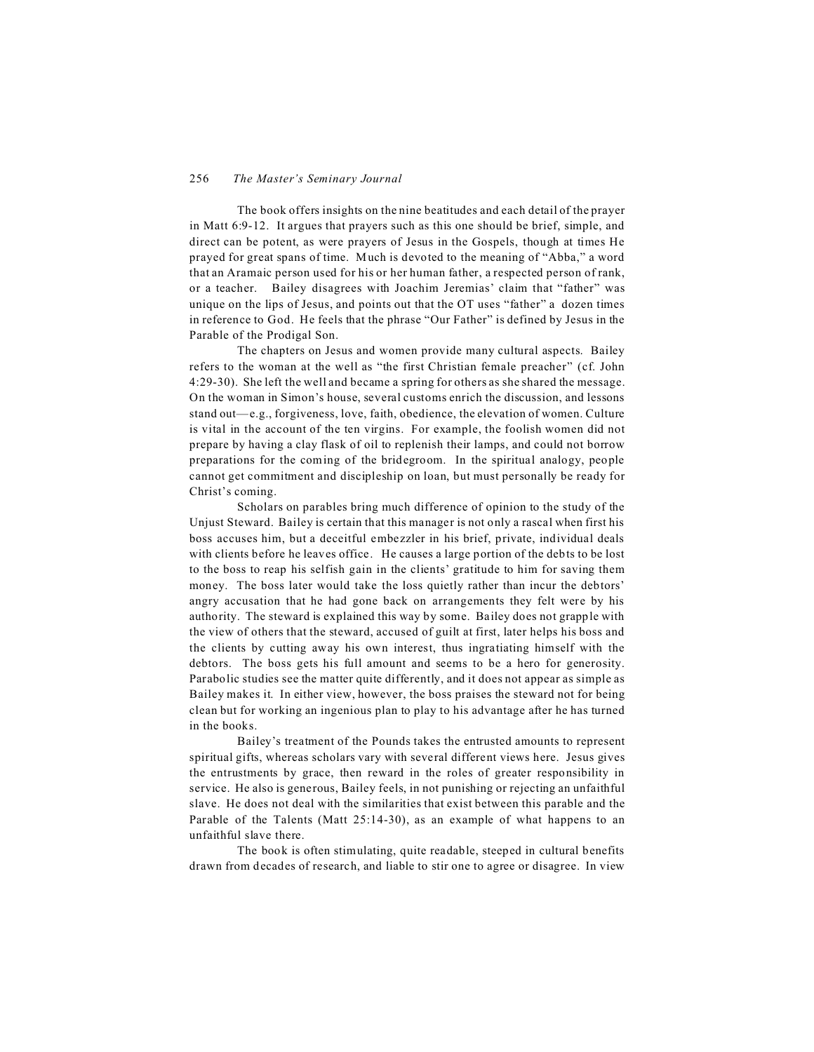The book offers insights on the nine beatitudes and each detail of the prayer in Matt 6:9-12. It argues that prayers such as this one should be brief, simple, and direct can be potent, as were prayers of Jesus in the Gospels, though at times He prayed for great spans of time. Much is devoted to the meaning of "Abba," a word that an Aramaic person used for his or her human father, a respected person of rank, or a teacher. Bailey disagrees with Joachim Jeremias' claim that "father" was unique on the lips of Jesus, and points out that the OT uses "father" a dozen times in reference to God. He feels that the phrase "Our Father" is defined by Jesus in the Parable of the Prodigal Son.

The chapters on Jesus and women provide many cultural aspects. Bailey refers to the woman at the well as "the first Christian female preacher" (cf. John 4:29-30). She left the well and became a spring for others as she shared the message. On the woman in Simon's house, several customs enrich the discussion, and lessons stand out—e.g., forgiveness, love, faith, obedience, the elevation of women. Culture is vital in the account of the ten virgins. For example, the foolish women did not prepare by having a clay flask of oil to replenish their lamps, and could not borrow preparations for the coming of the bridegroom. In the spiritual analogy, people cannot get commitment and discipleship on loan, but must personally be ready for Christ's coming.

Scholars on parables bring much difference of opinion to the study of the Unjust Steward. Bailey is certain that this manager is not only a rascal when first his boss accuses him, but a deceitful embezzler in his brief, private, individual deals with clients before he leaves office. He causes a large portion of the debts to be lost to the boss to reap his selfish gain in the clients' gratitude to him for saving them money. The boss later would take the loss quietly rather than incur the debtors' angry accusation that he had gone back on arrangements they felt were by his authority. The steward is explained this way by some. Bailey does not grapple with the view of others that the steward, accused of guilt at first, later helps his boss and the clients by cutting away his own interest, thus ingratiating himself with the debtors. The boss gets his full amount and seems to be a hero for generosity. Parabolic studies see the matter quite differently, and it does not appear as simple as Bailey makes it. In either view, however, the boss praises the steward not for being clean but for working an ingenious plan to play to his advantage after he has turned in the books.

Bailey's treatment of the Pounds takes the entrusted amounts to represent spiritual gifts, whereas scholars vary with several different views here. Jesus gives the entrustments by grace, then reward in the roles of greater responsibility in service. He also is generous, Bailey feels, in not punishing or rejecting an unfaithful slave. He does not deal with the similarities that exist between this parable and the Parable of the Talents (Matt 25:14-30), as an example of what happens to an unfaithful slave there.

The book is often stimulating, quite readable, steeped in cultural benefits drawn from decades of research, and liable to stir one to agree or disagree. In view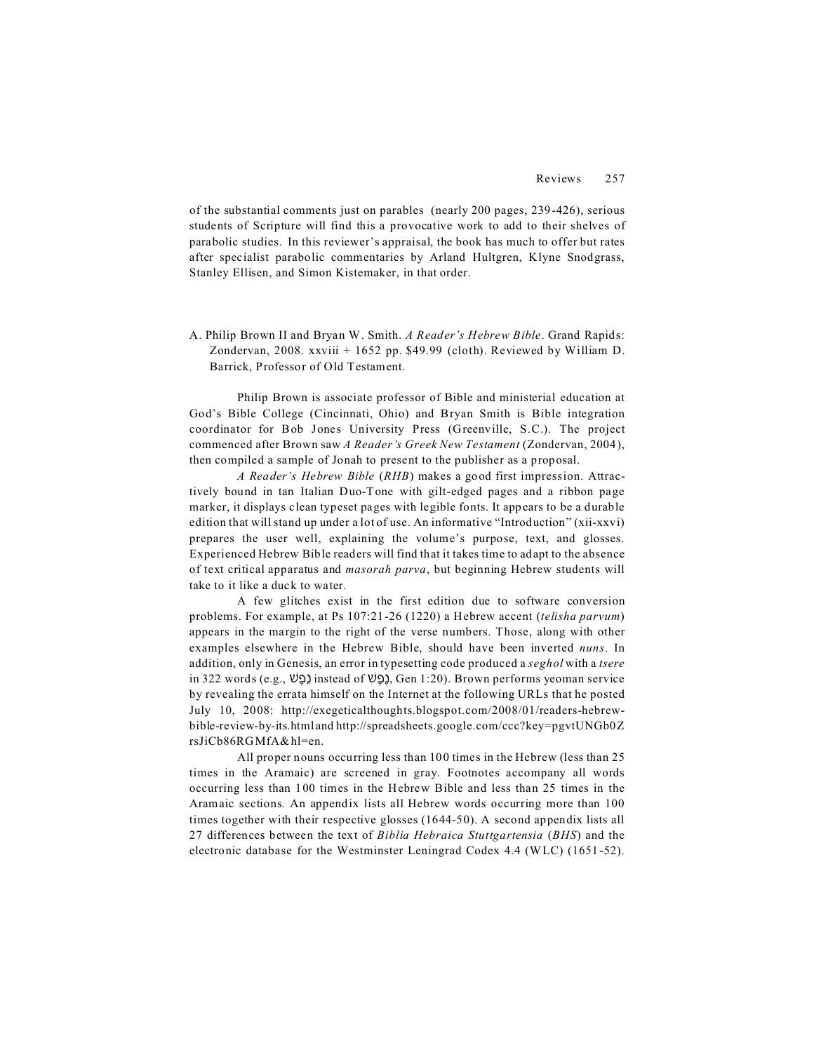of the substantial comments just on parables (nearly 200 pages, 239-426), serious students of Scripture will find this a provocative work to add to their shelves of parabolic studies. In this reviewer's appraisal, the book has much to offer but rates after specialist parabolic commentaries by Arland Hultgren, Klyne Snodgrass, Stanley Ellisen, and Simon Kistemaker, in that order.

A. Philip Brown II and Bryan W. Smith. *A Reader's Hebrew Bible*. Grand Rapids: Zondervan, 2008. xxviii + 1652 pp. \$49.99 (cloth). Reviewed by William D. Barrick, Professor of Old Testament.

Philip Brown is associate professor of Bible and ministerial education at God's Bible College (Cincinnati, Ohio) and Bryan Smith is Bible integration coordinator for Bob Jones University Press (Greenville, S.C.). The project commenced after Brown saw *A Reader's Greek New Testament* (Zondervan, 2004), then compiled a sample of Jonah to present to the publisher as a proposal.

*A Reader's Hebrew Bible* (*RHB*) makes a good first impression. Attractively bound in tan Italian Duo-Tone with gilt-edged pages and a ribbon page marker, it displays clean typeset pages with legible fonts. It appears to be a durable edition that will stand up under a lot of use. An informative "Introduction" (xii-xxvi) prepares the user well, explaining the volume's purpose, text, and glosses. Experienced Hebrew Bible readers will find that it takes time to adapt to the absence of text critical apparatus and *masorah parva*, but beginning Hebrew students will take to it like a duck to water.

A few glitches exist in the first edition due to software conversion problems. For example, at Ps 107:21-26 (1220) a Hebrew accent (*telisha parvum*) appears in the margin to the right of the verse numbers. Those, along with other examples elsewhere in the Hebrew Bible, should have been inverted *nuns*. In addition, only in Genesis, an error in typesetting code produced a *seghol* with a *tsere*  $\infty$  in 322 words (e.g.,  $\mathcal{Q}$ ) instead of  $\mathcal{Q}$ , Gen 1:20). Brown performs yeoman service by revealing the errata himself on the Internet at the following URLs that he posted July 10, 2008: http://exegeticalthoughts.blogspot.com/2008/01/readers-hebrewbible-review-by-its.html and http://spreadsheets.google.com/ccc?key=pgvtUNGb0Z rsJiCb86RGMfA&hl=en.

All proper nouns occurring less than 100 times in the Hebrew (less than 25 times in the Aramaic) are screened in gray. Footnotes accompany all words occurring less than 100 times in the Hebrew Bible and less than 25 times in the Aramaic sections. An appendix lists all Hebrew words occurring more than 100 times together with their respective glosses (1644-50). A second appendix lists all 27 differences between the text of *Biblia Hebraica Stuttgartensia* (*BHS*) and the electronic database for the Westminster Leningrad Codex 4.4 (WLC) (1651-52).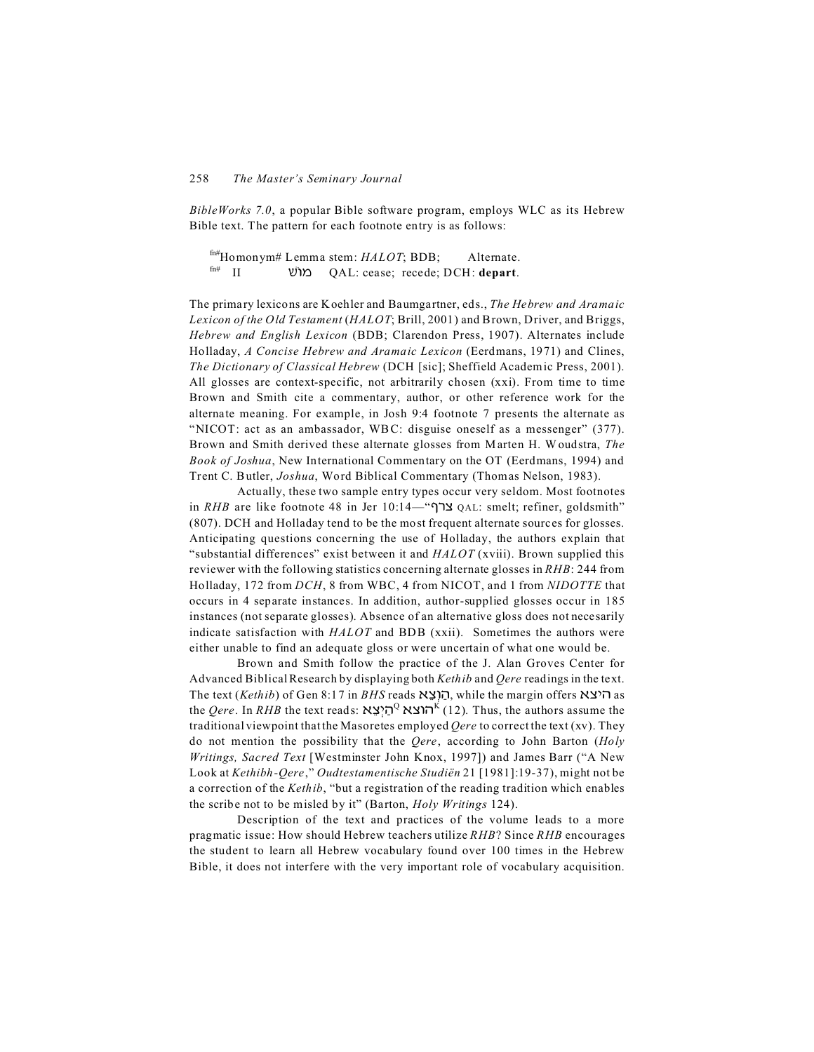*BibleWorks 7.0*, a popular Bible software program, employs WLC as its Hebrew Bible text. The pattern for each footnote entry is as follows:

fn#Homonym# Lemma stem: *HALOT*; BDB; Alternate. fn# II |/ QAL: cease; recede; DCH: **depart**.

The primary lexicons are Koehler and Baumgartner, eds., *The Hebrew and Aramaic Lexicon of the Old Testament* (*HALOT*; Brill, 2001) and Brown, Driver, and Briggs, *Hebrew and English Lexicon* (BDB; Clarendon Press, 1907). Alternates include Holladay, *A Concise Hebrew and Aramaic Lexicon* (Eerdmans, 1971) and Clines, *The Dictionary of Classical Hebrew* (DCH [sic]; Sheffield Academic Press, 2001). All glosses are context-specific, not arbitrarily chosen (xxi). From time to time Brown and Smith cite a commentary, author, or other reference work for the alternate meaning. For example, in Josh 9:4 footnote 7 presents the alternate as "NICOT: act as an ambassador, WB C: disguise oneself as a messenger" (377). Brown and Smith derived these alternate glosses from Marten H. Woudstra, *The Book of Joshua*, New International Commentary on the OT (Eerdmans, 1994) and Trent C. Butler, *Joshua*, Word Biblical Commentary (Thomas Nelson, 1983).

Actually, these two sample entry types occur very seldom. Most footnotes in *RHB* are like footnote 48 in Jer 10:14—"497 QAL: smelt; refiner, goldsmith" (807). DCH and Holladay tend to be the most frequent alternate sources for glosses. Anticipating questions concerning the use of Holladay, the authors explain that "substantial differences" exist between it and *HALOT* (xviii). Brown supplied this reviewer with the following statistics concerning alternate glosses in *RHB*: 244 from Holladay, 172 from *DCH*, 8 from WBC, 4 from NICOT, and 1 from *NIDOTTE* that occurs in 4 separate instances. In addition, author-supplied glosses occur in 185 instances (not separate glosses). Absence of an alternative gloss does not necesarily indicate satisfaction with *HALOT* and BDB (xxii). Sometimes the authors were either unable to find an adequate gloss or were uncertain of what one would be.

Brown and Smith follow the practice of the J. Alan Groves Center for Advanced Biblical Research by displaying both *Kethib* and *Qere* readings in the text. The text (*Kethib*) of Gen 8:17 in *BHS* reads !7F &A%H , while the margin offers !7\*% as the *Qere*. In *RHB* the text reads: הוצא <sup>0</sup>כַן: 12). Thus, the authors assume the traditional viewpoint that the Masoretes employed *Qere* to correct the text (xv). They do not mention the possibility that the *Qere*, according to John Barton (*Holy Writings, Sacred Text* [Westminster John Knox, 1997]) and James Barr ("A New Look at *Kethibh-Qere*," *Oudtestamentische Studiën* 21 [1981]:19-37), might not be a correction of the *Kethib*, "but a registration of the reading tradition which enables the scribe not to be misled by it" (Barton, *Holy Writings* 124).

Description of the text and practices of the volume leads to a more pragmatic issue: How should Hebrew teachers utilize *RHB*? Since *RHB* encourages the student to learn all Hebrew vocabulary found over 100 times in the Hebrew Bible, it does not interfere with the very important role of vocabulary acquisition.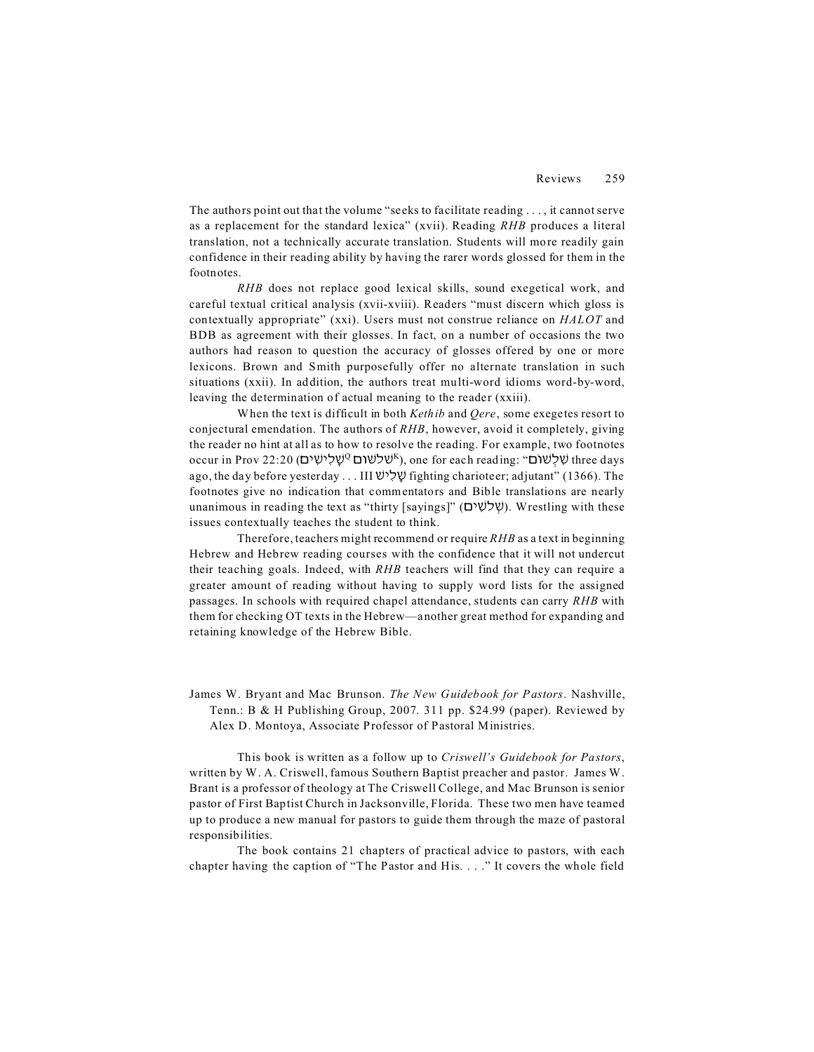The authors point out that the volume "seeks to facilitate reading . . . , it cannot serve as a replacement for the standard lexica" (xvii). Reading *RHB* produces a literal translation, not a technically accurate translation. Students will more readily gain confidence in their reading ability by having the rarer words glossed for them in the footnotes.

*RHB* does not replace good lexical skills, sound exegetical work, and careful textual critical analysis (xvii-xviii). Readers "must discern which gloss is contextually appropriate" (xxi). Users must not construe reliance on *HALOT* and BDB as agreement with their glosses. In fact, on a number of occasions the two authors had reason to question the accuracy of glosses offered by one or more lexicons. Brown and Smith purposefully offer no alternate translation in such situations (xxii). In addition, the authors treat multi-word idioms word-by-word, leaving the determination of actual meaning to the reader (xxiii).

When the text is difficult in both *Kethib* and *Qere*, some exegetes resort to conjectural emendation. The authors of *RHB*, however, avoid it completely, giving the reader no hint at all as to how to resolve the reading. For example, two footnotes occur in Prov 22:20 (שְׁלִישִׁים<sup>ַ 2</sup>שָׁלִישִׁים<sup>ַ 2</sup>), one for each reading: "שׁלָשׁוֹם three days ago, the day before yesterday . . . III  $\mathcal{Y}(\mathcal{Y})$  fighting charioteer; adjutant" (1366). The footnotes give no indication that commentators and Bible translations are nearly unanimous in reading the text as "thirty [sayings]" (שׁלשִׁים). Wrestling with these issues contextually teaches the student to think.

Therefore, teachers might recommend or require *RHB* as a text in beginning Hebrew and Hebrew reading courses with the confidence that it will not undercut their teaching goals. Indeed, with *RHB* teachers will find that they can require a greater amount of reading without having to supply word lists for the assigned passages. In schools with required chapel attendance, students can carry *RHB* with them for checking OT texts in the Hebrew—another great method for expanding and retaining knowledge of the Hebrew Bible.

James W. Bryant and Mac Brunson. *The New Guidebook for Pastors*. Nashville, Tenn.: B & H Publishing Group, 2007. 311 pp. \$24.99 (paper). Reviewed by Alex D. Montoya, Associate Professor of Pastoral Ministries.

This book is written as a follow up to *Criswell's Guidebook for Pastors*, written by W. A. Criswell, famous Southern Baptist preacher and pastor. James W. Brant is a professor of theology at The Criswell College, and Mac Brunson is senior pastor of First Baptist Church in Jacksonville, Florida. These two men have teamed up to produce a new manual for pastors to guide them through the maze of pastoral responsibilities.

The book contains 21 chapters of practical advice to pastors, with each chapter having the caption of "The Pastor and His. . . ." It covers the whole field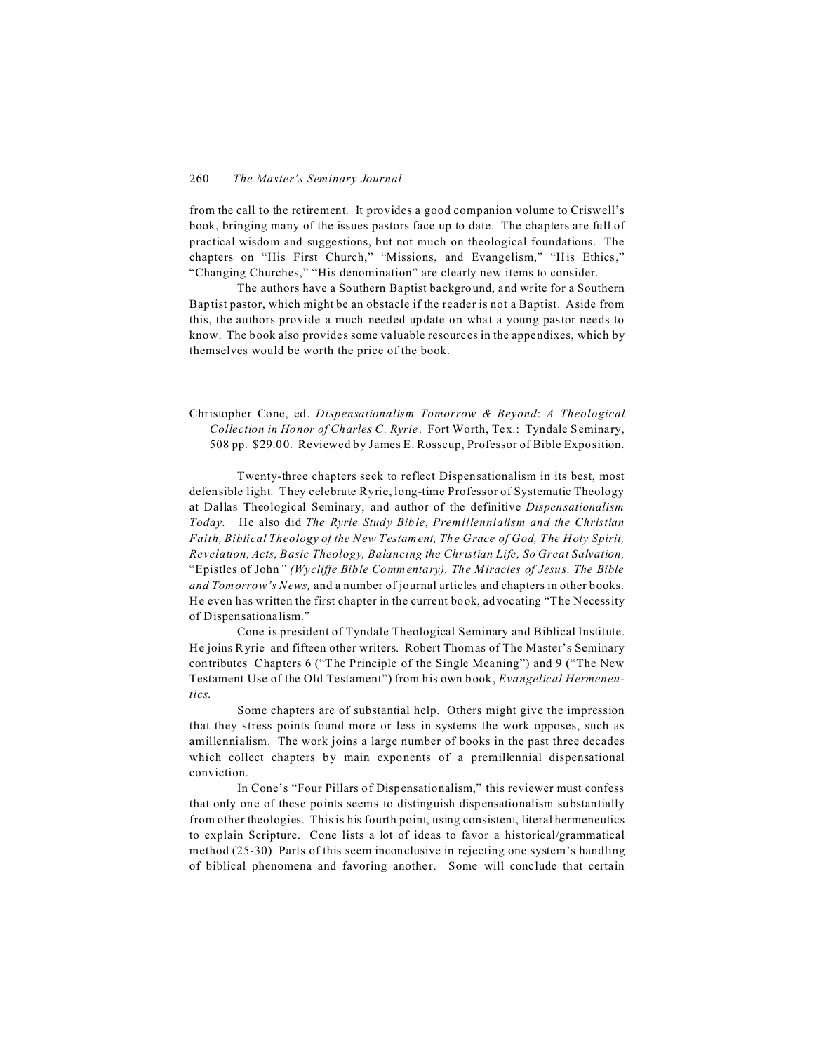from the call to the retirement. It provides a good companion volume to Criswell's book, bringing many of the issues pastors face up to date. The chapters are full of practical wisdom and suggestions, but not much on theological foundations. The chapters on "His First Church," "Missions, and Evangelism," "His Ethics," "Changing Churches," "His denomination" are clearly new items to consider.

The authors have a Southern Baptist background, and write for a Southern Baptist pastor, which might be an obstacle if the reader is not a Baptist. Aside from this, the authors provide a much needed update on what a young pastor needs to know. The book also provides some valuable resources in the appendixes, which by themselves would be worth the price of the book.

Christopher Cone, ed. *Dispensationalism Tomorrow & Beyond*: *A Theological Collection in Honor of Charles C. Ryrie*. Fort Worth, Tex.: Tyndale Seminary, 508 pp. \$29.00. Reviewed by James E. Rosscup, Professor of Bible Exposition.

Twenty-three chapters seek to reflect Dispensationalism in its best, most defensible light. They celebrate Ryrie, long-time Professor of Systematic Theology at Dallas Theological Seminary, and author of the definitive *Dispensationalism Today.* He also did *The Ryrie Study Bible*, *Premillennialism and the Christian Faith, Biblical Theology of the New Testament, The Grace of God, The Holy Spirit, Revelation, Acts, Basic Theology, Balancing the Christian Life, So Great Salvation,* "Epistles of John*" (Wycliffe Bible Commentary), The Miracles of Jesus, The Bible and Tomorrow's News,* and a number of journal articles and chapters in other books. He even has written the first chapter in the current book, advocating "The Necessity of Dispensationalism."

Cone is president of Tyndale Theological Seminary and Biblical Institute. He joins Ryrie and fifteen other writers. Robert Thomas of The Master's Seminary contributes Chapters 6 ("The Principle of the Single Meaning") and 9 ("The New Testament Use of the Old Testament") from his own book, *Evangelical Hermeneutics*.

Some chapters are of substantial help. Others might give the impression that they stress points found more or less in systems the work opposes, such as amillennialism. The work joins a large number of books in the past three decades which collect chapters by main exponents of a premillennial dispensational conviction.

In Cone's "Four Pillars of Dispensationalism," this reviewer must confess that only one of these points seems to distinguish dispensationalism substantially from other theologies. This is his fourth point, using consistent, literal hermeneutics to explain Scripture. Cone lists a lot of ideas to favor a historical/grammatical method (25-30). Parts of this seem inconclusive in rejecting one system's handling of biblical phenomena and favoring another. Some will conclude that certain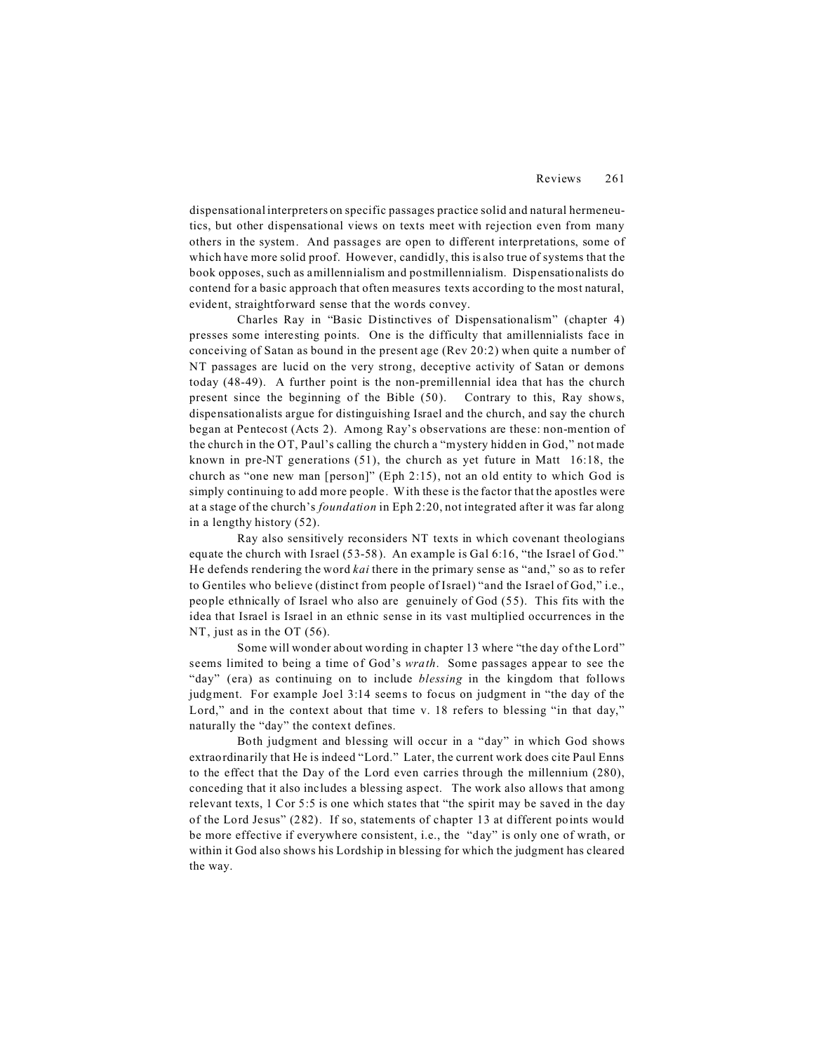dispensational interpreters on specific passages practice solid and natural hermeneutics, but other dispensational views on texts meet with rejection even from many others in the system. And passages are open to different interpretations, some of which have more solid proof. However, candidly, this is also true of systems that the book opposes, such as amillennialism and postmillennialism. Dispensationalists do contend for a basic approach that often measures texts according to the most natural, evident, straightforward sense that the words convey.

Charles Ray in "Basic Distinctives of Dispensationalism" (chapter 4) presses some interesting points. One is the difficulty that amillennialists face in conceiving of Satan as bound in the present age (Rev 20:2) when quite a number of NT passages are lucid on the very strong, deceptive activity of Satan or demons today (48-49). A further point is the non-premillennial idea that has the church present since the beginning of the Bible (50). Contrary to this, Ray shows, dispensationalists argue for distinguishing Israel and the church, and say the church began at Pentecost (Acts 2). Among Ray's observations are these: non-mention of the church in the OT, Paul's calling the church a "mystery hidden in God," not made known in pre-NT generations (51), the church as yet future in Matt 16:18, the church as "one new man [person]" (Eph 2:15), not an old entity to which God is simply continuing to add more people. With these is the factor that the apostles were at a stage of the church's *foundation* in Eph 2:20, not integrated after it was far along in a lengthy history (52).

Ray also sensitively reconsiders NT texts in which covenant theologians equate the church with Israel (53-58). An example is Gal 6:16, "the Israel of God." He defends rendering the word *kai* there in the primary sense as "and," so as to refer to Gentiles who believe (distinct from people of Israel) "and the Israel of God," i.e., people ethnically of Israel who also are genuinely of God (55). This fits with the idea that Israel is Israel in an ethnic sense in its vast multiplied occurrences in the NT, just as in the OT (56).

Some will wonder about wording in chapter 13 where "the day of the Lord" seems limited to being a time of God's *wrath*. Some passages appear to see the "day" (era) as continuing on to include *blessing* in the kingdom that follows judgment. For example Joel 3:14 seems to focus on judgment in "the day of the Lord," and in the context about that time v. 18 refers to blessing "in that day," naturally the "day" the context defines.

Both judgment and blessing will occur in a "day" in which God shows extraordinarily that He is indeed "Lord." Later, the current work does cite Paul Enns to the effect that the Day of the Lord even carries through the millennium (280), conceding that it also includes a blessing aspect. The work also allows that among relevant texts, 1 Cor 5:5 is one which states that "the spirit may be saved in the day of the Lord Jesus" (282). If so, statements of chapter 13 at different points would be more effective if everywhere consistent, i.e., the "day" is only one of wrath, or within it God also shows his Lordship in blessing for which the judgment has cleared the way.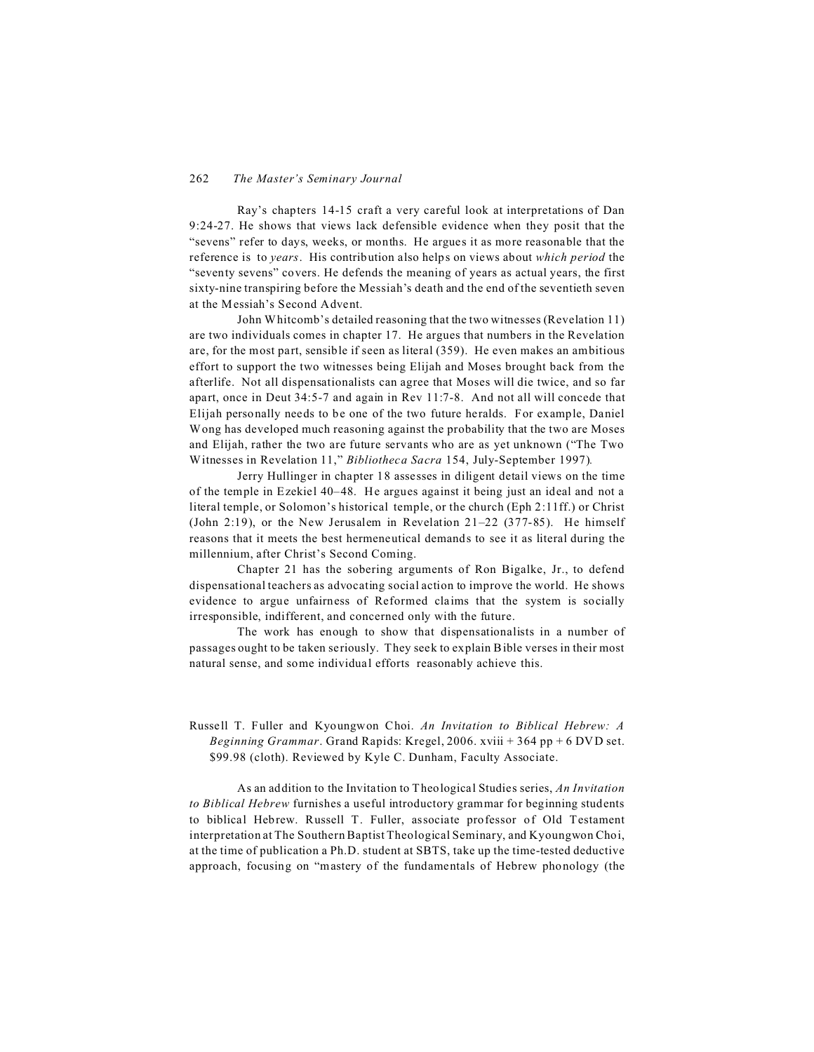Ray's chapters 14-15 craft a very careful look at interpretations of Dan 9:24-27. He shows that views lack defensible evidence when they posit that the "sevens" refer to days, weeks, or months. He argues it as more reasonable that the reference is to *years*. His contribution also helps on views about *which period* the "seventy sevens" covers. He defends the meaning of years as actual years, the first sixty-nine transpiring before the Messiah's death and the end of the seventieth seven at the Messiah's Second Advent.

John Whitcomb's detailed reasoning that the two witnesses (Revelation 11) are two individuals comes in chapter 17. He argues that numbers in the Revelation are, for the most part, sensible if seen as literal (359). He even makes an ambitious effort to support the two witnesses being Elijah and Moses brought back from the afterlife. Not all dispensationalists can agree that Moses will die twice, and so far apart, once in Deut 34:5-7 and again in Rev 11:7-8. And not all will concede that Elijah personally needs to be one of the two future heralds. For example, Daniel Wong has developed much reasoning against the probability that the two are Moses and Elijah, rather the two are future servants who are as yet unknown ("The Two Witnesses in Revelation 11," *Bibliotheca Sacra* 154, July-September 1997)*.*

Jerry Hullinger in chapter 18 assesses in diligent detail views on the time of the temple in Ezekiel 40–48. He argues against it being just an ideal and not a literal temple, or Solomon's historical temple, or the church (Eph 2:11ff.) or Christ (John 2:19), or the New Jerusalem in Revelation 21–22 (377-85). He himself reasons that it meets the best hermeneutical demands to see it as literal during the millennium, after Christ's Second Coming.

Chapter 21 has the sobering arguments of Ron Bigalke, Jr., to defend dispensational teachers as advocating social action to improve the world. He shows evidence to argue unfairness of Reformed claims that the system is socially irresponsible, indifferent, and concerned only with the future.

The work has enough to show that dispensationalists in a number of passages ought to be taken seriously. They seek to explain Bible verses in their most natural sense, and some individual efforts reasonably achieve this.

Russell T. Fuller and Kyoungwon Choi. *An Invitation to Biblical Hebrew: A Beginning Grammar*. Grand Rapids: Kregel, 2006. xviii + 364 pp + 6 DVD set. \$99.98 (cloth). Reviewed by Kyle C. Dunham, Faculty Associate.

As an addition to the Invitation to Theological Studies series, *An Invitation to Biblical Hebrew* furnishes a useful introductory grammar for beginning students to biblical Hebrew. Russell T. Fuller, associate professor of Old Testament interpretation at The Southern Baptist Theological Seminary, and Kyoungwon Choi, at the time of publication a Ph.D. student at SBTS, take up the time-tested deductive approach, focusing on "mastery of the fundamentals of Hebrew phonology (the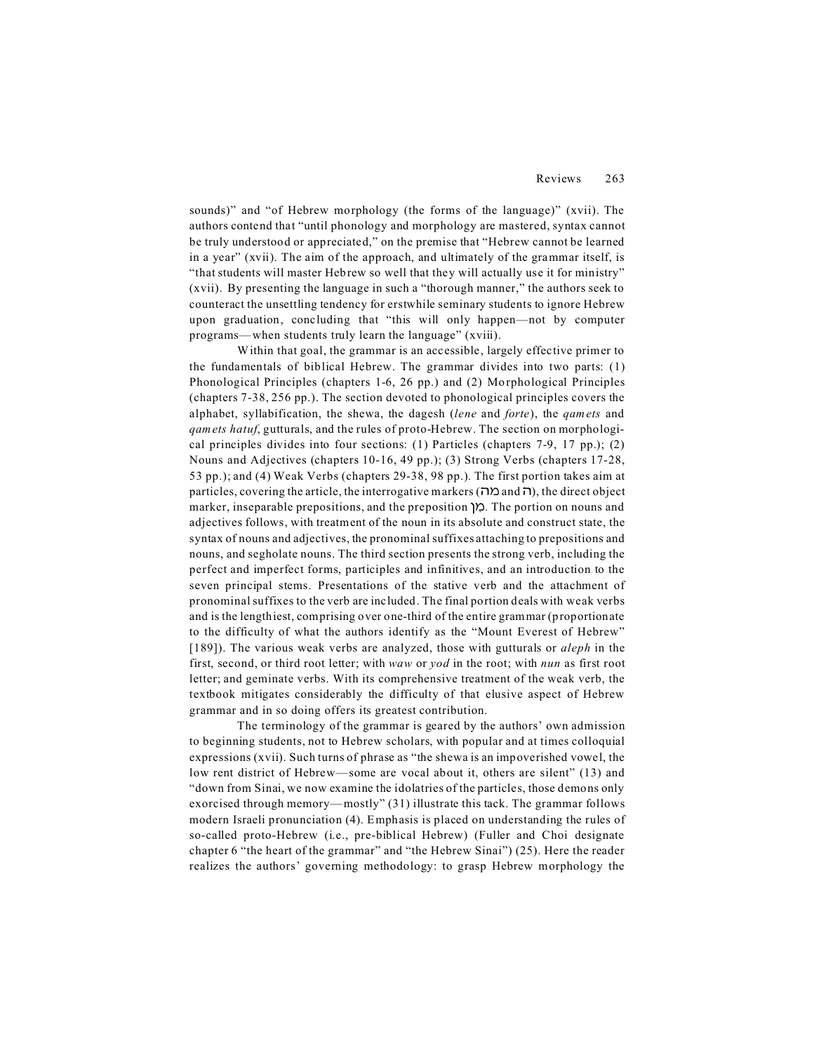sounds)" and "of Hebrew morphology (the forms of the language)" (xvii). The authors contend that "until phonology and morphology are mastered, syntax cannot be truly understood or appreciated," on the premise that "Hebrew cannot be learned in a year" (xvii). The aim of the approach, and ultimately of the grammar itself, is "that students will master Hebrew so well that they will actually use it for ministry" (xvii). By presenting the language in such a "thorough manner," the authors seek to counteract the unsettling tendency for erstwhile seminary students to ignore Hebrew upon graduation, concluding that "this will only happen—not by computer programs— when students truly learn the language" (xviii).

Within that goal, the grammar is an accessible, largely effective primer to the fundamentals of biblical Hebrew. The grammar divides into two parts: (1) Phonological Principles (chapters 1-6, 26 pp.) and (2) Morphological Principles (chapters 7-38, 256 pp.). The section devoted to phonological principles covers the alphabet, syllabification, the shewa, the dagesh (*lene* and *forte*), the *qamets* and *qamets hatuf*, gutturals, and the rules of proto-Hebrew. The section on morphological principles divides into four sections: (1) Particles (chapters 7-9, 17 pp.); (2) Nouns and Adjectives (chapters 10-16, 49 pp.); (3) Strong Verbs (chapters 17-28, 53 pp.); and (4) Weak Verbs (chapters 29-38, 98 pp.). The first portion takes aim at  $particles$ , covering the article, the interrogative markers ( $\Box$  and  $\Box$ ), the direct object marker, inseparable prepositions, and the preposition 0/E . The portion on nouns and adjectives follows, with treatment of the noun in its absolute and construct state, the syntax of nouns and adjectives, the pronominal suffixes attaching to prepositions and nouns, and segholate nouns. The third section presents the strong verb, including the perfect and imperfect forms, participles and infinitives, and an introduction to the seven principal stems. Presentations of the stative verb and the attachment of pronominal suffixes to the verb are included. The final portion deals with weak verbs and is the lengthiest, comprising over one-third of the entire grammar (proportionate to the difficulty of what the authors identify as the "Mount Everest of Hebrew" [189]). The various weak verbs are analyzed, those with gutturals or *aleph* in the first, second, or third root letter; with *waw* or *yod* in the root; with *nun* as first root letter; and geminate verbs. With its comprehensive treatment of the weak verb, the textbook mitigates considerably the difficulty of that elusive aspect of Hebrew grammar and in so doing offers its greatest contribution.

The terminology of the grammar is geared by the authors' own admission to beginning students, not to Hebrew scholars, with popular and at times colloquial expressions (xvii). Such turns of phrase as "the shewa is an impoverished vowel, the low rent district of Hebrew—some are vocal about it, others are silent" (13) and "down from Sinai, we now examine the idolatries of the particles, those demons only exorcised through memory— mostly" (31) illustrate this tack. The grammar follows modern Israeli pronunciation (4). Emphasis is placed on understanding the rules of so-called proto-Hebrew (i.e., pre-biblical Hebrew) (Fuller and Choi designate chapter 6 "the heart of the grammar" and "the Hebrew Sinai") (25). Here the reader realizes the authors' governing methodology: to grasp Hebrew morphology the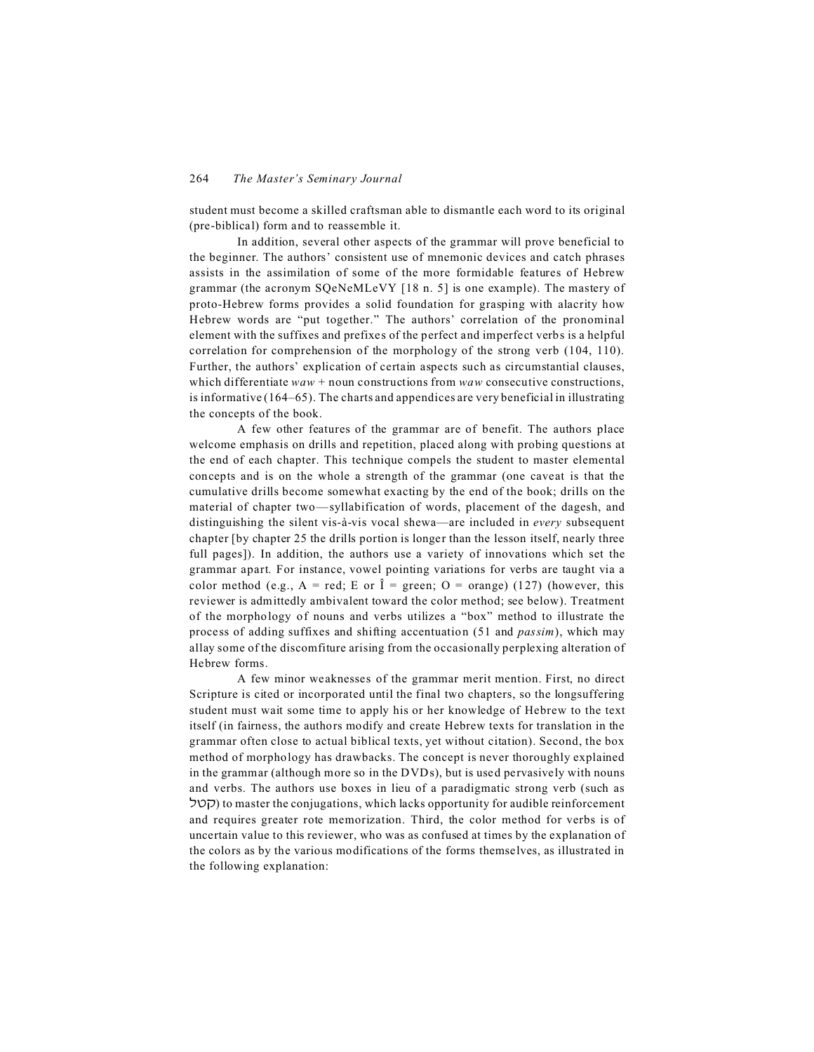student must become a skilled craftsman able to dismantle each word to its original (pre-biblical) form and to reassemble it.

In addition, several other aspects of the grammar will prove beneficial to the beginner. The authors' consistent use of mnemonic devices and catch phrases assists in the assimilation of some of the more formidable features of Hebrew grammar (the acronym SQeNeMLeVY [18 n. 5] is one example). The mastery of proto-Hebrew forms provides a solid foundation for grasping with alacrity how Hebrew words are "put together." The authors' correlation of the pronominal element with the suffixes and prefixes of the perfect and imperfect verbs is a helpful correlation for comprehension of the morphology of the strong verb (104, 110). Further, the authors' explication of certain aspects such as circumstantial clauses, which differentiate *waw* + noun constructions from *waw* consecutive constructions, is informative (164–65). The charts and appendices are very beneficial in illustrating the concepts of the book.

A few other features of the grammar are of benefit. The authors place welcome emphasis on drills and repetition, placed along with probing questions at the end of each chapter. This technique compels the student to master elemental concepts and is on the whole a strength of the grammar (one caveat is that the cumulative drills become somewhat exacting by the end of the book; drills on the material of chapter two—syllabification of words, placement of the dagesh, and distinguishing the silent vis-à-vis vocal shewa—are included in *every* subsequent chapter [by chapter 25 the drills portion is longer than the lesson itself, nearly three full pages]). In addition, the authors use a variety of innovations which set the grammar apart. For instance, vowel pointing variations for verbs are taught via a color method (e.g.,  $A = red$ ; E or  $\hat{I} = green$ ;  $O = orange$ ) (127) (however, this reviewer is admittedly ambivalent toward the color method; see below). Treatment of the morphology of nouns and verbs utilizes a "box" method to illustrate the process of adding suffixes and shifting accentuation (51 and *passim*), which may allay some of the discomfiture arising from the occasionally perplexing alteration of Hebrew forms.

A few minor weaknesses of the grammar merit mention. First, no direct Scripture is cited or incorporated until the final two chapters, so the longsuffering student must wait some time to apply his or her knowledge of Hebrew to the text itself (in fairness, the authors modify and create Hebrew texts for translation in the grammar often close to actual biblical texts, yet without citation). Second, the box method of morphology has drawbacks. The concept is never thoroughly explained in the grammar (although more so in the DVDs), but is used pervasively with nouns and verbs. The authors use boxes in lieu of a paradigmatic strong verb (such as -)8) to master the conjugations, which lacks opportunity for audible reinforcement and requires greater rote memorization. Third, the color method for verbs is of uncertain value to this reviewer, who was as confused at times by the explanation of the colors as by the various modifications of the forms themselves, as illustrated in the following explanation: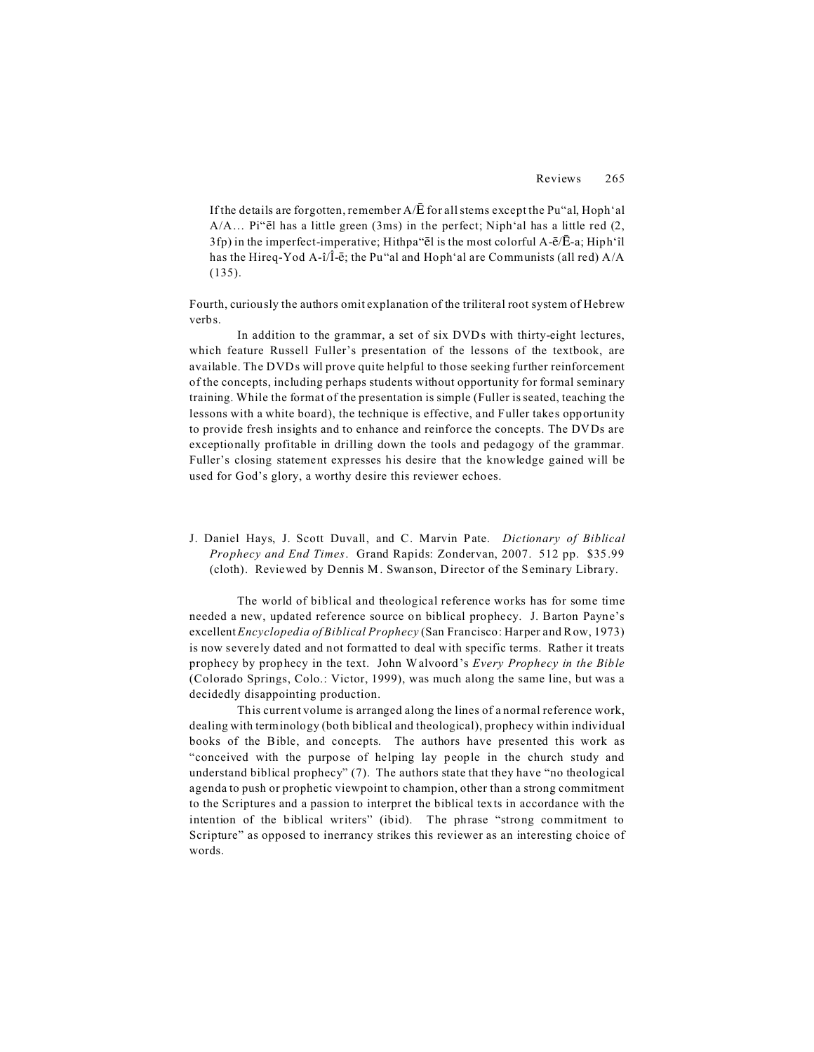If the details are forgotten, remember  $A/\overline{E}$  for all stems except the Pu"al, Hoph'al  $A/A...$  Pi " $\ddot{e}$ l has a little green (3ms) in the perfect; Niph 'al has a little red (2,  $3f$ p) in the imperfect-imperative; Hithpa "el is the most colorful A- $\bar{e}/\bar{E}$ -a; Hiph'îl has the Hireq-Yod A-î/Î-ē; the Pu"al and Hoph'al are Communists (all red)  $A/A$ (135).

Fourth, curiously the authors omit explanation of the triliteral root system of Hebrew verbs.

In addition to the grammar, a set of six DVDs with thirty-eight lectures, which feature Russell Fuller's presentation of the lessons of the textbook, are available. The DVDs will prove quite helpful to those seeking further reinforcement of the concepts, including perhaps students without opportunity for formal seminary training. While the format of the presentation is simple (Fuller is seated, teaching the lessons with a white board), the technique is effective, and Fuller takes opportunity to provide fresh insights and to enhance and reinforce the concepts. The DVDs are exceptionally profitable in drilling down the tools and pedagogy of the grammar. Fuller's closing statement expresses his desire that the knowledge gained will be used for God's glory, a worthy desire this reviewer echoes.

J. Daniel Hays, J. Scott Duvall, and C. Marvin Pate. *Dictionary of Biblical Prophecy and End Times*. Grand Rapids: Zondervan, 2007. 512 pp. \$35.99 (cloth). Reviewed by Dennis M. Swanson, Director of the Seminary Library.

The world of biblical and theological reference works has for some time needed a new, updated reference source on biblical prophecy. J. Barton Payne's excellent*Encyclopedia of Biblical Prophecy* (San Francisco: Harper and Row, 1973) is now severely dated and not formatted to deal with specific terms. Rather it treats prophecy by prophecy in the text. John Walvoord's *Every Prophecy in the Bible* (Colorado Springs, Colo.: Victor, 1999), was much along the same line, but was a decidedly disappointing production.

This current volume is arranged along the lines of a normal reference work, dealing with terminology (both biblical and theological), prophecy within individual books of the Bible, and concepts. The authors have presented this work as "conceived with the purpose of helping lay people in the church study and understand biblical prophecy" (7). The authors state that they have "no theological agenda to push or prophetic viewpoint to champion, other than a strong commitment to the Scriptures and a passion to interpret the biblical texts in accordance with the intention of the biblical writers" (ibid). The phrase "strong commitment to Scripture" as opposed to inerrancy strikes this reviewer as an interesting choice of words.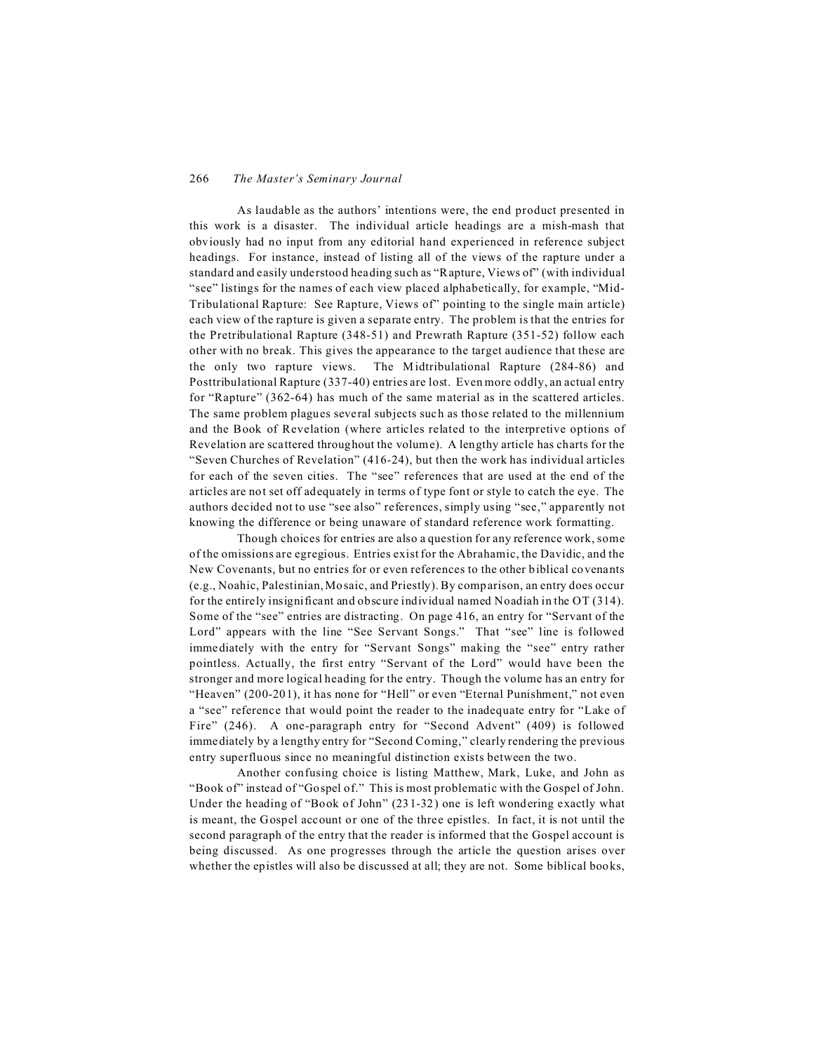As laudable as the authors' intentions were, the end product presented in this work is a disaster. The individual article headings are a mish-mash that obviously had no input from any editorial hand experienced in reference subject headings. For instance, instead of listing all of the views of the rapture under a standard and easily understood heading such as "Rapture, Views of" (with individual "see" listings for the names of each view placed alphabetically, for example, "Mid-Tribulational Rapture: See Rapture, Views of" pointing to the single main article) each view of the rapture is given a separate entry. The problem is that the entries for the Pretribulational Rapture (348-51) and Prewrath Rapture (351-52) follow each other with no break. This gives the appearance to the target audience that these are the only two rapture views. The Midtribulational Rapture (284-86) and Posttribulational Rapture (337-40) entries are lost. Even more oddly, an actual entry for "Rapture" (362-64) has much of the same material as in the scattered articles. The same problem plagues several subjects such as those related to the millennium and the Book of Revelation (where articles related to the interpretive options of Revelation are scattered throughout the volume). A lengthy article has charts for the "Seven Churches of Revelation" (416-24), but then the work has individual articles for each of the seven cities. The "see" references that are used at the end of the articles are not set off adequately in terms of type font or style to catch the eye. The authors decided not to use "see also" references, simply using "see," apparently not knowing the difference or being unaware of standard reference work formatting.

Though choices for entries are also a question for any reference work, some of the omissions are egregious. Entries exist for the Abrahamic, the Davidic, and the New Covenants, but no entries for or even references to the other biblical covenants (e.g., Noahic, Palestinian, Mosaic, and Priestly). By comparison, an entry does occur for the entirely insignificant and obscure individual named Noadiah in the OT (314). Some of the "see" entries are distracting. On page 416, an entry for "Servant of the Lord" appears with the line "See Servant Songs." That "see" line is followed immediately with the entry for "Servant Songs" making the "see" entry rather pointless. Actually, the first entry "Servant of the Lord" would have been the stronger and more logical heading for the entry. Though the volume has an entry for "Heaven" (200-201), it has none for "Hell" or even "Eternal Punishment," not even a "see" reference that would point the reader to the inadequate entry for "Lake of Fire" (246). A one-paragraph entry for "Second Advent" (409) is followed immediately by a lengthy entry for "Second Coming," clearly rendering the previous entry superfluous since no meaningful distinction exists between the two.

Another confusing choice is listing Matthew, Mark, Luke, and John as "Book of" instead of "Gospel of." This is most problematic with the Gospel of John. Under the heading of "Book of John" (231-32) one is left wondering exactly what is meant, the Gospel account or one of the three epistles. In fact, it is not until the second paragraph of the entry that the reader is informed that the Gospel account is being discussed. As one progresses through the article the question arises over whether the epistles will also be discussed at all; they are not. Some biblical books,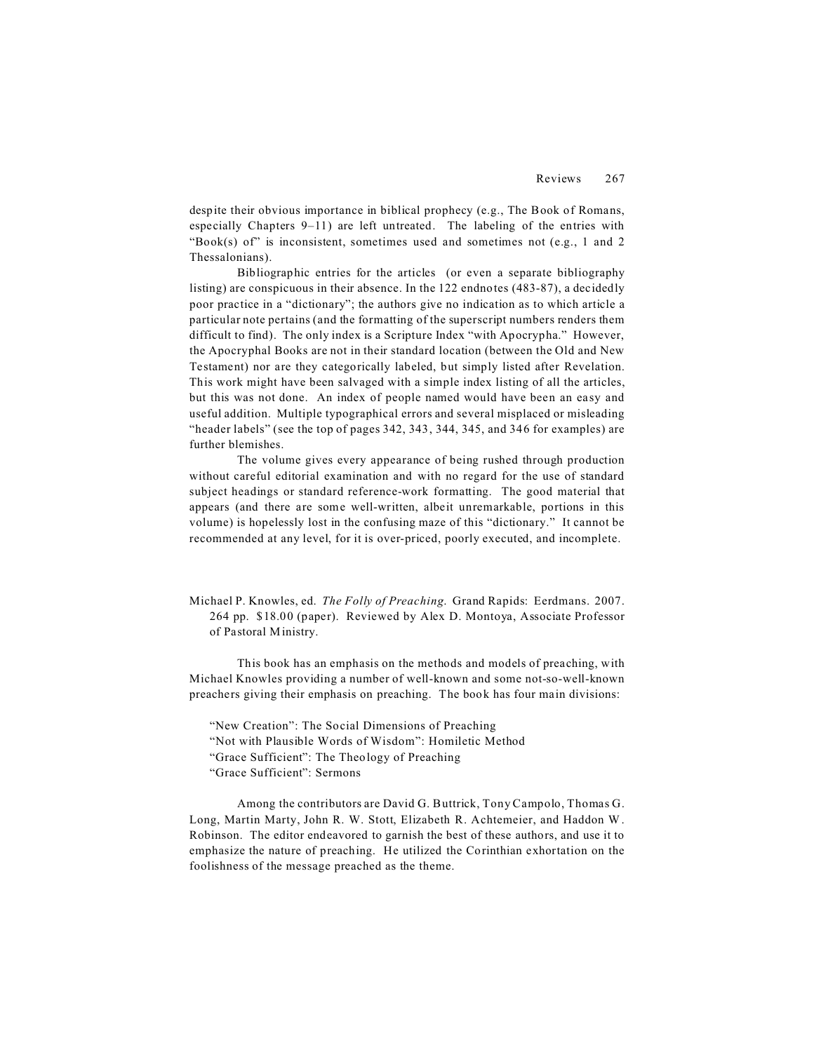despite their obvious importance in biblical prophecy (e.g., The Book of Romans, especially Chapters 9–11) are left untreated. The labeling of the entries with "Book(s) of" is inconsistent, sometimes used and sometimes not (e.g., 1 and 2) Thessalonians).

Bibliographic entries for the articles (or even a separate bibliography listing) are conspicuous in their absence. In the 122 endnotes (483-87), a decidedly poor practice in a "dictionary"; the authors give no indication as to which article a particular note pertains (and the formatting of the superscript numbers renders them difficult to find). The only index is a Scripture Index "with Apocrypha." However, the Apocryphal Books are not in their standard location (between the Old and New Testament) nor are they categorically labeled, but simply listed after Revelation. This work might have been salvaged with a simple index listing of all the articles, but this was not done. An index of people named would have been an easy and useful addition. Multiple typographical errors and several misplaced or misleading "header labels" (see the top of pages 342, 343, 344, 345, and 346 for examples) are further blemishes.

The volume gives every appearance of being rushed through production without careful editorial examination and with no regard for the use of standard subject headings or standard reference-work formatting. The good material that appears (and there are some well-written, albeit unremarkable, portions in this volume) is hopelessly lost in the confusing maze of this "dictionary." It cannot be recommended at any level, for it is over-priced, poorly executed, and incomplete.

Michael P. Knowles, ed. *The Folly of Preaching*. Grand Rapids: Eerdmans. 2007. 264 pp. \$18.00 (paper). Reviewed by Alex D. Montoya, Associate Professor of Pastoral Ministry.

This book has an emphasis on the methods and models of preaching, with Michael Knowles providing a number of well-known and some not-so-well-known preachers giving their emphasis on preaching. The book has four main divisions:

"New Creation": The Social Dimensions of Preaching "Not with Plausible Words of Wisdom": Homiletic Method "Grace Sufficient": The Theology of Preaching "Grace Sufficient": Sermons

Among the contributors are David G. Buttrick, Tony Campolo, Thomas G. Long, Martin Marty, John R. W. Stott, Elizabeth R. Achtemeier, and Haddon W. Robinson. The editor endeavored to garnish the best of these authors, and use it to emphasize the nature of preaching. He utilized the Corinthian exhortation on the foolishness of the message preached as the theme.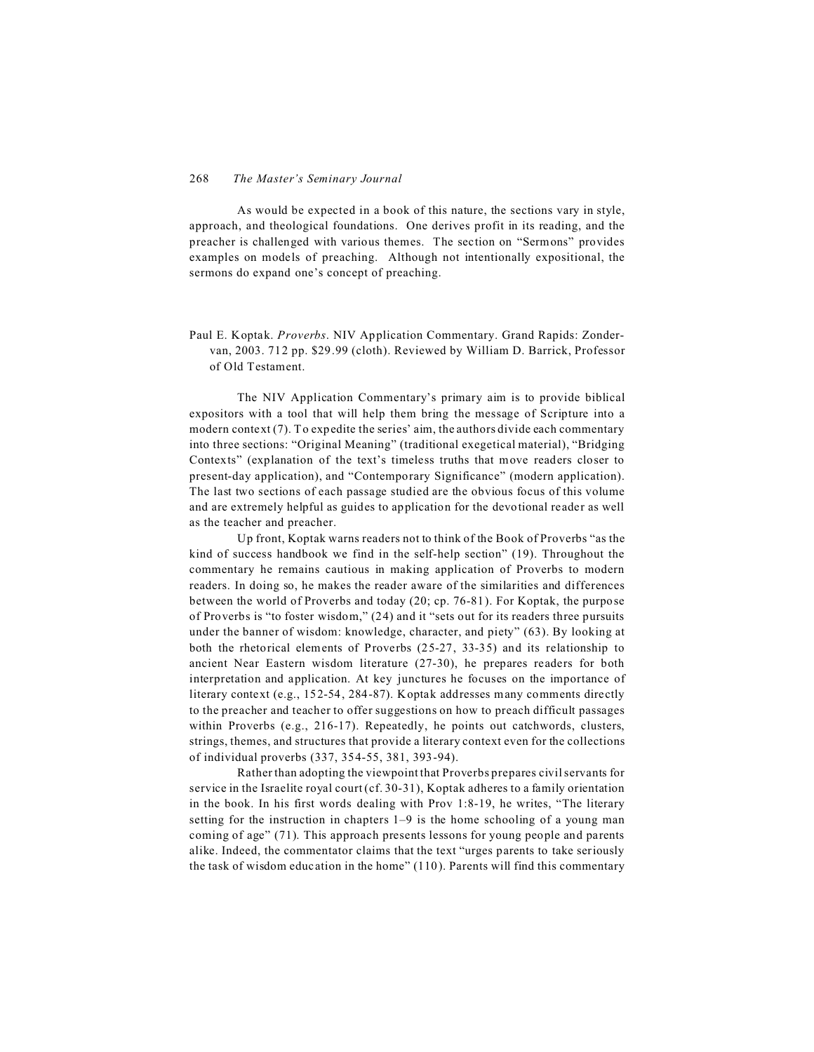## 268 *The Master's Seminary Journal*

As would be expected in a book of this nature, the sections vary in style, approach, and theological foundations. One derives profit in its reading, and the preacher is challenged with various themes. The section on "Sermons" provides examples on models of preaching. Although not intentionally expositional, the sermons do expand one's concept of preaching.

Paul E. Koptak. *Proverbs*. NIV Application Commentary. Grand Rapids: Zondervan, 2003. 712 pp. \$29.99 (cloth). Reviewed by William D. Barrick, Professor of Old Testament.

The NIV Application Commentary's primary aim is to provide biblical expositors with a tool that will help them bring the message of Scripture into a modern context (7). To expedite the series' aim, the authors divide each commentary into three sections: "Original Meaning" (traditional exegetical material), "Bridging Contexts" (explanation of the text's timeless truths that move readers closer to present-day application), and "Contemporary Significance" (modern application). The last two sections of each passage studied are the obvious focus of this volume and are extremely helpful as guides to application for the devotional reader as well as the teacher and preacher.

Up front, Koptak warns readers not to think of the Book of Proverbs "as the kind of success handbook we find in the self-help section" (19). Throughout the commentary he remains cautious in making application of Proverbs to modern readers. In doing so, he makes the reader aware of the similarities and differences between the world of Proverbs and today (20; cp. 76-81). For Koptak, the purpose of Proverbs is "to foster wisdom," (24) and it "sets out for its readers three pursuits under the banner of wisdom: knowledge, character, and piety" (63). By looking at both the rhetorical elements of Proverbs (25-27, 33-35) and its relationship to ancient Near Eastern wisdom literature (27-30), he prepares readers for both interpretation and application. At key junctures he focuses on the importance of literary context (e.g., 152-54, 284-87). Koptak addresses many comments directly to the preacher and teacher to offer suggestions on how to preach difficult passages within Proverbs (e.g., 216-17). Repeatedly, he points out catchwords, clusters, strings, themes, and structures that provide a literary context even for the collections of individual proverbs (337, 354-55, 381, 393-94).

Rather than adopting the viewpoint that Proverbs prepares civil servants for service in the Israelite royal court (cf. 30-31), Koptak adheres to a family orientation in the book. In his first words dealing with Prov 1:8-19, he writes, "The literary setting for the instruction in chapters 1–9 is the home schooling of a young man coming of age" (71). This approach presents lessons for young people and parents alike. Indeed, the commentator claims that the text "urges parents to take seriously the task of wisdom education in the home" (110). Parents will find this commentary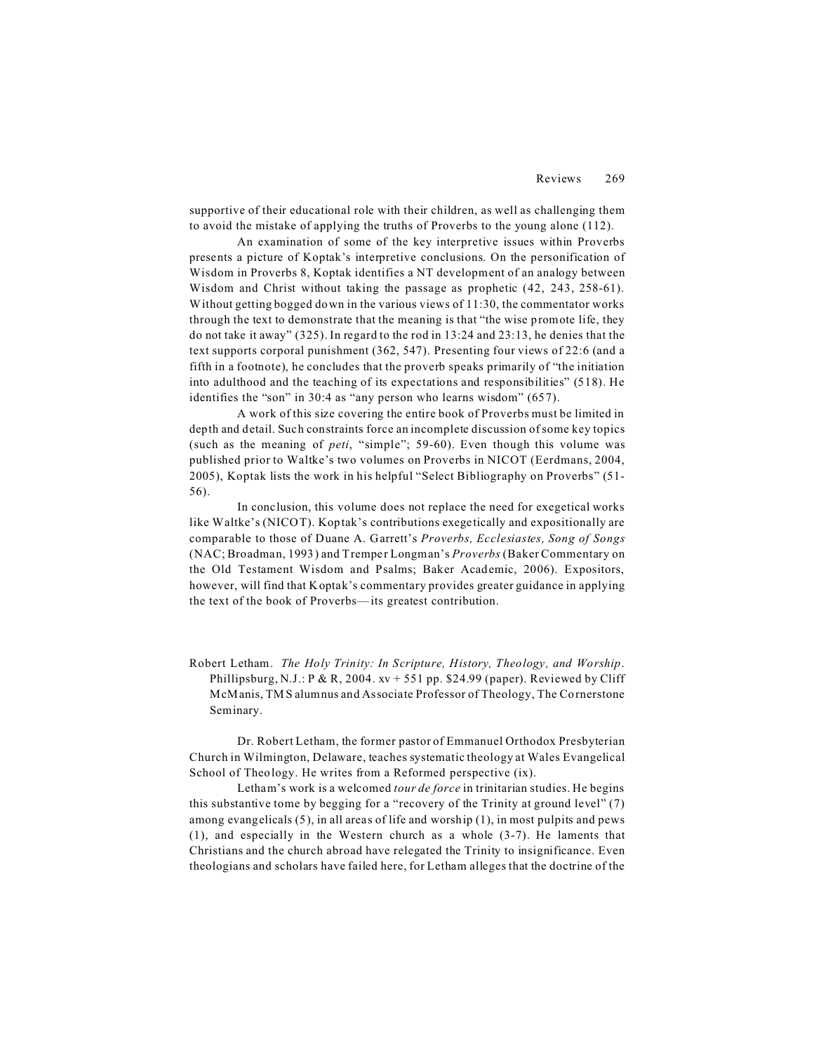supportive of their educational role with their children, as well as challenging them to avoid the mistake of applying the truths of Proverbs to the young alone (112).

An examination of some of the key interpretive issues within Proverbs presents a picture of Koptak's interpretive conclusions. On the personification of Wisdom in Proverbs 8, Koptak identifies a NT development of an analogy between Wisdom and Christ without taking the passage as prophetic  $(42, 243, 258-61)$ . Without getting bogged down in the various views of 11:30, the commentator works through the text to demonstrate that the meaning is that "the wise promote life, they do not take it away" (325). In regard to the rod in 13:24 and 23:13, he denies that the text supports corporal punishment (362, 547). Presenting four views of 22:6 (and a fifth in a footnote), he concludes that the proverb speaks primarily of "the initiation into adulthood and the teaching of its expectations and responsibilities" (518). He identifies the "son" in 30:4 as "any person who learns wisdom" (657).

A work of this size covering the entire book of Proverbs must be limited in depth and detail. Such constraints force an incomplete discussion of some key topics (such as the meaning of *peti*, "simple"; 59-60). Even though this volume was published prior to Waltke's two volumes on Proverbs in NICOT (Eerdmans, 2004, 2005), Koptak lists the work in his helpful "Select Bibliography on Proverbs" (51- 56).

In conclusion, this volume does not replace the need for exegetical works like Waltke's (NICOT). Koptak's contributions exegetically and expositionally are comparable to those of Duane A. Garrett's *Proverbs, Ecclesiastes, Song of Songs* (NAC; Broadman, 1993) and Tremper Longman's *Proverbs* (Baker Commentary on the Old Testament Wisdom and Psalms; Baker Academic, 2006). Expositors, however, will find that Koptak's commentary provides greater guidance in applying the text of the book of Proverbs— its greatest contribution.

Robert Letham. *The Holy Trinity: In Scripture, History, Theology, and Worship*. Phillipsburg, N.J.: P & R, 2004.  $xv + 551$  pp. \$24.99 (paper). Reviewed by Cliff McManis, TMS alumnus and Associate Professor of Theology, The Cornerstone Seminary.

Dr. Robert Letham, the former pastor of Emmanuel Orthodox Presbyterian Church in Wilmington, Delaware, teaches systematic theology at Wales Evangelical School of Theology. He writes from a Reformed perspective (ix).

Letham's work is a welcomed *tour de force* in trinitarian studies. He begins this substantive tome by begging for a "recovery of the Trinity at ground level" (7) among evangelicals (5), in all areas of life and worship (1), in most pulpits and pews (1), and especially in the Western church as a whole (3-7). He laments that Christians and the church abroad have relegated the Trinity to insignificance. Even theologians and scholars have failed here, for Letham alleges that the doctrine of the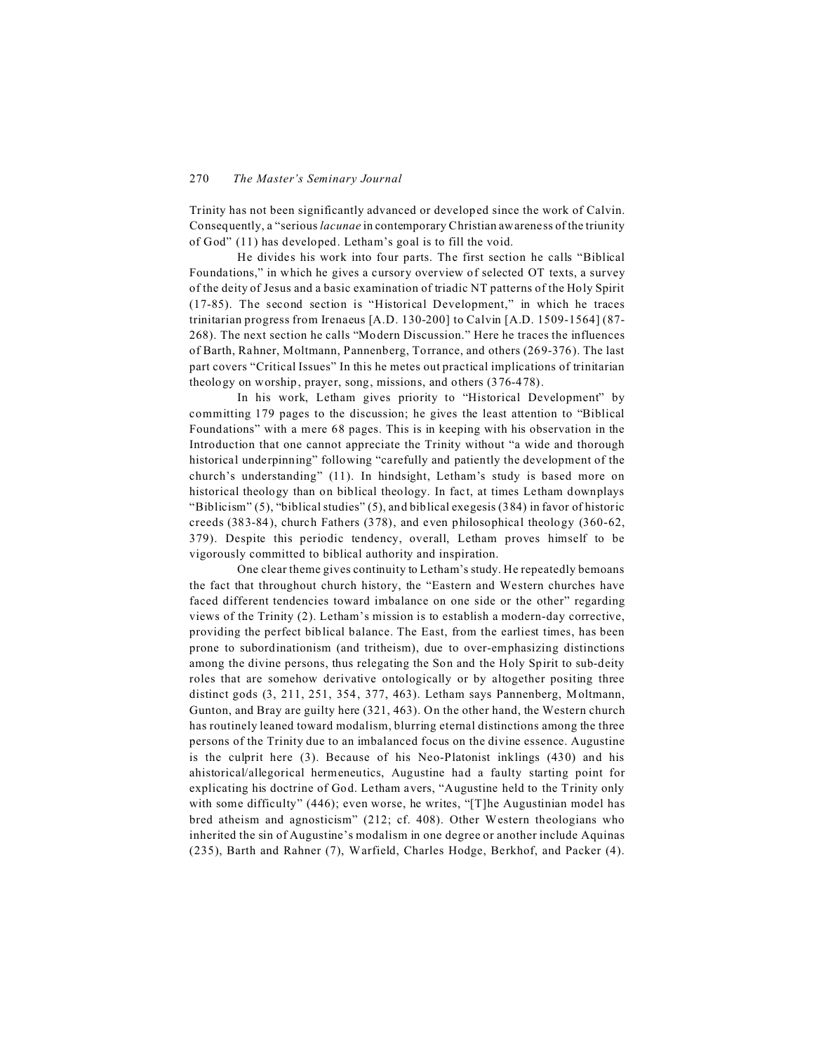Trinity has not been significantly advanced or developed since the work of Calvin. Consequently, a "serious *lacunae* in contemporary Christian awareness of the triunity of God" (11) has developed. Letham's goal is to fill the void.

He divides his work into four parts. The first section he calls "Biblical Foundations," in which he gives a cursory overview of selected OT texts, a survey of the deity of Jesus and a basic examination of triadic NT patterns of the Holy Spirit (17-85). The second section is "Historical Development," in which he traces trinitarian progress from Irenaeus [A.D. 130-200] to Calvin [A.D. 1509-1564] (87- 268). The next section he calls "Modern Discussion." Here he traces the influences of Barth, Rahner, Moltmann, Pannenberg, Torrance, and others (269-376). The last part covers "Critical Issues" In this he metes out practical implications of trinitarian theology on worship, prayer, song, missions, and others (376-478).

In his work, Letham gives priority to "Historical Development" by committing 179 pages to the discussion; he gives the least attention to "Biblical Foundations" with a mere 68 pages. This is in keeping with his observation in the Introduction that one cannot appreciate the Trinity without "a wide and thorough historical underpinning" following "carefully and patiently the development of the church's understanding" (11). In hindsight, Letham's study is based more on historical theology than on biblical theology. In fact, at times Letham downplays "Biblicism" (5), "biblical studies" (5), and biblical exegesis (384) in favor of historic creeds (383-84), church Fathers (378), and even philosophical theology (360-62, 379). Despite this periodic tendency, overall, Letham proves himself to be vigorously committed to biblical authority and inspiration.

One clear theme gives continuity to Letham's study. He repeatedly bemoans the fact that throughout church history, the "Eastern and Western churches have faced different tendencies toward imbalance on one side or the other" regarding views of the Trinity (2). Letham's mission is to establish a modern-day corrective, providing the perfect biblical balance. The East, from the earliest times, has been prone to subordinationism (and tritheism), due to over-emphasizing distinctions among the divine persons, thus relegating the Son and the Holy Spirit to sub-deity roles that are somehow derivative ontologically or by altogether positing three distinct gods (3, 211, 251, 354, 377, 463). Letham says Pannenberg, Moltmann, Gunton, and Bray are guilty here (321, 463). On the other hand, the Western church has routinely leaned toward modalism, blurring eternal distinctions among the three persons of the Trinity due to an imbalanced focus on the divine essence. Augustine is the culprit here (3). Because of his Neo-Platonist inklings (430) and his ahistorical/allegorical hermeneutics, Augustine had a faulty starting point for explicating his doctrine of God. Letham avers, "Augustine held to the Trinity only with some difficulty" (446); even worse, he writes, "[T]he Augustinian model has bred atheism and agnosticism" (212; cf. 408). Other Western theologians who inherited the sin of Augustine's modalism in one degree or another include Aquinas (235), Barth and Rahner (7), Warfield, Charles Hodge, Berkhof, and Packer (4).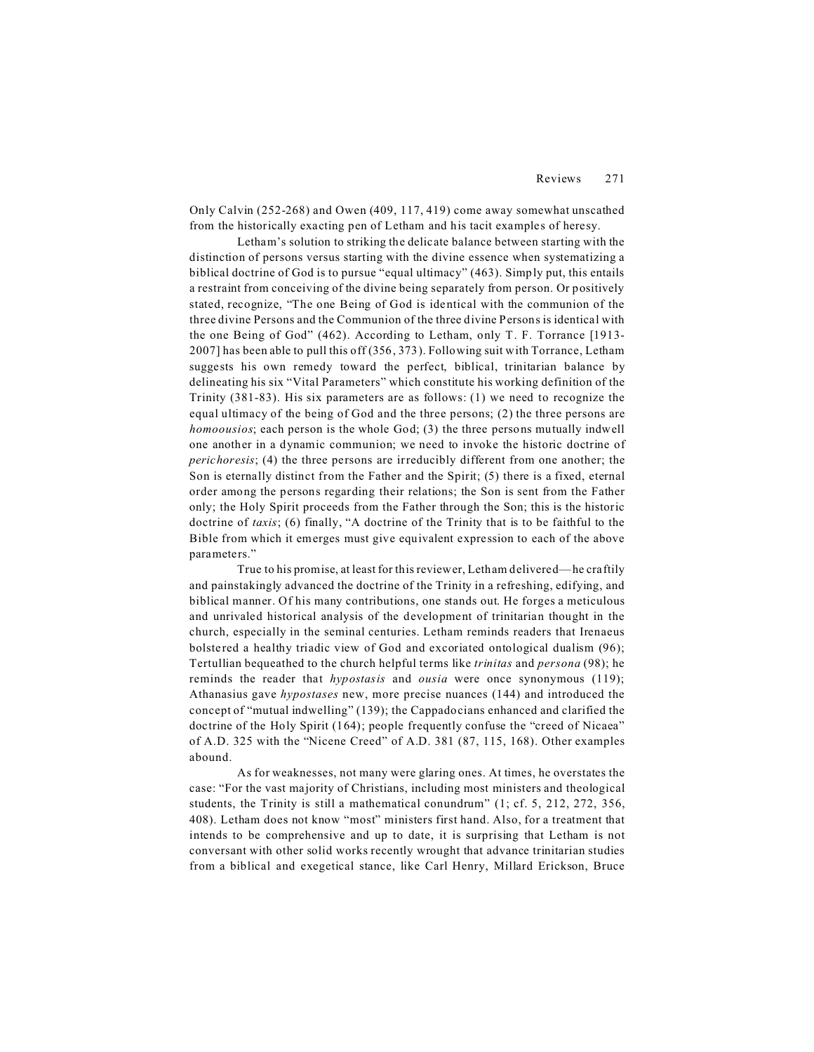Only Calvin (252-268) and Owen (409, 117, 419) come away somewhat unscathed from the historically exacting pen of Letham and his tacit examples of heresy.

Letham's solution to striking the delicate balance between starting with the distinction of persons versus starting with the divine essence when systematizing a biblical doctrine of God is to pursue "equal ultimacy" (463). Simply put, this entails a restraint from conceiving of the divine being separately from person. Or positively stated, recognize, "The one Being of God is identical with the communion of the three divine Persons and the Communion of the three divine Persons is identical with the one Being of God" (462). According to Letham, only T. F. Torrance [1913- 2007] has been able to pull this off (356, 373). Following suit with Torrance, Letham suggests his own remedy toward the perfect, biblical, trinitarian balance by delineating his six "Vital Parameters" which constitute his working definition of the Trinity (381-83). His six parameters are as follows: (1) we need to recognize the equal ultimacy of the being of God and the three persons; (2) the three persons are *homoousios*; each person is the whole God; (3) the three persons mutually indwell one another in a dynamic communion; we need to invoke the historic doctrine of *perichoresis*; (4) the three persons are irreducibly different from one another; the Son is eternally distinct from the Father and the Spirit; (5) there is a fixed, eternal order among the persons regarding their relations; the Son is sent from the Father only; the Holy Spirit proceeds from the Father through the Son; this is the historic doctrine of *taxis*; (6) finally, "A doctrine of the Trinity that is to be faithful to the Bible from which it emerges must give equivalent expression to each of the above parameters."

True to his promise, at least for this reviewer, Letham delivered—he craftily and painstakingly advanced the doctrine of the Trinity in a refreshing, edifying, and biblical manner. Of his many contributions, one stands out. He forges a meticulous and unrivaled historical analysis of the development of trinitarian thought in the church, especially in the seminal centuries. Letham reminds readers that Irenaeus bolste red a healthy triadic view of God and excoriated ontological dualism (96); Tertullian bequeathed to the church helpful terms like *trinitas* and *persona* (98); he reminds the reader that *hypostasis* and *ousia* were once synonymous (119); Athanasius gave *hypostases* new, more precise nuances (144) and introduced the concept of "mutual indwelling" (139); the Cappadocians enhanced and clarified the doctrine of the Holy Spirit (164); people frequently confuse the "creed of Nicaea" of A.D. 325 with the "Nicene Creed" of A.D. 381 (87, 115, 168). Other examples abound.

As for weaknesses, not many were glaring ones. At times, he overstates the case: "For the vast majority of Christians, including most ministers and theological students, the Trinity is still a mathematical conundrum" (1; cf. 5, 212, 272, 356, 408). Letham does not know "most" ministers first hand. Also, for a treatment that intends to be comprehensive and up to date, it is surprising that Letham is not conversant with other solid works recently wrought that advance trinitarian studies from a biblical and exegetical stance, like Carl Henry, Millard Erickson, Bruce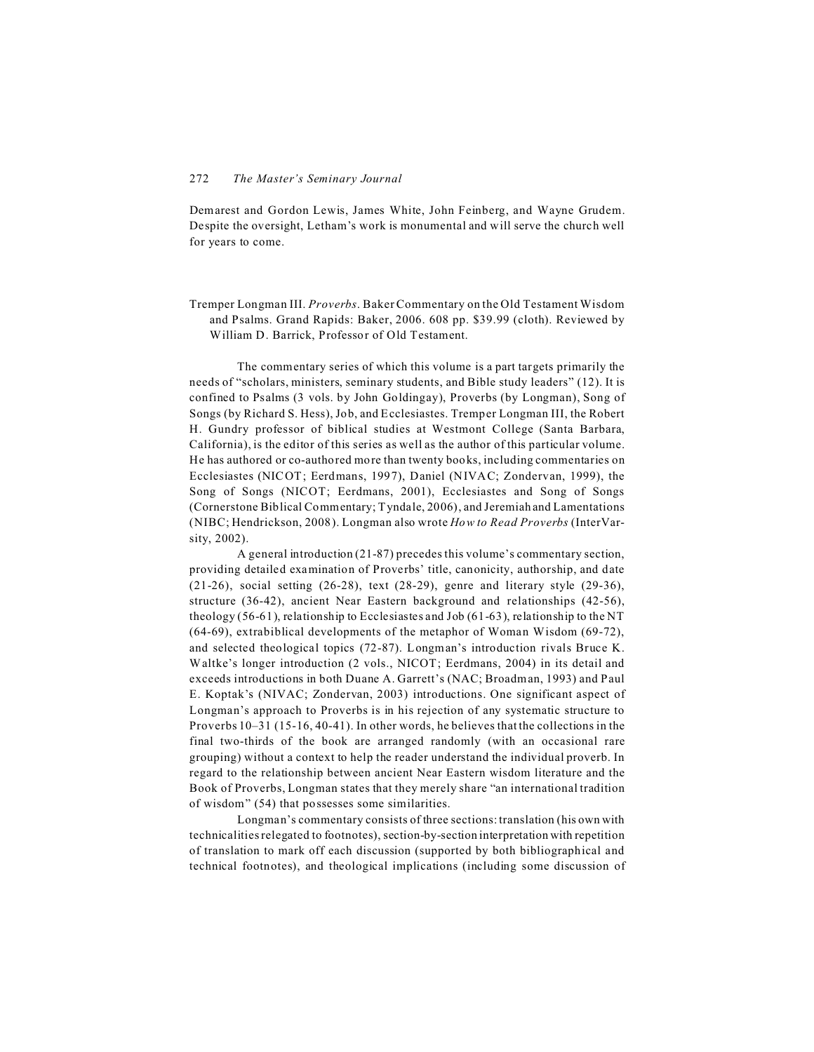Demarest and Gordon Lewis, James White, John Feinberg, and Wayne Grudem. Despite the oversight, Letham's work is monumental and will serve the church well for years to come.

Tremper Longman III. *Proverbs*. Baker Commentary on the Old Testament Wisdom and Psalms. Grand Rapids: Baker, 2006. 608 pp. \$39.99 (cloth). Reviewed by William D. Barrick, Professor of Old Testament.

The commentary series of which this volume is a part targets primarily the needs of "scholars, ministers, seminary students, and Bible study leaders" (12). It is confined to Psalms (3 vols. by John Goldingay), Proverbs (by Longman), Song of Songs (by Richard S. Hess), Job, and Ecclesiastes. Tremper Longman III, the Robert H. Gundry professor of biblical studies at Westmont College (Santa Barbara, California), is the editor of this series as well as the author of this particular volume. He has authored or co-authored more than twenty books, including commentaries on Ecclesiastes (NICOT; Eerdmans, 1997), Daniel (NIVAC; Zondervan, 1999), the Song of Songs (NICOT; Eerdmans, 2001), Ecclesiastes and Song of Songs (Cornerstone Biblical Commentary; Tyndale, 2006), and Jeremiah and Lamentations (NIBC; Hendrickson, 2008). Longman also wrote *How to Read Proverbs* (InterVarsity, 2002).

A general introduction (21-87) precedes this volume's commentary section, providing detailed examination of Proverbs' title, canonicity, authorship, and date (21-26), social setting (26-28), text (28-29), genre and literary style (29-36), structure (36-42), ancient Near Eastern background and relationships (42-56), theology (56-61), relationship to Ecclesiastes and Job (61-63), relationship to the NT (64-69), extrabiblical developments of the metaphor of Woman Wisdom (69-72), and selected theological topics (72-87). Longman's introduction rivals Bruce K. Waltke's longer introduction (2 vols., NICOT; Eerdmans, 2004) in its detail and exceeds introductions in both Duane A. Garrett's (NAC; Broadman, 1993) and Paul E. Koptak's (NIVAC; Zondervan, 2003) introductions. One significant aspect of Longman's approach to Proverbs is in his rejection of any systematic structure to Proverbs 10–31 (15-16, 40-41). In other words, he believes that the collections in the final two-thirds of the book are arranged randomly (with an occasional rare grouping) without a context to help the reader understand the individual proverb. In regard to the relationship between ancient Near Eastern wisdom literature and the Book of Proverbs, Longman states that they merely share "an international tradition of wisdom" (54) that possesses some similarities.

Longman's commentary consists of three sections: translation (his own with technicalities relegated to footnotes), section-by-section interpretation with repetition of translation to mark off each discussion (supported by both bibliographical and technical footnotes), and theological implications (including some discussion of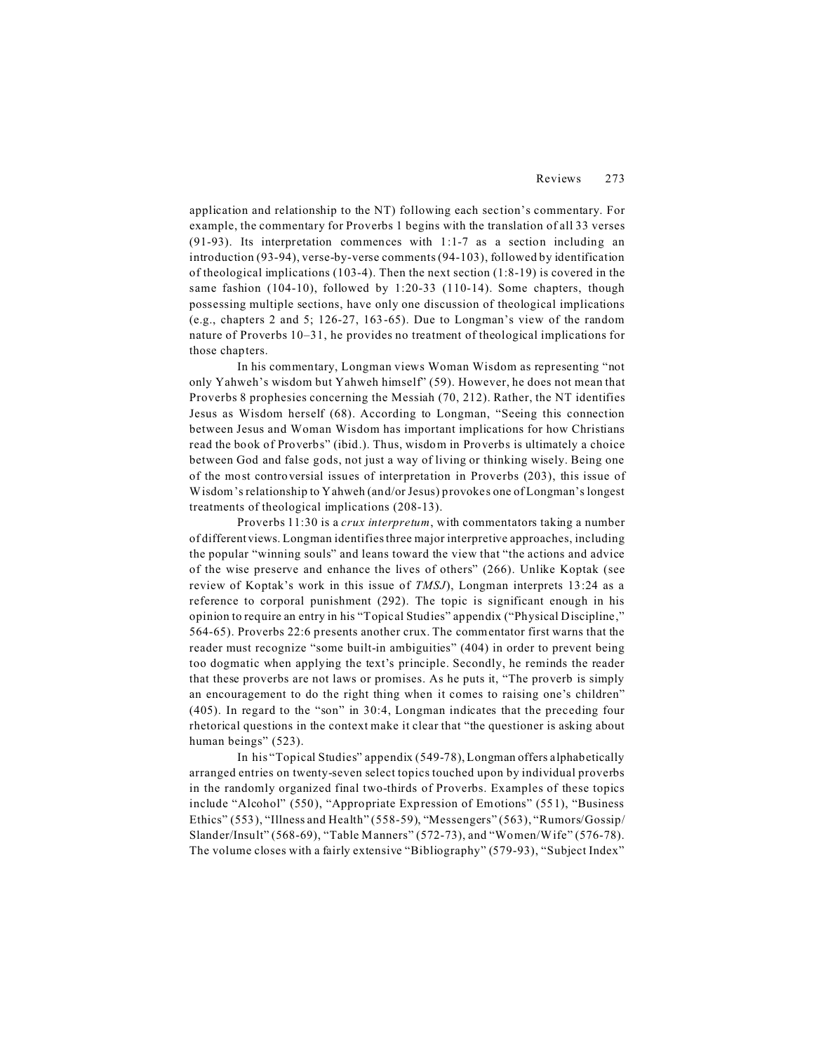application and relationship to the NT) following each section's commentary. For example, the commentary for Proverbs 1 begins with the translation of all 33 verses (91-93). Its interpretation commences with 1:1-7 as a section including an introduction (93-94), verse-by-verse comments (94-103), followed by identification of theological implications  $(103-4)$ . Then the next section  $(1:8-19)$  is covered in the same fashion  $(104-10)$ , followed by 1:20-33  $(110-14)$ . Some chapters, though possessing multiple sections, have only one discussion of theological implications (e.g., chapters 2 and 5; 126-27, 163-65). Due to Longman's view of the random nature of Proverbs 10–31, he provides no treatment of theological implications for those chapters.

In his commentary, Longman views Woman Wisdom as representing "not only Yahweh's wisdom but Yahweh himself" (59). However, he does not mean that Proverbs 8 prophesies concerning the Messiah (70, 212). Rather, the NT identifies Jesus as Wisdom herself (68). According to Longman, "Seeing this connection between Jesus and Woman Wisdom has important implications for how Christians read the book of Proverbs" (ibid.). Thus, wisdom in Proverbs is ultimately a choice between God and false gods, not just a way of living or thinking wisely. Being one of the most controversial issues of interpretation in Proverbs (203), this issue of Wisdom's relationship to Yahweh (and/or Jesus) provokes one of Longman's longest treatments of theological implications (208-13).

Proverbs 11:30 is a *crux interpretum*, with commentators taking a number of different views. Longman identifies three major interpretive approaches, including the popular "winning souls" and leans toward the view that "the actions and advice of the wise preserve and enhance the lives of others" (266). Unlike Koptak (see review of Koptak's work in this issue of *TMSJ*), Longman interprets 13:24 as a reference to corporal punishment (292). The topic is significant enough in his opinion to require an entry in his "Topical Studies" appendix ("Physical Discipline," 564-65). Proverbs 22:6 presents another crux. The commentator first warns that the reader must recognize "some built-in ambiguities" (404) in order to prevent being too dogmatic when applying the text's principle. Secondly, he reminds the reader that these proverbs are not laws or promises. As he puts it, "The proverb is simply an encouragement to do the right thing when it comes to raising one's children" (405). In regard to the "son" in 30:4, Longman indicates that the preceding four rhetorical questions in the context make it clear that "the questioner is asking about human beings" (523).

In his "Topical Studies" appendix (549-78), Longman offers alphabetically arranged entries on twenty-seven select topics touched upon by individual proverbs in the randomly organized final two-thirds of Proverbs. Examples of these topics include "Alcohol" (550), "Appropriate Expression of Emotions" (551), "Business Ethics" (553), "Illness and Health" (558-59), "Messengers" (563), "Rumors/Gossip/ Slander/Insult" (568-69), "Table Manners" (572-73), and "Women/Wife" (576-78). The volume closes with a fairly extensive "Bibliography" (579-93), "Subject Index"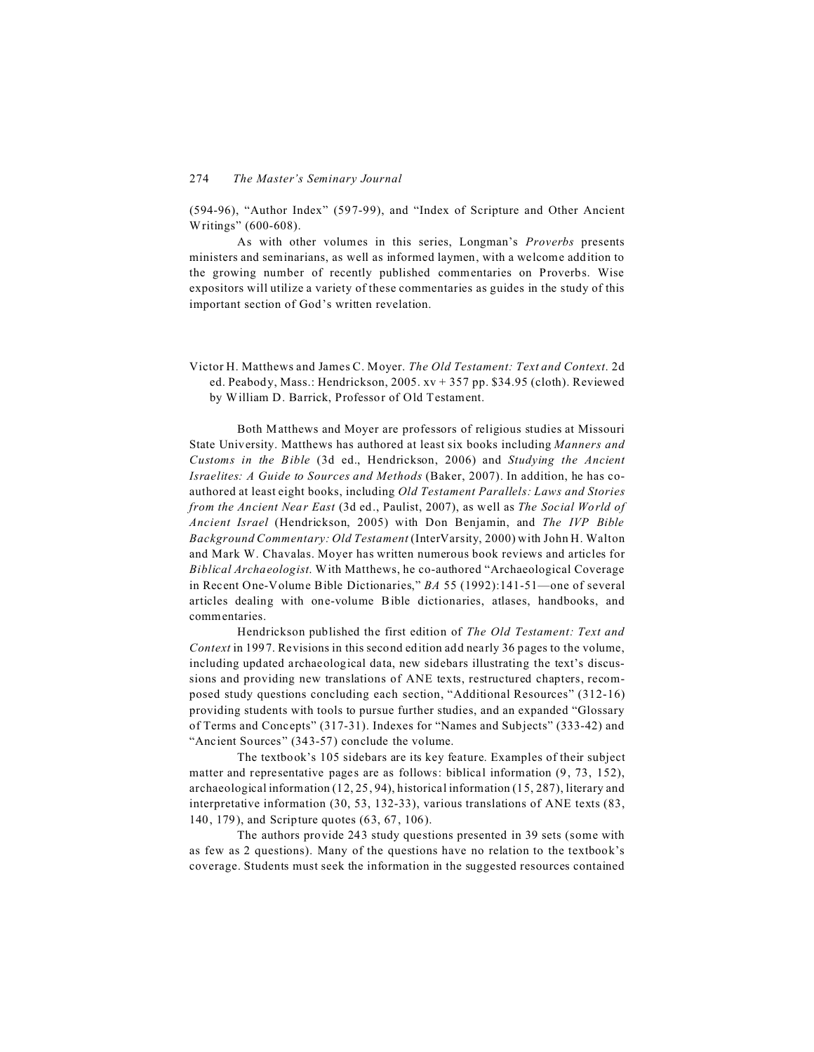(594-96), "Author Index" (597-99), and "Index of Scripture and Other Ancient Writings" (600-608).

As with other volumes in this series, Longman's *Proverbs* presents ministers and seminarians, as well as informed laymen, with a welcome addition to the growing number of recently published commentaries on Proverbs. Wise expositors will utilize a variety of these commentaries as guides in the study of this important section of God's written revelation.

Victor H. Matthews and James C. Moyer. *The Old Testament: Text and Context*. 2d ed. Peabody, Mass.: Hendrickson, 2005. xv + 357 pp. \$34.95 (cloth). Reviewed by William D. Barrick, Professor of Old Testament.

Both Matthews and Moyer are professors of religious studies at Missouri State University. Matthews has authored at least six books including *Manners and Customs in the Bible* (3d ed., Hendrickson, 2006) and *Studying the Ancient Israelites: A Guide to Sources and Methods* (Baker, 2007). In addition, he has coauthored at least eight books, including *Old Testament Parallels: Laws and Stories from the Ancient Near East* (3d ed., Paulist, 2007), as well as *The Social World of Ancient Israel* (Hendrickson, 2005) with Don Benjamin, and *The IVP Bible Background Commentary: Old Testament* (InterVarsity, 2000) with John H. Walton and Mark W. Chavalas. Moyer has written numerous book reviews and articles for *Biblical Archaeologist*. With Matthews, he co-authored "Archaeological Coverage in Recent One-Volume Bible Dictionaries," *BA* 55 (1992):141-51—one of several articles dealing with one-volume Bible dictionaries, atlases, handbooks, and commentaries.

Hendrickson published the first edition of *The Old Testament: Text and Context* in 1997. Revisions in this second edition add nearly 36 pages to the volume, including updated archaeological data, new sidebars illustrating the text's discussions and providing new translations of ANE texts, restructured chapters, recomposed study questions concluding each section, "Additional Resources" (312-16) providing students with tools to pursue further studies, and an expanded "Glossary of Terms and Concepts" (317-31). Indexes for "Names and Subjects" (333-42) and "Ancient Sources" (343-57) conclude the volume.

The textbook's 105 sidebars are its key feature. Examples of their subject matter and representative pages are as follows: biblical information (9, 73, 152), archaeological information (12, 25, 94), historical information (15, 287), literary and interpretative information (30, 53, 132-33), various translations of ANE texts (83, 140, 179), and Scripture quotes (63, 67, 106).

The authors provide 243 study questions presented in 39 sets (some with as few as 2 questions). Many of the questions have no relation to the textbook's coverage. Students must seek the information in the suggested resources contained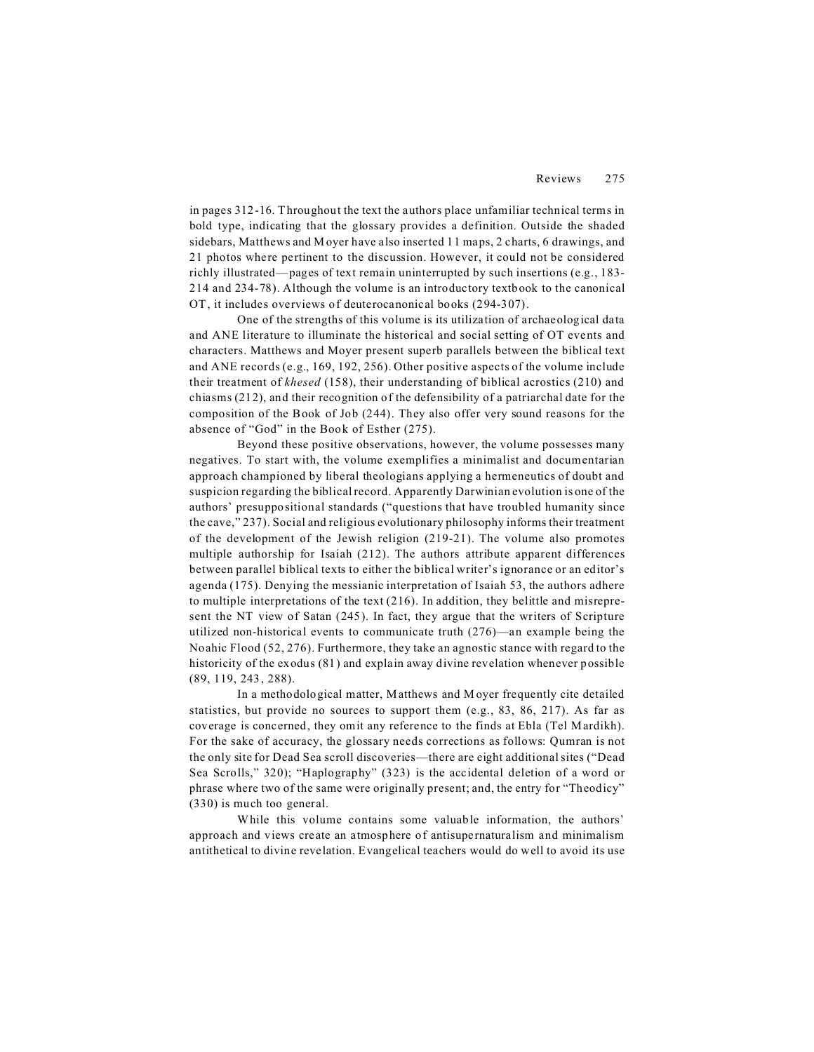in pages 312-16. Throughout the text the authors place unfamiliar technical terms in bold type, indicating that the glossary provides a definition. Outside the shaded sidebars, Matthews and Moyer have also inserted 11 maps, 2 charts, 6 drawings, and 21 photos where pertinent to the discussion. However, it could not be considered richly illustrated—pages of text remain uninterrupted by such insertions (e.g., 183- 214 and 234-78). Although the volume is an introductory textbook to the canonical OT, it includes overviews of deuterocanonical books (294-307).

One of the strengths of this volume is its utilization of archaeological data and ANE literature to illuminate the historical and social setting of OT events and characters. Matthews and Moyer present superb parallels between the biblical text and ANE records (e.g., 169, 192, 256). Other positive aspects of the volume include their treatment of *khesed* (158), their understanding of biblical acrostics (210) and chiasms (212), and their recognition of the defensibility of a patriarchal date for the composition of the Book of Job (244). They also offer very sound reasons for the absence of "God" in the Book of Esther (275).

Beyond these positive observations, however, the volume possesses many negatives. To start with, the volume exemplifies a minimalist and documentarian approach championed by liberal theologians applying a hermeneutics of doubt and suspicion regarding the biblical record. Apparently Darwinian evolution is one of the authors' presuppositional standards ("questions that have troubled humanity since the cave," 237). Social and religious evolutionary philosophy informs their treatment of the development of the Jewish religion (219-21). The volume also promotes multiple authorship for Isaiah (212). The authors attribute apparent differences between parallel biblical texts to either the biblical writer's ignorance or an editor's agenda (175). Denying the messianic interpretation of Isaiah 53, the authors adhere to multiple interpretations of the text (216). In addition, they belittle and misrepresent the NT view of Satan (245). In fact, they argue that the writers of Scripture utilized non-historical events to communicate truth (276)—an example being the Noahic Flood (52, 276). Furthermore, they take an agnostic stance with regard to the historicity of the exodus (81) and explain away divine revelation whenever possible (89, 119, 243, 288).

In a methodological matter, Matthews and Moyer frequently cite detailed statistics, but provide no sources to support them (e.g., 83, 86, 217). As far as coverage is concerned, they omit any reference to the finds at Ebla (Tel M ardikh). For the sake of accuracy, the glossary needs corrections as follows: Qumran is not the only site for Dead Sea scroll discoveries—there are eight additional sites ("Dead Sea Scrolls," 320); "Haplography" (323) is the accidental deletion of a word or phrase where two of the same were originally present; and, the entry for "Theodicy" (330) is much too general.

While this volume contains some valuable information, the authors' approach and views create an atmosphere of antisupernaturalism and minimalism antithetical to divine revelation. Evangelical teachers would do well to avoid its use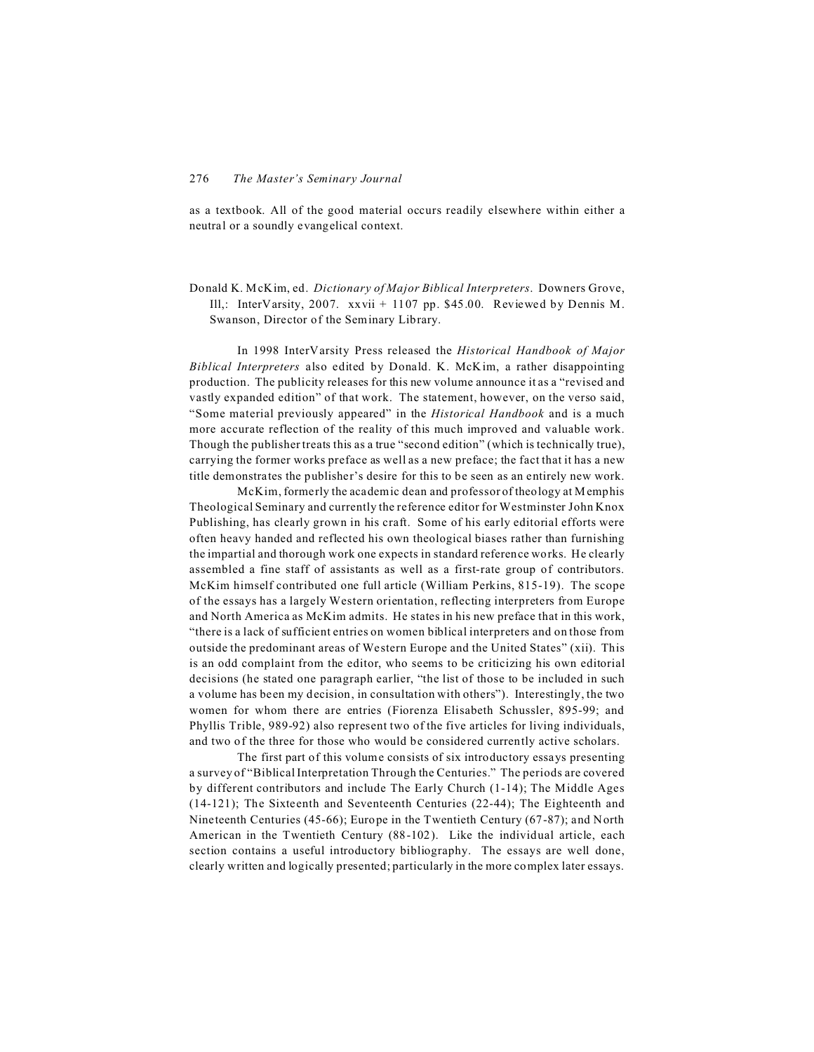as a textbook. All of the good material occurs readily elsewhere within either a neutral or a soundly evangelical context.

Donald K. McKim, ed. *Dictionary of Major Biblical Interpreters*. Downers Grove, Ill,: InterVarsity, 2007. xxvii + 1107 pp. \$45.00. Reviewed by Dennis M. Swanson, Director of the Seminary Library.

In 1998 InterVarsity Press released the *Historical Handbook of Major Biblical Interpreters* also edited by Donald. K. McK im, a rather disappointing production. The publicity releases for this new volume announce it as a "revised and vastly expanded edition" of that work. The statement, however, on the verso said, "Some material previously appeared" in the *Historical Handbook* and is a much more accurate reflection of the reality of this much improved and valuable work. Though the publisher treats this as a true "second edition" (which is technically true), carrying the former works preface as well as a new preface; the fact that it has a new title demonstrates the publisher's desire for this to be seen as an entirely new work.

McKim, formerly the academic dean and professor of theology at Memphis Theological Seminary and currently the reference editor for Westminster John Knox Publishing, has clearly grown in his craft. Some of his early editorial efforts were often heavy handed and reflected his own theological biases rather than furnishing the impartial and thorough work one expects in standard reference works. He clearly assembled a fine staff of assistants as well as a first-rate group of contributors. McKim himself contributed one full article (William Perkins, 815-19). The scope of the essays has a largely Western orientation, reflecting interpreters from Europe and North America as McKim admits. He states in his new preface that in this work, "there is a lack of sufficient entries on women biblical interpreters and on those from outside the predominant areas of Western Europe and the United States" (xii). This is an odd complaint from the editor, who seems to be criticizing his own editorial decisions (he stated one paragraph earlier, "the list of those to be included in such a volume has been my decision, in consultation with others"). Interestingly, the two women for whom there are entries (Fiorenza Elisabeth Schussler, 895-99; and Phyllis Trible, 989-92) also represent two of the five articles for living individuals, and two of the three for those who would be considered currently active scholars.

The first part of this volume consists of six introductory essays presenting a survey of "Biblical Interpretation Through the Centuries." The periods are covered by different contributors and include The Early Church (1-14); The Middle Ages (14-121); The Sixteenth and Seventeenth Centuries (22-44); The Eighteenth and Nineteenth Centuries (45-66); Europe in the Twentieth Century (67-87); and North American in the Twentieth Century (88-102). Like the individual article, each section contains a useful introductory bibliography. The essays are well done, clearly written and logically presented; particularly in the more complex later essays.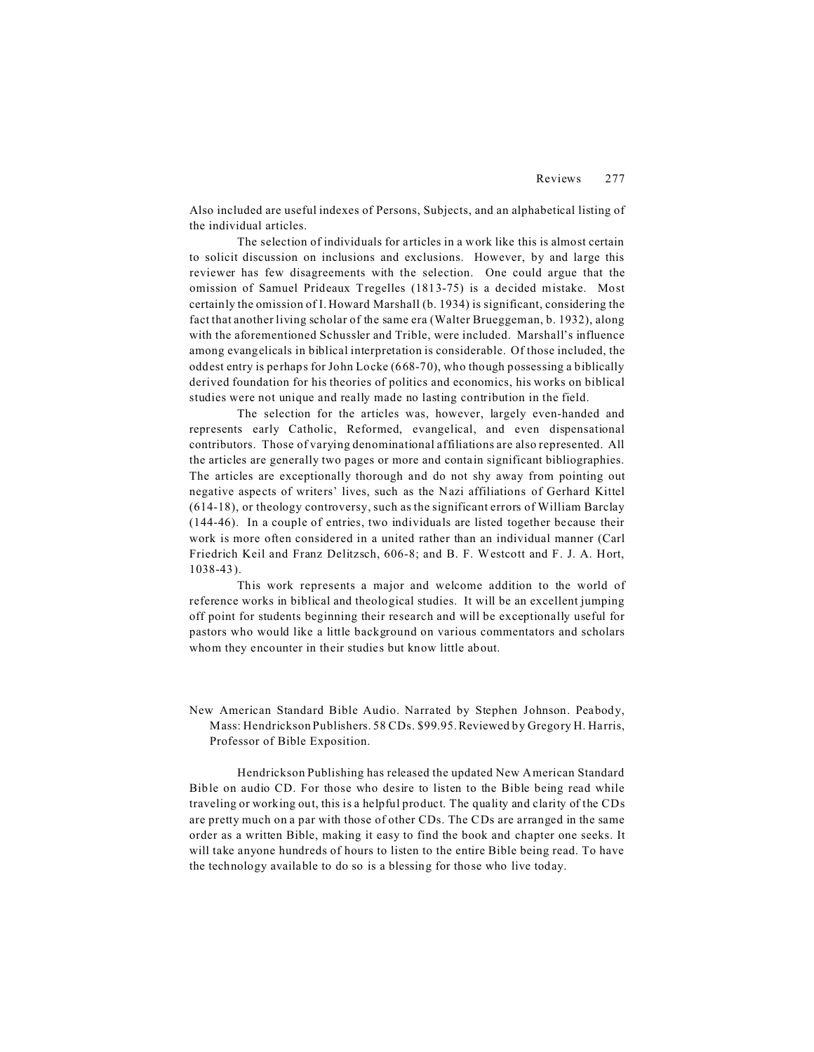Also included are useful indexes of Persons, Subjects, and an alphabetical listing of the individual articles.

The selection of individuals for articles in a work like this is almost certain to solicit discussion on inclusions and exclusions. However, by and large this reviewer has few disagreements with the selection. One could argue that the omission of Samuel Prideaux Tregelles (1813-75) is a decided mistake. Most certainly the omission of I. Howard Marshall (b. 1934) is significant, considering the fact that another living scholar of the same era (Walter Brueggeman, b. 1932), along with the aforementioned Schussler and Trible, were included. Marshall's influence among evangelicals in biblical interpretation is considerable. Of those included, the oddest entry is perhaps for John Locke (668-70), who though possessing a biblically derived foundation for his theories of politics and economics, his works on biblical studies were not unique and really made no lasting contribution in the field.

The selection for the articles was, however, largely even-handed and represents early Catholic, Reformed, evangelical, and even dispensational contributors. Those of varying denominational affiliations are also represented. All the articles are generally two pages or more and contain significant bibliographies. The articles are exceptionally thorough and do not shy away from pointing out negative aspects of writers' lives, such as the Nazi affiliations of Gerhard Kittel (614-18), or theology controversy, such as the significant errors of William Barclay (144-46). In a couple of entries, two individuals are listed together because their work is more often considered in a united rather than an individual manner (Carl Friedrich Keil and Franz Delitzsch, 606-8; and B. F. Westcott and F. J. A. Hort, 1038-43).

This work represents a major and welcome addition to the world of reference works in biblical and theological studies. It will be an excellent jumping off point for students beginning their research and will be exceptionally useful for pastors who would like a little background on various commentators and scholars whom they encounter in their studies but know little about.

New American Standard Bible Audio. Narrated by Stephen Johnson. Peabody, Mass: Hendrickson Publishers. 58 CDs. \$99.95.Reviewed by Gregory H. Harris, Professor of Bible Exposition.

Hendrickson Publishing has released the updated New American Standard Bible on audio CD. For those who desire to listen to the Bible being read while traveling or working out, this is a helpful product. The quality and clarity of the CDs are pretty much on a par with those of other CDs. The CDs are arranged in the same order as a written Bible, making it easy to find the book and chapter one seeks. It will take anyone hundreds of hours to listen to the entire Bible being read. To have the technology available to do so is a blessing for those who live today.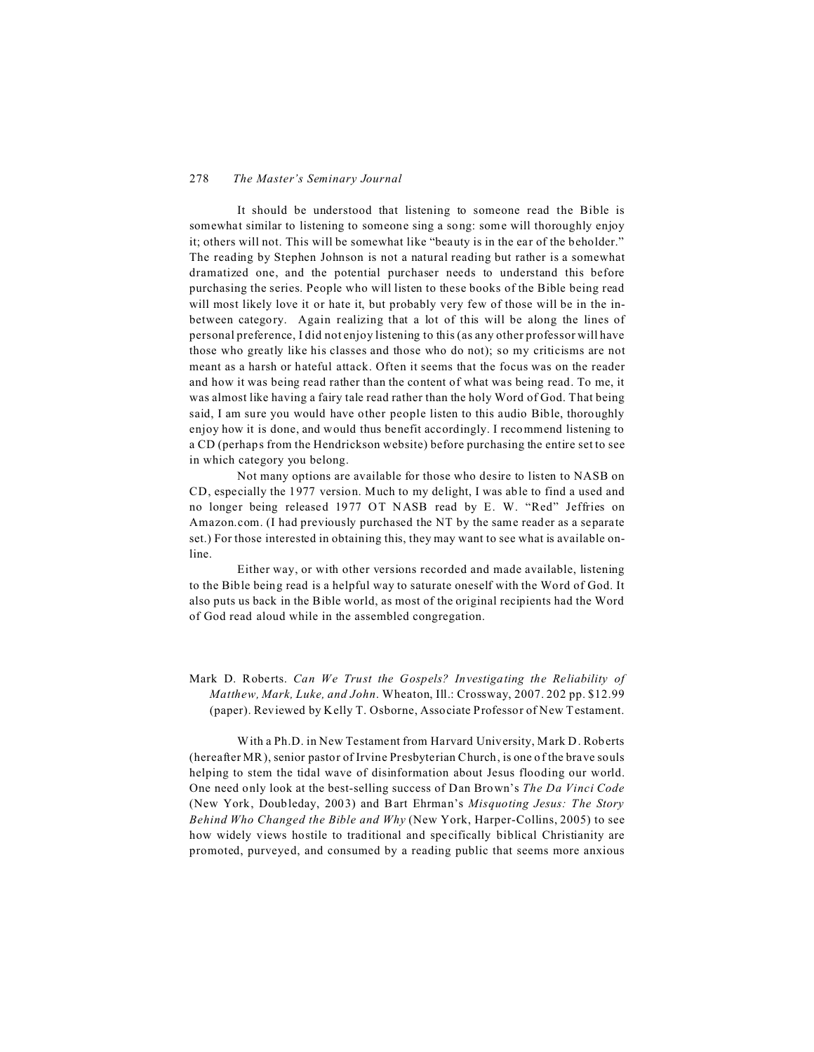## 278 *The Master's Seminary Journal*

It should be understood that listening to someone read the Bible is somewhat similar to listening to someone sing a song: some will thoroughly enjoy it; others will not. This will be somewhat like "beauty is in the ear of the beholder." The reading by Stephen Johnson is not a natural reading but rather is a somewhat dramatized one, and the potential purchaser needs to understand this before purchasing the series. People who will listen to these books of the Bible being read will most likely love it or hate it, but probably very few of those will be in the inbetween category. Again realizing that a lot of this will be along the lines of personal preference, I did not enjoy listening to this (as any other professor will have those who greatly like his classes and those who do not); so my criticisms are not meant as a harsh or hateful attack. Often it seems that the focus was on the reader and how it was being read rather than the content of what was being read. To me, it was almost like having a fairy tale read rather than the holy Word of God. That being said, I am sure you would have other people listen to this audio Bible, thoroughly enjoy how it is done, and would thus benefit accordingly. I recommend listening to a CD (perhaps from the Hendrickson website) before purchasing the entire set to see in which category you belong.

Not many options are available for those who desire to listen to NASB on CD, especially the 1977 version. Much to my delight, I was able to find a used and no longer being released 1977 OT NASB read by E. W. "Red" Jeffries on Amazon.com. (I had previously purchased the NT by the same reader as a separate set.) For those interested in obtaining this, they may want to see what is available online.

Either way, or with other versions recorded and made available, listening to the Bible being read is a helpful way to saturate oneself with the Word of God. It also puts us back in the Bible world, as most of the original recipients had the Word of God read aloud while in the assembled congregation.

## Mark D. Roberts. *Can We Trust the Gospels? Investigating the Reliability of Matthew, Mark, Luke, and John*. Wheaton, Ill.: Crossway, 2007. 202 pp. \$12.99 (paper). Reviewed by Kelly T. Osborne, Associate Professor of New Testament.

With a Ph.D. in New Testament from Harvard University, Mark D. Roberts (hereafter MR), senior pastor of Irvine Presbyterian Church, is one of the brave souls helping to stem the tidal wave of disinformation about Jesus flooding our world. One need only look at the best-selling success of Dan Brown's *The Da Vinci Code* (New York, Doubleday, 2003) and Bart Ehrman's *Misquoting Jesus: The Story Behind Who Changed the Bible and Why* (New York, Harper-Collins, 2005) to see how widely views hostile to traditional and specifically biblical Christianity are promoted, purveyed, and consumed by a reading public that seems more anxious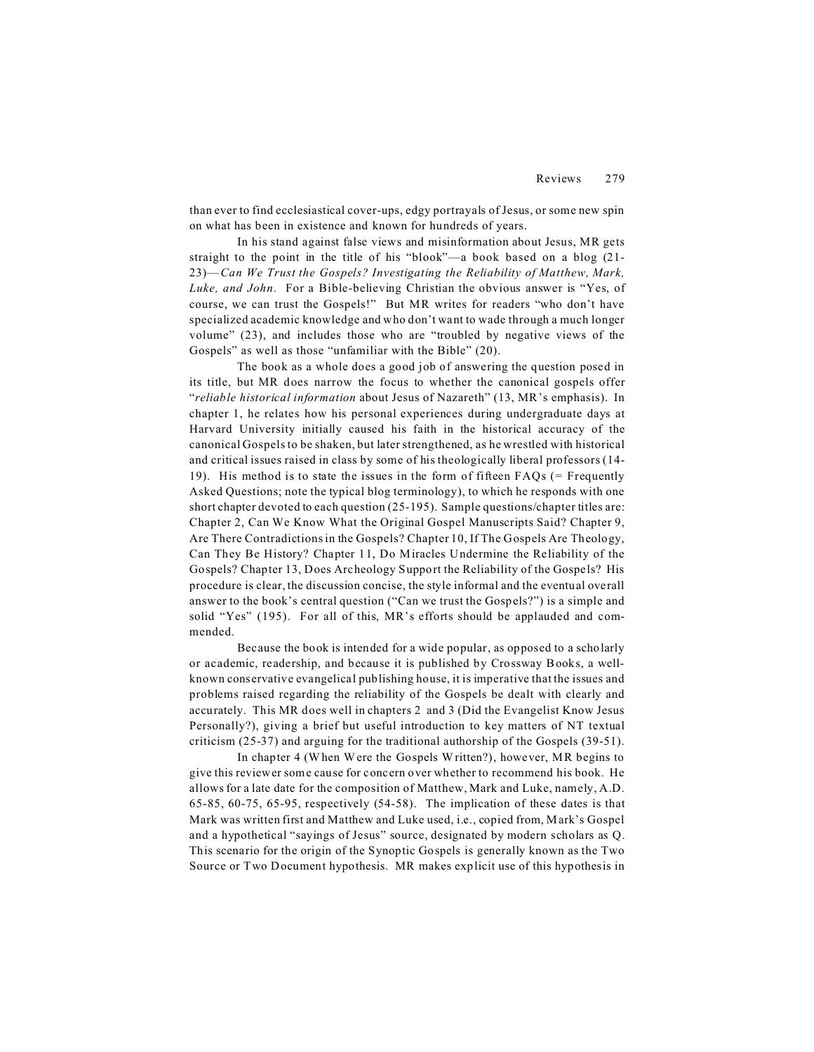than ever to find ecclesiastical cover-ups, edgy portrayals of Jesus, or some new spin on what has been in existence and known for hundreds of years.

In his stand against false views and misinformation about Jesus, MR gets straight to the point in the title of his "blook"—a book based on a blog (21- 23)—*Can We Trust the Gospels? Investigating the Reliability of Matthew, Mark, Luke, and John*. For a Bible-believing Christian the obvious answer is "Yes, of course, we can trust the Gospels!" But MR writes for readers "who don't have specialized academic knowledge and who don't want to wade through a much longer volume" (23), and includes those who are "troubled by negative views of the Gospels" as well as those "unfamiliar with the Bible" (20).

The book as a whole does a good job of answering the question posed in its title, but MR does narrow the focus to whether the canonical gospels offer "*reliable historical information* about Jesus of Nazareth" (13, MR's emphasis). In chapter 1, he relates how his personal experiences during undergraduate days at Harvard University initially caused his faith in the historical accuracy of the canonical Gospels to be shaken, but later strengthened, as he wrestled with historical and critical issues raised in class by some of his theologically liberal professors (14- 19). His method is to state the issues in the form of fifteen  $FAQs$  (= Frequently Asked Questions; note the typical blog terminology), to which he responds with one short chapter devoted to each question (25-195). Sample questions/chapter titles are: Chapter 2, Can We Know What the Original Gospel Manuscripts Said? Chapter 9, Are There Contradictions in the Gospels? Chapter 10, If The Gospels Are Theology, Can They Be History? Chapter 11, Do Miracles Undermine the Reliability of the Gospels? Chapter 13, Does Archeology Support the Reliability of the Gospels? His procedure is clear, the discussion concise, the style informal and the eventual overall answer to the book's central question ("Can we trust the Gospels?") is a simple and solid "Yes" (195). For all of this, MR's efforts should be applauded and commended.

Because the book is intended for a wide popular, as opposed to a scholarly or academic, readership, and because it is published by Crossway Books, a wellknown conservative evangelical publishing house, it is imperative that the issues and problems raised regarding the reliability of the Gospels be dealt with clearly and accurately. This MR does well in chapters 2 and 3 (Did the Evangelist Know Jesus Personally?), giving a brief but useful introduction to key matters of NT textual criticism (25-37) and arguing for the traditional authorship of the Gospels (39-51).

In chapter 4 (When Were the Gospels Written?), however, MR begins to give this reviewer some cause for concern over whether to recommend his book. He allows for a late date for the composition of Matthew, Mark and Luke, namely, A.D. 65-85, 60-75, 65-95, respectively (54-58). The implication of these dates is that Mark was written first and Matthew and Luke used, i.e., copied from, Mark's Gospel and a hypothetical "sayings of Jesus" source, designated by modern scholars as Q. This scenario for the origin of the Synoptic Gospels is generally known as the Two Source or Two Document hypothesis. MR makes explicit use of this hypothesis in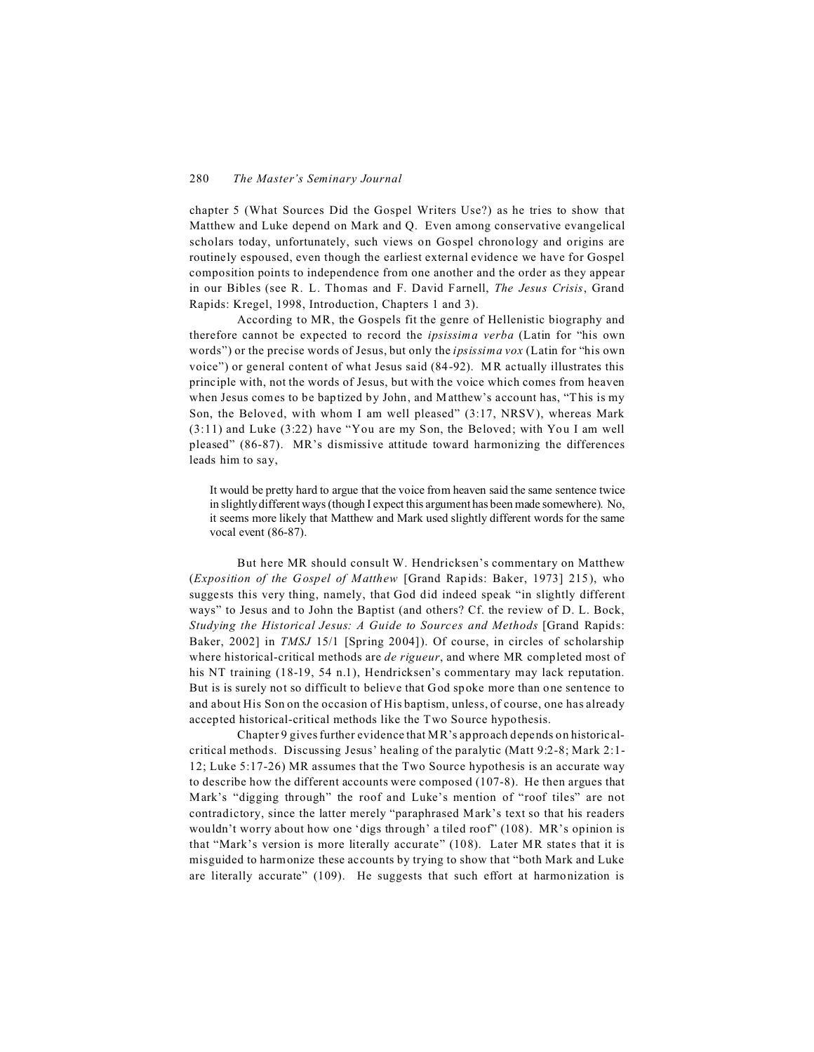chapter 5 (What Sources Did the Gospel Writers Use?) as he tries to show that Matthew and Luke depend on Mark and Q. Even among conservative evangelical scholars today, unfortunately, such views on Gospel chronology and origins are routinely espoused, even though the earliest external evidence we have for Gospel composition points to independence from one another and the order as they appear in our Bibles (see R. L. Thomas and F. David Farnell, *The Jesus Crisis*, Grand Rapids: Kregel, 1998, Introduction, Chapters 1 and 3).

According to MR, the Gospels fit the genre of Hellenistic biography and therefore cannot be expected to record the *ipsissima verba* (Latin for "his own words") or the precise words of Jesus, but only the *ipsissima vox* (Latin for "his own voice") or general content of what Jesus said (84-92). MR actually illustrates this principle with, not the words of Jesus, but with the voice which comes from heaven when Jesus comes to be baptized by John, and Matthew's account has, "This is my Son, the Beloved, with whom I am well pleased" (3:17, NRSV), whereas Mark (3:11) and Luke (3:22) have "You are my Son, the Beloved; with You I am well pleased" (86-87). MR's dismissive attitude toward harmonizing the differences leads him to say,

It would be pretty hard to argue that the voice from heaven said the same sentence twice in slightly different ways (though I expect this argument has been made somewhere). No, it seems more likely that Matthew and Mark used slightly different words for the same vocal event (86-87).

But here MR should consult W. Hendricksen's commentary on Matthew (*Exposition of the Gospel of Matthew* [Grand Rapids: Baker, 1973] 215), who suggests this very thing, namely, that God did indeed speak "in slightly different ways" to Jesus and to John the Baptist (and others? Cf. the review of D. L. Bock, *Studying the Historical Jesus: A Guide to Sources and Methods* [Grand Rapids: Baker, 2002] in *TMSJ* 15/1 [Spring 2004]). Of course, in circles of scholarship where historical-critical methods are *de rigueur*, and where MR completed most of his NT training (18-19, 54 n.1), Hendricksen's commentary may lack reputation. But is is surely not so difficult to believe that God spoke more than one sentence to and about His Son on the occasion of His baptism, unless, of course, one has already accepted historical-critical methods like the Two Source hypothesis.

Chapter 9 gives further evidence that MR's approach depends on historicalcritical methods. Discussing Jesus' healing of the paralytic (Matt 9:2-8; Mark 2:1- 12; Luke 5:17-26) MR assumes that the Two Source hypothesis is an accurate way to describe how the different accounts were composed (107-8). He then argues that Mark's "digging through" the roof and Luke's mention of "roof tiles" are not contradictory, since the latter merely "paraphrased Mark's text so that his readers wouldn't worry about how one 'digs through' a tiled roof" (108). MR's opinion is that "Mark's version is more literally accurate" (108). Later MR states that it is misguided to harmonize these accounts by trying to show that "both Mark and Luke are literally accurate" (109). He suggests that such effort at harmonization is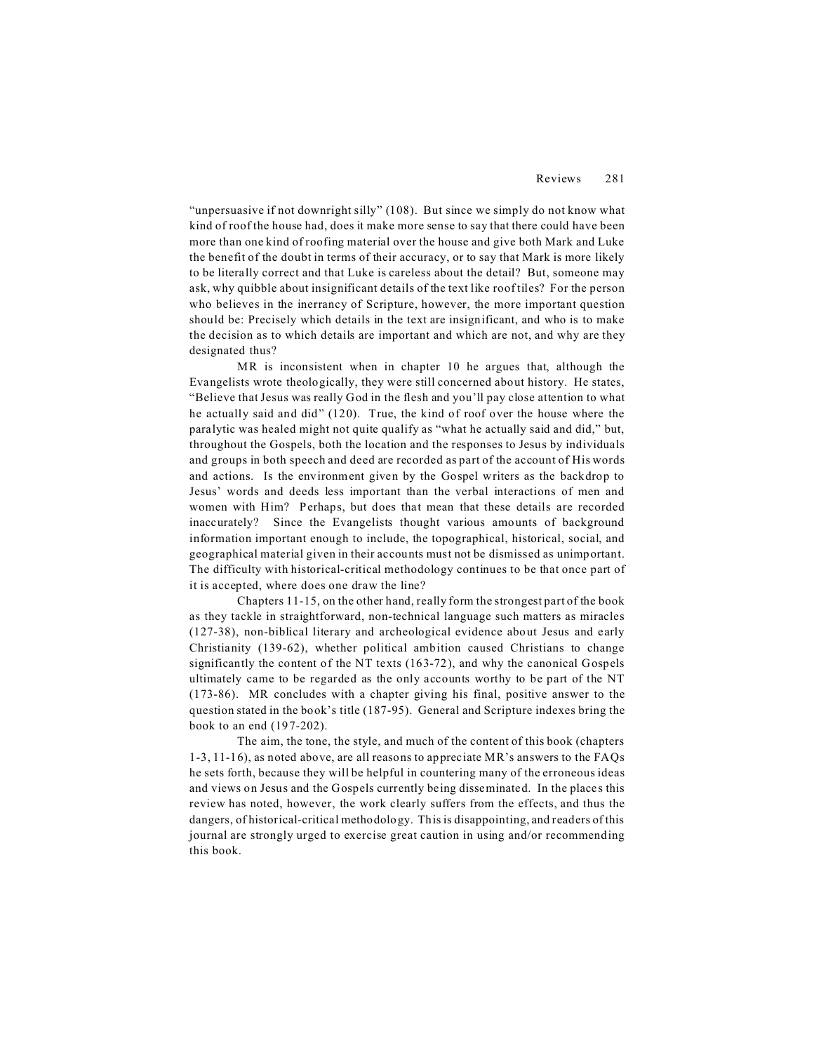"unpersuasive if not downright silly" (108). But since we simply do not know what kind of roof the house had, does it make more sense to say that there could have been more than one kind of roofing material over the house and give both Mark and Luke the benefit of the doubt in terms of their accuracy, or to say that Mark is more likely to be literally correct and that Luke is careless about the detail? But, someone may ask, why quibble about insignificant details of the text like roof tiles? For the person who believes in the inerrancy of Scripture, however, the more important question should be: Precisely which details in the text are insignificant, and who is to make the decision as to which details are important and which are not, and why are they designated thus?

MR is inconsistent when in chapter 10 he argues that, although the Evangelists wrote theologically, they were still concerned about history. He states, "Believe that Jesus was really God in the flesh and you'll pay close attention to what he actually said and did" (120). True, the kind of roof over the house where the paralytic was healed might not quite qualify as "what he actually said and did," but, throughout the Gospels, both the location and the responses to Jesus by individuals and groups in both speech and deed are recorded as part of the account of His words and actions. Is the environment given by the Gospel writers as the backdrop to Jesus' words and deeds less important than the verbal interactions of men and women with Him? Perhaps, but does that mean that these details are recorded inaccurately? Since the Evangelists thought various amounts of background information important enough to include, the topographical, historical, social, and geographical material given in their accounts must not be dismissed as unimportant. The difficulty with historical-critical methodology continues to be that once part of it is accepted, where does one draw the line?

Chapters 11-15, on the other hand, really form the strongest part of the book as they tackle in straightforward, non-technical language such matters as miracles (127-38), non-biblical literary and archeological evidence about Jesus and early Christianity (139-62), whether political ambition caused Christians to change significantly the content of the NT texts (163-72), and why the canonical Gospels ultimately came to be regarded as the only accounts worthy to be part of the NT (173-86). MR concludes with a chapter giving his final, positive answer to the question stated in the book's title (187-95). General and Scripture indexes bring the book to an end (197-202).

The aim, the tone, the style, and much of the content of this book (chapters 1-3, 11-16), as noted above, are all reasons to appreciate MR's answers to the FAQs he sets forth, because they will be helpful in countering many of the erroneous ideas and views on Jesus and the Gospels currently being disseminated. In the places this review has noted, however, the work clearly suffers from the effects, and thus the dangers, of historical-critical methodology. This is disappointing, and readers of this journal are strongly urged to exercise great caution in using and/or recommending this book.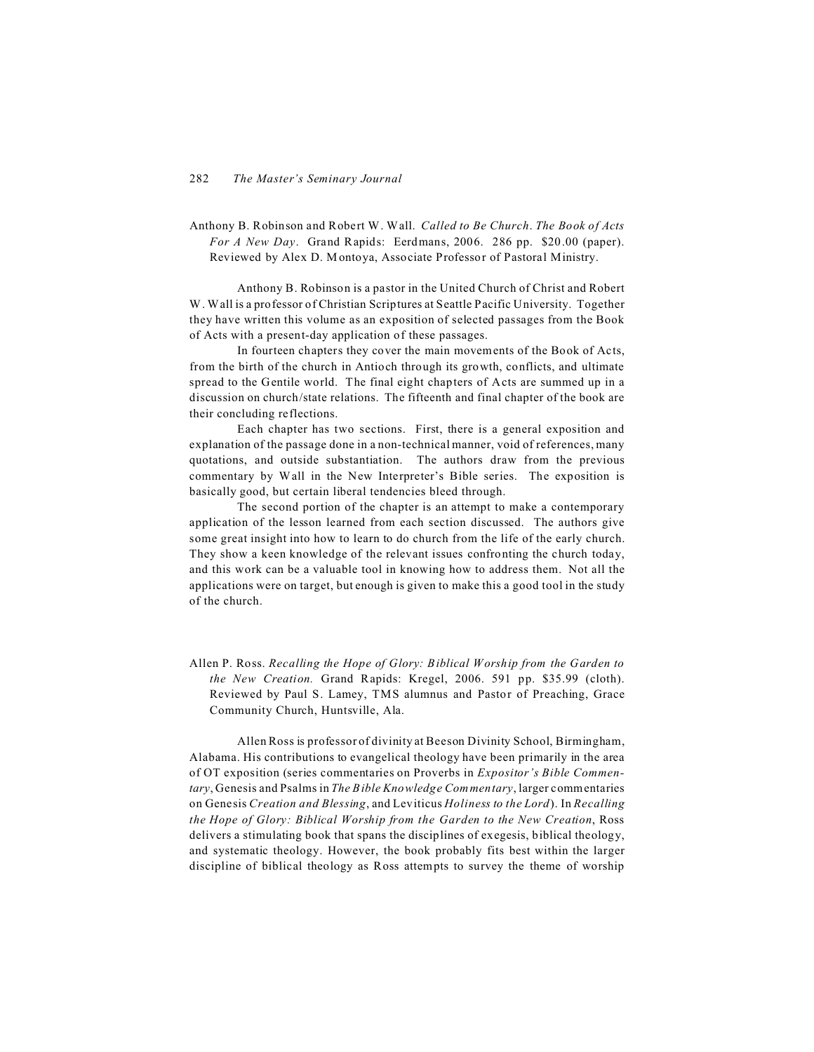Anthony B. Robinson and Robert W. Wall. *Called to Be Church*. *The Book of Acts For A New Day*. Grand Rapids: Eerdmans, 2006. 286 pp. \$20.00 (paper). Reviewed by Alex D. Montoya, Associate Professor of Pastoral Ministry.

Anthony B. Robinson is a pastor in the United Church of Christ and Robert W. Wall is a professor of Christian Scriptures at Seattle Pacific University. Together they have written this volume as an exposition of selected passages from the Book of Acts with a present-day application of these passages.

In fourteen chapters they cover the main movements of the Book of Acts, from the birth of the church in Antioch through its growth, conflicts, and ultimate spread to the Gentile world. The final eight chapters of Acts are summed up in a discussion on church/state relations. The fifteenth and final chapter of the book are their concluding reflections.

Each chapter has two sections. First, there is a general exposition and explanation of the passage done in a non-technical manner, void of references, many quotations, and outside substantiation. The authors draw from the previous commentary by Wall in the New Interpreter's Bible series. The exposition is basically good, but certain liberal tendencies bleed through.

The second portion of the chapter is an attempt to make a contemporary application of the lesson learned from each section discussed. The authors give some great insight into how to learn to do church from the life of the early church. They show a keen knowledge of the relevant issues confronting the church today, and this work can be a valuable tool in knowing how to address them. Not all the applications were on target, but enough is given to make this a good tool in the study of the church.

Allen P. Ross. *Recalling the Hope of Glory: Biblical Worship from the Garden to the New Creation.* Grand Rapids: Kregel, 2006. 591 pp. \$35.99 (cloth). Reviewed by Paul S. Lamey, TMS alumnus and Pastor of Preaching, Grace Community Church, Huntsville, Ala.

Allen Ross is professor of divinity at Beeson Divinity School, Birmingham, Alabama. His contributions to evangelical theology have been primarily in the area of OT exposition (series commentaries on Proverbs in *Expositor's Bible Commentary*, Genesis and Psalms in *The Bible Knowledge Commentary*, larger commentaries on Genesis *Creation and Blessing*, and Leviticus *Holiness to the Lord*). In *Recalling the Hope of Glory: Biblical Worship from the Garden to the New Creation*, Ross delivers a stimulating book that spans the disciplines of exegesis, biblical theology, and systematic theology. However, the book probably fits best within the larger discipline of biblical theology as Ross attempts to survey the theme of worship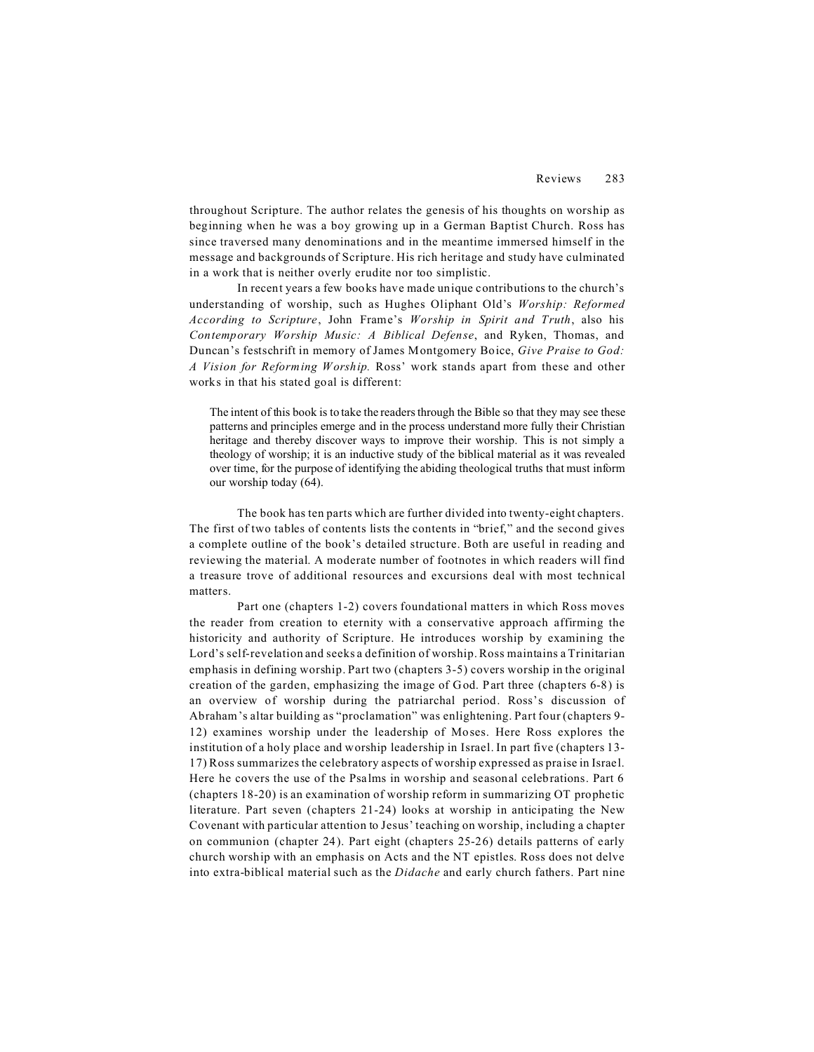throughout Scripture. The author relates the genesis of his thoughts on worship as beginning when he was a boy growing up in a German Baptist Church. Ross has since traversed many denominations and in the meantime immersed himself in the message and backgrounds of Scripture. His rich heritage and study have culminated in a work that is neither overly erudite nor too simplistic.

In recent years a few books have made unique contributions to the church's understanding of worship, such as Hughes Oliphant Old's *Worship: Reformed According to Scripture*, John Frame's *Worship in Spirit and Truth*, also his *Contemporary Worship Music: A Biblical Defense*, and Ryken, Thomas, and Duncan's festschrift in memory of James Montgomery Boice, *Give Praise to God: A Vision for Reforming Worship.* Ross' work stands apart from these and other works in that his stated goal is different:

The intent of this book is to take the readers through the Bible so that they may see these patterns and principles emerge and in the process understand more fully their Christian heritage and thereby discover ways to improve their worship. This is not simply a theology of worship; it is an inductive study of the biblical material as it was revealed over time, for the purpose of identifying the abiding theological truths that must inform our worship today (64).

The book has ten parts which are further divided into twenty-eight chapters. The first of two tables of contents lists the contents in "brief," and the second gives a complete outline of the book's detailed structure. Both are useful in reading and reviewing the material. A moderate number of footnotes in which readers will find a treasure trove of additional resources and excursions deal with most technical matters.

Part one (chapters 1-2) covers foundational matters in which Ross moves the reader from creation to eternity with a conservative approach affirming the historicity and authority of Scripture. He introduces worship by examining the Lord's self-revelation and seeks a definition of worship. Ross maintains a Trinitarian emphasis in defining worship. Part two (chapters 3-5) covers worship in the original creation of the garden, emphasizing the image of God. Part three (chapters 6-8) is an overview of worship during the patriarchal period. Ross's discussion of Abraham's altar building as "proclamation" was enlightening. Part four (chapters 9- 12) examines worship under the leadership of Moses. Here Ross explores the institution of a holy place and worship leadership in Israel. In part five (chapters 13- 17) Ross summarizes the celebratory aspects of worship expressed as praise in Israel. Here he covers the use of the Psalms in worship and seasonal celebrations. Part 6 (chapters 18-20) is an examination of worship reform in summarizing OT prophetic literature. Part seven (chapters 21-24) looks at worship in anticipating the New Covenant with particular attention to Jesus' teaching on worship, including a chapter on communion (chapter 24). Part eight (chapters 25-26) details patterns of early church worship with an emphasis on Acts and the NT epistles. Ross does not delve into extra-biblical material such as the *Didache* and early church fathers. Part nine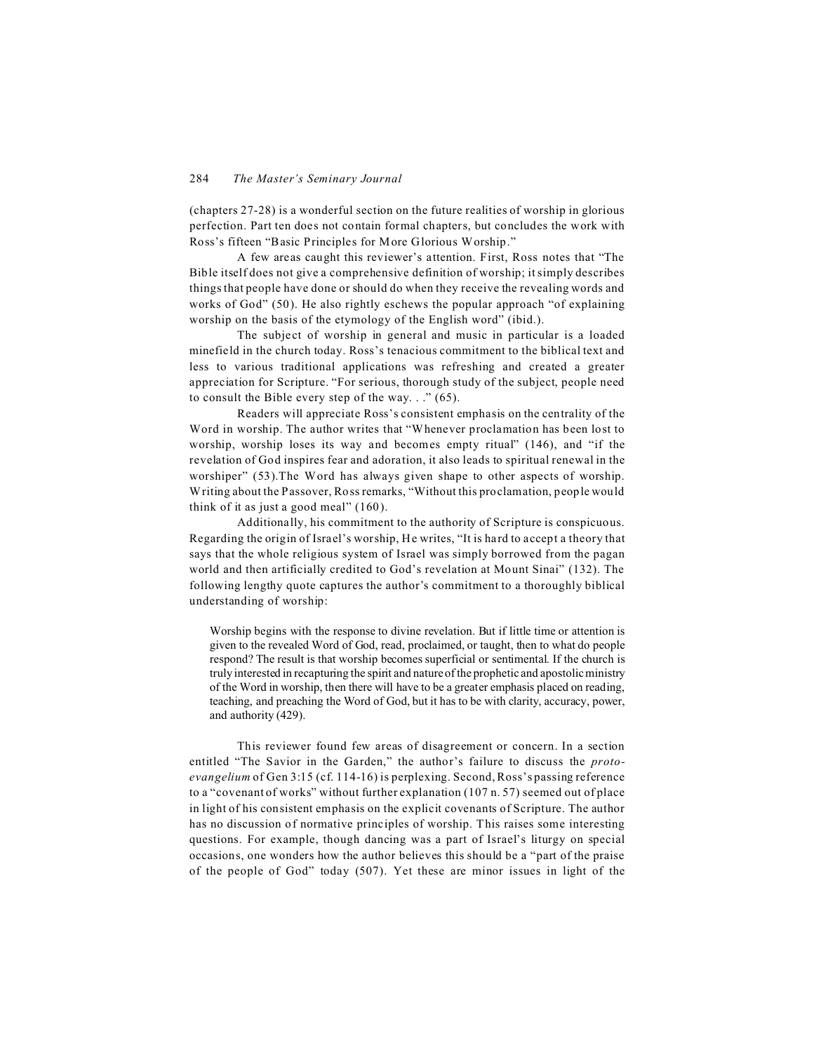(chapters 27-28) is a wonderful section on the future realities of worship in glorious perfection. Part ten does not contain formal chapters, but concludes the work with Ross's fifteen "Basic Principles for More Glorious Worship."

A few areas caught this reviewer's attention. First, Ross notes that "The Bible itself does not give a comprehensive definition of worship; it simply describes things that people have done or should do when they receive the revealing words and works of God" (50). He also rightly eschews the popular approach "of explaining worship on the basis of the etymology of the English word" (ibid.).

The subject of worship in general and music in particular is a loaded minefield in the church today. Ross's tenacious commitment to the biblical text and less to various traditional applications was refreshing and created a greater appreciation for Scripture. "For serious, thorough study of the subject, people need to consult the Bible every step of the way.  $\cdot$  ." (65).

Readers will appreciate Ross's consistent emphasis on the centrality of the Word in worship. The author writes that "Whenever proclamation has been lost to worship, worship loses its way and becomes empty ritual" (146), and "if the revelation of God inspires fear and adoration, it also leads to spiritual renewal in the worshiper" (53).The Word has always given shape to other aspects of worship. Writing about the Passover, Ross remarks, "Without this proclamation, people would think of it as just a good meal" (160).

Additionally, his commitment to the authority of Scripture is conspicuous. Regarding the origin of Israel's worship, He writes, "It is hard to accept a theory that says that the whole religious system of Israel was simply borrowed from the pagan world and then artificially credited to God's revelation at Mount Sinai" (132). The following lengthy quote captures the author's commitment to a thoroughly biblical understanding of worship:

Worship begins with the response to divine revelation. But if little time or attention is given to the revealed Word of God, read, proclaimed, or taught, then to what do people respond? The result is that worship becomes superficial or sentimental. If the church is truly interested in recapturing the spirit and nature of the prophetic and apostolic ministry of the Word in worship, then there will have to be a greater emphasis placed on reading, teaching, and preaching the Word of God, but it has to be with clarity, accuracy, power, and authority (429).

This reviewer found few areas of disagreement or concern. In a section entitled "The Savior in the Garden," the author's failure to discuss the *protoevangelium* of Gen 3:15 (cf. 114-16) is perplexing. Second, Ross's passing reference to a "covenant of works" without further explanation (107 n. 57) seemed out of place in light of his consistent emphasis on the explicit covenants of Scripture. The author has no discussion of normative principles of worship. This raises some interesting questions. For example, though dancing was a part of Israel's liturgy on special occasions, one wonders how the author believes this should be a "part of the praise of the people of God" today (507). Yet these are minor issues in light of the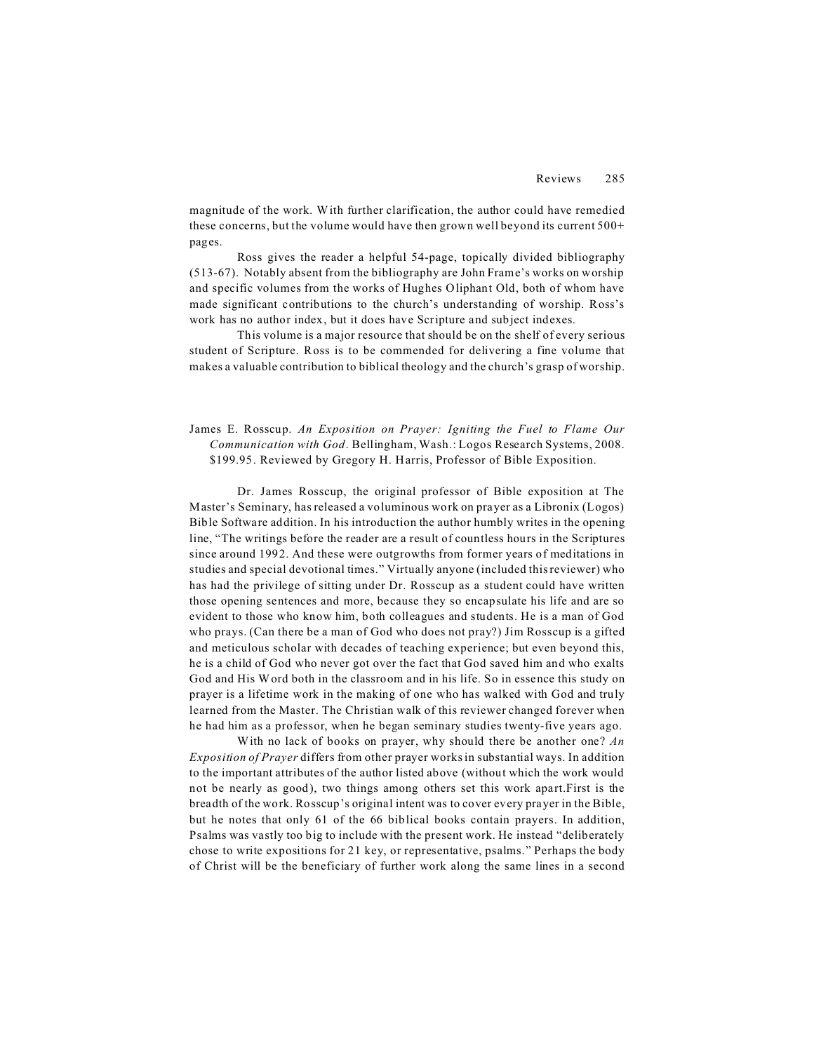magnitude of the work. With further clarification, the author could have remedied these concerns, but the volume would have then grown well beyond its current 500+ pages.

Ross gives the reader a helpful 54-page, topically divided bibliography (513-67). Notably absent from the bibliography are John Frame's works on worship and specific volumes from the works of Hughes Oliphant Old, both of whom have made significant contributions to the church's understanding of worship. Ross's work has no author index, but it does have Scripture and subject indexes.

This volume is a major resource that should be on the shelf of every serious student of Scripture. Ross is to be commended for delivering a fine volume that makes a valuable contribution to biblical theology and the church's grasp of worship.

## James E. Rosscup. *An Exposition on Prayer: Igniting the Fuel to Flame Our Communication with God*. Bellingham, Wash.: Logos Research Systems, 2008. \$199.95. Reviewed by Gregory H. Harris, Professor of Bible Exposition.

Dr. James Rosscup, the original professor of Bible exposition at The Master's Seminary, has released a voluminous work on prayer as a Libronix (Logos) Bible Software addition. In his introduction the author humbly writes in the opening line, "The writings before the reader are a result of countless hours in the Scriptures since around 1992. And these were outgrowths from former years of meditations in studies and special devotional times." Virtually anyone (included this reviewer) who has had the privilege of sitting under Dr. Rosscup as a student could have written those opening sentences and more, because they so encapsulate his life and are so evident to those who know him, both colleagues and students. He is a man of God who prays. (Can there be a man of God who does not pray?) Jim Rosscup is a gifted and meticulous scholar with decades of teaching experience; but even beyond this, he is a child of God who never got over the fact that God saved him and who exalts God and His Word both in the classroom and in his life. So in essence this study on prayer is a lifetime work in the making of one who has walked with God and truly learned from the Master. The Christian walk of this reviewer changed forever when he had him as a professor, when he began seminary studies twenty-five years ago.

With no lack of books on prayer, why should there be another one? *An Exposition of Prayer* differs from other prayer works in substantial ways. In addition to the important attributes of the author listed above (without which the work would not be nearly as good), two things among others set this work apart.First is the breadth of the work. Rosscup's original intent was to cover every prayer in the Bible, but he notes that only 61 of the 66 biblical books contain prayers. In addition, Psalms was vastly too big to include with the present work. He instead "deliberately chose to write expositions for 21 key, or representative, psalms." Perhaps the body of Christ will be the beneficiary of further work along the same lines in a second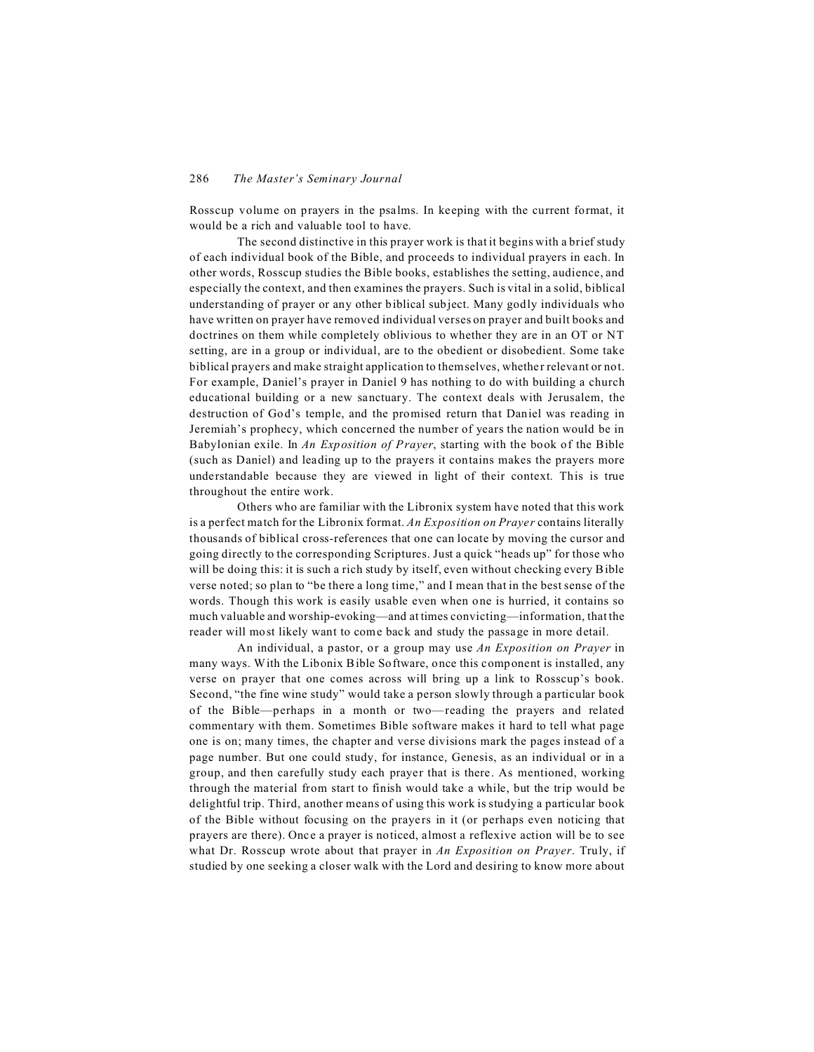Rosscup volume on prayers in the psalms. In keeping with the current format, it would be a rich and valuable tool to have.

The second distinctive in this prayer work is that it begins with a brief study of each individual book of the Bible, and proceeds to individual prayers in each. In other words, Rosscup studies the Bible books, establishes the setting, audience, and especially the context, and then examines the prayers. Such is vital in a solid, biblical understanding of prayer or any other biblical subject. Many godly individuals who have written on prayer have removed individual verses on prayer and built books and doctrines on them while completely oblivious to whether they are in an OT or NT setting, are in a group or individual, are to the obedient or disobedient. Some take biblical prayers and make straight application to themselves, whether relevant or not. For example, Daniel's prayer in Daniel 9 has nothing to do with building a church educational building or a new sanctuary. The context deals with Jerusalem, the destruction of God's temple, and the promised return that Daniel was reading in Jeremiah's prophecy, which concerned the number of years the nation would be in Babylonian exile. In *An Exposition of Prayer*, starting with the book of the Bible (such as Daniel) and leading up to the prayers it contains makes the prayers more understandable because they are viewed in light of their context. This is true throughout the entire work.

Others who are familiar with the Libronix system have noted that this work is a perfect match for the Libronix format. *An Exposition on Prayer* contains literally thousands of biblical cross-references that one can locate by moving the cursor and going directly to the corresponding Scriptures. Just a quick "heads up" for those who will be doing this: it is such a rich study by itself, even without checking every Bible verse noted; so plan to "be there a long time," and I mean that in the best sense of the words. Though this work is easily usable even when one is hurried, it contains so much valuable and worship-evoking—and at times convicting—information, that the reader will most likely want to come back and study the passage in more detail.

An individual, a pastor, or a group may use *An Exposition on Prayer* in many ways. With the Libonix Bible Software, once this component is installed, any verse on prayer that one comes across will bring up a link to Rosscup's book. Second, "the fine wine study" would take a person slowly through a particular book of the Bible—perhaps in a month or two—reading the prayers and related commentary with them. Sometimes Bible software makes it hard to tell what page one is on; many times, the chapter and verse divisions mark the pages instead of a page number. But one could study, for instance, Genesis, as an individual or in a group, and then carefully study each prayer that is there. As mentioned, working through the material from start to finish would take a while, but the trip would be delightful trip. Third, another means of using this work is studying a particular book of the Bible without focusing on the prayers in it (or perhaps even noticing that prayers are there). Once a prayer is noticed, almost a reflexive action will be to see what Dr. Rosscup wrote about that prayer in *An Exposition on Prayer*. Truly, if studied by one seeking a closer walk with the Lord and desiring to know more about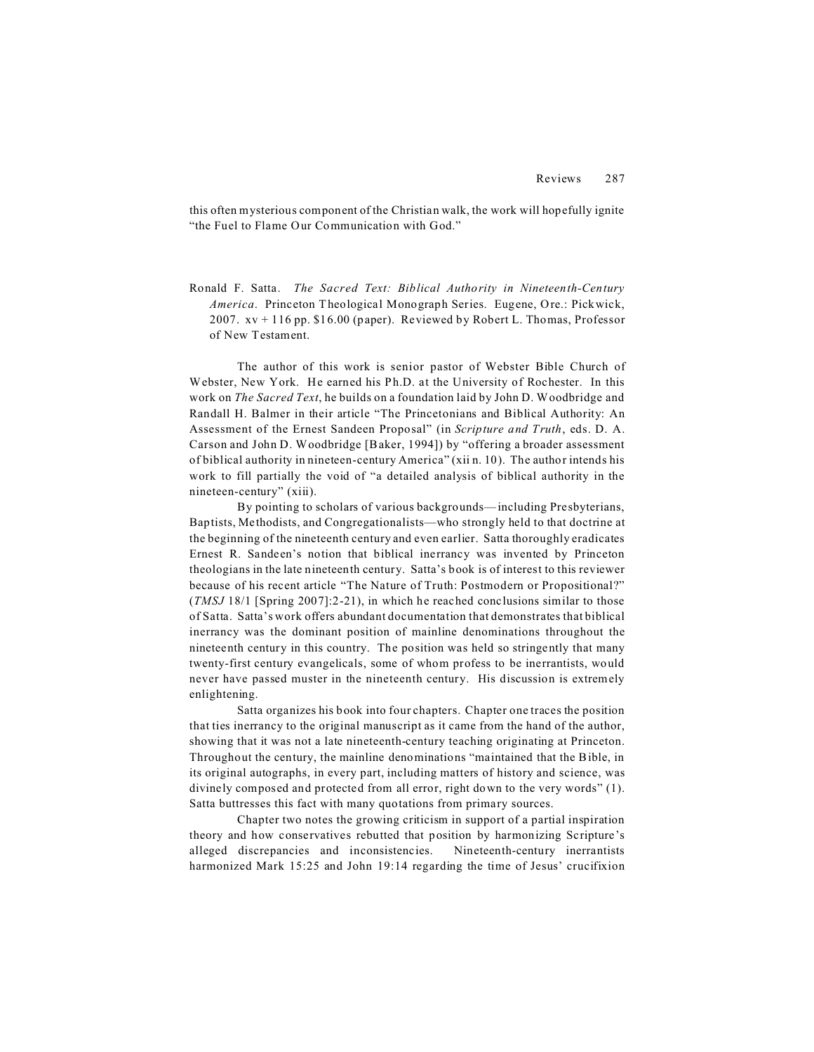this often mysterious component of the Christian walk, the work will hopefully ignite "the Fuel to Flame Our Communication with God."

Ronald F. Satta. *The Sacred Text: Biblical Authority in Nineteenth-Century America*. Princeton Theological Monograph Series. Eugene, Ore.: Pickwick, 2007.  $xy + 116$  pp. \$16.00 (paper). Reviewed by Robert L. Thomas, Professor of New Testament.

The author of this work is senior pastor of Webster Bible Church of Webster, New York. He earned his Ph.D. at the University of Rochester. In this work on *The Sacred Text*, he builds on a foundation laid by John D. Woodbridge and Randall H. Balmer in their article "The Princetonians and Biblical Authority: An Assessment of the Ernest Sandeen Proposal" (in *Scripture and Truth*, eds. D. A. Carson and John D. Woodbridge [Baker, 1994]) by "offering a broader assessment of biblical authority in nineteen-century America" (xii n. 10). The author intends his work to fill partially the void of "a detailed analysis of biblical authority in the nineteen-century" (xiii).

By pointing to scholars of various backgrounds—including Presbyterians, Baptists, Methodists, and Congregationalists—who strongly held to that doctrine at the beginning of the nineteenth century and even earlier. Satta thoroughly eradicates Ernest R. Sandeen's notion that biblical inerrancy was invented by Princeton theologians in the late nineteenth century. Satta's book is of interest to this reviewer because of his recent article "The Nature of Truth: Postmodern or Propositional?" (*TMSJ* 18/1 [Spring 2007]:2-21), in which he reached conclusions similar to those of Satta. Satta's work offers abundant documentation that demonstrates that biblical inerrancy was the dominant position of mainline denominations throughout the nineteenth century in this country. The position was held so stringently that many twenty-first century evangelicals, some of whom profess to be inerrantists, would never have passed muster in the nineteenth century. His discussion is extremely enlightening.

Satta organizes his book into four chapters. Chapter one traces the position that ties inerrancy to the original manuscript as it came from the hand of the author, showing that it was not a late nineteenth-century teaching originating at Princeton. Throughout the century, the mainline denominations "maintained that the Bible, in its original autographs, in every part, including matters of history and science, was divinely composed and protected from all error, right down to the very words" (1). Satta buttresses this fact with many quotations from primary sources.

Chapter two notes the growing criticism in support of a partial inspiration theory and how conservatives rebutted that position by harmonizing Scripture's alleged discrepancies and inconsistencies. Nineteenth-century inerrantists harmonized Mark 15:25 and John 19:14 regarding the time of Jesus' crucifixion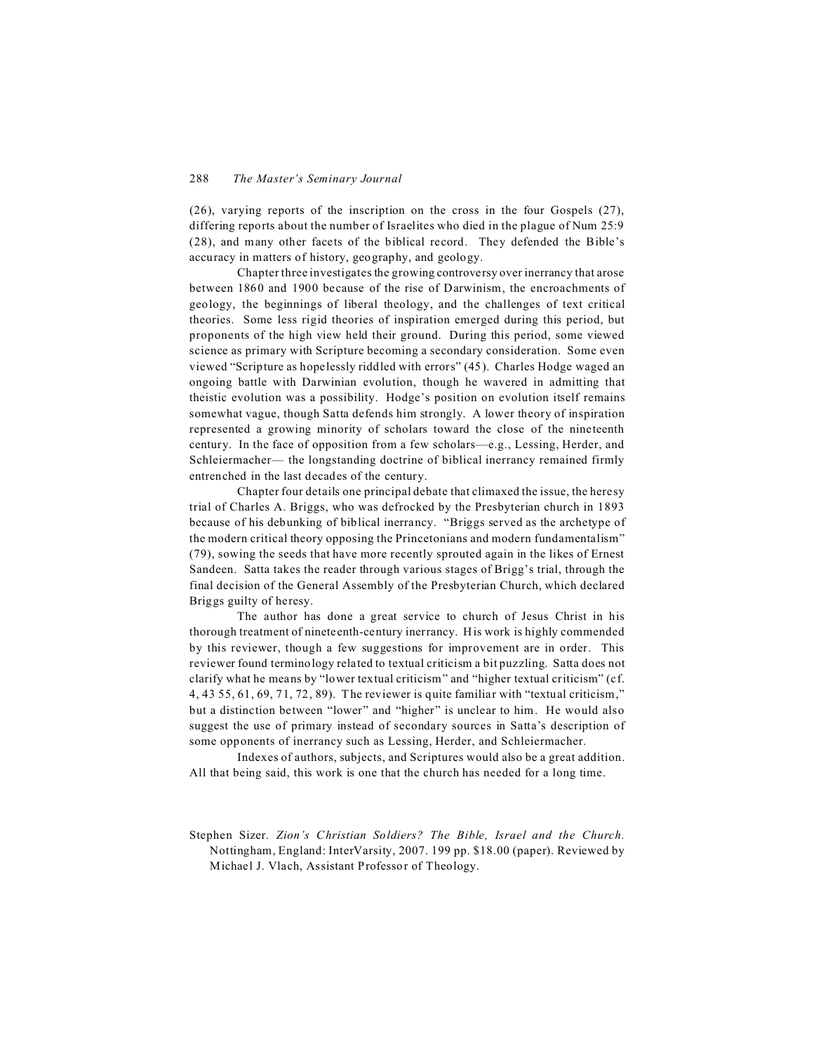(26), varying reports of the inscription on the cross in the four Gospels (27), differing reports about the number of Israelites who died in the plague of Num 25:9 (28), and many other facets of the biblical record. They defended the Bible's accuracy in matters of history, geography, and geology.

Chapter three investigates the growing controversy over inerrancy that arose between 1860 and 1900 because of the rise of Darwinism, the encroachments of geology, the beginnings of liberal theology, and the challenges of text critical theories. Some less rigid theories of inspiration emerged during this period, but proponents of the high view held their ground. During this period, some viewed science as primary with Scripture becoming a secondary consideration. Some even viewed "Scripture as hopelessly riddled with errors" (45). Charles Hodge waged an ongoing battle with Darwinian evolution, though he wavered in admitting that theistic evolution was a possibility. Hodge's position on evolution itself remains somewhat vague, though Satta defends him strongly. A lower theory of inspiration represented a growing minority of scholars toward the close of the nineteenth century. In the face of opposition from a few scholars—e.g., Lessing, Herder, and Schleiermacher— the longstanding doctrine of biblical inerrancy remained firmly entrenched in the last decades of the century.

Chapter four details one principal debate that climaxed the issue, the heresy trial of Charles A. Briggs, who was defrocked by the Presbyterian church in 1893 because of his debunking of biblical inerrancy. "Briggs served as the archetype of the modern critical theory opposing the Princetonians and modern fundamentalism" (79), sowing the seeds that have more recently sprouted again in the likes of Ernest Sandeen. Satta takes the reader through various stages of Brigg's trial, through the final decision of the General Assembly of the Presbyterian Church, which declared Briggs guilty of heresy.

The author has done a great service to church of Jesus Christ in his thorough treatment of nineteenth-century inerrancy. His work is highly commended by this reviewer, though a few suggestions for improvement are in order. This reviewer found terminology related to textual criticism a bit puzzling. Satta does not clarify what he means by "lower textual criticism" and "higher textual criticism" (cf. 4, 43 55, 61, 69, 71, 72, 89). The reviewer is quite familiar with "textual criticism," but a distinction between "lower" and "higher" is unclear to him. He would also suggest the use of primary instead of secondary sources in Satta's description of some opponents of inerrancy such as Lessing, Herder, and Schleiermacher.

Indexes of authors, subjects, and Scriptures would also be a great addition. All that being said, this work is one that the church has needed for a long time.

Stephen Sizer. *Zion's Christian Soldiers? The Bible, Israel and the Church.* Nottingham, England: InterVarsity, 2007. 199 pp. \$18.00 (paper). Reviewed by Michael J. Vlach, Assistant Professor of Theology.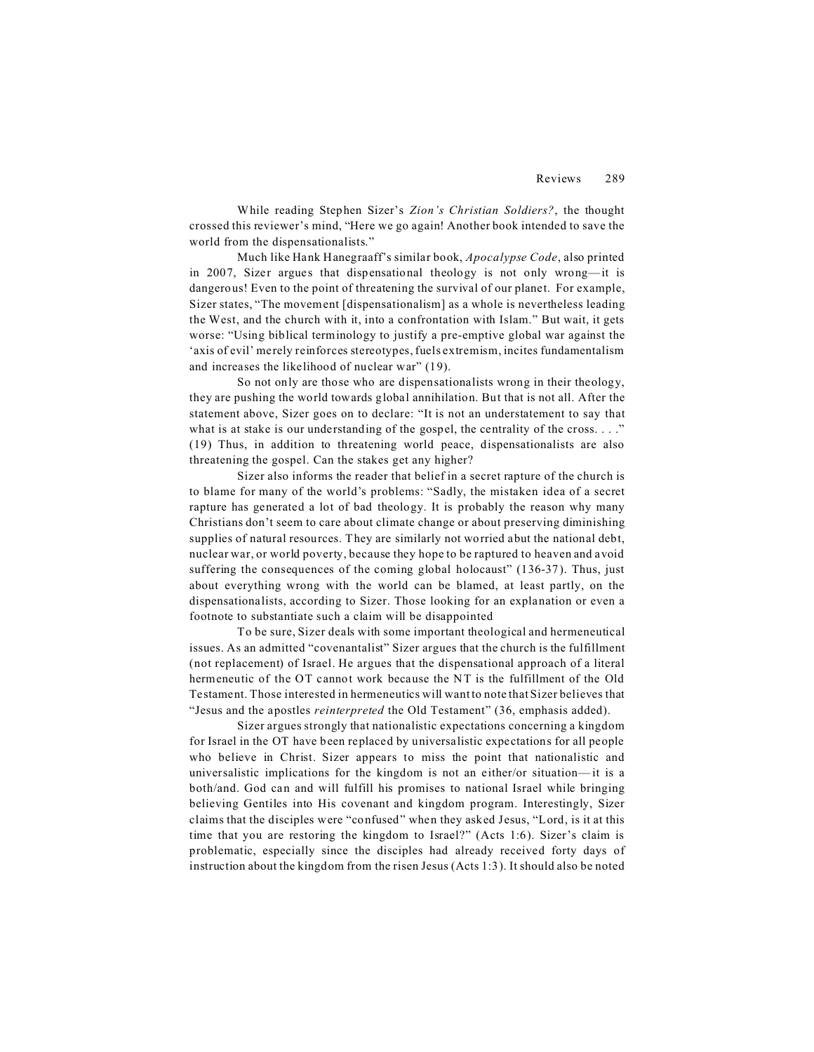While reading Stephen Sizer's *Zion's Christian Soldiers?*, the thought crossed this reviewer's mind, "Here we go again! Another book intended to save the world from the dispensationalists."

Much like Hank Hanegraaff's similar book, *Apocalypse Code*, also printed in 2007, Sizer argues that dispensational theology is not only wrong—it is dangerous! Even to the point of threatening the survival of our planet. For example, Sizer states, "The movement [dispensationalism] as a whole is nevertheless leading the West, and the church with it, into a confrontation with Islam." But wait, it gets worse: "Using biblical terminology to justify a pre-emptive global war against the 'axis of evil' merely reinforces stereotypes, fuels extremism, incites fundamentalism and increases the likelihood of nuclear war" (19).

So not only are those who are dispensationalists wrong in their theology, they are pushing the world towards global annihilation. But that is not all. After the statement above, Sizer goes on to declare: "It is not an understatement to say that what is at stake is our understanding of the gospel, the centrality of the cross. . . ." (19) Thus, in addition to threatening world peace, dispensationalists are also threatening the gospel. Can the stakes get any higher?

Sizer also informs the reader that belief in a secret rapture of the church is to blame for many of the world's problems: "Sadly, the mistaken idea of a secret rapture has generated a lot of bad theology. It is probably the reason why many Christians don't seem to care about climate change or about preserving diminishing supplies of natural resources. They are similarly not worried abut the national debt, nuclear war, or world poverty, because they hope to be raptured to heaven and avoid suffering the consequences of the coming global holocaust" (136-37). Thus, just about everything wrong with the world can be blamed, at least partly, on the dispensationalists, according to Sizer. Those looking for an explanation or even a footnote to substantiate such a claim will be disappointed

To be sure, Sizer deals with some important theological and hermeneutical issues. As an admitted "covenantalist" Sizer argues that the church is the fulfillment (not replacement) of Israel. He argues that the dispensational approach of a literal hermeneutic of the OT cannot work because the NT is the fulfillment of the Old Testament. Those interested in hermeneutics will want to note that Sizer believes that "Jesus and the apostles *reinterpreted* the Old Testament" (36, emphasis added).

Sizer argues strongly that nationalistic expectations concerning a kingdom for Israel in the OT have been replaced by universalistic expectations for all people who believe in Christ. Sizer appears to miss the point that nationalistic and universalistic implications for the kingdom is not an either/or situation— it is a both/and. God can and will fulfill his promises to national Israel while bringing believing Gentiles into His covenant and kingdom program. Interestingly, Sizer claims that the disciples were "confused" when they asked Jesus, "Lord, is it at this time that you are restoring the kingdom to Israel?" (Acts 1:6). Sizer's claim is problematic, especially since the disciples had already received forty days of instruction about the kingdom from the risen Jesus (Acts 1:3). It should also be noted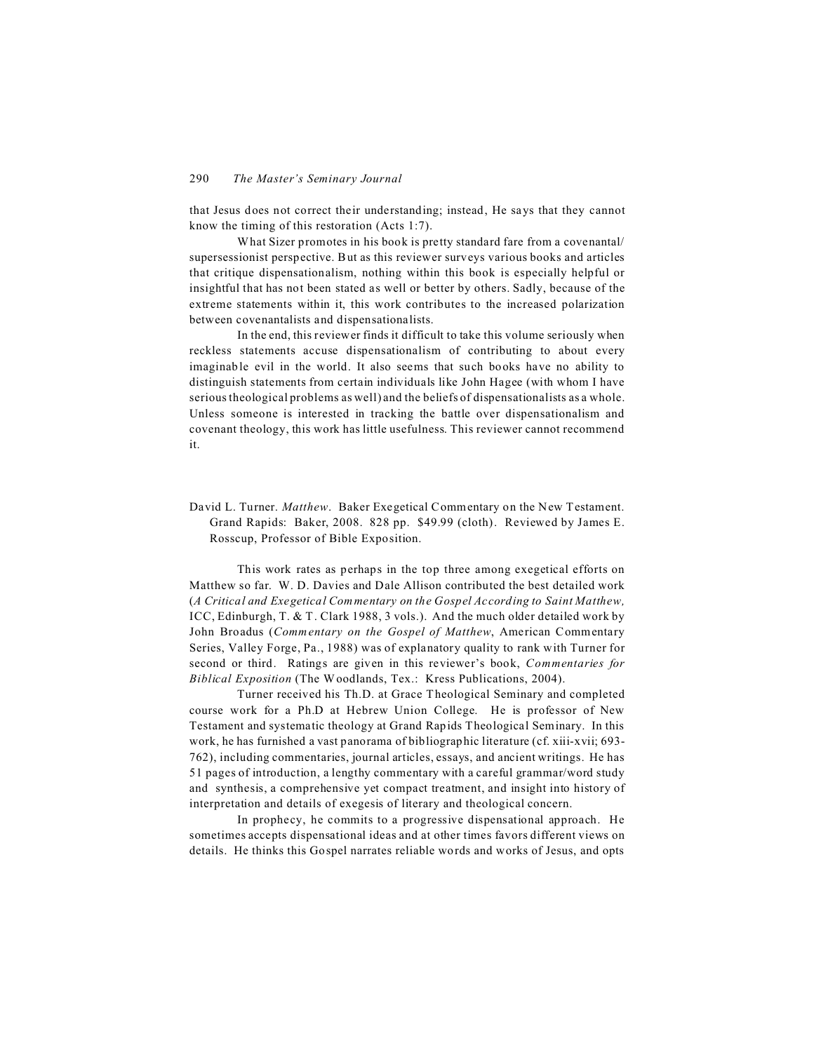that Jesus does not correct their understanding; instead, He says that they cannot know the timing of this restoration (Acts 1:7).

What Sizer promotes in his book is pretty standard fare from a covenantal/ supersessionist perspective. But as this reviewer surveys various books and articles that critique dispensationalism, nothing within this book is especially helpful or insightful that has not been stated as well or better by others. Sadly, because of the extreme statements within it, this work contributes to the increased polarization between covenantalists and dispensationalists.

In the end, this reviewer finds it difficult to take this volume seriously when reckless statements accuse dispensationalism of contributing to about every imaginable evil in the world. It also seems that such books have no ability to distinguish statements from certain individuals like John Hagee (with whom I have serious theological problems as well) and the beliefs of dispensationalists as a whole. Unless someone is interested in tracking the battle over dispensationalism and covenant theology, this work has little usefulness. This reviewer cannot recommend it.

David L. Turner. *Matthew*. Baker Exegetical Commentary on the New Testament. Grand Rapids: Baker, 2008. 828 pp. \$49.99 (cloth). Reviewed by James E. Rosscup, Professor of Bible Exposition.

This work rates as perhaps in the top three among exegetical efforts on Matthew so far. W. D. Davies and Dale Allison contributed the best detailed work (*A Critical and Exegetical Commentary on the Gospel According to Saint Matthew,* ICC, Edinburgh, T. & T. Clark 1988, 3 vols.). And the much older detailed work by John Broadus (*Commentary on the Gospel of Matthew*, American Commentary Series, Valley Forge, Pa., 1988) was of explanatory quality to rank with Turner for second or third. Ratings are given in this reviewer's book, *Commentaries for Biblical Exposition* (The Woodlands, Tex.: Kress Publications, 2004).

Turner received his Th.D. at Grace Theological Seminary and completed course work for a Ph.D at Hebrew Union College. He is professor of New Testament and systematic theology at Grand Rapids Theological Seminary. In this work, he has furnished a vast panorama of bibliographic literature (cf. xiii-xvii; 693- 762), including commentaries, journal articles, essays, and ancient writings. He has 51 pages of introduction, a lengthy commentary with a careful grammar/word study and synthesis, a comprehensive yet compact treatment, and insight into history of interpretation and details of exegesis of literary and theological concern.

In prophecy, he commits to a progressive dispensational approach. He sometimes accepts dispensational ideas and at other times favors different views on details. He thinks this Gospel narrates reliable words and works of Jesus, and opts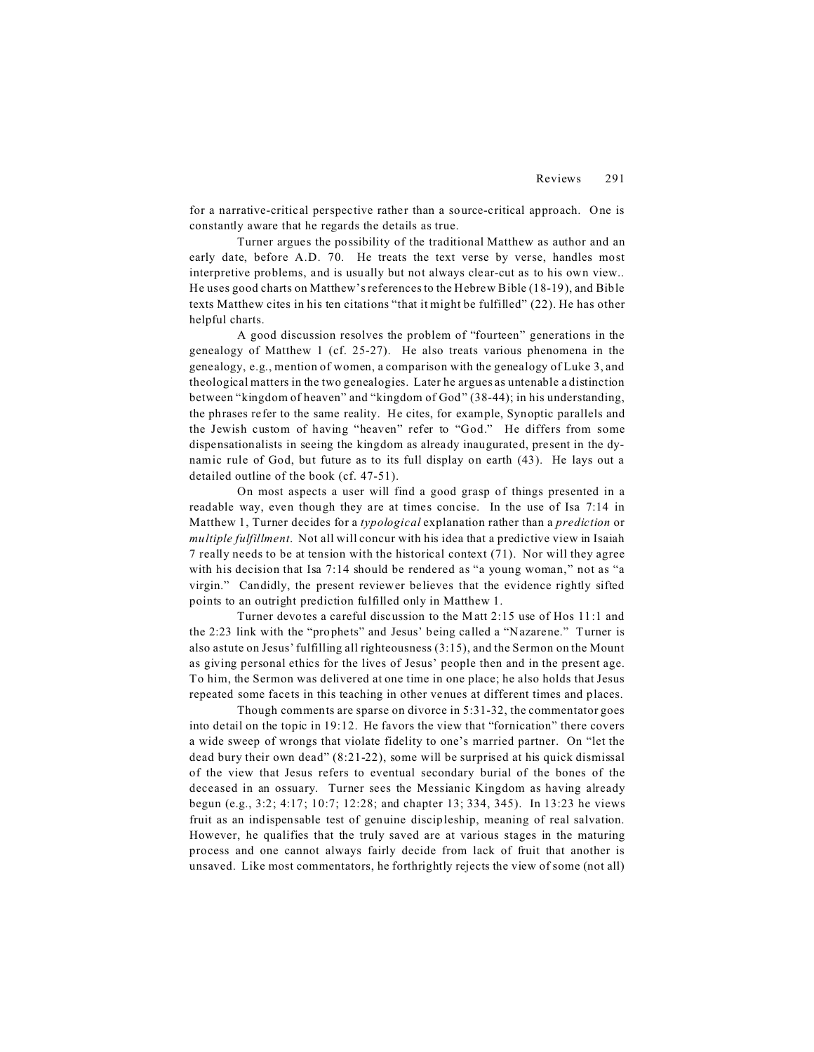for a narrative-critical perspective rather than a source-critical approach. One is constantly aware that he regards the details as true.

Turner argues the possibility of the traditional Matthew as author and an early date, before A.D. 70. He treats the text verse by verse, handles most interpretive problems, and is usually but not always clear-cut as to his own view.. He uses good charts on Matthew's references to the Hebrew Bible (18-19), and Bible texts Matthew cites in his ten citations "that it might be fulfilled" (22). He has other helpful charts.

A good discussion resolves the problem of "fourteen" generations in the genealogy of Matthew 1 (cf. 25-27). He also treats various phenomena in the genealogy, e.g., mention of women, a comparison with the genealogy of Luke 3, and theological matters in the two genealogies. Later he argues as untenable a distinction between "kingdom of heaven" and "kingdom of God" (38-44); in his understanding, the phrases refer to the same reality. He cites, for example, Synoptic parallels and the Jewish custom of having "heaven" refer to "God." He differs from some dispensationalists in seeing the kingdom as already inaugurated, present in the dynamic rule of God, but future as to its full display on earth (43). He lays out a detailed outline of the book (cf. 47-51).

On most aspects a user will find a good grasp of things presented in a readable way, even though they are at times concise. In the use of Isa 7:14 in Matthew 1, Turner decides for a *typological* explanation rather than a *prediction* or *multiple fulfillment*. Not all will concur with his idea that a predictive view in Isaiah 7 really needs to be at tension with the historical context (71). Nor will they agree with his decision that Isa 7:14 should be rendered as "a young woman," not as "a virgin." Candidly, the present reviewer believes that the evidence rightly sifted points to an outright prediction fulfilled only in Matthew 1.

Turner devotes a careful discussion to the Matt 2:15 use of Hos 11:1 and the 2:23 link with the "prophets" and Jesus' being called a "Nazarene." Turner is also astute on Jesus' fulfilling all righteousness (3:15), and the Sermon on the Mount as giving personal ethics for the lives of Jesus' people then and in the present age. To him, the Sermon was delivered at one time in one place; he also holds that Jesus repeated some facets in this teaching in other venues at different times and places.

Though comments are sparse on divorce in 5:31-32, the commentator goes into detail on the topic in 19:12. He favors the view that "fornication" there covers a wide sweep of wrongs that violate fidelity to one's married partner. On "let the dead bury their own dead" (8:21-22), some will be surprised at his quick dismissal of the view that Jesus refers to eventual secondary burial of the bones of the deceased in an ossuary. Turner sees the Messianic Kingdom as having already begun (e.g., 3:2; 4:17; 10:7; 12:28; and chapter 13; 334, 345). In 13:23 he views fruit as an indispensable test of genuine discipleship, meaning of real salvation. However, he qualifies that the truly saved are at various stages in the maturing process and one cannot always fairly decide from lack of fruit that another is unsaved. Like most commentators, he forthrightly rejects the view of some (not all)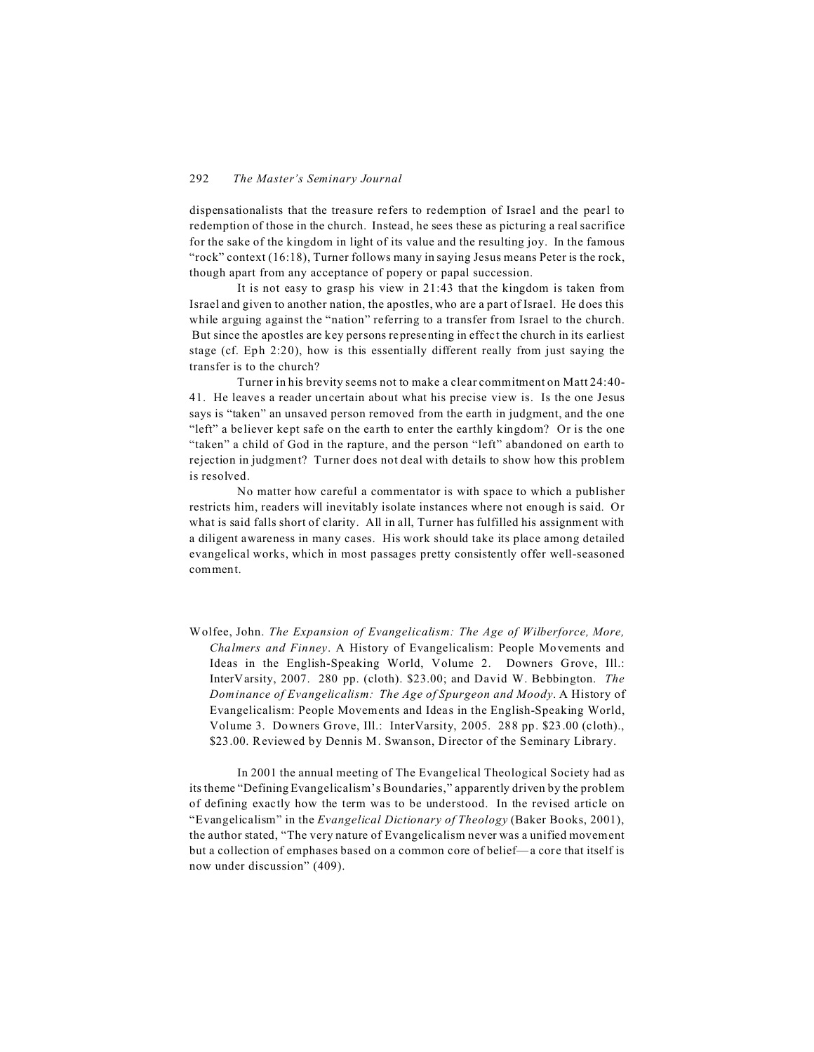dispensationalists that the treasure refers to redemption of Israel and the pearl to redemption of those in the church. Instead, he sees these as picturing a real sacrifice for the sake of the kingdom in light of its value and the resulting joy. In the famous "rock" context (16:18), Turner follows many in saying Jesus means Peter is the rock, though apart from any acceptance of popery or papal succession.

It is not easy to grasp his view in 21:43 that the kingdom is taken from Israel and given to another nation, the apostles, who are a part of Israel. He does this while arguing against the "nation" referring to a transfer from Israel to the church. But since the apostles are key persons representing in effect the church in its earliest stage (cf. Eph 2:20), how is this essentially different really from just saying the transfer is to the church?

Turner in his brevity seems not to make a clear commitment on Matt 24:40- 41. He leaves a reader uncertain about what his precise view is. Is the one Jesus says is "taken" an unsaved person removed from the earth in judgment, and the one "left" a believer kept safe on the earth to enter the earthly kingdom? Or is the one "taken" a child of God in the rapture, and the person "left" abandoned on earth to rejection in judgment? Turner does not deal with details to show how this problem is resolved.

No matter how careful a commentator is with space to which a publisher restricts him, readers will inevitably isolate instances where not enough is said. Or what is said falls short of clarity. All in all, Turner has fulfilled his assignment with a diligent awareness in many cases. His work should take its place among detailed evangelical works, which in most passages pretty consistently offer well-seasoned comment.

Wolfee, John. *The Expansion of Evangelicalism: The Age of Wilberforce, More, Chalmers and Finney*. A History of Evangelicalism: People Movements and Ideas in the English-Speaking World, Volume 2. Downers Grove, Ill.: InterVarsity, 2007. 280 pp. (cloth). \$23.00; and David W. Bebbington. *The Dominance of Evangelicalism: The Age of Spurgeon and Moody*. A History of Evangelicalism: People Movements and Ideas in the English-Speaking World, Volume 3. Downers Grove, Ill.: InterVarsity, 2005. 288 pp. \$23.00 (cloth)., \$23.00. Reviewed by Dennis M. Swanson, Director of the Seminary Library.

In 2001 the annual meeting of The Evangelical Theological Society had as its theme "Defining Evangelicalism's Boundaries," apparently driven by the problem of defining exactly how the term was to be understood. In the revised article on "Evangelicalism" in the *Evangelical Dictionary of Theology* (Baker Books, 2001), the author stated, "The very nature of Evangelicalism never was a unified movement but a collection of emphases based on a common core of belief—a core that itself is now under discussion" (409).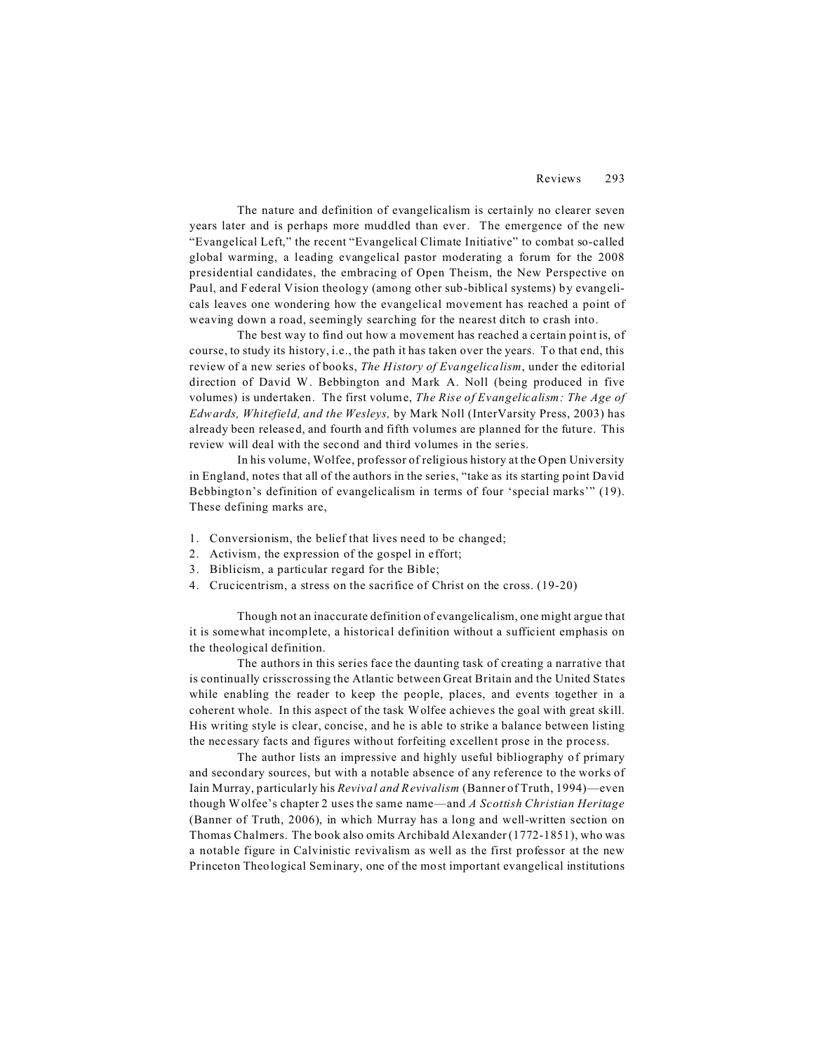The nature and definition of evangelicalism is certainly no clearer seven years later and is perhaps more muddled than ever. The emergence of the new "Evangelical Left," the recent "Evangelical Climate Initiative" to combat so-called global warming, a leading evangelical pastor moderating a forum for the 2008 presidential candidates, the embracing of Open Theism, the New Perspective on Paul, and Federal Vision theology (among other sub-biblical systems) by evangelicals leaves one wondering how the evangelical movement has reached a point of weaving down a road, seemingly searching for the nearest ditch to crash into.

The best way to find out how a movement has reached a certain point is, of course, to study its history, i.e., the path it has taken over the years. To that end, this review of a new series of books, *The History of Evangelicalism*, under the editorial direction of David W. Bebbington and Mark A. Noll (being produced in five volumes) is undertaken. The first volume, *The Rise of Evangelicalism: The Age of Edwards, Whitefield, and the Wesleys,* by Mark Noll (InterVarsity Press, 2003) has already been released, and fourth and fifth volumes are planned for the future. This review will deal with the second and third volumes in the series.

In his volume, Wolfee, professor of religious history at the Open University in England, notes that all of the authors in the series, "take as its starting point David Bebbington's definition of evangelicalism in terms of four 'special marks'" (19). These defining marks are,

- 1. Conversionism, the belief that lives need to be changed;
- 2. Activism, the expression of the gospel in effort;
- 3. Biblicism, a particular regard for the Bible;
- 4. Crucicentrism, a stress on the sacrifice of Christ on the cross. (19-20)

Though not an inaccurate definition of evangelicalism, one might argue that it is somewhat incomplete, a historical definition without a sufficient emphasis on the theological definition.

The authors in this series face the daunting task of creating a narrative that is continually crisscrossing the Atlantic between Great Britain and the United States while enabling the reader to keep the people, places, and events together in a coherent whole. In this aspect of the task Wolfee achieves the goal with great skill. His writing style is clear, concise, and he is able to strike a balance between listing the necessary facts and figures without forfeiting excellent prose in the process.

The author lists an impressive and highly useful bibliography of primary and secondary sources, but with a notable absence of any reference to the works of Iain Murray, particularly his *Revival and Revivalism* (Banner of Truth, 1994)—even though Wolfee's chapter 2 uses the same name—and *A Scottish Christian Heritage* (Banner of Truth, 2006), in which Murray has a long and well-written section on Thomas Chalmers. The book also omits Archibald Alexander (1772-1851), who was a notable figure in Calvinistic revivalism as well as the first professor at the new Princeton Theological Seminary, one of the most important evangelical institutions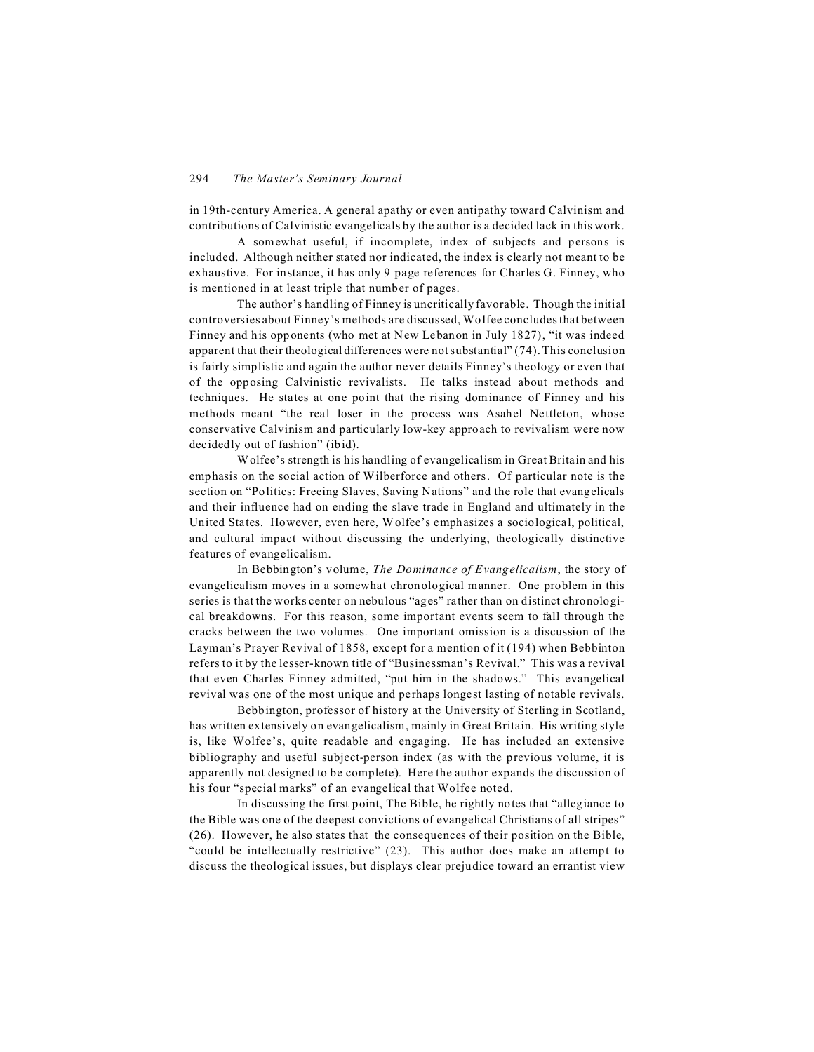in 19th-century America. A general apathy or even antipathy toward Calvinism and contributions of Calvinistic evangelicals by the author is a decided lack in this work.

A somewhat useful, if incomplete, index of subjects and persons is included. Although neither stated nor indicated, the index is clearly not meant to be exhaustive. For instance, it has only 9 page references for Charles G. Finney, who is mentioned in at least triple that number of pages.

The author's handling of Finney is uncritically favorable. Though the initial controversies about Finney's methods are discussed, Wolfee concludes that between Finney and his opponents (who met at New Lebanon in July 1827), "it was indeed apparent that their theological differences were not substantial" (74). This conclusion is fairly simplistic and again the author never details Finney's theology or even that of the opposing Calvinistic revivalists. He talks instead about methods and techniques. He states at one point that the rising dominance of Finney and his methods meant "the real loser in the process was Asahel Nettleton, whose conservative Calvinism and particularly low-key approach to revivalism were now decidedly out of fashion" (ibid).

Wolfee's strength is his handling of evangelicalism in Great Britain and his emphasis on the social action of Wilberforce and others. Of particular note is the section on "Politics: Freeing Slaves, Saving Nations" and the role that evangelicals and their influence had on ending the slave trade in England and ultimately in the United States. However, even here, Wolfee's emphasizes a sociological, political, and cultural impact without discussing the underlying, theologically distinctive features of evangelicalism.

In Bebbington's volume, *The Dominance of Evangelicalism*, the story of evangelicalism moves in a somewhat chronological manner. One problem in this series is that the works center on nebulous "ages" rather than on distinct chronological breakdowns. For this reason, some important events seem to fall through the cracks between the two volumes. One important omission is a discussion of the Layman's Prayer Revival of 1858, except for a mention of it (194) when Bebbinton refers to it by the lesser-known title of "Businessman's Revival." This was a revival that even Charles Finney admitted, "put him in the shadows." This evangelical revival was one of the most unique and perhaps longest lasting of notable revivals.

Bebbington, professor of history at the University of Sterling in Scotland, has written extensively on evangelicalism, mainly in Great Britain. His writing style is, like Wolfee's, quite readable and engaging. He has included an extensive bibliography and useful subject-person index (as with the previous volume, it is apparently not designed to be complete). Here the author expands the discussion of his four "special marks" of an evangelical that Wolfee noted.

In discussing the first point, The Bible, he rightly notes that "allegiance to the Bible was one of the deepest convictions of evangelical Christians of all stripes" (26). However, he also states that the consequences of their position on the Bible, "could be intellectually restrictive" (23). This author does make an attempt to discuss the theological issues, but displays clear prejudice toward an errantist view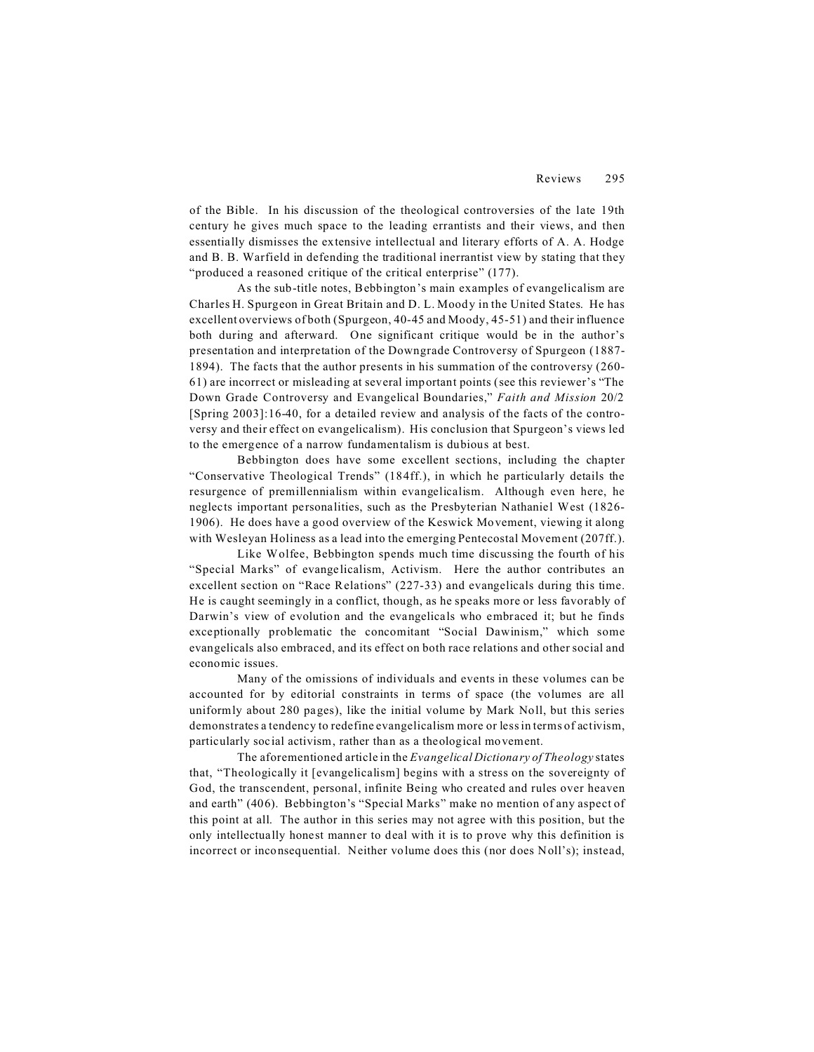of the Bible. In his discussion of the theological controversies of the late 19th century he gives much space to the leading errantists and their views, and then essentially dismisses the extensive intellectual and literary efforts of A. A. Hodge and B. B. Warfield in defending the traditional inerrantist view by stating that they "produced a reasoned critique of the critical enterprise" (177).

As the sub-title notes, Bebbington's main examples of evangelicalism are Charles H. Spurgeon in Great Britain and D. L. Moody in the United States. He has excellent overviews of both (Spurgeon, 40-45 and Moody, 45-51) and their influence both during and afterward. One significant critique would be in the author's presentation and interpretation of the Downgrade Controversy of Spurgeon (1887- 1894). The facts that the author presents in his summation of the controversy (260- 61) are incorrect or misleading at several important points (see this reviewer's "The Down Grade Controversy and Evangelical Boundaries," *Faith and Mission* 20/2 [Spring 2003]:16-40, for a detailed review and analysis of the facts of the controversy and their effect on evangelicalism). His conclusion that Spurgeon's views led to the emergence of a narrow fundamentalism is dubious at best.

Bebbington does have some excellent sections, including the chapter "Conservative Theological Trends" (184ff.), in which he particularly details the resurgence of premillennialism within evangelicalism. Although even here, he neglects important personalities, such as the Presbyterian Nathaniel West (1826- 1906). He does have a good overview of the Keswick Movement, viewing it along with Wesleyan Holiness as a lead into the emerging Pentecostal Movement (207ff.).

Like Wolfee, Bebbington spends much time discussing the fourth of his "Special Marks" of evangelicalism, Activism. Here the author contributes an excellent section on "Race Relations" (227-33) and evangelicals during this time. He is caught seemingly in a conflict, though, as he speaks more or less favorably of Darwin's view of evolution and the evangelicals who embraced it; but he finds exceptionally problematic the concomitant "Social Dawinism," which some evangelicals also embraced, and its effect on both race relations and other social and economic issues.

Many of the omissions of individuals and events in these volumes can be accounted for by editorial constraints in terms of space (the volumes are all uniformly about 280 pages), like the initial volume by Mark Noll, but this series demonstrates a tendency to redefine evangelicalism more or less in terms of activism, particularly social activism, rather than as a theological movement.

The aforementioned article in the *Evangelical Dictionary of Theology* states that, "Theologically it [evangelicalism] begins with a stress on the sovereignty of God, the transcendent, personal, infinite Being who created and rules over heaven and earth" (406). Bebbington's "Special Marks" make no mention of any aspect of this point at all. The author in this series may not agree with this position, but the only intellectually honest manner to deal with it is to prove why this definition is incorrect or inconsequential. Neither volume does this (nor does Noll's); instead,